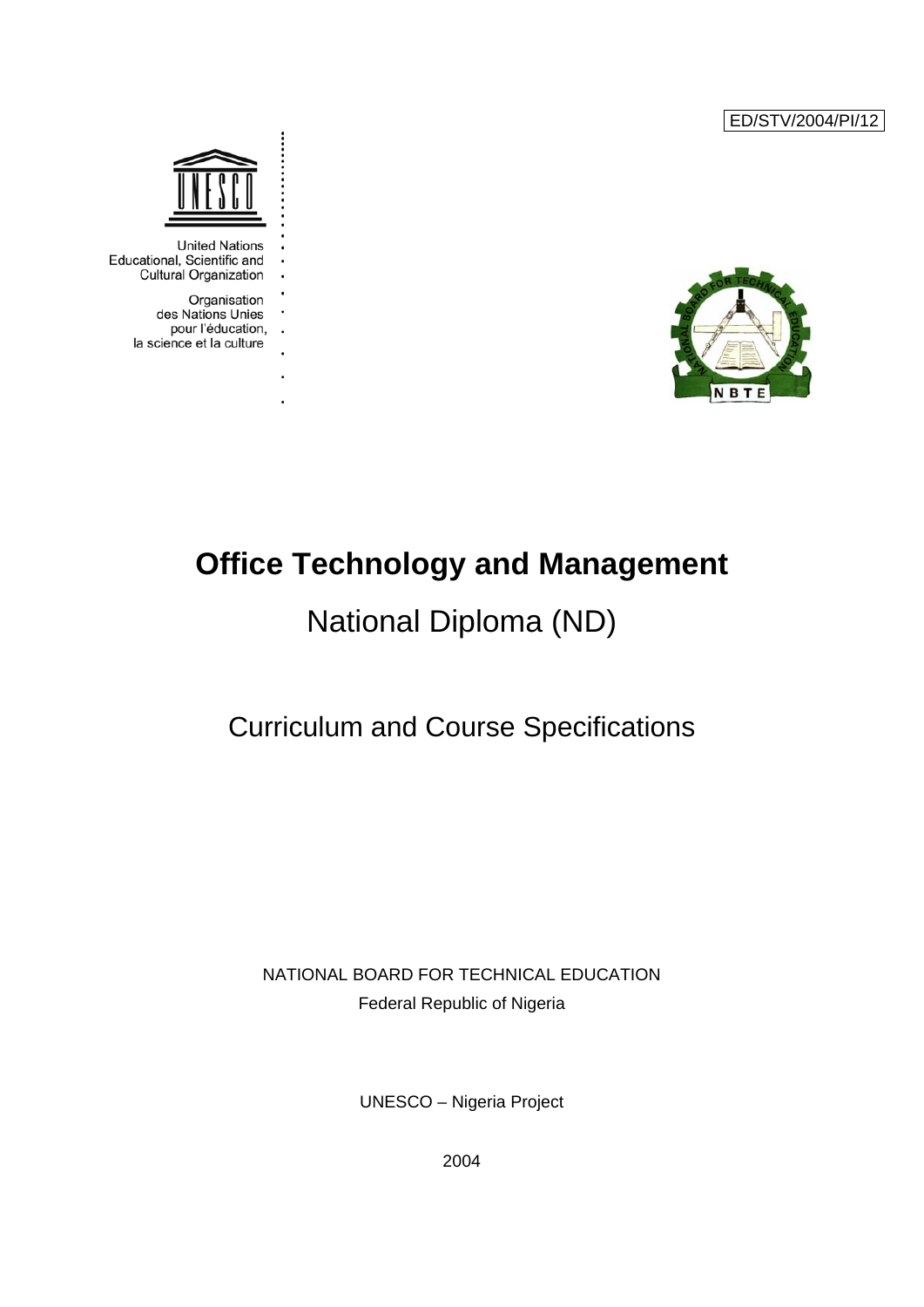ED/STV/2004/PI/12





**United Nations** Educational, Scientific and **Cultural Organization** 

> Organisation des Nations Unies pour l'éducation,  $\ddot{\phantom{a}}$ la science et la culture

> > l,

# **Office Technology and Management**

# National Diploma (ND)

# Curriculum and Course Specifications

## NATIONAL BOARD FOR TECHNICAL EDUCATION Federal Republic of Nigeria

UNESCO – Nigeria Project

2004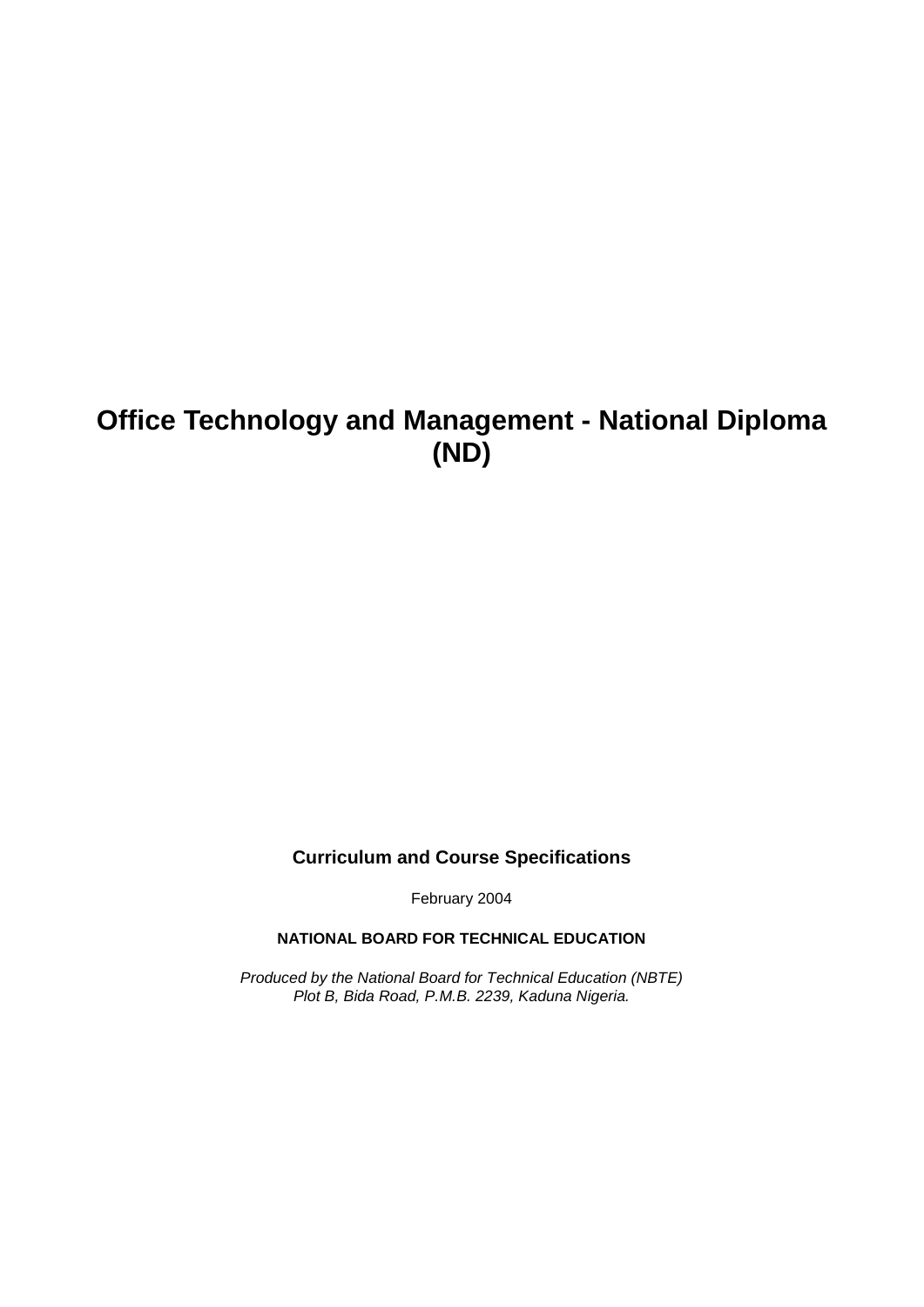# **Office Technology and Management - National Diploma (ND)**

## **Curriculum and Course Specifications**

February 2004

**NATIONAL BOARD FOR TECHNICAL EDUCATION**

*Produced by the National Board for Technical Education (NBTE) Plot B, Bida Road, P.M.B. 2239, Kaduna Nigeria.*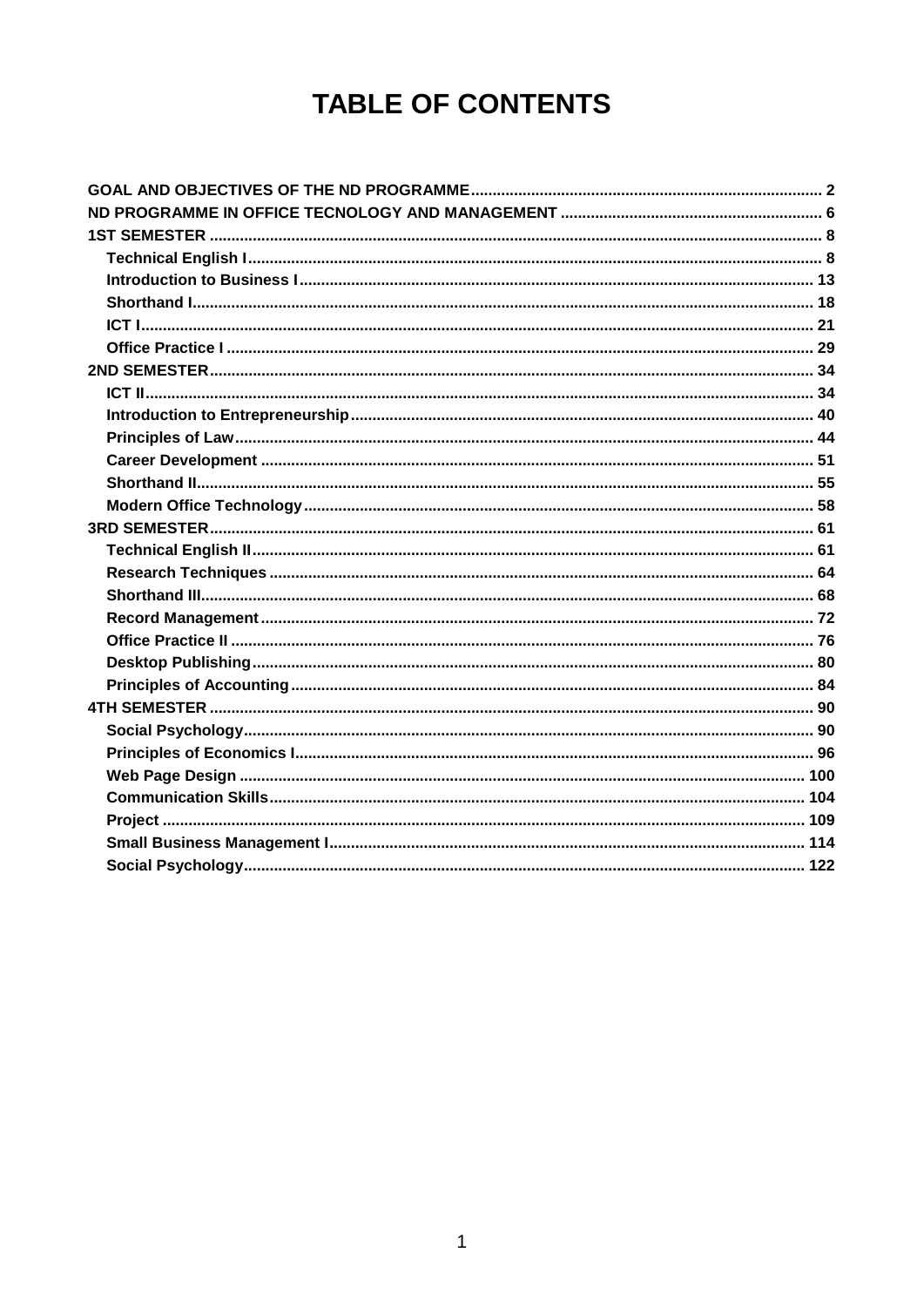# **TABLE OF CONTENTS**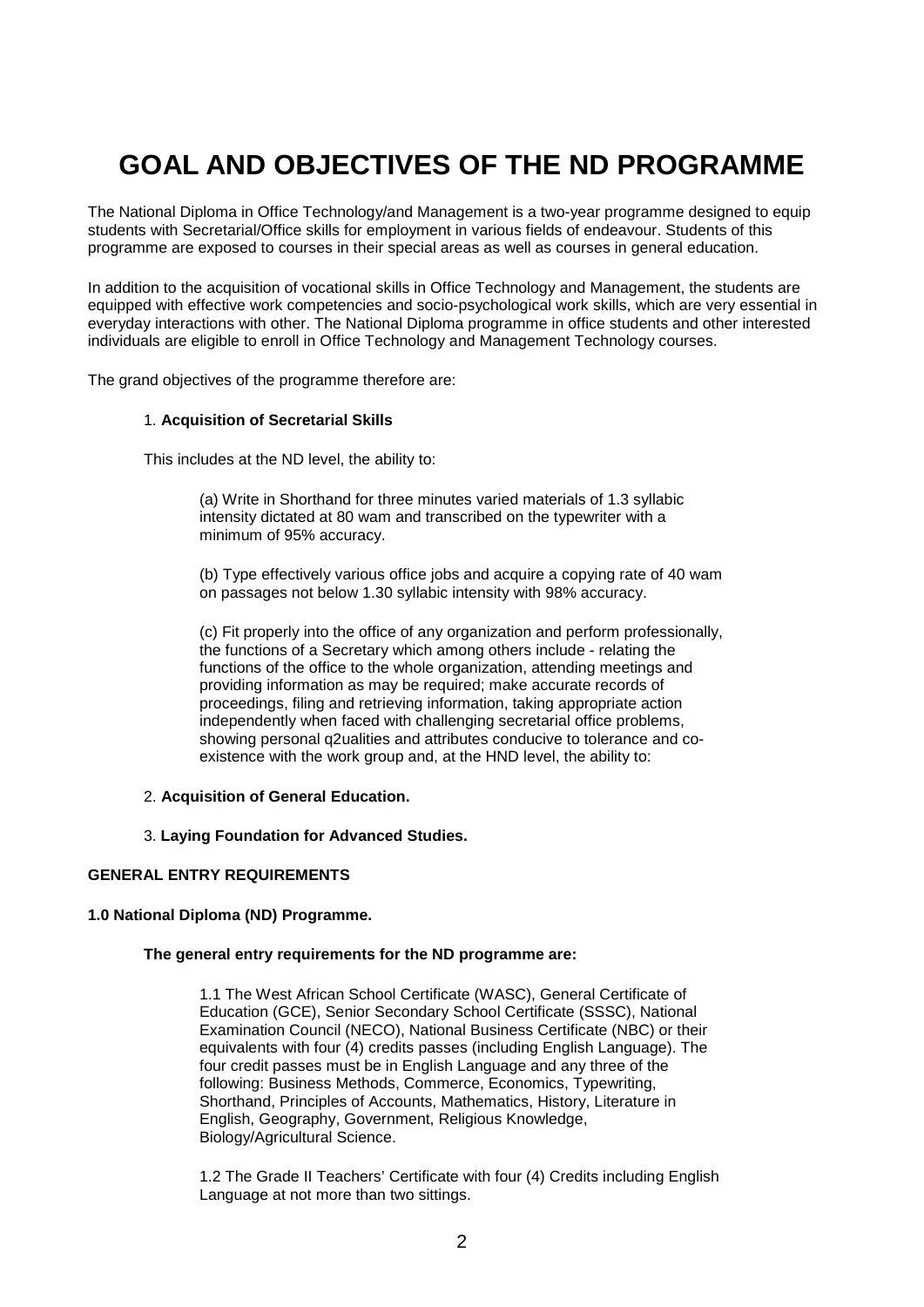# **GOAL AND OBJECTIVES OF THE ND PROGRAMME**

<span id="page-3-0"></span>The National Diploma in Office Technology/and Management is a two-year programme designed to equip students with Secretarial/Office skills for employment in various fields of endeavour. Students of this programme are exposed to courses in their special areas as well as courses in general education.

In addition to the acquisition of vocational skills in Office Technology and Management, the students are equipped with effective work competencies and socio-psychological work skills, which are very essential in everyday interactions with other. The National Diploma programme in office students and other interested individuals are eligible to enroll in Office Technology and Management Technology courses.

The grand objectives of the programme therefore are:

### 1. **Acquisition of Secretarial Skills**

This includes at the ND level, the ability to:

(a) Write in Shorthand for three minutes varied materials of 1.3 syllabic intensity dictated at 80 wam and transcribed on the typewriter with a minimum of 95% accuracy.

(b) Type effectively various office jobs and acquire a copying rate of 40 wam on passages not below 1.30 syllabic intensity with 98% accuracy.

(c) Fit properly into the office of any organization and perform professionally, the functions of a Secretary which among others include - relating the functions of the office to the whole organization, attending meetings and providing information as may be required; make accurate records of proceedings, filing and retrieving information, taking appropriate action independently when faced with challenging secretarial office problems, showing personal q2ualities and attributes conducive to tolerance and coexistence with the work group and, at the HND level, the ability to:

- 2. **Acquisition of General Education.**
- 3. **Laying Foundation for Advanced Studies.**

### **GENERAL ENTRY REQUIREMENTS**

### **1.0 National Diploma (ND) Programme.**

### **The general entry requirements for the ND programme are:**

1.1 The West African School Certificate (WASC), General Certificate of Education (GCE), Senior Secondary School Certificate (SSSC), National Examination Council (NECO), National Business Certificate (NBC) or their equivalents with four (4) credits passes (including English Language). The four credit passes must be in English Language and any three of the following: Business Methods, Commerce, Economics, Typewriting, Shorthand, Principles of Accounts, Mathematics, History, Literature in English, Geography, Government, Religious Knowledge, Biology/Agricultural Science.

1.2 The Grade II Teachers' Certificate with four (4) Credits including English Language at not more than two sittings.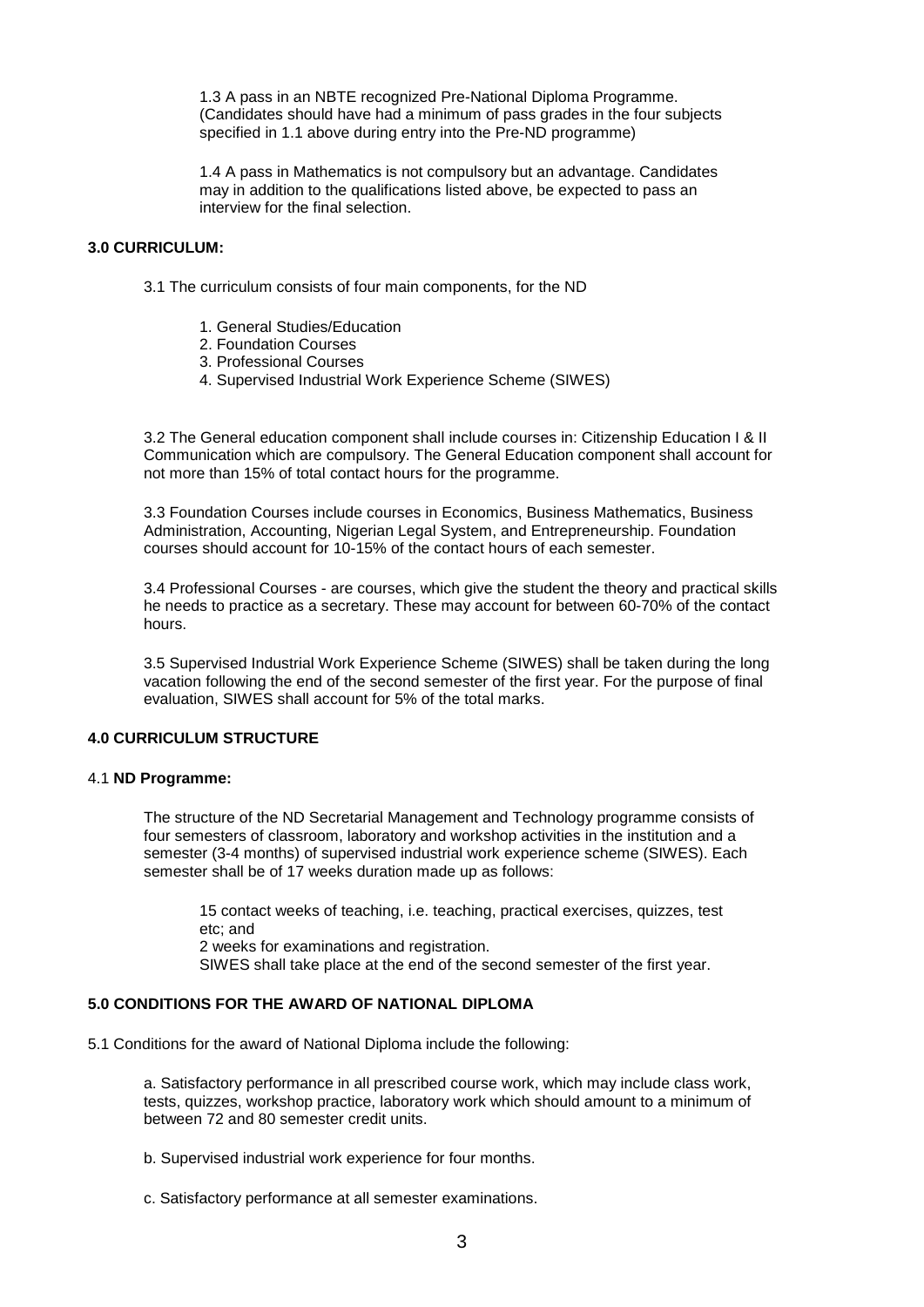1.3 A pass in an NBTE recognized Pre-National Diploma Programme. (Candidates should have had a minimum of pass grades in the four subjects specified in 1.1 above during entry into the Pre-ND programme)

1.4 A pass in Mathematics is not compulsory but an advantage. Candidates may in addition to the qualifications listed above, be expected to pass an interview for the final selection.

### **3.0 CURRICULUM:**

3.1 The curriculum consists of four main components, for the ND

- 1. General Studies/Education
- 2. Foundation Courses
- 3. Professional Courses
- 4. Supervised Industrial Work Experience Scheme (SIWES)

3.2 The General education component shall include courses in: Citizenship Education I & II Communication which are compulsory. The General Education component shall account for not more than 15% of total contact hours for the programme.

3.3 Foundation Courses include courses in Economics, Business Mathematics, Business Administration, Accounting, Nigerian Legal System, and Entrepreneurship. Foundation courses should account for 10-15% of the contact hours of each semester.

3.4 Professional Courses - are courses, which give the student the theory and practical skills he needs to practice as a secretary. These may account for between 60-70% of the contact hours.

3.5 Supervised Industrial Work Experience Scheme (SIWES) shall be taken during the long vacation following the end of the second semester of the first year. For the purpose of final evaluation, SIWES shall account for 5% of the total marks.

## **4.0 CURRICULUM STRUCTURE**

### 4.1 **ND Programme:**

The structure of the ND Secretarial Management and Technology programme consists of four semesters of classroom, laboratory and workshop activities in the institution and a semester (3-4 months) of supervised industrial work experience scheme (SIWES). Each semester shall be of 17 weeks duration made up as follows:

15 contact weeks of teaching, i.e. teaching, practical exercises, quizzes, test etc; and 2 weeks for examinations and registration. SIWES shall take place at the end of the second semester of the first year.

## **5.0 CONDITIONS FOR THE AWARD OF NATIONAL DIPLOMA**

5.1 Conditions for the award of National Diploma include the following:

a. Satisfactory performance in all prescribed course work, which may include class work, tests, quizzes, workshop practice, laboratory work which should amount to a minimum of between 72 and 80 semester credit units.

b. Supervised industrial work experience for four months.

c. Satisfactory performance at all semester examinations.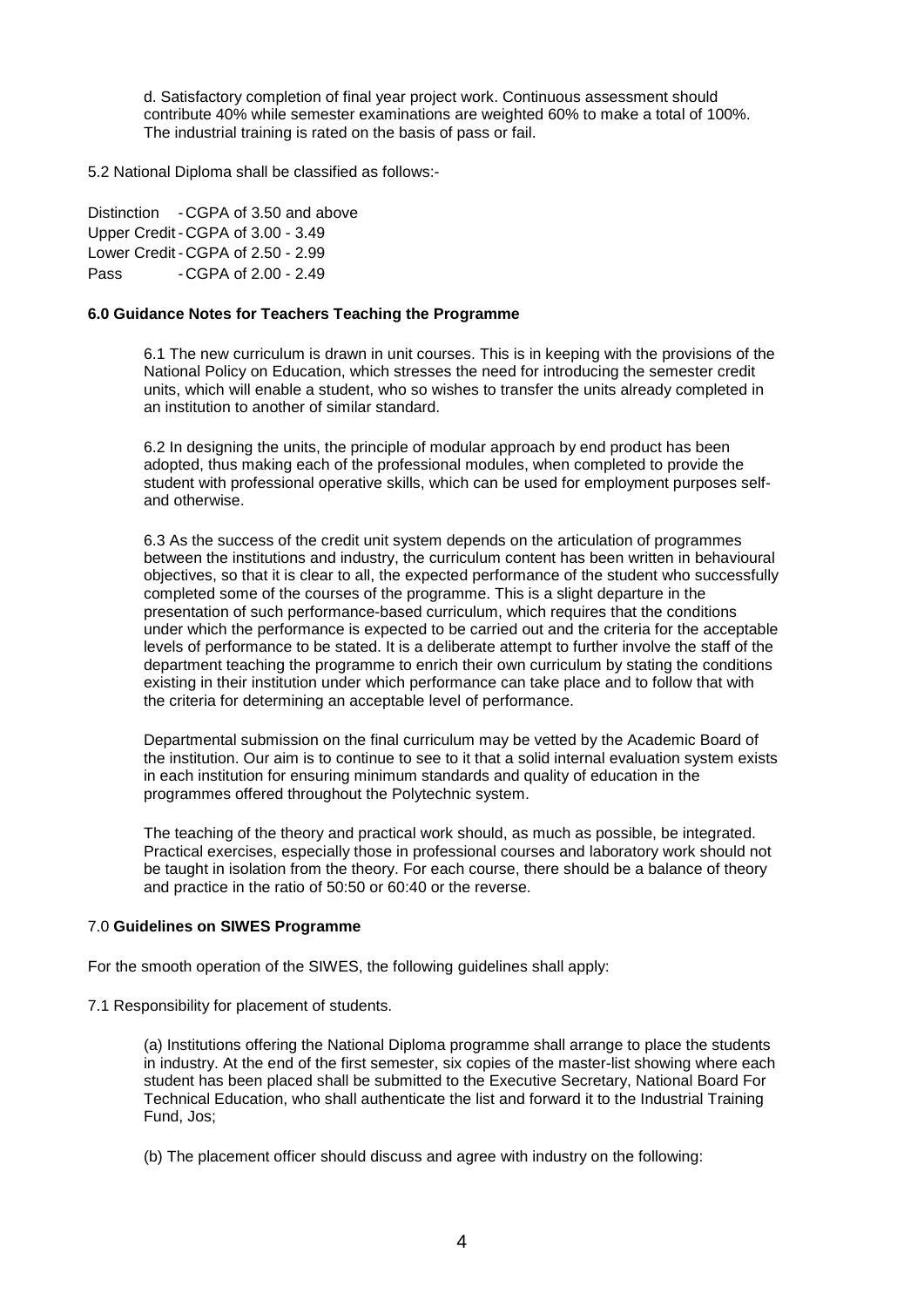d. Satisfactory completion of final year project work. Continuous assessment should contribute 40% while semester examinations are weighted 60% to make a total of 100%. The industrial training is rated on the basis of pass or fail.

5.2 National Diploma shall be classified as follows:-

Distinction - CGPA of 3.50 and above Upper Credit - CGPA of 3.00 - 3.49 Lower Credit - CGPA of 2.50 - 2.99 Pass - CGPA of 2.00 - 2.49

### **6.0 Guidance Notes for Teachers Teaching the Programme**

6.1 The new curriculum is drawn in unit courses. This is in keeping with the provisions of the National Policy on Education, which stresses the need for introducing the semester credit units, which will enable a student, who so wishes to transfer the units already completed in an institution to another of similar standard.

6.2 In designing the units, the principle of modular approach by end product has been adopted, thus making each of the professional modules, when completed to provide the student with professional operative skills, which can be used for employment purposes selfand otherwise.

6.3 As the success of the credit unit system depends on the articulation of programmes between the institutions and industry, the curriculum content has been written in behavioural objectives, so that it is clear to all, the expected performance of the student who successfully completed some of the courses of the programme. This is a slight departure in the presentation of such performance-based curriculum, which requires that the conditions under which the performance is expected to be carried out and the criteria for the acceptable levels of performance to be stated. It is a deliberate attempt to further involve the staff of the department teaching the programme to enrich their own curriculum by stating the conditions existing in their institution under which performance can take place and to follow that with the criteria for determining an acceptable level of performance.

Departmental submission on the final curriculum may be vetted by the Academic Board of the institution. Our aim is to continue to see to it that a solid internal evaluation system exists in each institution for ensuring minimum standards and quality of education in the programmes offered throughout the Polytechnic system.

The teaching of the theory and practical work should, as much as possible, be integrated. Practical exercises, especially those in professional courses and laboratory work should not be taught in isolation from the theory. For each course, there should be a balance of theory and practice in the ratio of 50:50 or 60:40 or the reverse.

### 7.0 **Guidelines on SIWES Programme**

For the smooth operation of the SIWES, the following guidelines shall apply:

7.1 Responsibility for placement of students.

(a) Institutions offering the National Diploma programme shall arrange to place the students in industry. At the end of the first semester, six copies of the master-list showing where each student has been placed shall be submitted to the Executive Secretary, National Board For Technical Education, who shall authenticate the list and forward it to the Industrial Training Fund, Jos;

(b) The placement officer should discuss and agree with industry on the following: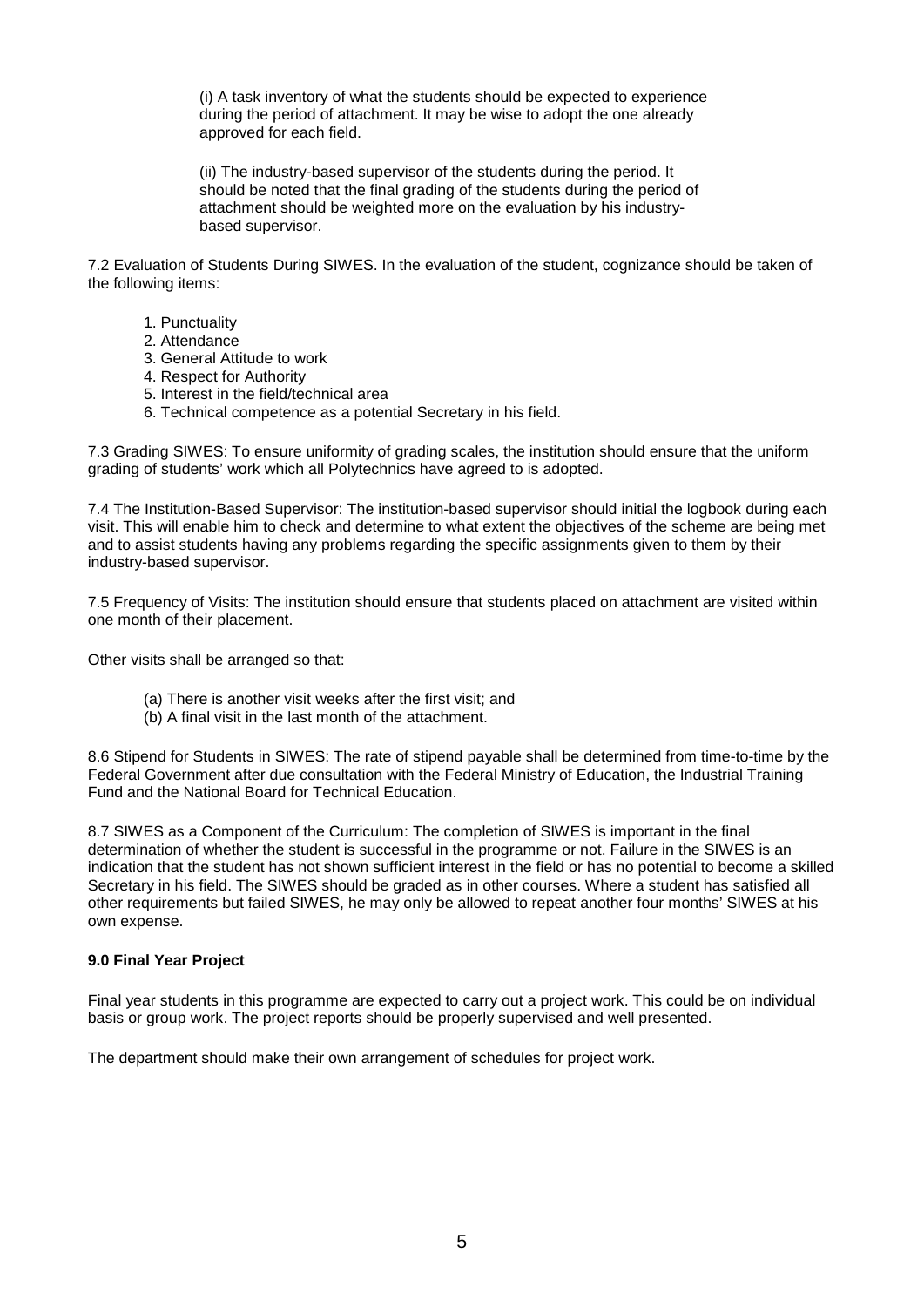(i) A task inventory of what the students should be expected to experience during the period of attachment. It may be wise to adopt the one already approved for each field.

(ii) The industry-based supervisor of the students during the period. It should be noted that the final grading of the students during the period of attachment should be weighted more on the evaluation by his industrybased supervisor.

7.2 Evaluation of Students During SIWES. In the evaluation of the student, cognizance should be taken of the following items:

- 1. Punctuality
- 2. Attendance
- 3. General Attitude to work
- 4. Respect for Authority
- 5. Interest in the field/technical area
- 6. Technical competence as a potential Secretary in his field.

7.3 Grading SIWES: To ensure uniformity of grading scales, the institution should ensure that the uniform grading of students' work which all Polytechnics have agreed to is adopted.

7.4 The Institution-Based Supervisor: The institution-based supervisor should initial the logbook during each visit. This will enable him to check and determine to what extent the objectives of the scheme are being met and to assist students having any problems regarding the specific assignments given to them by their industry-based supervisor.

7.5 Frequency of Visits: The institution should ensure that students placed on attachment are visited within one month of their placement.

Other visits shall be arranged so that:

- (a) There is another visit weeks after the first visit; and
- (b) A final visit in the last month of the attachment.

8.6 Stipend for Students in SIWES: The rate of stipend payable shall be determined from time-to-time by the Federal Government after due consultation with the Federal Ministry of Education, the Industrial Training Fund and the National Board for Technical Education.

8.7 SIWES as a Component of the Curriculum: The completion of SIWES is important in the final determination of whether the student is successful in the programme or not. Failure in the SIWES is an indication that the student has not shown sufficient interest in the field or has no potential to become a skilled Secretary in his field. The SIWES should be graded as in other courses. Where a student has satisfied all other requirements but failed SIWES, he may only be allowed to repeat another four months' SIWES at his own expense.

### **9.0 Final Year Project**

Final year students in this programme are expected to carry out a project work. This could be on individual basis or group work. The project reports should be properly supervised and well presented.

The department should make their own arrangement of schedules for project work.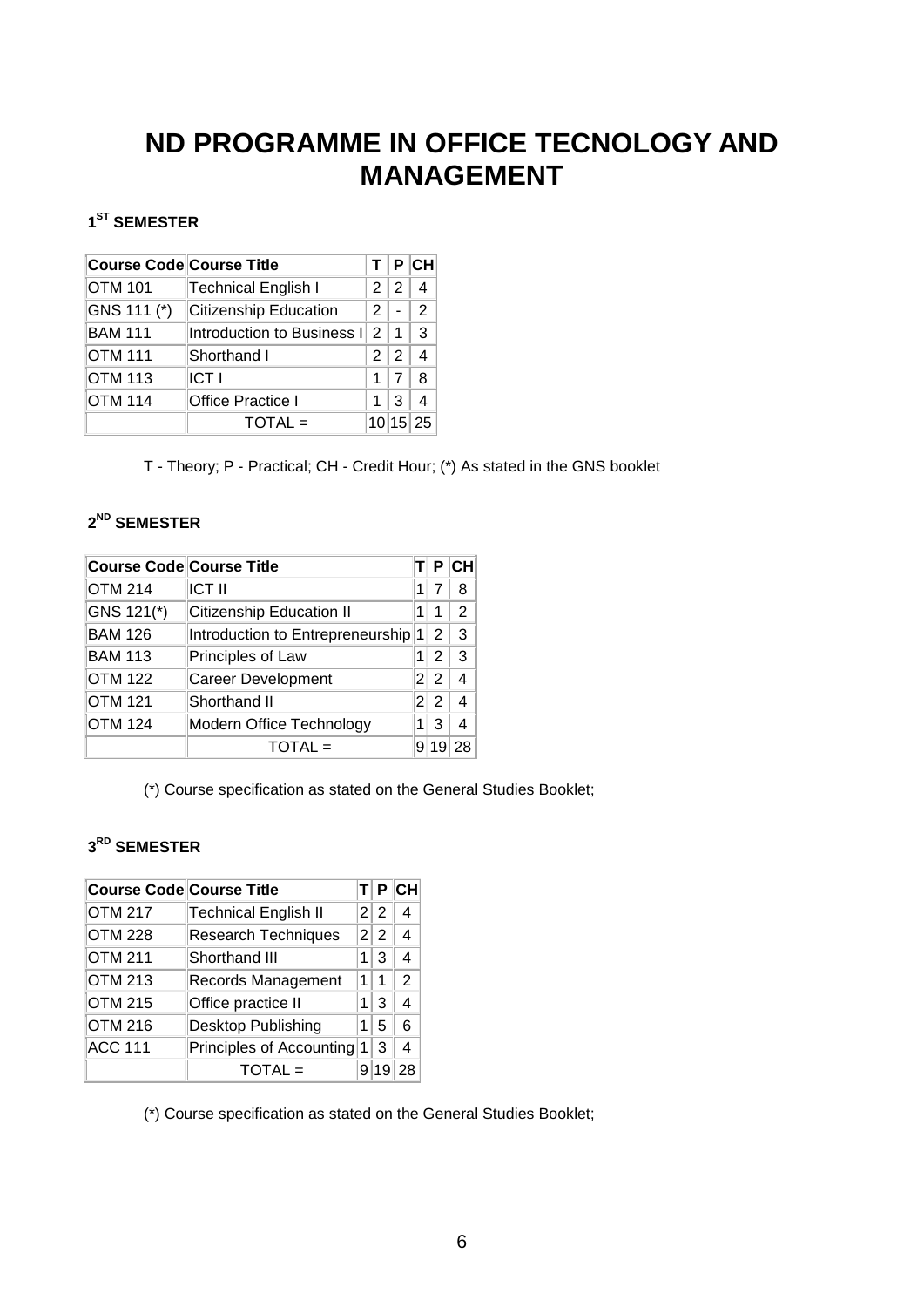# **ND PROGRAMME IN OFFICE TECNOLOGY AND MANAGEMENT**

## <span id="page-7-0"></span>**1ST SEMESTER**

| <b>Course Code Course Title</b> |                              |   |       | P CH            |
|---------------------------------|------------------------------|---|-------|-----------------|
| <b>OTM 101</b>                  | Technical English I          |   | 2 2   |                 |
| GNS 111 (*)                     | <b>Citizenship Education</b> | 2 |       | $\mathcal{P}$   |
| <b>BAM 111</b>                  | Introduction to Business I   |   | 2 1   | 3               |
| <b>OTM 111</b>                  | Shorthand I                  |   | 2 2   |                 |
| <b>OTM 113</b>                  | <b>ICT I</b>                 | 1 |       | 8               |
| <b>OTM 114</b>                  | Office Practice I            |   | 3     |                 |
|                                 | $TOTAL =$                    |   | 10 15 | $\overline{25}$ |

T - Theory; P - Practical; CH - Credit Hour; (\*) As stated in the GNS booklet

## **2ND SEMESTER**

|                | <b>Course Code Course Title</b>  |   | Р      | <b>CH</b> |
|----------------|----------------------------------|---|--------|-----------|
| <b>OTM 214</b> | <b>ICT II</b>                    | 1 |        | 8         |
| GNS 121(*)     | <b>Citizenship Education II</b>  |   |        | 2         |
| <b>BAM 126</b> | Introduction to Entrepreneurship |   |        | 3         |
| <b>BAM 113</b> | Principles of Law                |   | 2      | 3         |
| <b>OTM 122</b> | <b>Career Development</b>        | 2 | 2      |           |
| <b>OTM 121</b> | Shorthand II                     |   | 2<br>2 |           |
| <b>OTM 124</b> | Modern Office Technology<br>1    |   | 3      |           |
|                | $TOTAL =$                        | 9 |        |           |

(\*) Course specification as stated on the General Studies Booklet;

## **3RD SEMESTER**

| <b>Course Code Course Title</b> |                             |   | Р   | <b>CH</b>      |
|---------------------------------|-----------------------------|---|-----|----------------|
| <b>OTM 217</b>                  | <b>Technical English II</b> |   | 2 2 | 4              |
| <b>OTM 228</b>                  | <b>Research Techniques</b>  |   | 2 2 | 4              |
| <b>OTM 211</b>                  | Shorthand III               | 1 | 3   | $\overline{4}$ |
| <b>OTM 213</b>                  | Records Management          | 1 | 1   | 2              |
| <b>OTM 215</b>                  | Office practice II          | 1 | 3   | 4              |
| <b>OTM 216</b>                  | Desktop Publishing          |   | 5   | 6              |
| <b>ACC 111</b>                  | Principles of Accounting    |   | 3   | 4              |
|                                 | $TOTAL =$                   |   |     | 28             |

(\*) Course specification as stated on the General Studies Booklet;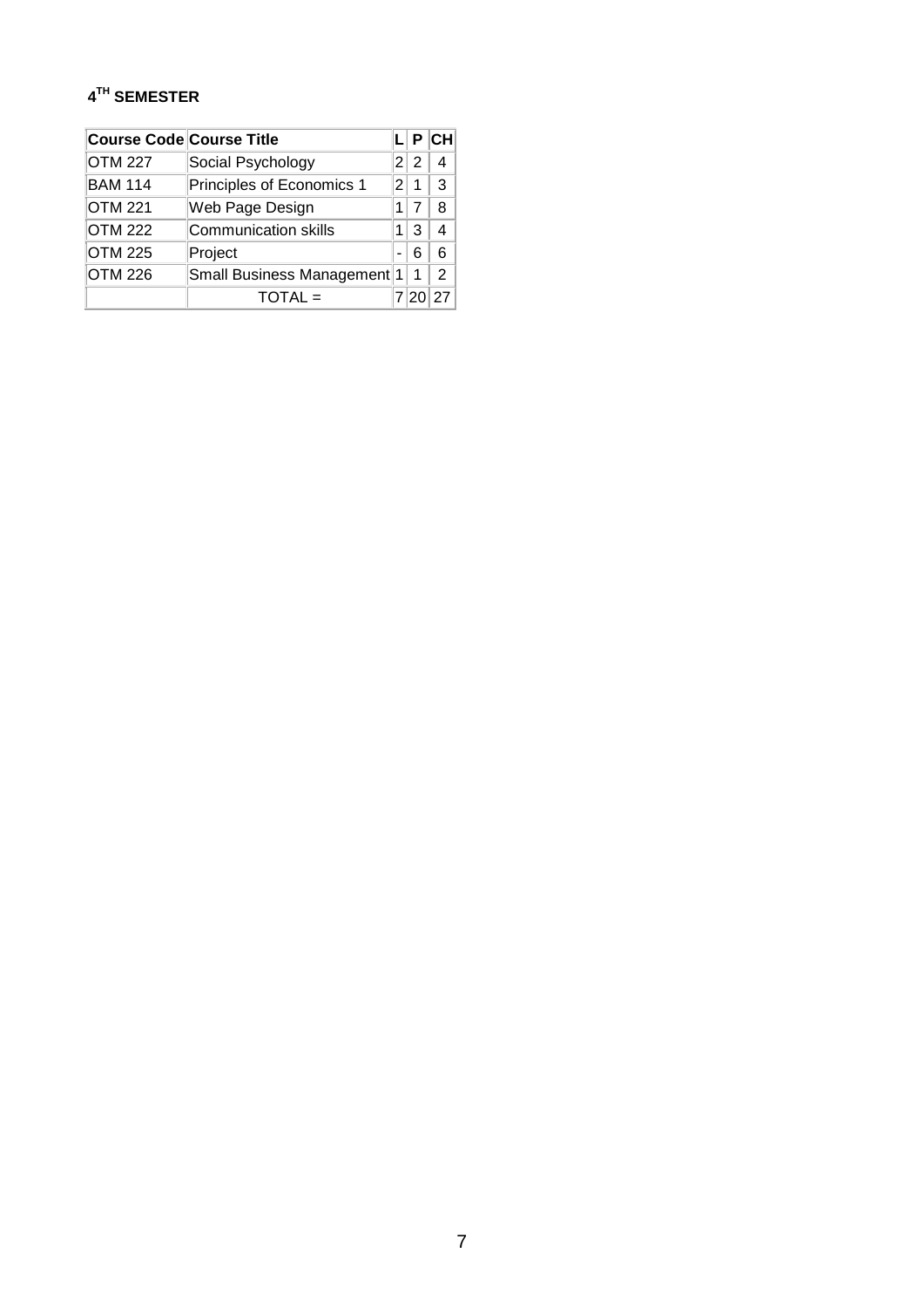## **4TH SEMESTER**

| <b>Course Code Course Title</b> |                             |               |      | $L$ $P$ $CH$  |
|---------------------------------|-----------------------------|---------------|------|---------------|
| <b>OTM 227</b>                  | Social Psychology           |               | 2 2  |               |
| <b>BAM 114</b>                  | Principles of Economics 1   | $\mathcal{P}$ | 1    | $\mathcal{R}$ |
| <b>OTM 221</b>                  | Web Page Design             | 11            | 7    | 8             |
| <b>OTM 222</b>                  | <b>Communication skills</b> | 1             | З    |               |
| <b>OTM 225</b>                  | Project                     |               | 6    | 6             |
| <b>OTM 226</b>                  | Small Business Management 1 |               | 1    | $\mathcal{P}$ |
|                                 | $TOTAL =$                   |               | 7 20 | 27            |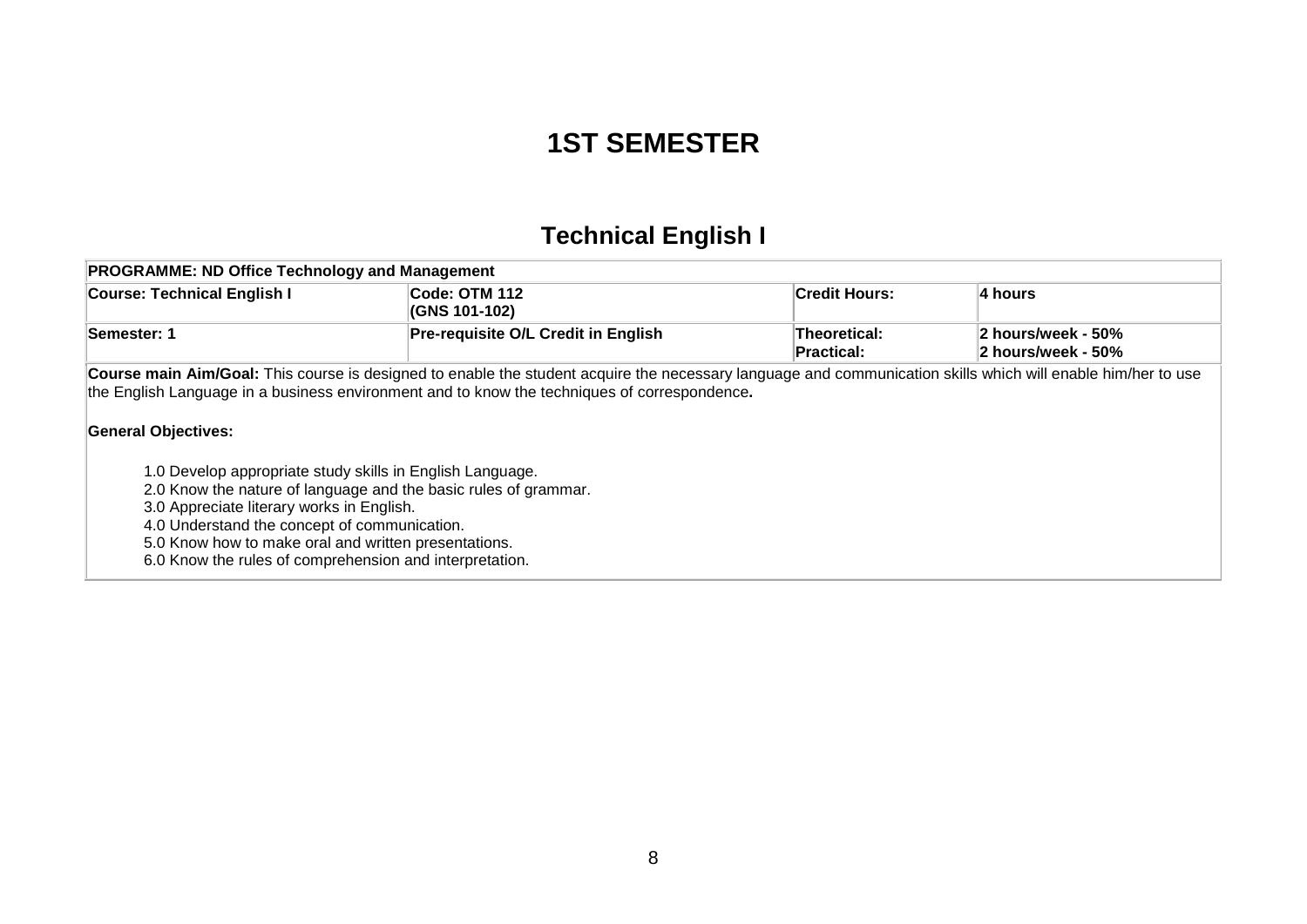# **1ST SEMESTER**

# **Technical English I**

<span id="page-9-0"></span>

| <b>PROGRAMME: ND Office Technology and Management</b>                                                                                                                                                                                                                                                                                                                      |                                                                                                                                                                                                                                                              |                                   |                                          |  |  |  |
|----------------------------------------------------------------------------------------------------------------------------------------------------------------------------------------------------------------------------------------------------------------------------------------------------------------------------------------------------------------------------|--------------------------------------------------------------------------------------------------------------------------------------------------------------------------------------------------------------------------------------------------------------|-----------------------------------|------------------------------------------|--|--|--|
| <b>Course: Technical English I</b>                                                                                                                                                                                                                                                                                                                                         | Code: OTM 112<br>(GNS 101-102)                                                                                                                                                                                                                               | <b>Credit Hours:</b>              | 4 hours                                  |  |  |  |
| Semester: 1                                                                                                                                                                                                                                                                                                                                                                | <b>Pre-requisite O/L Credit in English</b>                                                                                                                                                                                                                   | Theoretical:<br><b>Practical:</b> | 2 hours/week - 50%<br>2 hours/week - 50% |  |  |  |
| <b>General Objectives:</b><br>1.0 Develop appropriate study skills in English Language.<br>2.0 Know the nature of language and the basic rules of grammar.<br>3.0 Appreciate literary works in English.<br>4.0 Understand the concept of communication.<br>5.0 Know how to make oral and written presentations.<br>6.0 Know the rules of comprehension and interpretation. | Course main Aim/Goal: This course is designed to enable the student acquire the necessary language and communication skills which will enable him/her to use<br>the English Language in a business environment and to know the techniques of correspondence. |                                   |                                          |  |  |  |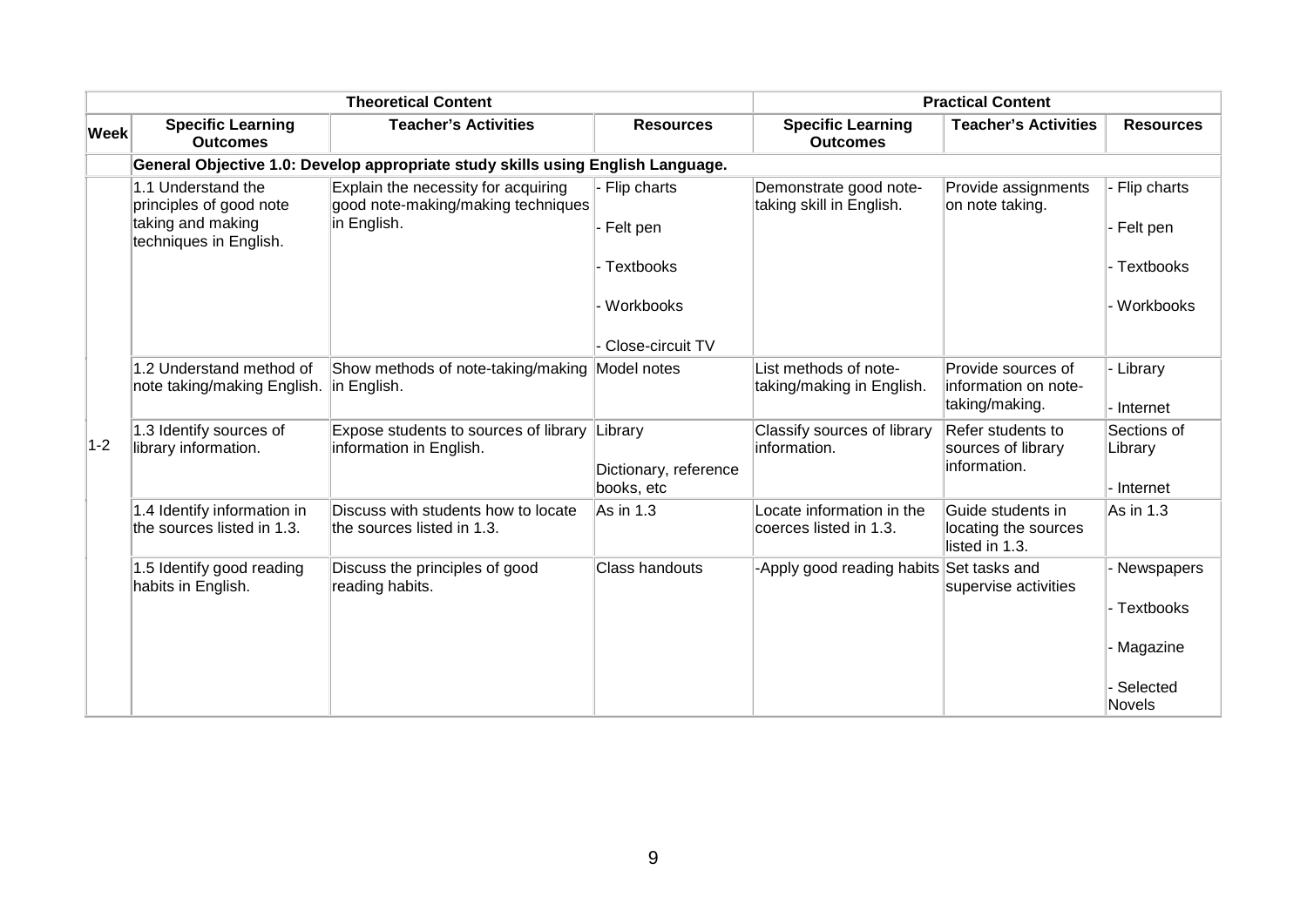| <b>Theoretical Content</b> |                                                                                              |                                                                                          | <b>Practical Content</b>                       |                                                     |                                                              |                                                        |
|----------------------------|----------------------------------------------------------------------------------------------|------------------------------------------------------------------------------------------|------------------------------------------------|-----------------------------------------------------|--------------------------------------------------------------|--------------------------------------------------------|
| <b>Week</b>                | <b>Specific Learning</b><br><b>Outcomes</b>                                                  | <b>Teacher's Activities</b>                                                              | <b>Resources</b>                               | <b>Specific Learning</b><br><b>Outcomes</b>         | <b>Teacher's Activities</b>                                  | <b>Resources</b>                                       |
|                            |                                                                                              | General Objective 1.0: Develop appropriate study skills using English Language.          |                                                |                                                     |                                                              |                                                        |
|                            | 1.1 Understand the<br>principles of good note<br>taking and making<br>techniques in English. | Explain the necessity for acquiring<br>good note-making/making techniques<br>in English. | - Flip charts<br>- Felt pen                    | Demonstrate good note-<br>taking skill in English.  | Provide assignments<br>on note taking.                       | Flip charts<br>- Felt pen                              |
|                            |                                                                                              |                                                                                          | - Textbooks                                    |                                                     |                                                              | Textbooks                                              |
|                            |                                                                                              |                                                                                          | Workbooks                                      |                                                     |                                                              | Workbooks                                              |
|                            |                                                                                              |                                                                                          | Close-circuit TV                               |                                                     |                                                              |                                                        |
| $1-2$                      | 1.2 Understand method of<br>note taking/making English.                                      | Show methods of note-taking/making Model notes<br>in English.                            |                                                | List methods of note-<br>taking/making in English.  | Provide sources of<br>information on note-<br>taking/making. | · Library<br>- Internet                                |
|                            | 1.3 Identify sources of<br>library information.                                              | Expose students to sources of library<br>information in English.                         | Library<br>Dictionary, reference<br>books, etc | Classify sources of library<br>information.         | Refer students to<br>sources of library<br>information.      | Sections of<br>Library<br>- Internet                   |
|                            | 1.4 Identify information in<br>the sources listed in 1.3.                                    | Discuss with students how to locate<br>the sources listed in 1.3.                        | As in 1.3                                      | Locate information in the<br>coerces listed in 1.3. | Guide students in<br>locating the sources<br>listed in 1.3.  | As in 1.3                                              |
|                            | 1.5 Identify good reading<br>habits in English.                                              | Discuss the principles of good<br>reading habits.                                        | Class handouts                                 | Apply good reading habits                           | Set tasks and<br>supervise activities                        | Newspapers<br>Textbooks<br><b>Magazine</b><br>Selected |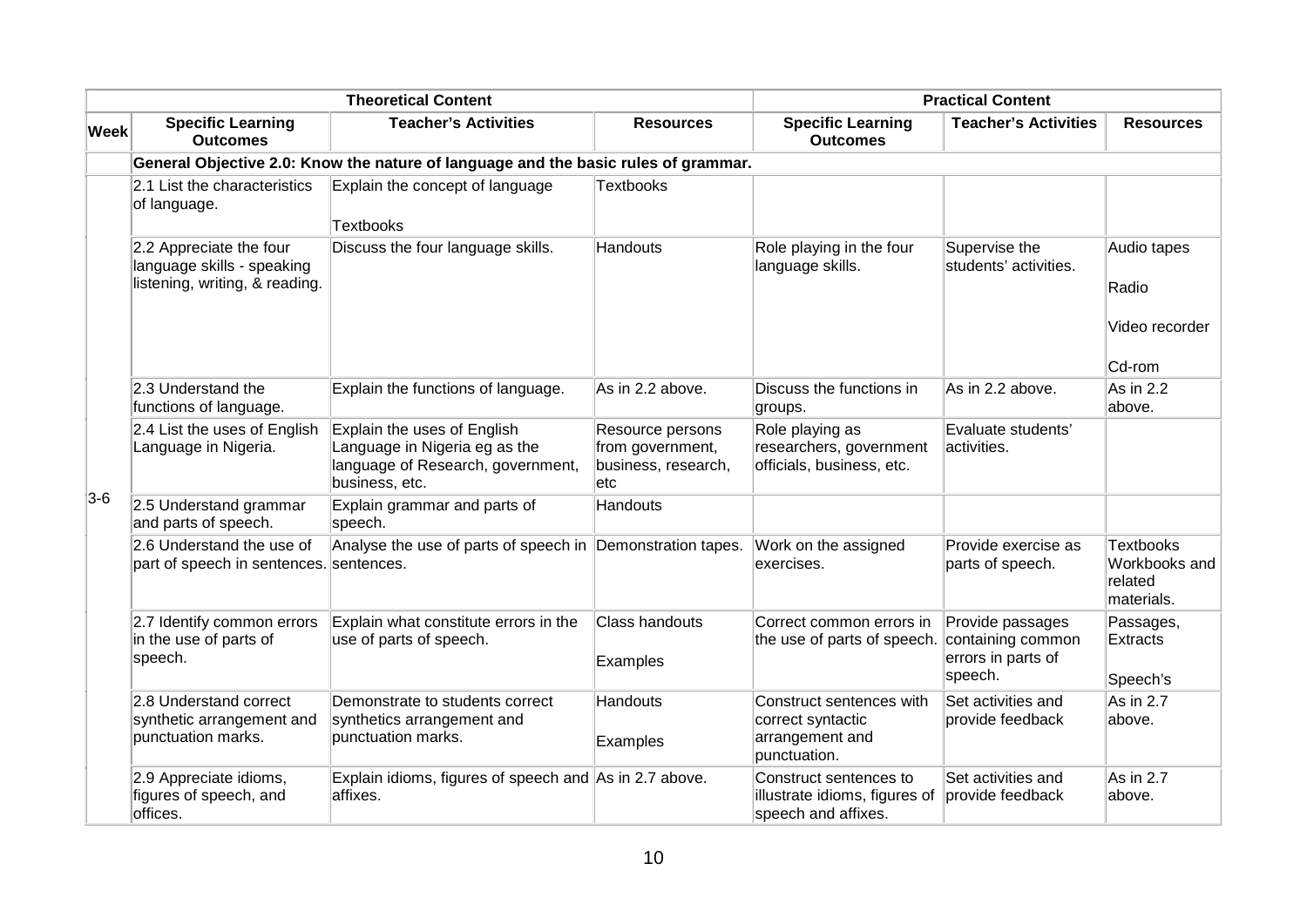|             | <b>Theoretical Content</b>                                                              |                                                                                                                     | <b>Practical Content</b>                                           |                                                                                  |                                                                        |                                                            |
|-------------|-----------------------------------------------------------------------------------------|---------------------------------------------------------------------------------------------------------------------|--------------------------------------------------------------------|----------------------------------------------------------------------------------|------------------------------------------------------------------------|------------------------------------------------------------|
| <b>Week</b> | <b>Specific Learning</b><br><b>Outcomes</b>                                             | <b>Teacher's Activities</b>                                                                                         | <b>Resources</b>                                                   | <b>Specific Learning</b><br><b>Outcomes</b>                                      | <b>Teacher's Activities</b>                                            | <b>Resources</b>                                           |
|             |                                                                                         | General Objective 2.0: Know the nature of language and the basic rules of grammar.                                  |                                                                    |                                                                                  |                                                                        |                                                            |
|             | 2.1 List the characteristics<br>of language.                                            | Explain the concept of language<br><b>Textbooks</b>                                                                 | <b>Textbooks</b>                                                   |                                                                                  |                                                                        |                                                            |
|             | 2.2 Appreciate the four<br>language skills - speaking<br>listening, writing, & reading. | Discuss the four language skills.                                                                                   | Handouts                                                           | Role playing in the four<br>language skills.                                     | Supervise the<br>students' activities.                                 | Audio tapes<br>Radio<br>Video recorder<br>Cd-rom           |
|             | 2.3 Understand the<br>functions of language.                                            | Explain the functions of language.                                                                                  | As in 2.2 above.                                                   | Discuss the functions in<br>groups.                                              | As in 2.2 above.                                                       | As in 2.2<br>above.                                        |
|             | 2.4 List the uses of English<br>Language in Nigeria.                                    | Explain the uses of English<br>Language in Nigeria eg as the<br>language of Research, government,<br>business, etc. | Resource persons<br>from government,<br>business, research,<br>etc | Role playing as<br>researchers, government<br>officials, business, etc.          | Evaluate students'<br>activities.                                      |                                                            |
| $3-6$       | 2.5 Understand grammar<br>and parts of speech.                                          | Explain grammar and parts of<br>speech.                                                                             | Handouts                                                           |                                                                                  |                                                                        |                                                            |
|             | 2.6 Understand the use of<br>part of speech in sentences. sentences.                    | Analyse the use of parts of speech in Demonstration tapes.                                                          |                                                                    | Work on the assigned<br>exercises.                                               | Provide exercise as<br>parts of speech.                                | <b>Textbooks</b><br>Workbooks and<br>related<br>materials. |
|             | 2.7 Identify common errors<br>in the use of parts of<br>speech.                         | Explain what constitute errors in the<br>use of parts of speech.                                                    | <b>Class handouts</b><br>Examples                                  | Correct common errors in<br>the use of parts of speech.                          | Provide passages<br>containing common<br>errors in parts of<br>speech. | Passages,<br>Extracts<br>Speech's                          |
|             | 2.8 Understand correct<br>synthetic arrangement and<br>punctuation marks.               | Demonstrate to students correct<br>synthetics arrangement and<br>punctuation marks.                                 | Handouts<br>Examples                                               | Construct sentences with<br>correct syntactic<br>arrangement and<br>punctuation. | Set activities and<br>provide feedback                                 | As in 2.7<br>above.                                        |
|             | 2.9 Appreciate idioms,<br>figures of speech, and<br>offices.                            | Explain idioms, figures of speech and As in 2.7 above.<br>affixes.                                                  |                                                                    | Construct sentences to<br>illustrate idioms, figures of<br>speech and affixes.   | Set activities and<br>provide feedback                                 | As in $2.7$<br>above.                                      |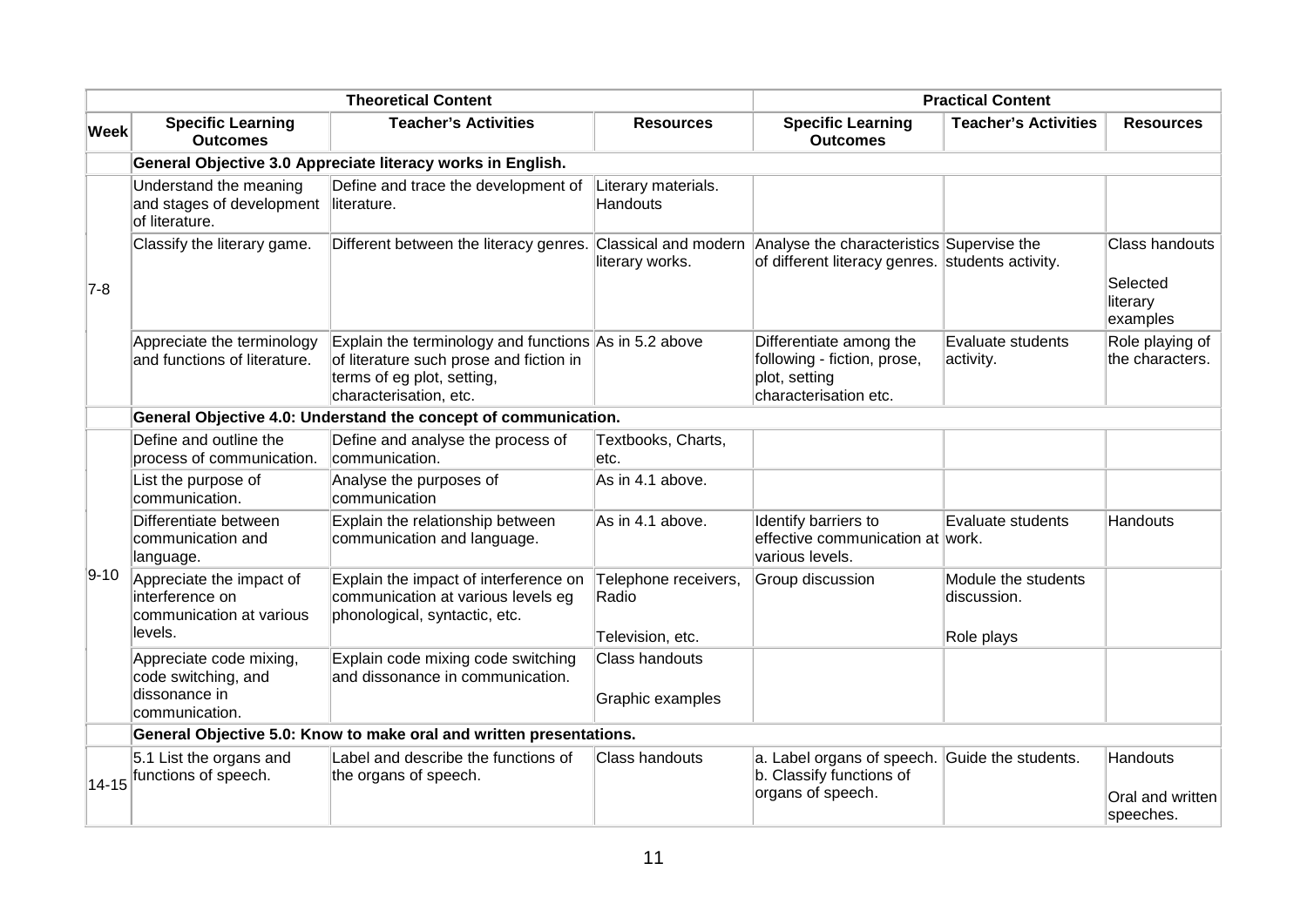|             |                                                                                   | <b>Theoretical Content</b>                                                                                                                               |                                 |                                                                                                                    | <b>Practical Content</b>           |                                                           |
|-------------|-----------------------------------------------------------------------------------|----------------------------------------------------------------------------------------------------------------------------------------------------------|---------------------------------|--------------------------------------------------------------------------------------------------------------------|------------------------------------|-----------------------------------------------------------|
| <b>Week</b> | <b>Specific Learning</b><br><b>Outcomes</b>                                       | <b>Teacher's Activities</b>                                                                                                                              | <b>Resources</b>                | <b>Specific Learning</b><br><b>Outcomes</b>                                                                        | <b>Teacher's Activities</b>        | <b>Resources</b>                                          |
|             |                                                                                   | General Objective 3.0 Appreciate literacy works in English.                                                                                              |                                 |                                                                                                                    |                                    |                                                           |
| $7-8$       | Understand the meaning<br>and stages of development literature.<br>of literature. | Define and trace the development of                                                                                                                      | Literary materials.<br>Handouts |                                                                                                                    |                                    |                                                           |
|             | Classify the literary game.                                                       | Different between the literacy genres.                                                                                                                   | literary works.                 | Classical and modern Analyse the characteristics Supervise the<br>of different literacy genres. students activity. |                                    | <b>Class handouts</b><br>Selected<br>literary<br>examples |
|             | Appreciate the terminology<br>and functions of literature.                        | Explain the terminology and functions As in 5.2 above<br>of literature such prose and fiction in<br>terms of eg plot, setting,<br>characterisation, etc. |                                 | Differentiate among the<br>following - fiction, prose,<br>plot, setting<br>characterisation etc.                   | Evaluate students<br>activity.     | Role playing of<br>the characters.                        |
|             |                                                                                   | General Objective 4.0: Understand the concept of communication.                                                                                          |                                 |                                                                                                                    |                                    |                                                           |
|             | Define and outline the<br>process of communication.                               | Define and analyse the process of<br>communication.                                                                                                      | Textbooks, Charts,<br>etc.      |                                                                                                                    |                                    |                                                           |
|             | List the purpose of<br>communication.                                             | Analyse the purposes of<br>communication                                                                                                                 | As in 4.1 above.                |                                                                                                                    |                                    |                                                           |
|             | Differentiate between<br>communication and<br>language.                           | Explain the relationship between<br>communication and language.                                                                                          | As in 4.1 above.                | Identify barriers to<br>effective communication at work.<br>various levels.                                        | Evaluate students                  | Handouts                                                  |
| $ 9-10 $    | Appreciate the impact of<br>interference on<br>communication at various           | Explain the impact of interference on<br>communication at various levels eg<br>phonological, syntactic, etc.                                             | Telephone receivers,<br>Radio   | Group discussion                                                                                                   | Module the students<br>discussion. |                                                           |
|             | levels.                                                                           |                                                                                                                                                          | Television, etc.                |                                                                                                                    | Role plays                         |                                                           |
|             | Appreciate code mixing,<br>code switching, and                                    | Explain code mixing code switching<br>and dissonance in communication.                                                                                   | Class handouts                  |                                                                                                                    |                                    |                                                           |
|             | dissonance in<br>communication.                                                   |                                                                                                                                                          | Graphic examples                |                                                                                                                    |                                    |                                                           |
|             |                                                                                   | General Objective 5.0: Know to make oral and written presentations.                                                                                      |                                 |                                                                                                                    |                                    |                                                           |
|             | 5.1 List the organs and                                                           | Label and describe the functions of                                                                                                                      | Class handouts                  | a. Label organs of speech.                                                                                         | Guide the students.                | Handouts                                                  |
| $14 - 15$   | functions of speech.                                                              | the organs of speech.                                                                                                                                    |                                 | b. Classify functions of<br>organs of speech.                                                                      |                                    | Oral and written<br>speeches.                             |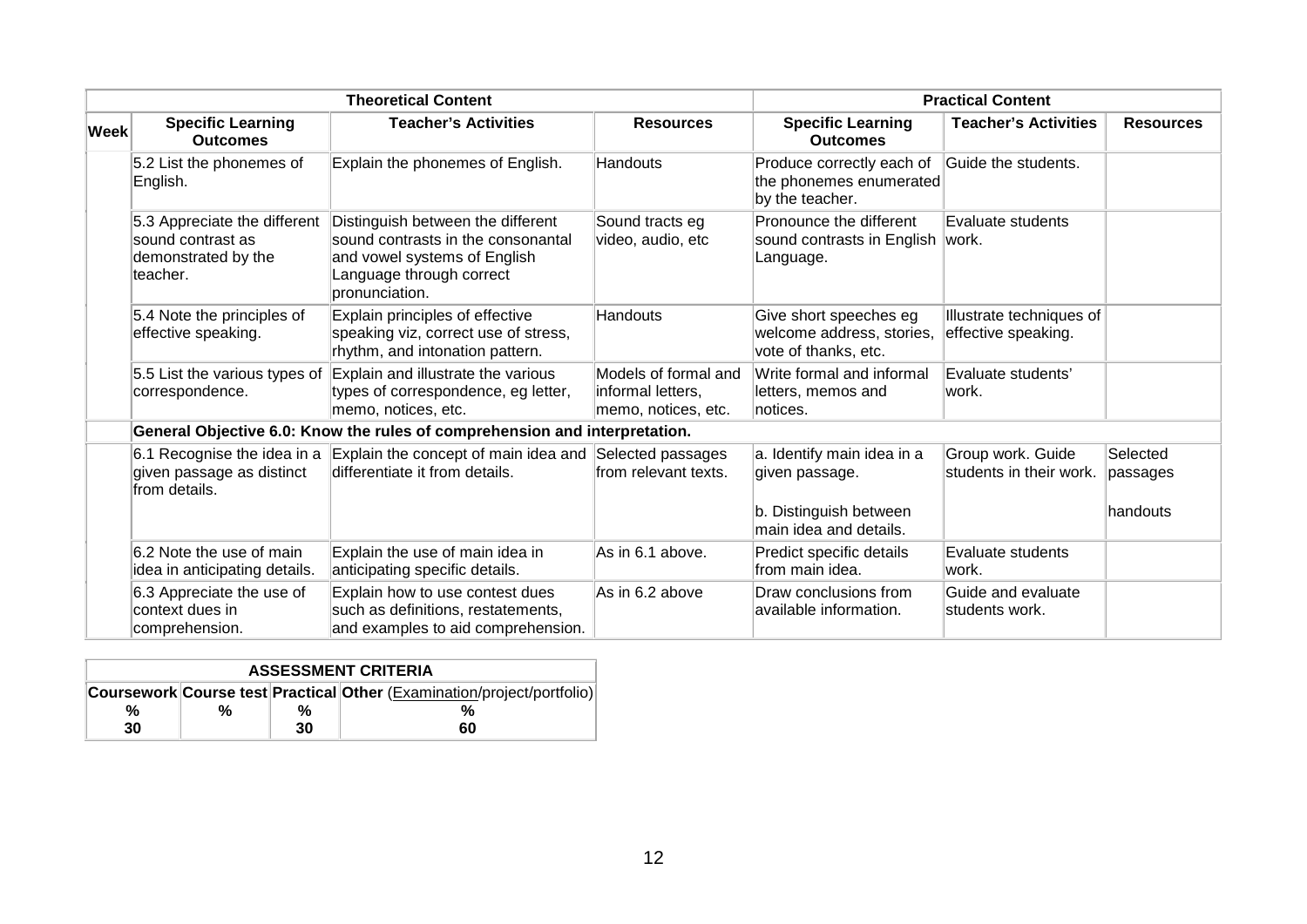|             |                                                                                      | <b>Theoretical Content</b>                                                                                                                            |                                                                  | <b>Practical Content</b>                                                                          |                                                 |                                  |
|-------------|--------------------------------------------------------------------------------------|-------------------------------------------------------------------------------------------------------------------------------------------------------|------------------------------------------------------------------|---------------------------------------------------------------------------------------------------|-------------------------------------------------|----------------------------------|
| <b>Week</b> | <b>Specific Learning</b><br><b>Outcomes</b>                                          | <b>Teacher's Activities</b>                                                                                                                           | <b>Resources</b>                                                 | <b>Specific Learning</b><br><b>Outcomes</b>                                                       | <b>Teacher's Activities</b>                     | <b>Resources</b>                 |
|             | 5.2 List the phonemes of<br>English.                                                 | Explain the phonemes of English.                                                                                                                      | Handouts                                                         | Produce correctly each of<br>the phonemes enumerated<br>by the teacher.                           | Guide the students.                             |                                  |
|             | 5.3 Appreciate the different<br>sound contrast as<br>demonstrated by the<br>teacher. | Distinguish between the different<br>sound contrasts in the consonantal<br>and vowel systems of English<br>Language through correct<br>pronunciation. | Sound tracts eg<br>video, audio, etc                             | Pronounce the different<br>sound contrasts in English work.<br>Language.                          | Evaluate students                               |                                  |
|             | 5.4 Note the principles of<br>effective speaking.                                    | Explain principles of effective<br>speaking viz, correct use of stress,<br>rhythm, and intonation pattern.                                            | <b>Handouts</b>                                                  | Give short speeches eg<br>welcome address, stories,<br>vote of thanks, etc.                       | Illustrate techniques of<br>effective speaking. |                                  |
|             | 5.5 List the various types of<br>correspondence.                                     | Explain and illustrate the various<br>types of correspondence, eg letter,<br>memo, notices, etc.                                                      | Models of formal and<br>informal letters,<br>memo, notices, etc. | Write formal and informal<br>letters, memos and<br>∣notices.                                      | Evaluate students'<br>lwork.                    |                                  |
|             |                                                                                      | General Objective 6.0: Know the rules of comprehension and interpretation.                                                                            |                                                                  |                                                                                                   |                                                 |                                  |
|             | 6.1 Recognise the idea in a<br>given passage as distinct<br>from details.            | Explain the concept of main idea and<br>differentiate it from details.                                                                                | Selected passages<br>from relevant texts.                        | a. Identify main idea in a<br>given passage.<br>b. Distinguish between<br>lmain idea and details. | Group work. Guide<br>students in their work.    | Selected<br>passages<br>handouts |
|             | 6.2 Note the use of main<br>idea in anticipating details.                            | Explain the use of main idea in<br>anticipating specific details.                                                                                     | As in 6.1 above.                                                 | Predict specific details<br>from main idea.                                                       | Evaluate students<br>lwork.                     |                                  |
|             | 6.3 Appreciate the use of<br>context dues in<br>comprehension.                       | Explain how to use contest dues<br>such as definitions, restatements,<br>and examples to aid comprehension.                                           | As in 6.2 above                                                  | Draw conclusions from<br>available information.                                                   | Guide and evaluate<br>students work.            |                                  |

| <b>ASSESSMENT CRITERIA</b> |  |    |                                                                               |  |  |
|----------------------------|--|----|-------------------------------------------------------------------------------|--|--|
|                            |  |    | <b>Coursework Course test Practical Other (Examination/project/portfolio)</b> |  |  |
| %                          |  | %  |                                                                               |  |  |
| 30                         |  | 30 | 60                                                                            |  |  |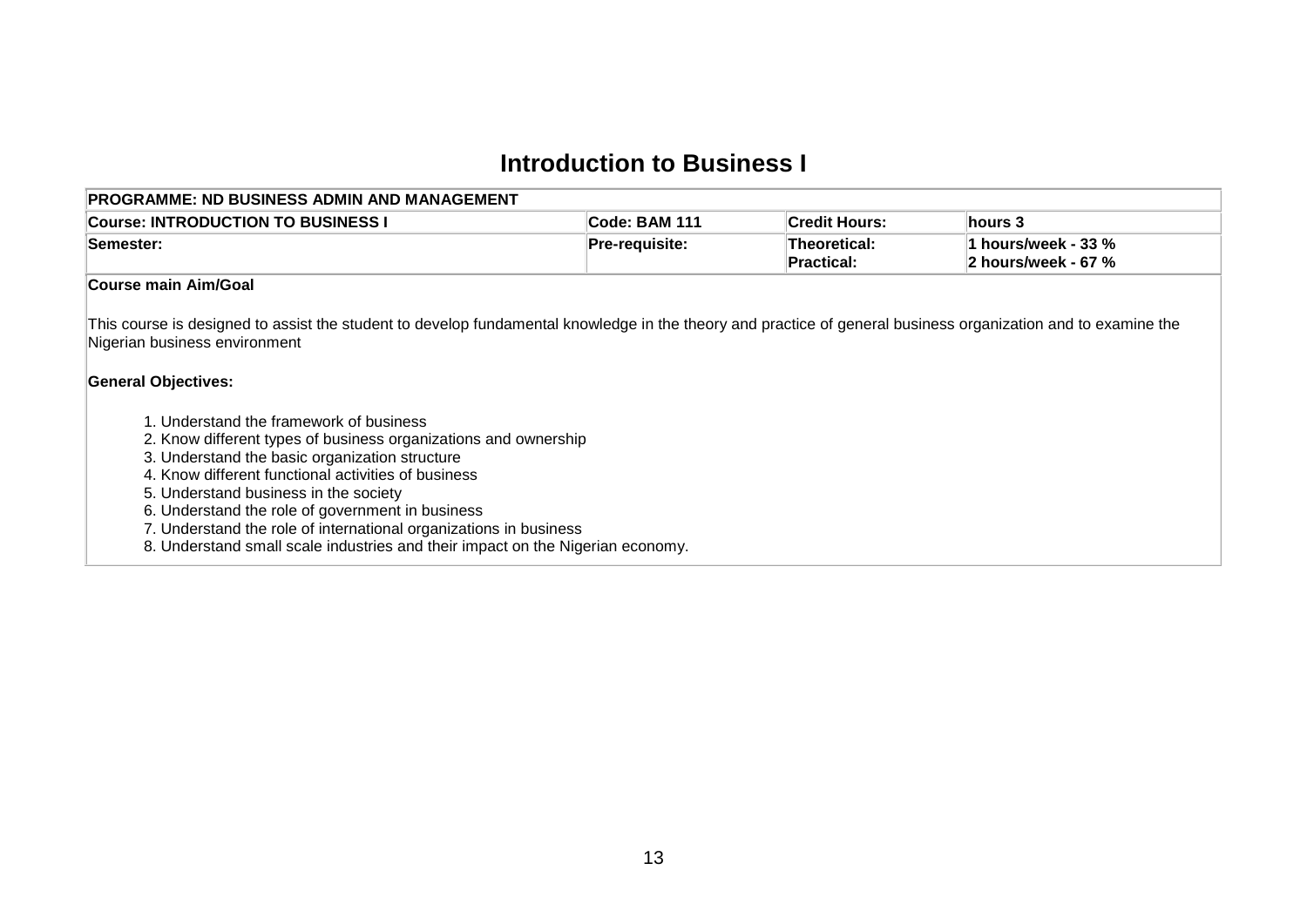## **Introduction to Business I**

<span id="page-14-0"></span>

| <b>Course: INTRODUCTION TO BUSINESS I</b>                                                                                                                                                                                                                                                                                                                                                                                                                                                                                                                                                                                                                                                               | Code: BAM 111  | <b>Credit Hours:</b>       | hours 3                                    |
|---------------------------------------------------------------------------------------------------------------------------------------------------------------------------------------------------------------------------------------------------------------------------------------------------------------------------------------------------------------------------------------------------------------------------------------------------------------------------------------------------------------------------------------------------------------------------------------------------------------------------------------------------------------------------------------------------------|----------------|----------------------------|--------------------------------------------|
| Semester:                                                                                                                                                                                                                                                                                                                                                                                                                                                                                                                                                                                                                                                                                               | Pre-requisite: | Theoretical:<br>Practical: | 1 hours/week - 33 %<br>2 hours/week - 67 % |
| Course main Aim/Goal                                                                                                                                                                                                                                                                                                                                                                                                                                                                                                                                                                                                                                                                                    |                |                            |                                            |
| This course is designed to assist the student to develop fundamental knowledge in the theory and practice of general business organization and to examine the<br>Nigerian business environment<br><b>General Objectives:</b><br>1. Understand the framework of business<br>2. Know different types of business organizations and ownership<br>3. Understand the basic organization structure<br>4. Know different functional activities of business<br>5. Understand business in the society<br>6. Understand the role of government in business<br>7. Understand the role of international organizations in business<br>8. Understand small scale industries and their impact on the Nigerian economy. |                |                            |                                            |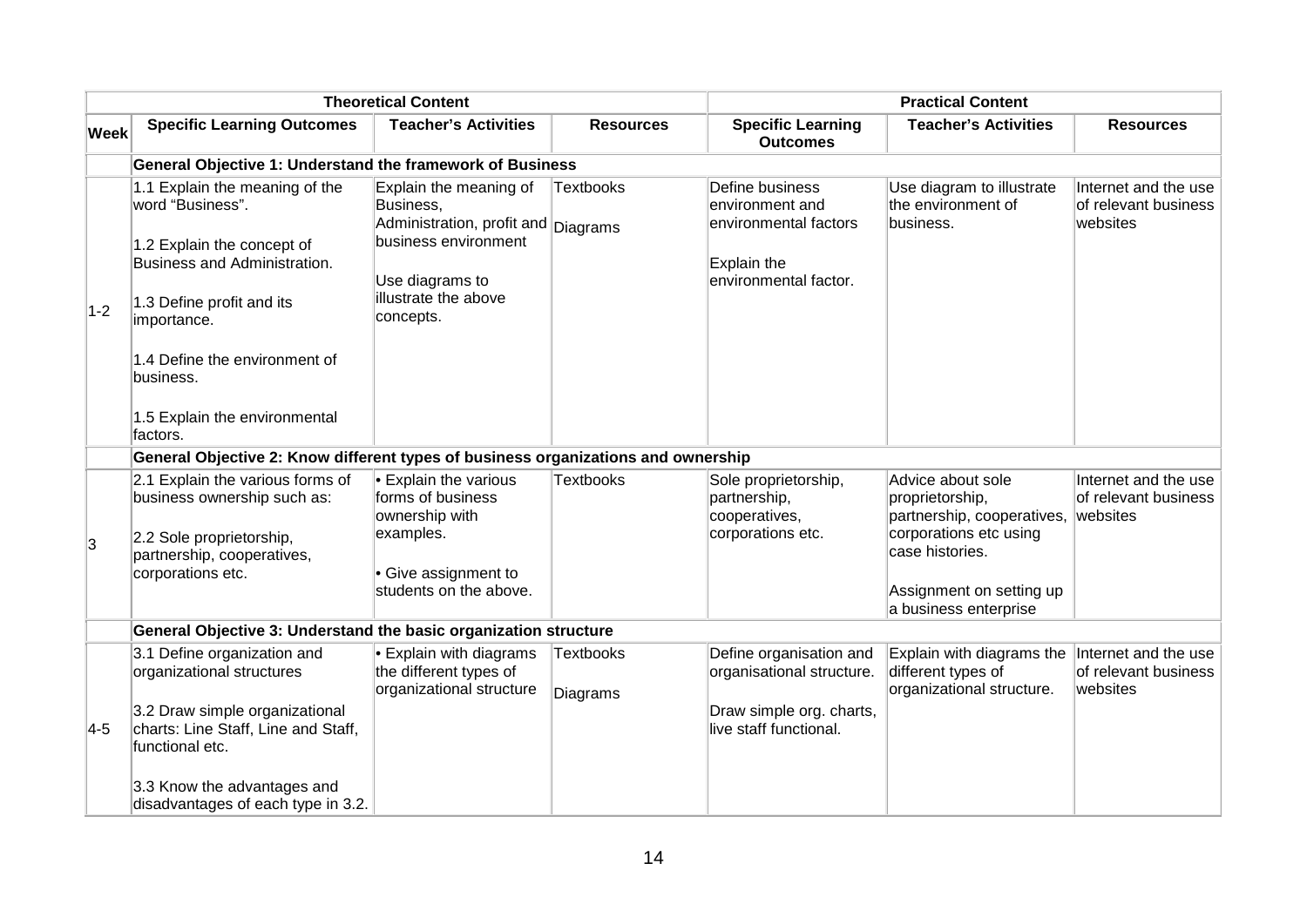|             |                                                                                                                                                                                                            | <b>Theoretical Content</b>                                                                                                                                 |                       | <b>Practical Content</b>                                                                            |                                                                                                                          |                                                          |
|-------------|------------------------------------------------------------------------------------------------------------------------------------------------------------------------------------------------------------|------------------------------------------------------------------------------------------------------------------------------------------------------------|-----------------------|-----------------------------------------------------------------------------------------------------|--------------------------------------------------------------------------------------------------------------------------|----------------------------------------------------------|
| <b>Week</b> | <b>Specific Learning Outcomes</b>                                                                                                                                                                          | <b>Teacher's Activities</b>                                                                                                                                | <b>Resources</b>      | <b>Specific Learning</b><br><b>Outcomes</b>                                                         | <b>Teacher's Activities</b>                                                                                              | <b>Resources</b>                                         |
|             | General Objective 1: Understand the framework of Business                                                                                                                                                  |                                                                                                                                                            |                       |                                                                                                     |                                                                                                                          |                                                          |
| $1-2$       | 1.1 Explain the meaning of the<br>word "Business".<br>1.2 Explain the concept of<br>Business and Administration.<br>1.3 Define profit and its<br>importance.<br>1.4 Define the environment of<br>business. | Explain the meaning of<br>Business,<br>Administration, profit and Diagrams<br>business environment<br>Use diagrams to<br>illustrate the above<br>concepts. | <b>Textbooks</b>      | Define business<br>environment and<br>environmental factors<br>Explain the<br>environmental factor. | Use diagram to illustrate<br>the environment of<br>business.                                                             | Internet and the use<br>of relevant business<br>websites |
|             | 1.5 Explain the environmental<br>factors.                                                                                                                                                                  |                                                                                                                                                            |                       |                                                                                                     |                                                                                                                          |                                                          |
|             | General Objective 2: Know different types of business organizations and ownership                                                                                                                          |                                                                                                                                                            |                       |                                                                                                     |                                                                                                                          |                                                          |
| 3           | 2.1 Explain the various forms of<br>business ownership such as:<br>2.2 Sole proprietorship,                                                                                                                | $\cdot$ Explain the various<br>forms of business<br>ownership with<br>examples.                                                                            | <b>Textbooks</b>      | Sole proprietorship,<br>partnership,<br>cooperatives,<br>corporations etc.                          | Advice about sole<br>proprietorship,<br>partnership, cooperatives, websites<br>corporations etc using<br>case histories. | Internet and the use<br>of relevant business             |
|             | partnership, cooperatives,<br>corporations etc.                                                                                                                                                            | • Give assignment to<br>students on the above.                                                                                                             |                       |                                                                                                     | Assignment on setting up<br>a business enterprise                                                                        |                                                          |
|             | General Objective 3: Understand the basic organization structure                                                                                                                                           |                                                                                                                                                            |                       |                                                                                                     |                                                                                                                          |                                                          |
|             | 3.1 Define organization and<br>organizational structures                                                                                                                                                   | $\cdot$ Explain with diagrams<br>the different types of<br>organizational structure                                                                        | Textbooks<br>Diagrams | Define organisation and<br>organisational structure.                                                | Explain with diagrams the<br>different types of<br>organizational structure.                                             | Internet and the use<br>of relevant business<br>websites |
| $4-5$       | 3.2 Draw simple organizational<br>charts: Line Staff, Line and Staff,<br>functional etc.                                                                                                                   |                                                                                                                                                            |                       | Draw simple org. charts,<br>live staff functional.                                                  |                                                                                                                          |                                                          |
|             | 3.3 Know the advantages and<br>disadvantages of each type in 3.2.                                                                                                                                          |                                                                                                                                                            |                       |                                                                                                     |                                                                                                                          |                                                          |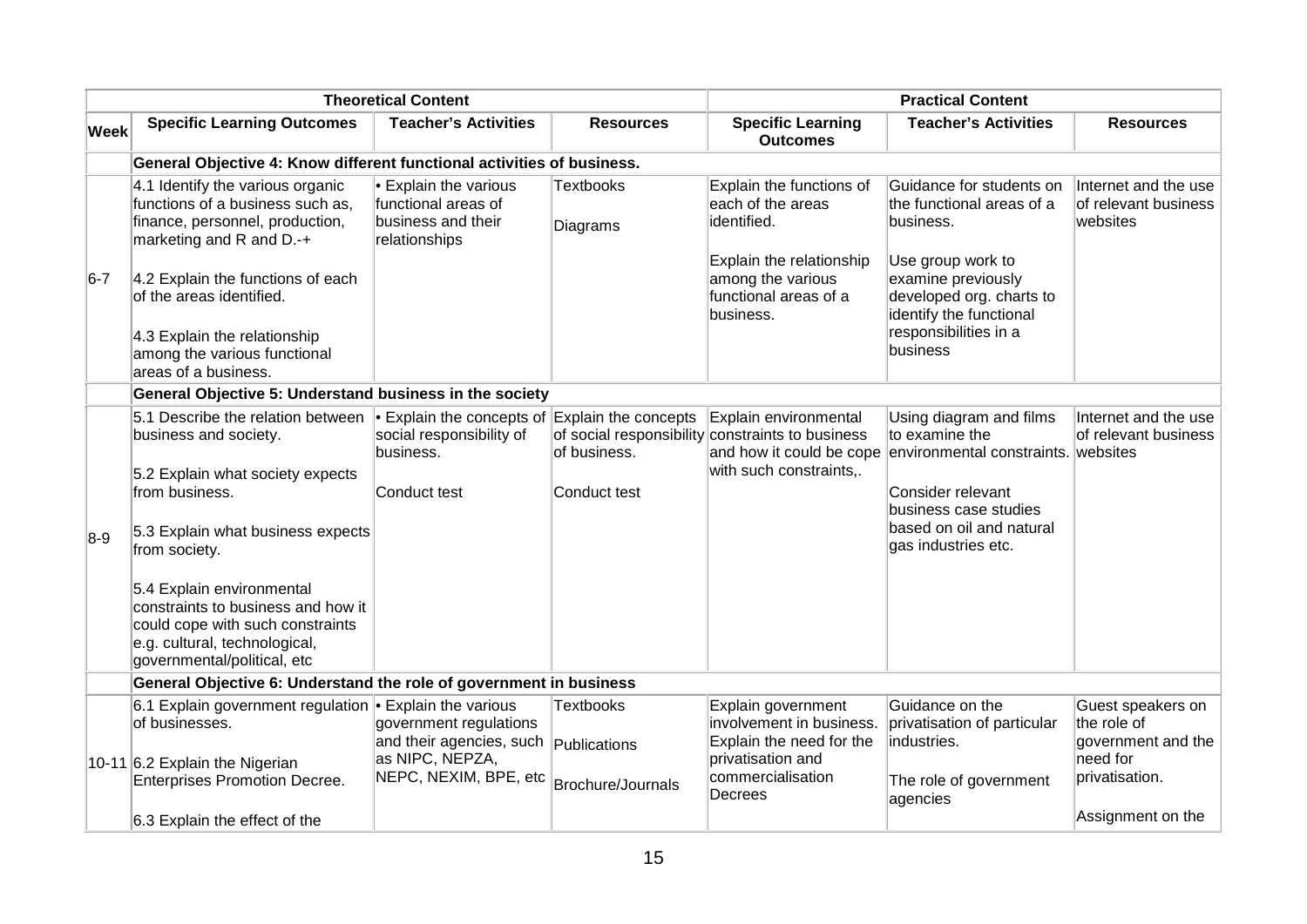|             | <b>Theoretical Content</b>                                                                                                                                                                                                                                                                                                                    |                                                                                                                 |                                       | <b>Practical Content</b>                                                                                                                            |                                                                                                                                                                                                            |                                                                                                           |  |  |
|-------------|-----------------------------------------------------------------------------------------------------------------------------------------------------------------------------------------------------------------------------------------------------------------------------------------------------------------------------------------------|-----------------------------------------------------------------------------------------------------------------|---------------------------------------|-----------------------------------------------------------------------------------------------------------------------------------------------------|------------------------------------------------------------------------------------------------------------------------------------------------------------------------------------------------------------|-----------------------------------------------------------------------------------------------------------|--|--|
| <b>Week</b> | <b>Specific Learning Outcomes</b>                                                                                                                                                                                                                                                                                                             | <b>Teacher's Activities</b>                                                                                     | <b>Resources</b>                      | <b>Specific Learning</b><br><b>Outcomes</b>                                                                                                         | <b>Teacher's Activities</b>                                                                                                                                                                                | <b>Resources</b>                                                                                          |  |  |
|             | General Objective 4: Know different functional activities of business.                                                                                                                                                                                                                                                                        |                                                                                                                 |                                       |                                                                                                                                                     |                                                                                                                                                                                                            |                                                                                                           |  |  |
| $6-7$       | 4.1 Identify the various organic<br>functions of a business such as,<br>finance, personnel, production,<br>marketing and R and D.-+<br>4.2 Explain the functions of each<br>of the areas identified.<br>4.3 Explain the relationship<br>among the various functional<br>areas of a business.                                                  | Explain the various<br>functional areas of<br>business and their<br>relationships                               | <b>Textbooks</b><br>Diagrams          | Explain the functions of<br>each of the areas<br>identified.<br>Explain the relationship<br>among the various<br>functional areas of a<br>business. | Guidance for students on<br>the functional areas of a<br>lbusiness.<br>Use group work to<br>examine previously<br>developed org. charts to<br>identify the functional<br>responsibilities in a<br>business | Internet and the use<br>of relevant business<br>websites                                                  |  |  |
|             | General Objective 5: Understand business in the society                                                                                                                                                                                                                                                                                       |                                                                                                                 |                                       |                                                                                                                                                     |                                                                                                                                                                                                            |                                                                                                           |  |  |
| $8-9$       | 5.1 Describe the relation between<br>business and society.<br>5.2 Explain what society expects<br>from business.<br>5.3 Explain what business expects<br>from society.<br>5.4 Explain environmental<br>constraints to business and how it<br>could cope with such constraints<br>e.g. cultural, technological,<br>governmental/political, etc | $\bullet$ Explain the concepts of Explain the concepts<br>social responsibility of<br>business.<br>Conduct test | of business.<br>Conduct test          | Explain environmental<br>of social responsibility constraints to business<br>with such constraints,.                                                | Using diagram and films<br>to examine the<br>and how it could be cope environmental constraints. websites<br>Consider relevant<br>business case studies<br>based on oil and natural<br>gas industries etc. | Internet and the use<br>of relevant business                                                              |  |  |
|             | General Objective 6: Understand the role of government in business                                                                                                                                                                                                                                                                            |                                                                                                                 |                                       |                                                                                                                                                     |                                                                                                                                                                                                            |                                                                                                           |  |  |
|             | 6.1 Explain government regulation • Explain the various<br>of businesses.<br>10-11 6.2 Explain the Nigerian<br><b>Enterprises Promotion Decree.</b><br>6.3 Explain the effect of the                                                                                                                                                          | government regulations<br>and their agencies, such publications<br>as NIPC, NEPZA,<br>NEPC, NEXIM, BPE, etc     | <b>Textbooks</b><br>Brochure/Journals | Explain government<br>involvement in business.<br>Explain the need for the<br>privatisation and<br>commercialisation<br>Decrees                     | Guidance on the<br>privatisation of particular<br>industries.<br>The role of government<br>agencies                                                                                                        | Guest speakers on<br>the role of<br>government and the<br>need for<br>privatisation.<br>Assignment on the |  |  |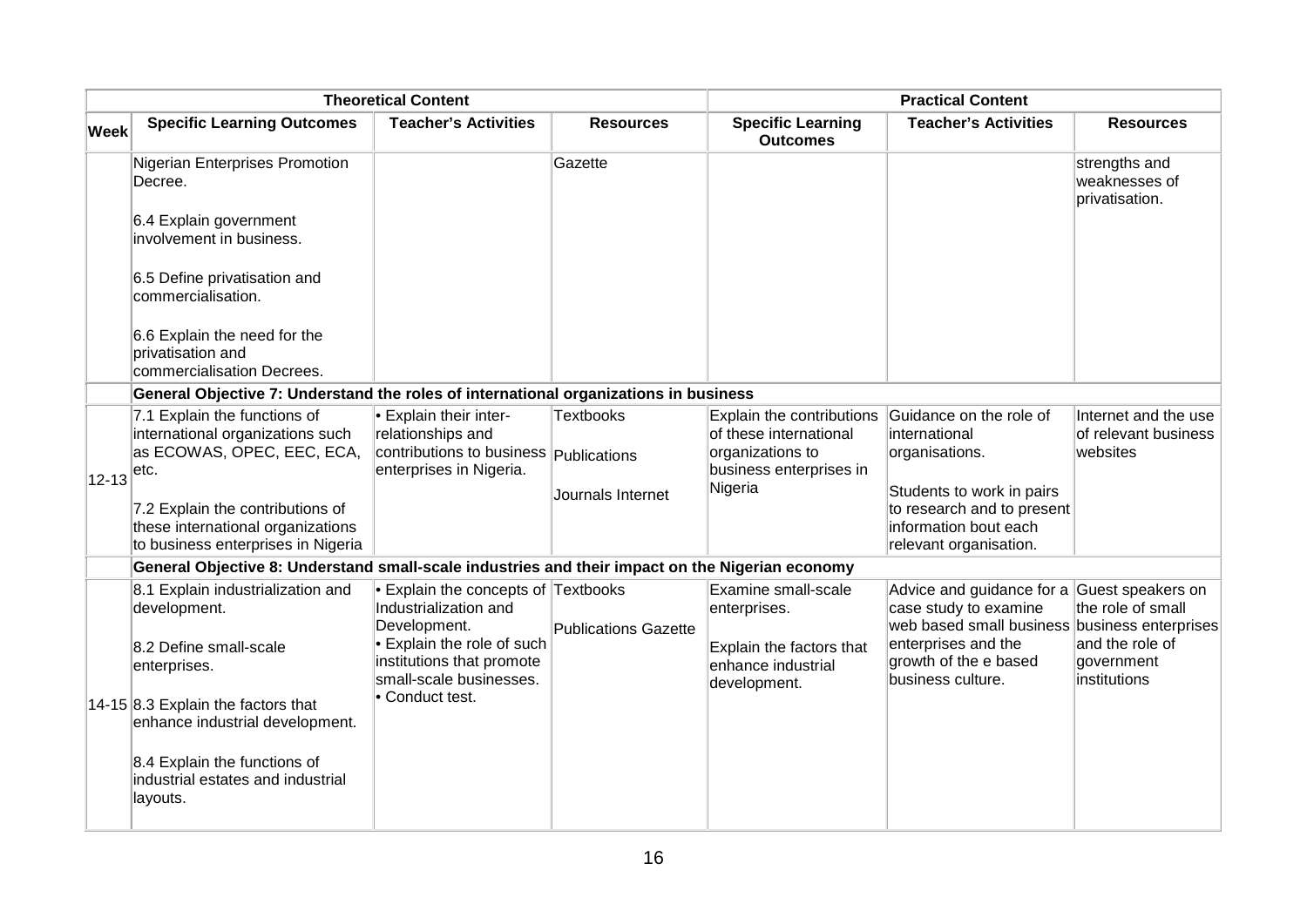|             | <b>Theoretical Content</b>                                                                                  |                                                                                                                              |                             | <b>Practical Content</b>                                                                           |                                                                                                                                              |                                                          |
|-------------|-------------------------------------------------------------------------------------------------------------|------------------------------------------------------------------------------------------------------------------------------|-----------------------------|----------------------------------------------------------------------------------------------------|----------------------------------------------------------------------------------------------------------------------------------------------|----------------------------------------------------------|
| <b>Week</b> | <b>Specific Learning Outcomes</b>                                                                           | <b>Teacher's Activities</b>                                                                                                  | <b>Resources</b>            | <b>Specific Learning</b><br><b>Outcomes</b>                                                        | <b>Teacher's Activities</b>                                                                                                                  | <b>Resources</b>                                         |
|             | Nigerian Enterprises Promotion<br>Decree.                                                                   |                                                                                                                              | Gazette                     |                                                                                                    |                                                                                                                                              | strengths and<br>weaknesses of<br>privatisation.         |
|             | 6.4 Explain government<br>involvement in business.                                                          |                                                                                                                              |                             |                                                                                                    |                                                                                                                                              |                                                          |
|             | 6.5 Define privatisation and<br>commercialisation.                                                          |                                                                                                                              |                             |                                                                                                    |                                                                                                                                              |                                                          |
|             | 6.6 Explain the need for the<br>privatisation and<br>commercialisation Decrees.                             |                                                                                                                              |                             |                                                                                                    |                                                                                                                                              |                                                          |
|             | General Objective 7: Understand the roles of international organizations in business                        |                                                                                                                              |                             |                                                                                                    |                                                                                                                                              |                                                          |
|             | 7.1 Explain the functions of<br>international organizations such<br>as ECOWAS, OPEC, EEC, ECA,<br>∣etc.     | <b>Explain their inter-</b><br>relationships and<br>contributions to business <b>Publications</b><br>enterprises in Nigeria. | Textbooks                   | Explain the contributions<br>of these international<br>organizations to<br>business enterprises in | Guidance on the role of<br>international<br>organisations.                                                                                   | Internet and the use<br>of relevant business<br>websites |
| $12 - 13$   | 7.2 Explain the contributions of<br>these international organizations<br>to business enterprises in Nigeria |                                                                                                                              | Journals Internet           | Nigeria                                                                                            | Students to work in pairs<br>to research and to present<br>information bout each<br>relevant organisation.                                   |                                                          |
|             | General Objective 8: Understand small-scale industries and their impact on the Nigerian economy             |                                                                                                                              |                             |                                                                                                    |                                                                                                                                              |                                                          |
|             | 8.1 Explain industrialization and<br>development.<br>8.2 Define small-scale                                 | $\bullet$ Explain the concepts of Textbooks<br>Industrialization and<br>Development.<br>• Explain the role of such           | <b>Publications Gazette</b> | Examine small-scale<br>enterprises.<br>Explain the factors that                                    | Advice and guidance for a Guest speakers on<br>case study to examine<br>web based small business business enterprises<br>enterprises and the | the role of small<br>and the role of                     |
|             | enterprises.                                                                                                | institutions that promote<br>small-scale businesses.<br>• Conduct test.                                                      |                             | enhance industrial<br>development.                                                                 | growth of the e based<br>business culture.                                                                                                   | government<br>institutions                               |
|             | 14-15 8.3 Explain the factors that<br>enhance industrial development.                                       |                                                                                                                              |                             |                                                                                                    |                                                                                                                                              |                                                          |
|             | 8.4 Explain the functions of<br>industrial estates and industrial<br>layouts.                               |                                                                                                                              |                             |                                                                                                    |                                                                                                                                              |                                                          |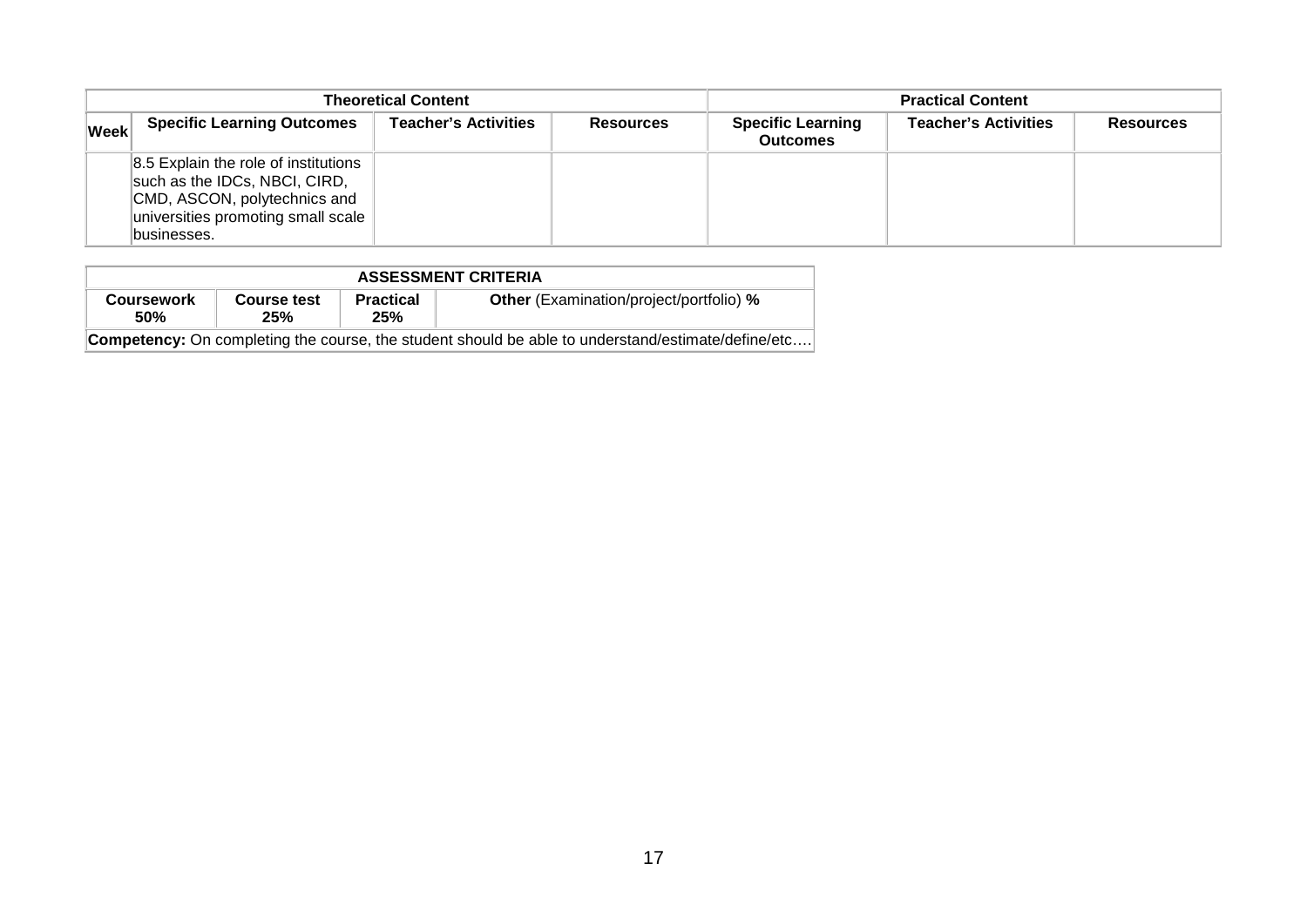| <b>Theoretical Content</b> |                                                                                                                                                             |                             |                  | <b>Practical Content</b>                    |                             |                  |
|----------------------------|-------------------------------------------------------------------------------------------------------------------------------------------------------------|-----------------------------|------------------|---------------------------------------------|-----------------------------|------------------|
| <b>Week</b>                | <b>Specific Learning Outcomes</b>                                                                                                                           | <b>Teacher's Activities</b> | <b>Resources</b> | <b>Specific Learning</b><br><b>Outcomes</b> | <b>Teacher's Activities</b> | <b>Resources</b> |
|                            | 8.5 Explain the role of institutions<br>such as the IDCs, NBCI, CIRD,<br>CMD, ASCON, polytechnics and<br>universities promoting small scale<br>lbusinesses. |                             |                  |                                             |                             |                  |

| <b>ASSESSMENT CRITERIA</b>                                                                                |                    |                         |                                                |  |  |  |
|-----------------------------------------------------------------------------------------------------------|--------------------|-------------------------|------------------------------------------------|--|--|--|
| <b>Coursework</b><br><b>50%</b>                                                                           | Course test<br>25% | <b>Practical</b><br>25% | <b>Other</b> (Examination/project/portfolio) % |  |  |  |
| <b>Competency:</b> On completing the course, the student should be able to understand/estimate/define/etc |                    |                         |                                                |  |  |  |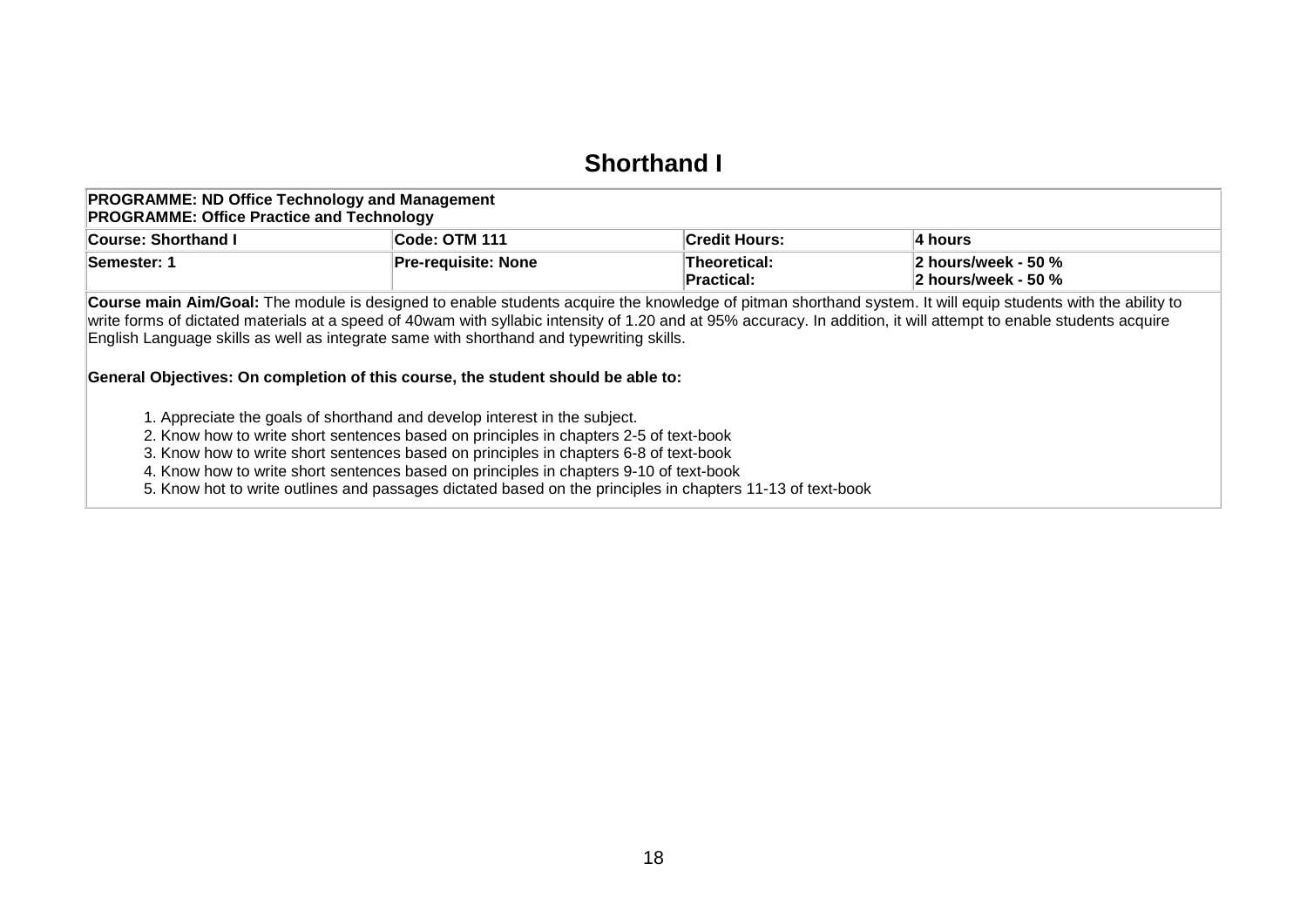## **Shorthand I**

#### **PROGRAMME: ND Office Technology and Management PROGRAMME: Office Practice and Technology**

| .                          |                            |                      |                                 |  |  |  |
|----------------------------|----------------------------|----------------------|---------------------------------|--|--|--|
| <b>Course: Shorthand I</b> | Code: OTM 111              | <b>Credit Hours:</b> | ∣4 hours                        |  |  |  |
| <b>Semester: 1</b>         | <b>Pre-requisite: None</b> | Theoretical:         | 2 hours/week - 50 $%$           |  |  |  |
|                            |                            | <b>Practical:</b>    | $ 2 \text{ hours/week} - 50 \%$ |  |  |  |

**Course main Aim/Goal:** The module is designed to enable students acquire the knowledge of pitman shorthand system. It will equip students with the ability to write forms of dictated materials at a speed of 40wam with syllabic intensity of 1.20 and at 95% accuracy. In addition, it will attempt to enable students acquire English Language skills as well as integrate same with shorthand and typewriting skills.

### **General Objectives: On completion of this course, the student should be able to:**

1. Appreciate the goals of shorthand and develop interest in the subject.

2. Know how to write short sentences based on principles in chapters 2-5 of text-book

3. Know how to write short sentences based on principles in chapters 6-8 of text-book

4. Know how to write short sentences based on principles in chapters 9-10 of text-book

<span id="page-19-0"></span>5. Know hot to write outlines and passages dictated based on the principles in chapters 11-13 of text-book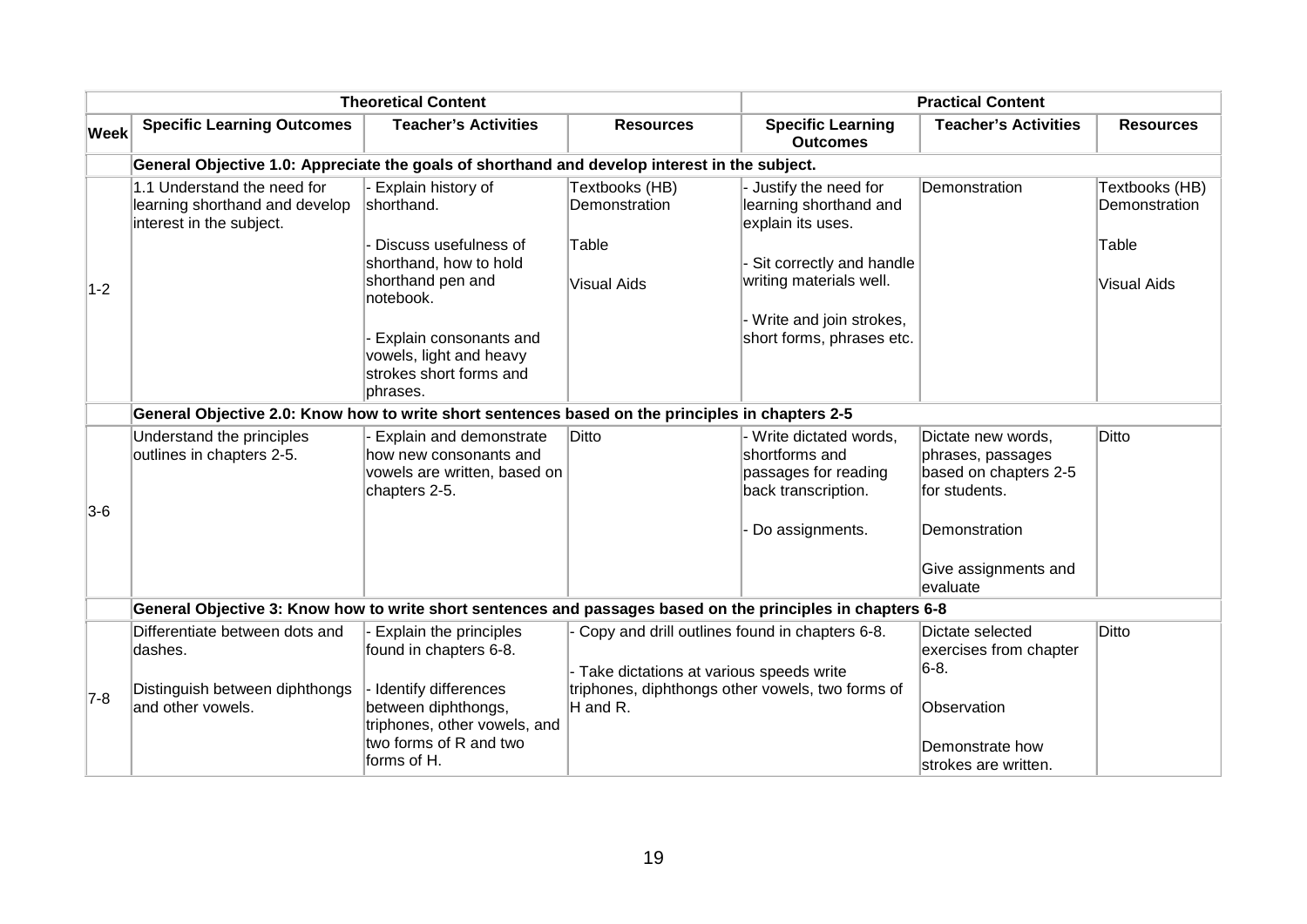|             |                                                                                                             | <b>Theoretical Content</b>                                                                         | <b>Practical Content</b>                                                                      |                                                                                          |                                                                                   |                                 |
|-------------|-------------------------------------------------------------------------------------------------------------|----------------------------------------------------------------------------------------------------|-----------------------------------------------------------------------------------------------|------------------------------------------------------------------------------------------|-----------------------------------------------------------------------------------|---------------------------------|
| <b>Week</b> | <b>Specific Learning Outcomes</b>                                                                           | <b>Teacher's Activities</b>                                                                        | <b>Resources</b>                                                                              | <b>Specific Learning</b><br><b>Outcomes</b>                                              | <b>Teacher's Activities</b>                                                       | <b>Resources</b>                |
|             | General Objective 1.0: Appreciate the goals of shorthand and develop interest in the subject.               |                                                                                                    |                                                                                               |                                                                                          |                                                                                   |                                 |
|             | 1.1 Understand the need for<br>learning shorthand and develop<br>interest in the subject.                   | Explain history of<br>shorthand.                                                                   | Textbooks (HB)<br>Demonstration                                                               | - Justify the need for<br>learning shorthand and<br>explain its uses.                    | Demonstration                                                                     | Textbooks (HB)<br>Demonstration |
|             |                                                                                                             | Discuss usefulness of<br>shorthand, how to hold                                                    | Table                                                                                         | Sit correctly and handle                                                                 |                                                                                   | Table                           |
| $1-2$       |                                                                                                             | shorthand pen and<br>notebook.                                                                     | <b>Visual Aids</b>                                                                            | writing materials well.                                                                  |                                                                                   | <b>Visual Aids</b>              |
|             |                                                                                                             | Explain consonants and<br>vowels, light and heavy<br>strokes short forms and<br>phrases.           |                                                                                               | Write and join strokes,<br>short forms, phrases etc.                                     |                                                                                   |                                 |
|             | General Objective 2.0: Know how to write short sentences based on the principles in chapters 2-5            |                                                                                                    |                                                                                               |                                                                                          |                                                                                   |                                 |
|             | Understand the principles<br>outlines in chapters 2-5.                                                      | Explain and demonstrate<br>how new consonants and<br>vowels are written, based on<br>chapters 2-5. | Ditto                                                                                         | - Write dictated words,<br>shortforms and<br>passages for reading<br>back transcription. | Dictate new words,<br>phrases, passages<br>based on chapters 2-5<br>for students. | Ditto                           |
| $3-6$       |                                                                                                             |                                                                                                    |                                                                                               | Do assignments.                                                                          | Demonstration                                                                     |                                 |
|             |                                                                                                             |                                                                                                    |                                                                                               |                                                                                          | Give assignments and<br>evaluate                                                  |                                 |
|             | General Objective 3: Know how to write short sentences and passages based on the principles in chapters 6-8 |                                                                                                    |                                                                                               |                                                                                          |                                                                                   |                                 |
|             | Differentiate between dots and<br>dashes.                                                                   | Explain the principles<br>found in chapters 6-8.                                                   | - Copy and drill outlines found in chapters 6-8.                                              |                                                                                          | Dictate selected<br>exercises from chapter                                        | <b>Ditto</b>                    |
| $7-8$       | Distinguish between diphthongs                                                                              | Identify differences                                                                               | - Take dictations at various speeds write<br>triphones, diphthongs other vowels, two forms of |                                                                                          | $6-8.$                                                                            |                                 |
|             | and other vowels.                                                                                           | between diphthongs,<br>triphones, other vowels, and                                                | H and R.                                                                                      |                                                                                          | Observation                                                                       |                                 |
|             |                                                                                                             | two forms of R and two<br>forms of H.                                                              |                                                                                               |                                                                                          | Demonstrate how<br>lstrokes are written.                                          |                                 |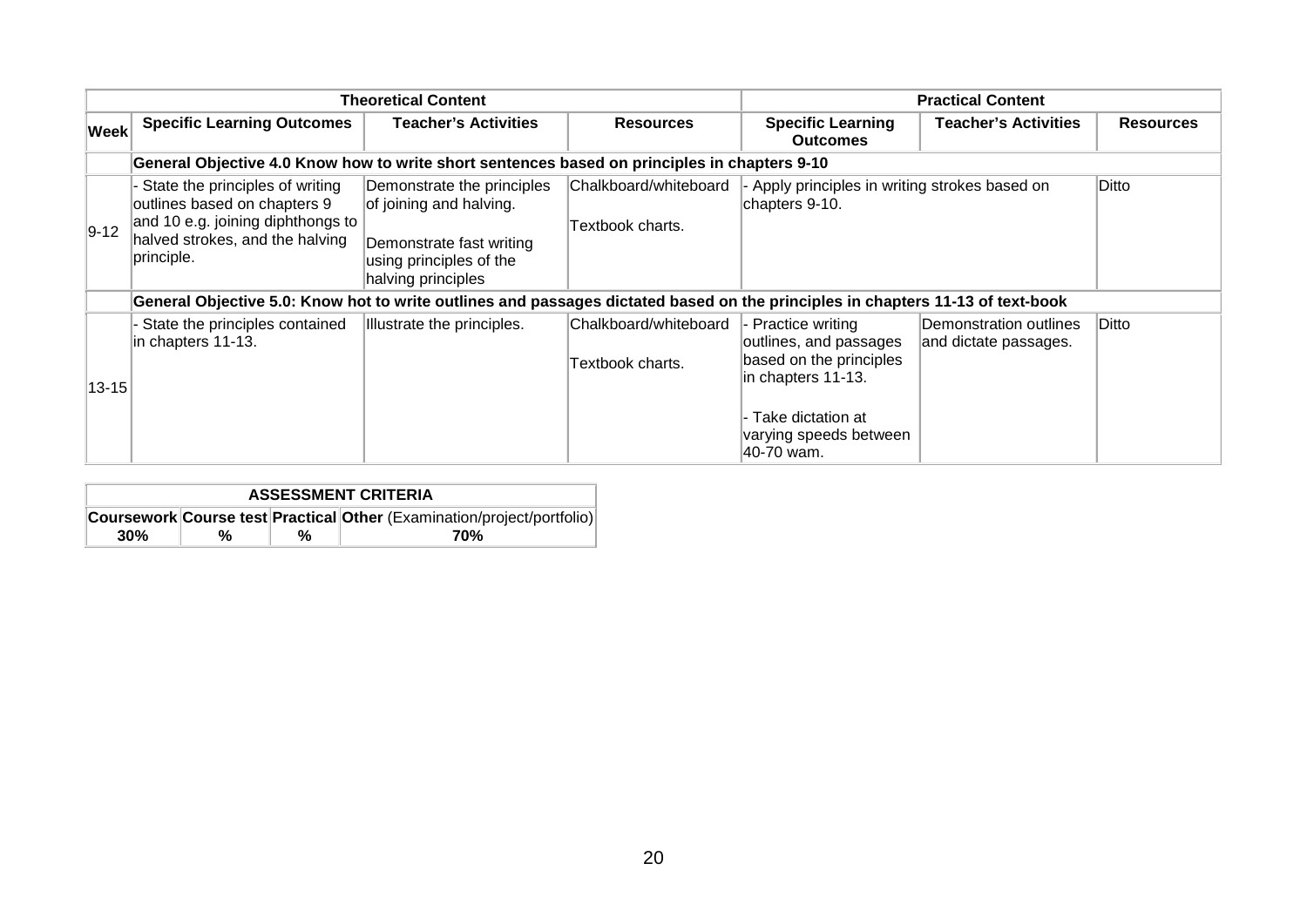|             | <b>Theoretical Content</b>                                                                                                                            |                                                                                                                                    |                                           | <b>Practical Content</b>                                                                      |                                                 |                  |  |  |
|-------------|-------------------------------------------------------------------------------------------------------------------------------------------------------|------------------------------------------------------------------------------------------------------------------------------------|-------------------------------------------|-----------------------------------------------------------------------------------------------|-------------------------------------------------|------------------|--|--|
| <b>Week</b> | <b>Specific Learning Outcomes</b>                                                                                                                     | Teacher's Activities                                                                                                               | <b>Resources</b>                          | <b>Specific Learning</b><br><b>Outcomes</b>                                                   | <b>Teacher's Activities</b>                     | <b>Resources</b> |  |  |
|             | General Objective 4.0 Know how to write short sentences based on principles in chapters 9-10                                                          |                                                                                                                                    |                                           |                                                                                               |                                                 |                  |  |  |
| $ 9-12 $    | State the principles of writing<br>outlines based on chapters 9<br>and 10 e.g. joining diphthongs to<br>halved strokes, and the halving<br>principle. | Demonstrate the principles<br>of joining and halving.<br>Demonstrate fast writing<br>using principles of the<br>halving principles | Chalkboard/whiteboard<br>Textbook charts. | Apply principles in writing strokes based on<br>chapters 9-10.                                |                                                 | Ditto            |  |  |
|             | General Objective 5.0: Know hot to write outlines and passages dictated based on the principles in chapters 11-13 of text-book                        |                                                                                                                                    |                                           |                                                                                               |                                                 |                  |  |  |
| $13 - 15$   | State the principles contained<br>in chapters 11-13.                                                                                                  | Illustrate the principles.                                                                                                         | Chalkboard/whiteboard<br>Textbook charts. | - Practice writing<br>outlines, and passages<br>based on the principles<br>in chapters 11-13. | Demonstration outlines<br>and dictate passages. | Ditto            |  |  |
|             |                                                                                                                                                       |                                                                                                                                    |                                           | l- Take dictation at<br>varying speeds between<br>40-70 wam.                                  |                                                 |                  |  |  |

| <b>ASSESSMENT CRITERIA</b> |                                                                        |   |     |  |  |  |  |
|----------------------------|------------------------------------------------------------------------|---|-----|--|--|--|--|
|                            | Coursework Course test Practical Other (Examination/project/portfolio) |   |     |  |  |  |  |
| 30%                        | %                                                                      | % | 70% |  |  |  |  |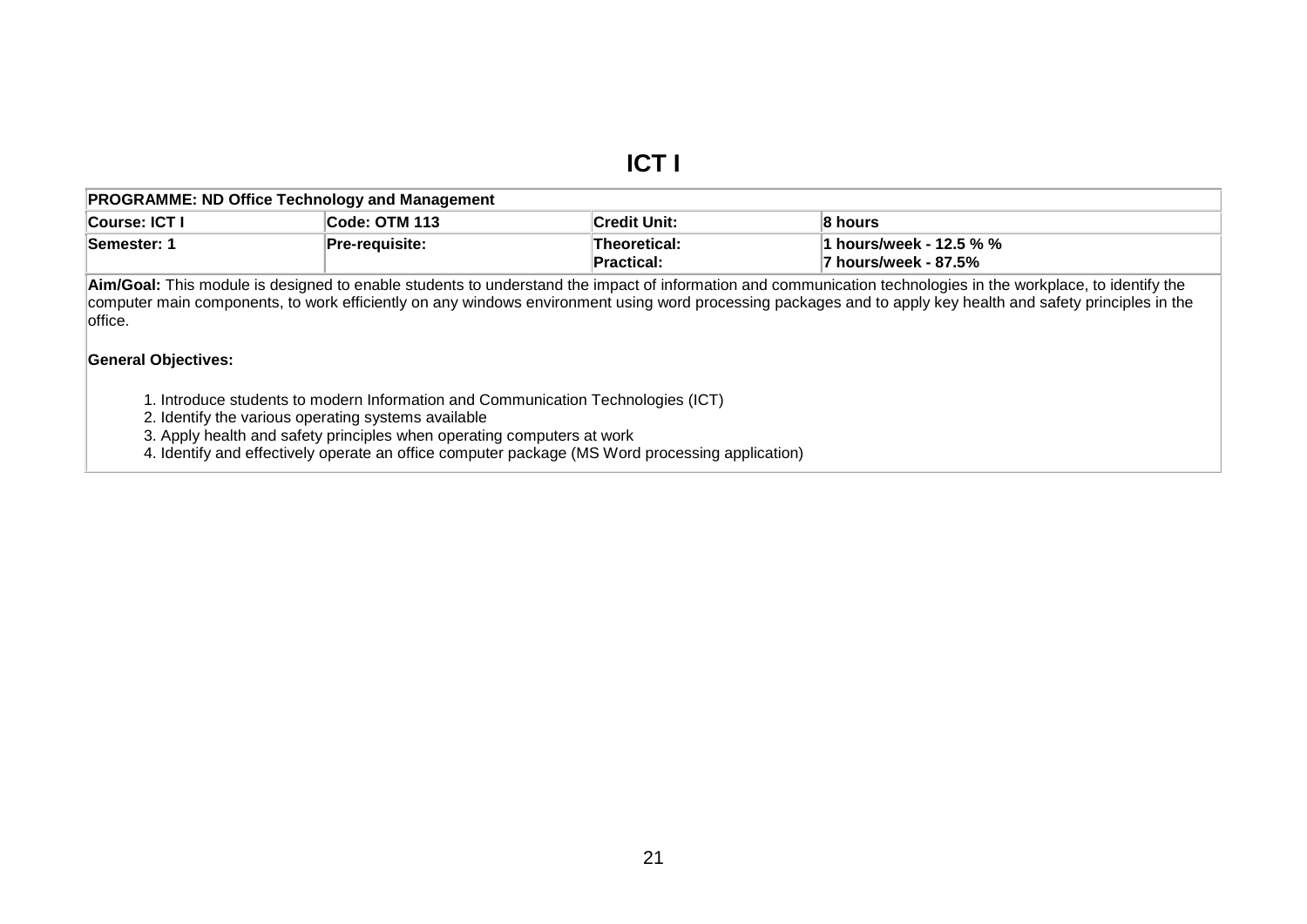## **ICT I**

| Course: ICT I | Code: OTM 113   | <b>Credit Unit:</b> | 8 hours                 |  |  |  |
|---------------|-----------------|---------------------|-------------------------|--|--|--|
| Semester:     | ∣Pre-reauisite: | Theoretical:        | 1 hours/week - 12.5 % % |  |  |  |
|               |                 | <b>Practical:</b>   | 7 hours/week - 87.5%    |  |  |  |

**Aim/Goal:** This module is designed to enable students to understand the impact of information and communication technologies in the workplace, to identify the computer main components, to work efficiently on any windows environment using word processing packages and to apply key health and safety principles in the office.

### **General Objectives:**

1. Introduce students to modern Information and Communication Technologies (ICT)

2. Identify the various operating systems available

3. Apply health and safety principles when operating computers at work

<span id="page-22-0"></span>4. Identify and effectively operate an office computer package (MS Word processing application)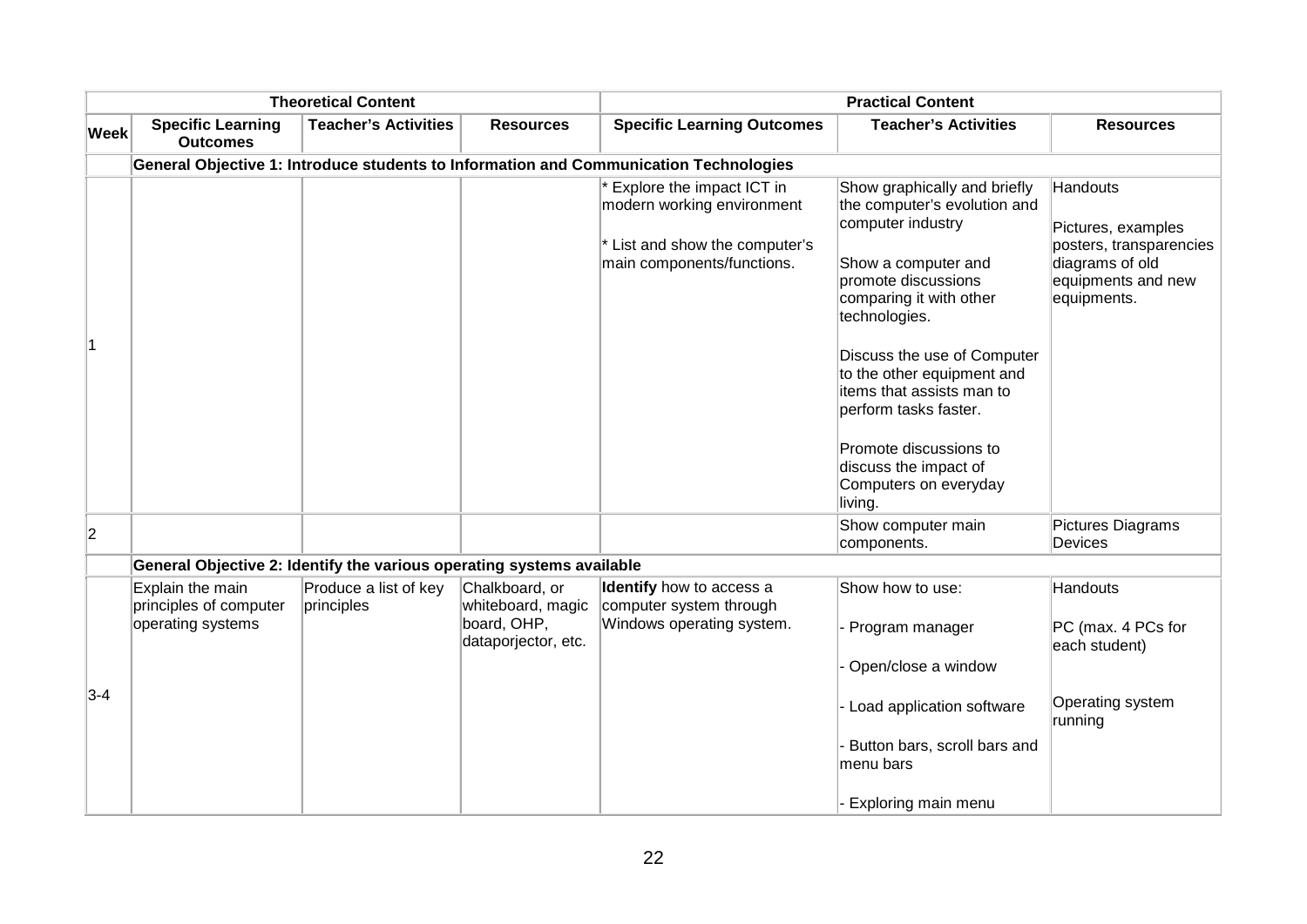|                |                                                                       | <b>Theoretical Content</b>          |                                                                           | <b>Practical Content</b>                                                                                                  |                                                                                                                                                                                                                                                                                                                                                                                       |                                                                                                                          |  |
|----------------|-----------------------------------------------------------------------|-------------------------------------|---------------------------------------------------------------------------|---------------------------------------------------------------------------------------------------------------------------|---------------------------------------------------------------------------------------------------------------------------------------------------------------------------------------------------------------------------------------------------------------------------------------------------------------------------------------------------------------------------------------|--------------------------------------------------------------------------------------------------------------------------|--|
| <b>Week</b>    | <b>Specific Learning</b><br><b>Outcomes</b>                           | <b>Teacher's Activities</b>         | <b>Resources</b>                                                          | <b>Specific Learning Outcomes</b>                                                                                         | <b>Teacher's Activities</b>                                                                                                                                                                                                                                                                                                                                                           | <b>Resources</b>                                                                                                         |  |
|                |                                                                       |                                     |                                                                           | General Objective 1: Introduce students to Information and Communication Technologies                                     |                                                                                                                                                                                                                                                                                                                                                                                       |                                                                                                                          |  |
|                |                                                                       |                                     |                                                                           | * Explore the impact ICT in<br>modern working environment<br>* List and show the computer's<br>main components/functions. | Show graphically and briefly<br>the computer's evolution and<br>computer industry<br>Show a computer and<br>promote discussions<br>comparing it with other<br>technologies.<br>Discuss the use of Computer<br>to the other equipment and<br>items that assists man to<br>perform tasks faster.<br>Promote discussions to<br>discuss the impact of<br>Computers on everyday<br>living. | <b>Handouts</b><br>Pictures, examples<br>posters, transparencies<br>diagrams of old<br>equipments and new<br>equipments. |  |
| $\overline{2}$ |                                                                       |                                     |                                                                           |                                                                                                                           | Show computer main<br>components.                                                                                                                                                                                                                                                                                                                                                     | Pictures Diagrams<br><b>Devices</b>                                                                                      |  |
|                | General Objective 2: Identify the various operating systems available |                                     |                                                                           |                                                                                                                           |                                                                                                                                                                                                                                                                                                                                                                                       |                                                                                                                          |  |
| $3-4$          | Explain the main<br>principles of computer<br>operating systems       | Produce a list of key<br>principles | Chalkboard, or<br>whiteboard, magic<br>board, OHP,<br>dataporjector, etc. | Identify how to access a<br>computer system through<br>Windows operating system.                                          | Show how to use:<br>Program manager<br>Open/close a window<br>Load application software                                                                                                                                                                                                                                                                                               | <b>Handouts</b><br>PC (max. 4 PCs for<br>each student)<br>Operating system                                               |  |
|                |                                                                       |                                     |                                                                           |                                                                                                                           | Button bars, scroll bars and<br>menu bars<br>Exploring main menu                                                                                                                                                                                                                                                                                                                      | running                                                                                                                  |  |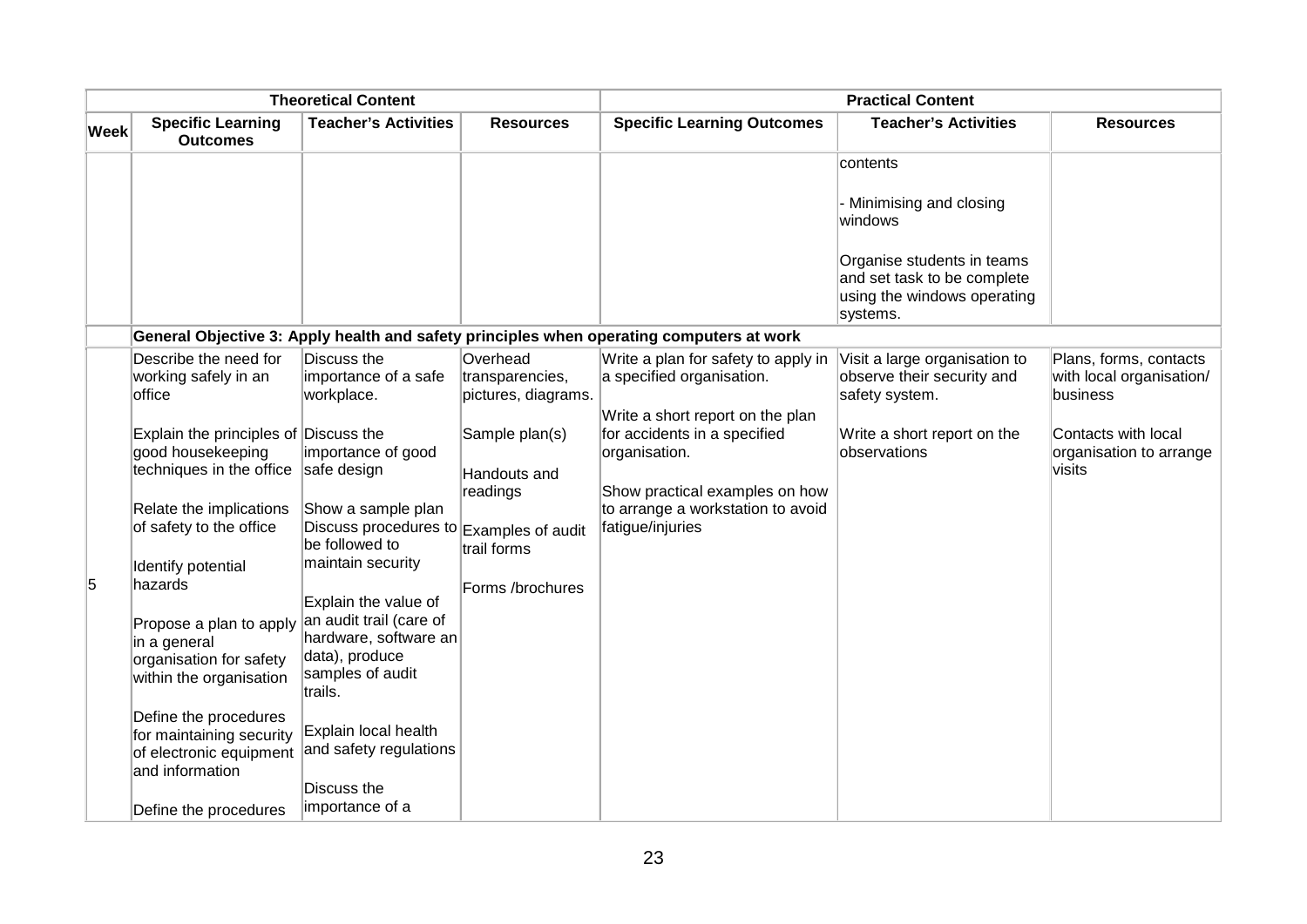| <b>Theoretical Content</b> |                                                                                                 | <b>Practical Content</b>                                                                             |                                                    |                                                                                                      |                                                                                                      |                                                                |
|----------------------------|-------------------------------------------------------------------------------------------------|------------------------------------------------------------------------------------------------------|----------------------------------------------------|------------------------------------------------------------------------------------------------------|------------------------------------------------------------------------------------------------------|----------------------------------------------------------------|
| Week                       | <b>Specific Learning</b><br><b>Outcomes</b>                                                     | <b>Teacher's Activities</b>                                                                          | <b>Resources</b>                                   | <b>Specific Learning Outcomes</b>                                                                    | <b>Teacher's Activities</b>                                                                          | <b>Resources</b>                                               |
|                            |                                                                                                 |                                                                                                      |                                                    |                                                                                                      | contents                                                                                             |                                                                |
|                            |                                                                                                 |                                                                                                      |                                                    |                                                                                                      | - Minimising and closing<br>windows                                                                  |                                                                |
|                            |                                                                                                 |                                                                                                      |                                                    |                                                                                                      | Organise students in teams<br>and set task to be complete<br>using the windows operating<br>systems. |                                                                |
|                            |                                                                                                 |                                                                                                      |                                                    | General Objective 3: Apply health and safety principles when operating computers at work             |                                                                                                      |                                                                |
|                            | Describe the need for<br>working safely in an<br>office                                         | Discuss the<br>importance of a safe<br>workplace.                                                    | Overhead<br>transparencies,<br>pictures, diagrams. | Write a plan for safety to apply in<br>a specified organisation.<br>Write a short report on the plan | Visit a large organisation to<br>observe their security and<br>safety system.                        | Plans, forms, contacts<br>with local organisation/<br>business |
|                            | Explain the principles of Discuss the<br>good housekeeping<br>techniques in the office          | importance of good<br>safe design                                                                    | Sample plan(s)<br>Handouts and<br>readings         | for accidents in a specified<br>organisation.<br>Show practical examples on how                      | Write a short report on the<br>observations                                                          | Contacts with local<br>organisation to arrange<br>visits       |
|                            | Relate the implications<br>of safety to the office                                              | Show a sample plan<br>Discuss procedures to Examples of audit<br>be followed to<br>maintain security | trail forms                                        | to arrange a workstation to avoid<br>fatigue/injuries                                                |                                                                                                      |                                                                |
| 5                          | Identify potential<br>hazards                                                                   | Explain the value of                                                                                 | Forms /brochures                                   |                                                                                                      |                                                                                                      |                                                                |
|                            | Propose a plan to apply<br>in a general<br>organisation for safety<br>within the organisation   | an audit trail (care of<br>hardware, software an<br>data), produce<br>samples of audit<br>trails.    |                                                    |                                                                                                      |                                                                                                      |                                                                |
|                            | Define the procedures<br>for maintaining security<br>of electronic equipment<br>and information | Explain local health<br>and safety regulations                                                       |                                                    |                                                                                                      |                                                                                                      |                                                                |
|                            | Define the procedures                                                                           | Discuss the<br>importance of a                                                                       |                                                    |                                                                                                      |                                                                                                      |                                                                |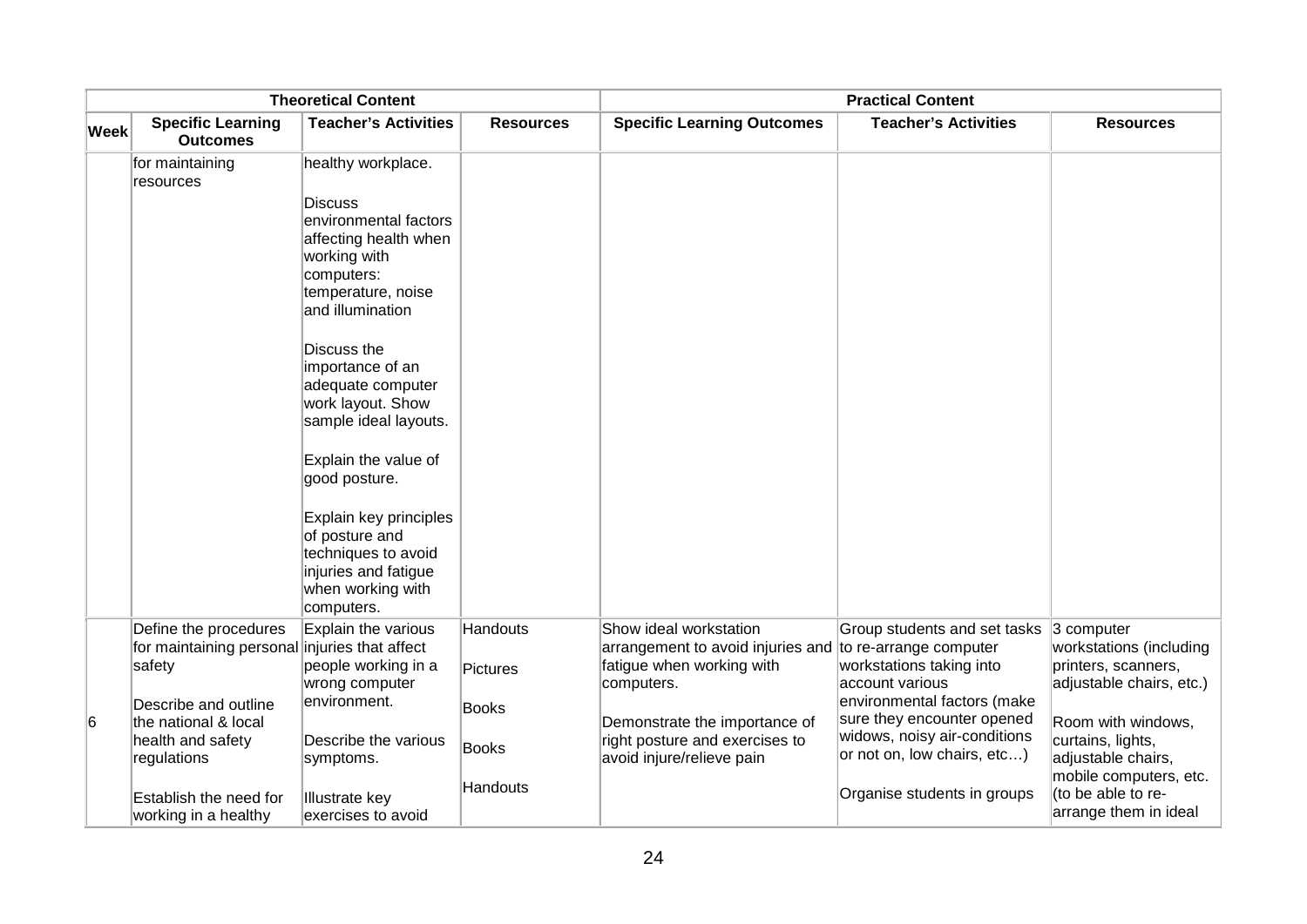| <b>Theoretical Content</b> |                                                             |                                                                                                                            | <b>Practical Content</b>    |                                                                                                                               |                                                                                           |                                                                                             |
|----------------------------|-------------------------------------------------------------|----------------------------------------------------------------------------------------------------------------------------|-----------------------------|-------------------------------------------------------------------------------------------------------------------------------|-------------------------------------------------------------------------------------------|---------------------------------------------------------------------------------------------|
| <b>Week</b>                | <b>Specific Learning</b><br><b>Outcomes</b>                 | <b>Teacher's Activities</b>                                                                                                | <b>Resources</b>            | <b>Specific Learning Outcomes</b>                                                                                             | <b>Teacher's Activities</b>                                                               | <b>Resources</b>                                                                            |
|                            | for maintaining<br>resources                                | healthy workplace.<br><b>Discuss</b>                                                                                       |                             |                                                                                                                               |                                                                                           |                                                                                             |
|                            |                                                             | environmental factors<br>affecting health when<br>working with<br>computers:<br>temperature, noise                         |                             |                                                                                                                               |                                                                                           |                                                                                             |
|                            |                                                             | and illumination<br>Discuss the<br>importance of an<br>adequate computer<br>work layout. Show                              |                             |                                                                                                                               |                                                                                           |                                                                                             |
|                            |                                                             | sample ideal layouts.                                                                                                      |                             |                                                                                                                               |                                                                                           |                                                                                             |
|                            |                                                             | Explain the value of<br>good posture.                                                                                      |                             |                                                                                                                               |                                                                                           |                                                                                             |
|                            |                                                             | Explain key principles<br>of posture and<br>techniques to avoid<br>injuries and fatigue<br>when working with<br>computers. |                             |                                                                                                                               |                                                                                           |                                                                                             |
|                            | Define the procedures<br>for maintaining personal<br>safety | Explain the various<br>injuries that affect<br>people working in a<br>wrong computer                                       | Handouts<br><b>Pictures</b> | Show ideal workstation<br>arrangement to avoid injuries and to re-arrange computer<br>fatigue when working with<br>computers. | Group students and set tasks<br>workstations taking into<br>account various               | $ 3$ computer<br>workstations (including<br>printers, scanners,<br>adjustable chairs, etc.) |
| 6                          | Describe and outline<br>the national & local                | environment.                                                                                                               | <b>Books</b>                | Demonstrate the importance of                                                                                                 | environmental factors (make<br>sure they encounter opened<br>widows, noisy air-conditions | Room with windows,                                                                          |
|                            | health and safety<br>regulations                            | Describe the various<br>symptoms.                                                                                          | Books                       | right posture and exercises to<br>avoid injure/relieve pain                                                                   | or not on, low chairs, etc)                                                               | curtains, lights,<br>adjustable chairs,<br>mobile computers, etc.                           |
|                            | Establish the need for<br>working in a healthy              | <b>Illustrate key</b><br>exercises to avoid                                                                                | Handouts                    |                                                                                                                               | Organise students in groups                                                               | (to be able to re-<br>arrange them in ideal                                                 |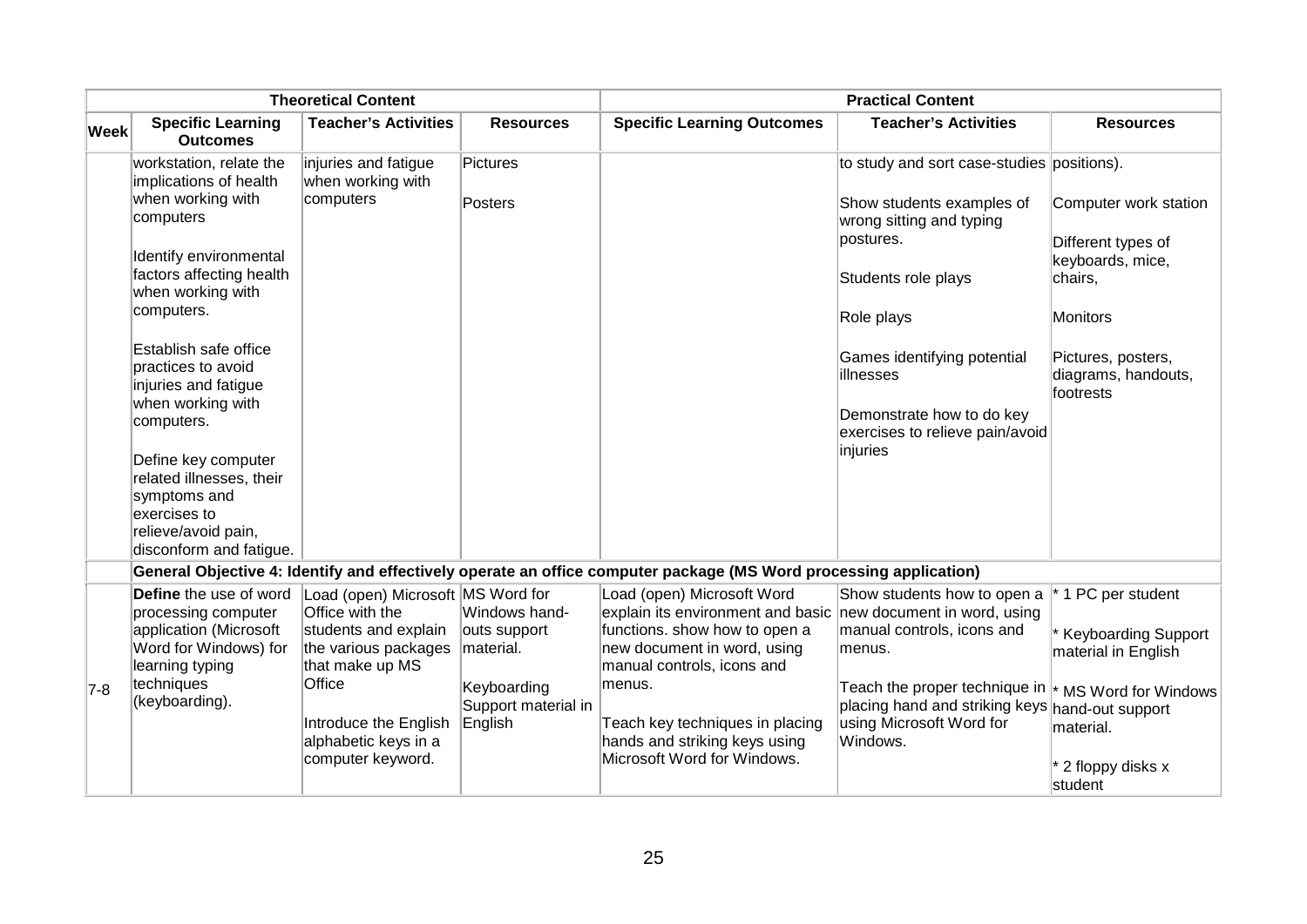|             | <b>Theoretical Content</b>                                                               |                                                                    |                                    | <b>Practical Content</b>                                                                                          |                                                                                            |                                                                            |  |
|-------------|------------------------------------------------------------------------------------------|--------------------------------------------------------------------|------------------------------------|-------------------------------------------------------------------------------------------------------------------|--------------------------------------------------------------------------------------------|----------------------------------------------------------------------------|--|
| <b>Week</b> | <b>Specific Learning</b><br><b>Outcomes</b>                                              | <b>Teacher's Activities</b>                                        | <b>Resources</b>                   | <b>Specific Learning Outcomes</b>                                                                                 | <b>Teacher's Activities</b>                                                                | <b>Resources</b>                                                           |  |
|             | workstation, relate the<br>implications of health                                        | injuries and fatigue<br>when working with                          | Pictures                           |                                                                                                                   | to study and sort case-studies positions).                                                 |                                                                            |  |
|             | when working with<br>computers<br>Identify environmental<br>factors affecting health     | computers                                                          | Posters                            |                                                                                                                   | Show students examples of<br>wrong sitting and typing<br>postures.<br>Students role plays  | Computer work station<br>Different types of<br>keyboards, mice,<br>chairs, |  |
|             | when working with<br>computers.                                                          |                                                                    |                                    |                                                                                                                   | Role plays                                                                                 | <b>Monitors</b>                                                            |  |
|             |                                                                                          |                                                                    |                                    |                                                                                                                   |                                                                                            |                                                                            |  |
|             | Establish safe office<br>practices to avoid<br>injuries and fatigue<br>when working with |                                                                    |                                    |                                                                                                                   | Games identifying potential<br>illnesses                                                   | Pictures, posters,<br>diagrams, handouts,<br>footrests                     |  |
|             | computers.                                                                               |                                                                    |                                    |                                                                                                                   | Demonstrate how to do key<br>exercises to relieve pain/avoid<br>injuries                   |                                                                            |  |
|             | Define key computer<br>related illnesses, their<br>symptoms and<br>exercises to          |                                                                    |                                    |                                                                                                                   |                                                                                            |                                                                            |  |
|             | relieve/avoid pain,<br>disconform and fatigue.                                           |                                                                    |                                    |                                                                                                                   |                                                                                            |                                                                            |  |
|             |                                                                                          |                                                                    |                                    | General Objective 4: Identify and effectively operate an office computer package (MS Word processing application) |                                                                                            |                                                                            |  |
|             | Define the use of word<br>processing computer                                            | Load (open) Microsoft MS Word for<br>Office with the               | Windows hand-                      | Load (open) Microsoft Word<br>explain its environment and basic new document in word, using                       | Show students how to open a                                                                | * 1 PC per student                                                         |  |
|             | application (Microsoft<br>Word for Windows) for<br>learning typing                       | students and explain<br>the various packages<br>that make up MS    | outs support<br>material.          | functions. show how to open a<br>new document in word, using<br>manual controls, icons and                        | manual controls, icons and<br>menus.                                                       | <b>Keyboarding Support</b><br>material in English                          |  |
| 7-8         | techniques<br>(keyboarding).                                                             | Office                                                             | Keyboarding<br>Support material in | menus.                                                                                                            | Teach the proper technique in $\vert$ *<br>placing hand and striking keys hand-out support | MS Word for Windows                                                        |  |
|             |                                                                                          | Introduce the English<br>alphabetic keys in a<br>computer keyword. | English                            | Teach key techniques in placing<br>hands and striking keys using<br>Microsoft Word for Windows.                   | using Microsoft Word for<br>Windows.                                                       | material.                                                                  |  |
|             |                                                                                          |                                                                    |                                    |                                                                                                                   |                                                                                            | 2 floppy disks x<br>student                                                |  |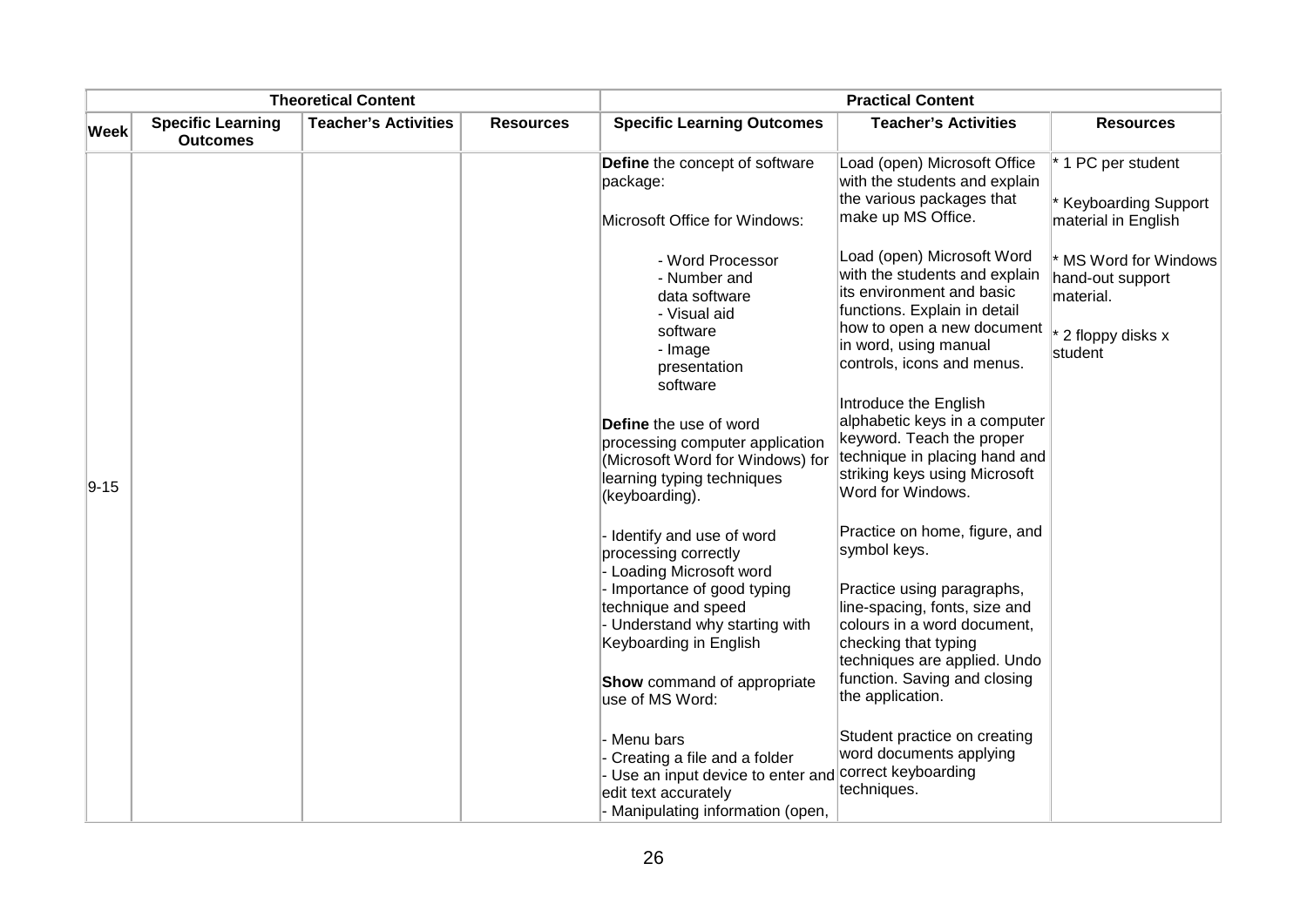| <b>Theoretical Content</b> |                                             |                             | <b>Practical Content</b> |                                                                                                                                                                                                                                              |                                                                                                                                                                                                                                                         |                                                                                         |
|----------------------------|---------------------------------------------|-----------------------------|--------------------------|----------------------------------------------------------------------------------------------------------------------------------------------------------------------------------------------------------------------------------------------|---------------------------------------------------------------------------------------------------------------------------------------------------------------------------------------------------------------------------------------------------------|-----------------------------------------------------------------------------------------|
| <b>Week</b>                | <b>Specific Learning</b><br><b>Outcomes</b> | <b>Teacher's Activities</b> | <b>Resources</b>         | <b>Specific Learning Outcomes</b>                                                                                                                                                                                                            | <b>Teacher's Activities</b>                                                                                                                                                                                                                             | <b>Resources</b>                                                                        |
|                            |                                             |                             |                          | Define the concept of software<br>package:<br>Microsoft Office for Windows:                                                                                                                                                                  | Load (open) Microsoft Office<br>with the students and explain<br>the various packages that<br>make up MS Office.                                                                                                                                        | * 1 PC per student<br>* Keyboarding Support<br>material in English                      |
|                            |                                             |                             |                          | - Word Processor<br>- Number and<br>data software<br>- Visual aid<br>software<br>- Image<br>presentation<br>software                                                                                                                         | Load (open) Microsoft Word<br>with the students and explain<br>its environment and basic<br>functions. Explain in detail<br>how to open a new document<br>in word, using manual<br>controls, icons and menus.                                           | * MS Word for Windows<br>hand-out support<br>material.<br>* 2 floppy disks x<br>student |
| $9 - 15$                   |                                             |                             |                          | Define the use of word<br>processing computer application<br>(Microsoft Word for Windows) for<br>learning typing techniques<br>(keyboarding).                                                                                                | Introduce the English<br>alphabetic keys in a computer<br>keyword. Teach the proper<br>technique in placing hand and<br>striking keys using Microsoft<br>Word for Windows.                                                                              |                                                                                         |
|                            |                                             |                             |                          | Identify and use of word<br>processing correctly<br>Loading Microsoft word<br>Importance of good typing<br>technique and speed<br>- Understand why starting with<br>Keyboarding in English<br>Show command of appropriate<br>use of MS Word: | Practice on home, figure, and<br>symbol keys.<br>Practice using paragraphs,<br>line-spacing, fonts, size and<br>colours in a word document,<br>checking that typing<br>techniques are applied. Undo<br>function. Saving and closing<br>the application. |                                                                                         |
|                            |                                             |                             |                          | Menu bars<br>Creating a file and a folder<br>Use an input device to enter and<br>edit text accurately<br>- Manipulating information (open,                                                                                                   | Student practice on creating<br>word documents applying<br>correct keyboarding<br>techniques.                                                                                                                                                           |                                                                                         |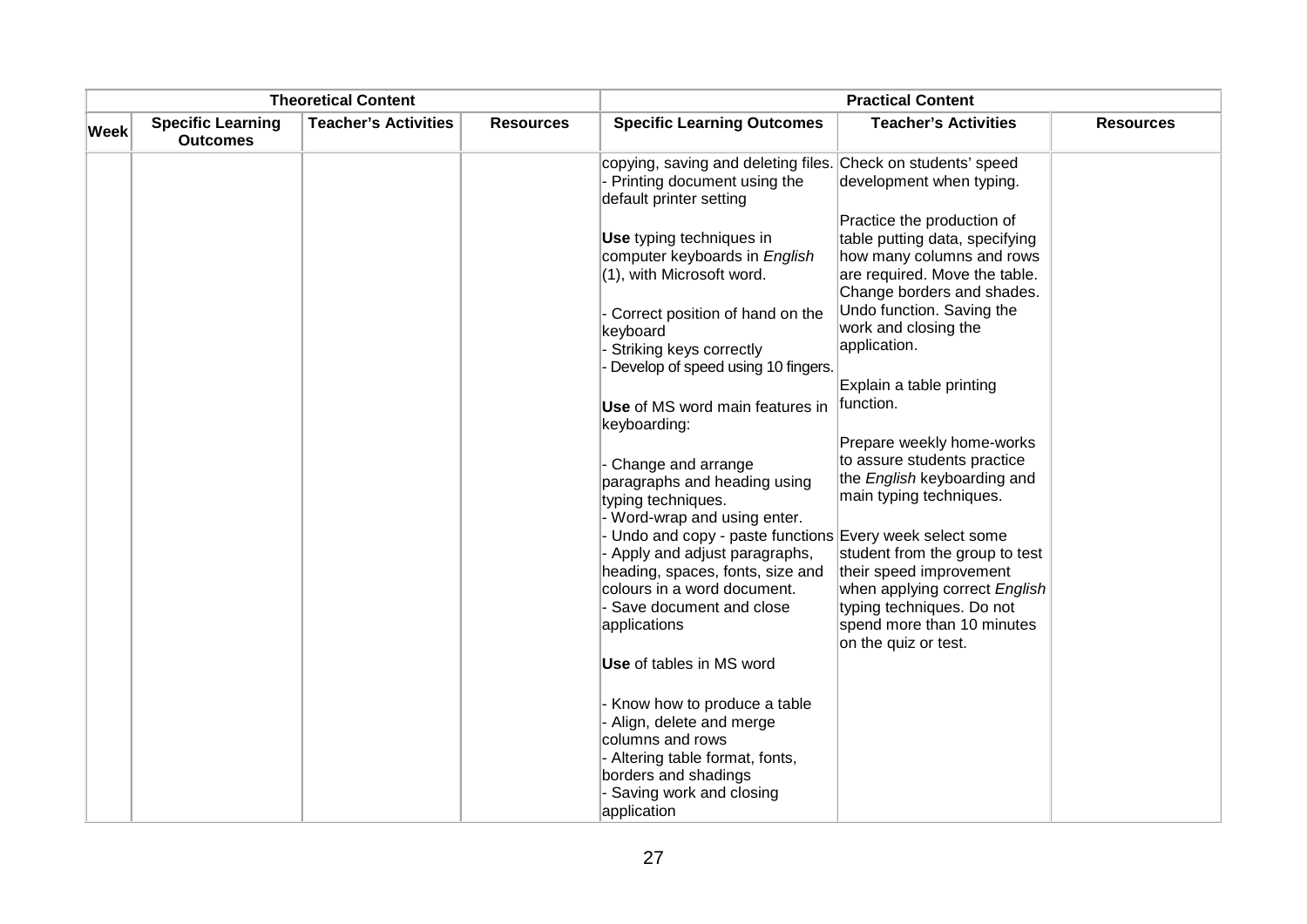| <b>Theoretical Content</b> |                                             |                             | <b>Practical Content</b> |                                                                                                                                                                |                                                                                                                                                          |                  |
|----------------------------|---------------------------------------------|-----------------------------|--------------------------|----------------------------------------------------------------------------------------------------------------------------------------------------------------|----------------------------------------------------------------------------------------------------------------------------------------------------------|------------------|
| <b>Week</b>                | <b>Specific Learning</b><br><b>Outcomes</b> | <b>Teacher's Activities</b> | <b>Resources</b>         | <b>Specific Learning Outcomes</b>                                                                                                                              | <b>Teacher's Activities</b>                                                                                                                              | <b>Resources</b> |
|                            |                                             |                             |                          | copying, saving and deleting files. Check on students' speed<br>- Printing document using the<br>default printer setting                                       | development when typing.                                                                                                                                 |                  |
|                            |                                             |                             |                          | <b>Use</b> typing techniques in<br>computer keyboards in English<br>(1), with Microsoft word.                                                                  | Practice the production of<br>table putting data, specifying<br>how many columns and rows<br>are required. Move the table.<br>Change borders and shades. |                  |
|                            |                                             |                             |                          | Correct position of hand on the<br>keyboard<br>Striking keys correctly<br>Develop of speed using 10 fingers.                                                   | Undo function. Saving the<br>work and closing the<br>application.                                                                                        |                  |
|                            |                                             |                             |                          | Use of MS word main features in<br>keyboarding:                                                                                                                | Explain a table printing<br>function.                                                                                                                    |                  |
|                            |                                             |                             |                          | Change and arrange<br>paragraphs and heading using<br>typing techniques.                                                                                       | Prepare weekly home-works<br>to assure students practice<br>the English keyboarding and<br>main typing techniques.                                       |                  |
|                            |                                             |                             |                          | - Word-wrap and using enter.<br>- Undo and copy - paste functions Every week select some<br>- Apply and adjust paragraphs,<br>heading, spaces, fonts, size and | student from the group to test<br>their speed improvement                                                                                                |                  |
|                            |                                             |                             |                          | colours in a word document.<br>- Save document and close<br>applications                                                                                       | when applying correct English<br>typing techniques. Do not<br>spend more than 10 minutes<br>on the quiz or test.                                         |                  |
|                            |                                             |                             |                          | Use of tables in MS word                                                                                                                                       |                                                                                                                                                          |                  |
|                            |                                             |                             |                          | Know how to produce a table<br>Align, delete and merge<br>columns and rows                                                                                     |                                                                                                                                                          |                  |
|                            |                                             |                             |                          | Altering table format, fonts,<br>borders and shadings<br>- Saving work and closing<br>application                                                              |                                                                                                                                                          |                  |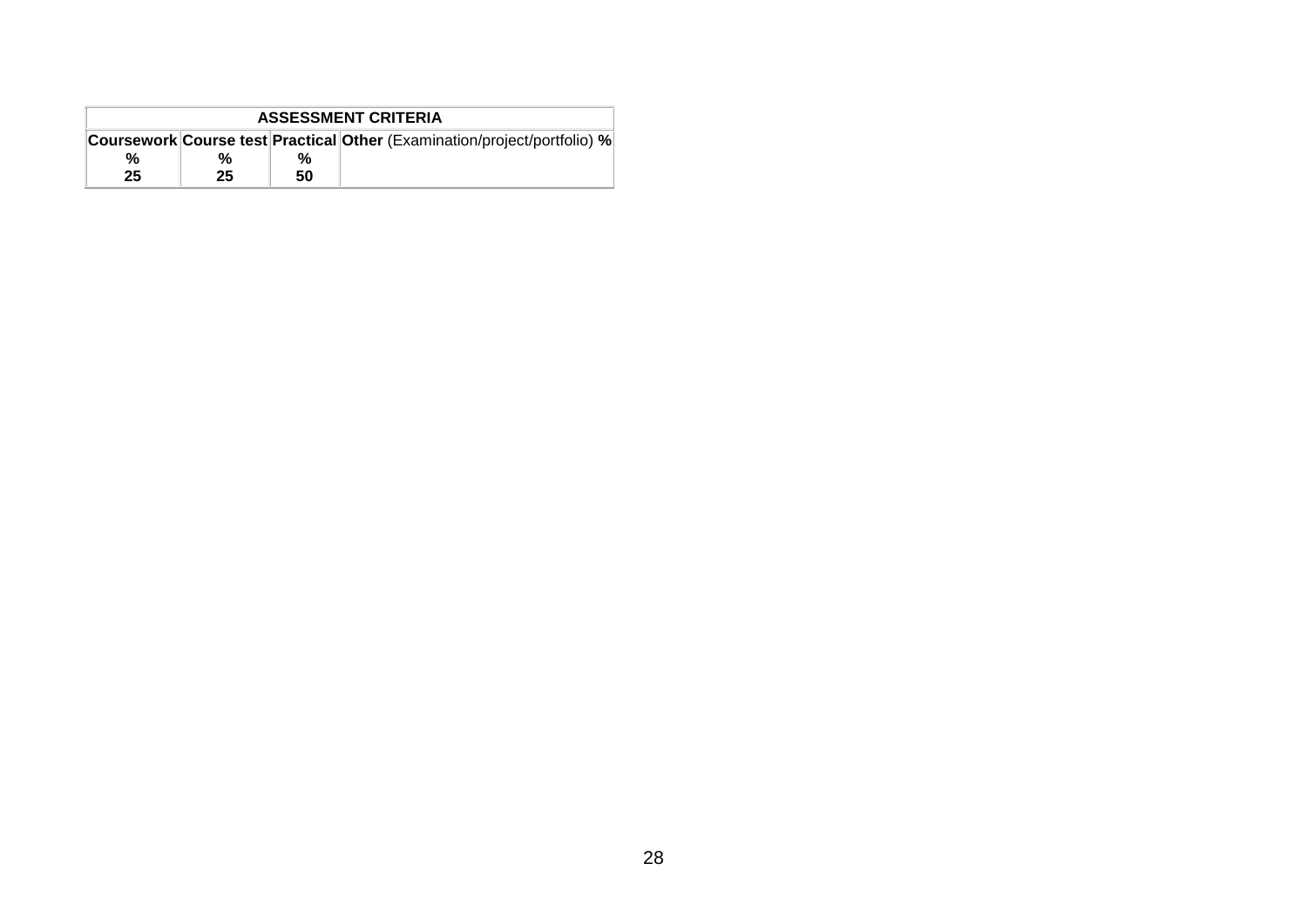|    | <b>ASSESSMENT CRITERIA</b> |    |                                                                                 |  |  |  |  |
|----|----------------------------|----|---------------------------------------------------------------------------------|--|--|--|--|
|    |                            |    | <b>Coursework Course test Practical Other (Examination/project/portfolio) %</b> |  |  |  |  |
| %  | %                          | %  |                                                                                 |  |  |  |  |
| 25 | 25                         | 50 |                                                                                 |  |  |  |  |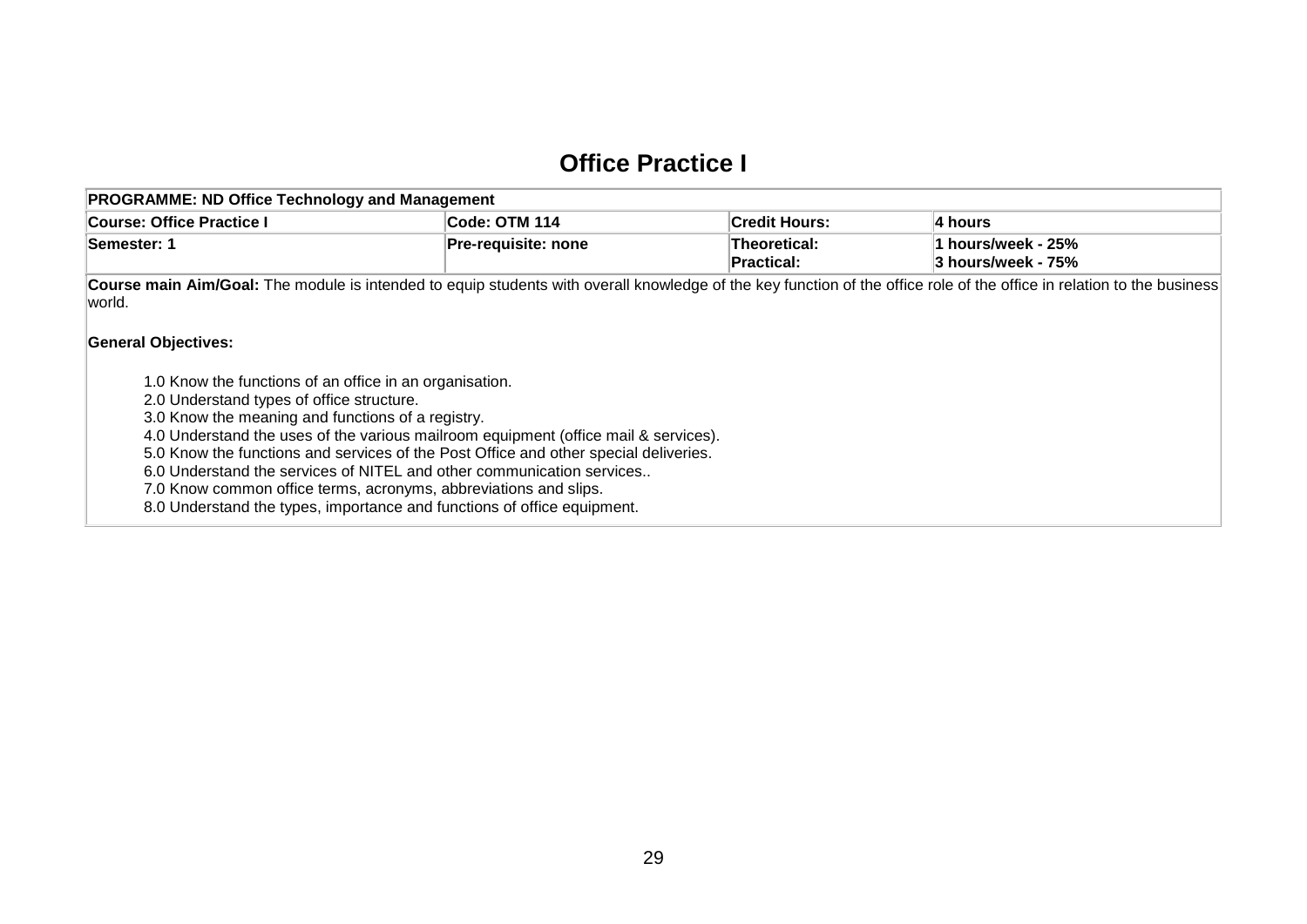## **Office Practice I**

| <b>PROGRAMME: ND Office Technology and Management</b> |                      |                                   |                                          |
|-------------------------------------------------------|----------------------|-----------------------------------|------------------------------------------|
| Course: Office Practice I                             | <b>Code: OTM 114</b> | ∣Credit Hours:                    | ∣4 hours                                 |
| <b>Semester: 1</b>                                    | ∣Pre-requisite: none | Theoretical:<br><b>Practical:</b> | 1 hours/week - 25%<br>3 hours/week - 75% |

Course main Aim/Goal: The module is intended to equip students with overall knowledge of the key function of the office role of the office in relation to the business world.

## **General Objectives:**

- 1.0 Know the functions of an office in an organisation.
- 2.0 Understand types of office structure.
- 3.0 Know the meaning and functions of a registry.
- 4.0 Understand the uses of the various mailroom equipment (office mail & services).
- 5.0 Know the functions and services of the Post Office and other special deliveries.
- 6.0 Understand the services of NITEL and other communication services..
- 7.0 Know common office terms, acronyms, abbreviations and slips.
- <span id="page-30-0"></span>8.0 Understand the types, importance and functions of office equipment.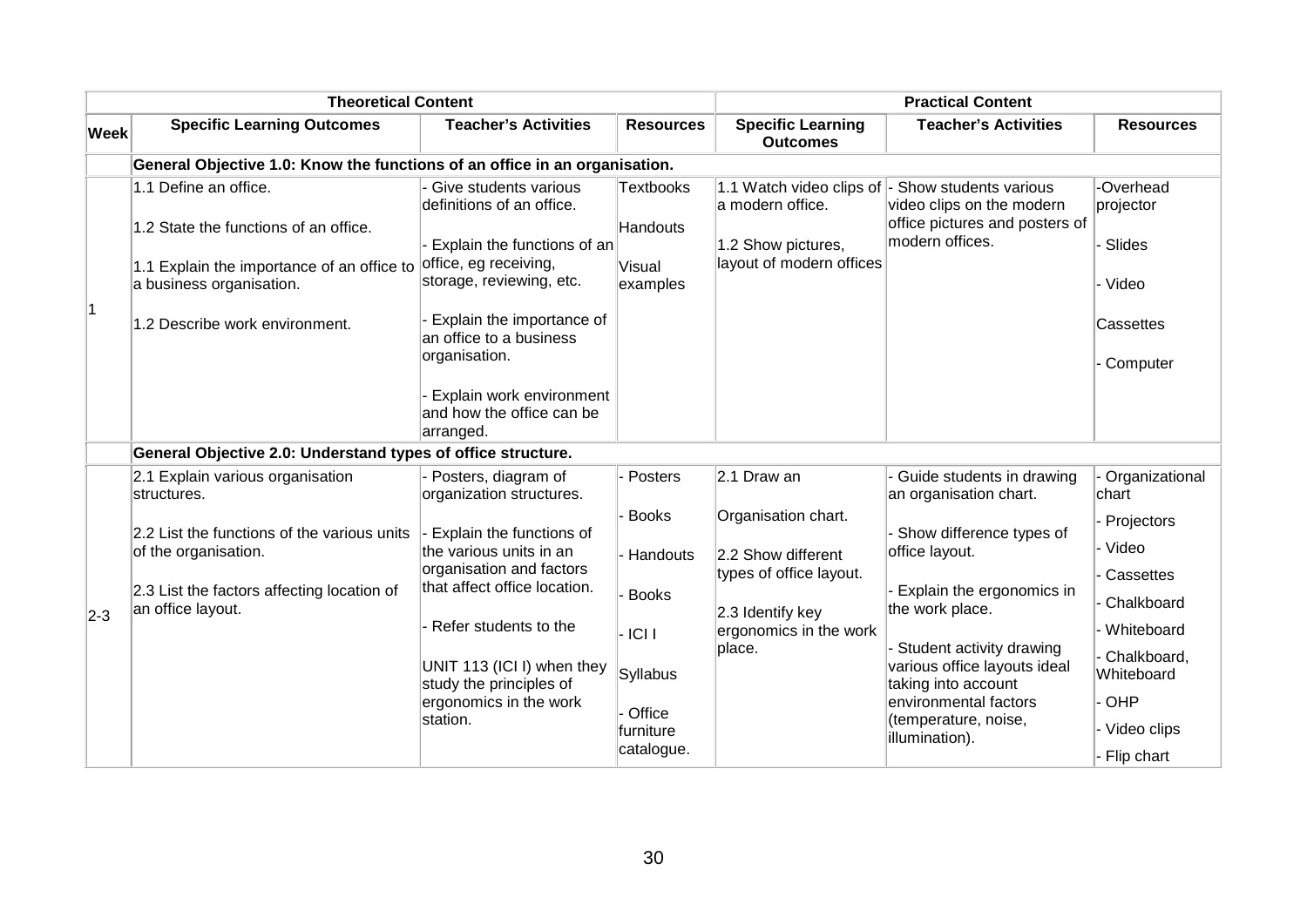|             | <b>Theoretical Content</b>                                                 |                                                                                  |                              | <b>Practical Content</b>                       |                                                                                                                 |                               |
|-------------|----------------------------------------------------------------------------|----------------------------------------------------------------------------------|------------------------------|------------------------------------------------|-----------------------------------------------------------------------------------------------------------------|-------------------------------|
| <b>Week</b> | <b>Specific Learning Outcomes</b>                                          | <b>Teacher's Activities</b>                                                      | <b>Resources</b>             | <b>Specific Learning</b><br><b>Outcomes</b>    | <b>Teacher's Activities</b>                                                                                     | <b>Resources</b>              |
|             | General Objective 1.0: Know the functions of an office in an organisation. |                                                                                  |                              |                                                |                                                                                                                 |                               |
|             | 1.1 Define an office.<br>1.2 State the functions of an office.             | Give students various<br>definitions of an office.                               | <b>Textbooks</b><br>Handouts | a modern office.                               | 1.1 Watch video clips of - Show students various<br>video clips on the modern<br>office pictures and posters of | -Overhead<br>projector        |
|             | 1.1 Explain the importance of an office to<br>a business organisation.     | Explain the functions of an<br>office, eg receiving,<br>storage, reviewing, etc. | Visual<br>examples           | 1.2 Show pictures,<br>layout of modern offices | modern offices.                                                                                                 | Slides<br>- Video             |
| 1           | 1.2 Describe work environment.                                             | Explain the importance of<br>an office to a business<br>organisation.            |                              |                                                |                                                                                                                 | Cassettes<br>Computer         |
|             |                                                                            | Explain work environment<br>and how the office can be<br>arranged.               |                              |                                                |                                                                                                                 |                               |
|             | General Objective 2.0: Understand types of office structure.               |                                                                                  |                              |                                                |                                                                                                                 |                               |
|             | 2.1 Explain various organisation<br>structures.                            | Posters, diagram of<br>organization structures.                                  | - Posters                    | 2.1 Draw an                                    | - Guide students in drawing<br>an organisation chart.                                                           | Organizational<br>chart       |
|             | 2.2 List the functions of the various units<br>of the organisation.        | Explain the functions of<br>the various units in an                              | - Books<br>- Handouts        | Organisation chart.<br>2.2 Show different      | - Show difference types of<br>office layout.                                                                    | Projectors<br>· Video         |
| $2-3$       | 2.3 List the factors affecting location of<br>an office layout.            | organisation and factors<br>that affect office location.                         | <b>Books</b>                 | types of office layout.<br>2.3 Identify key    | - Explain the ergonomics in<br>the work place.                                                                  | Cassettes<br>Chalkboard       |
|             |                                                                            | Refer students to the                                                            | $-ICII$                      | ergonomics in the work                         |                                                                                                                 | Whiteboard                    |
|             |                                                                            | UNIT 113 (ICI I) when they<br>study the principles of                            | Syllabus                     | place.                                         | - Student activity drawing<br>various office layouts ideal<br>taking into account                               | Chalkboard,<br>Whiteboard     |
|             |                                                                            | ergonomics in the work                                                           | - Office                     |                                                | environmental factors                                                                                           | OHP                           |
|             |                                                                            | station.                                                                         | furniture<br>catalogue.      |                                                | (temperature, noise,<br>illumination).                                                                          | - Video clips<br>- Flip chart |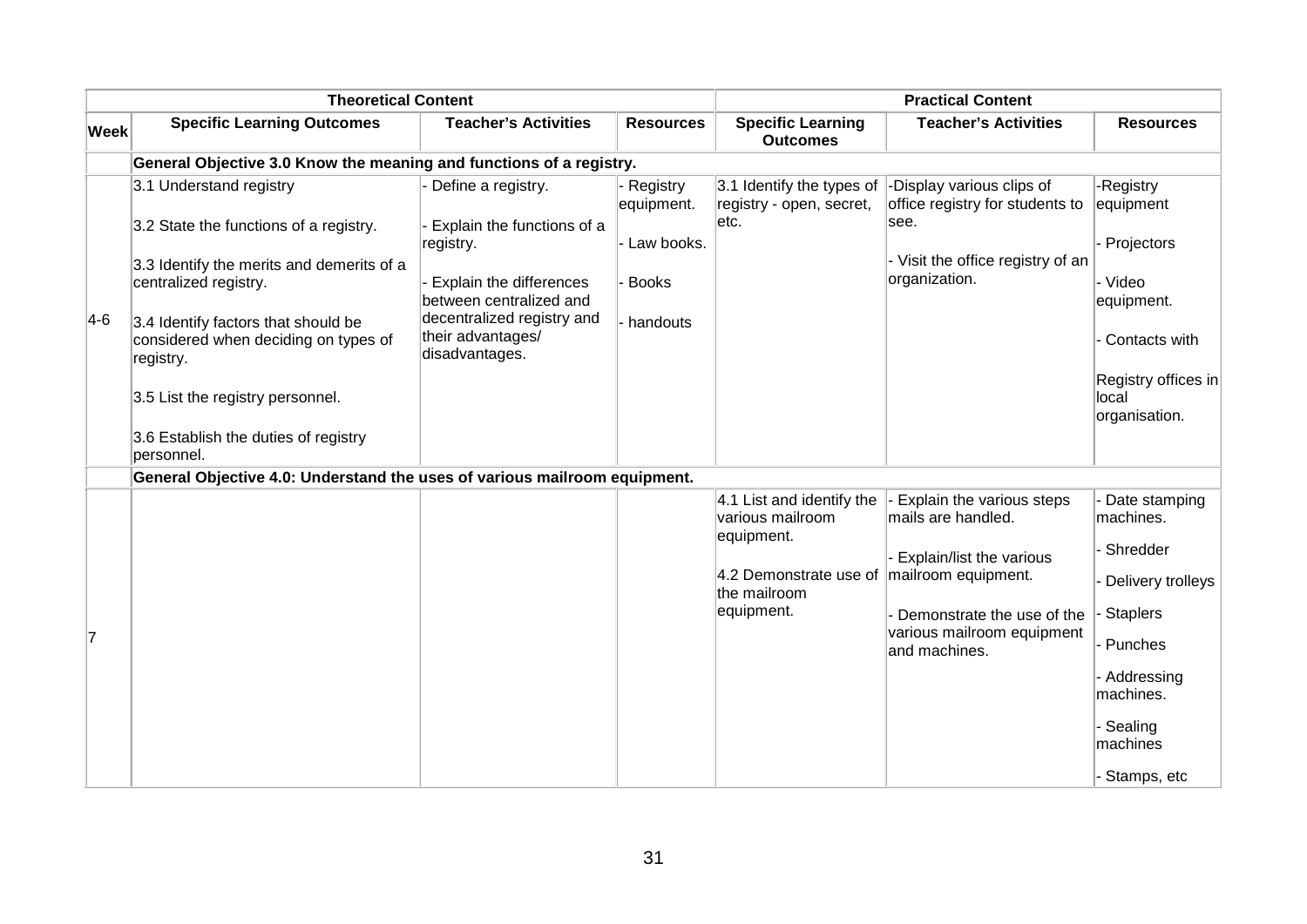|             | <b>Theoretical Content</b>                                                                                                                                                                                             |                                                                                                                                                                        |                                                                   |                                                                                                                                              | <b>Practical Content</b>                                                                                                                                 |                                                                                                                                             |
|-------------|------------------------------------------------------------------------------------------------------------------------------------------------------------------------------------------------------------------------|------------------------------------------------------------------------------------------------------------------------------------------------------------------------|-------------------------------------------------------------------|----------------------------------------------------------------------------------------------------------------------------------------------|----------------------------------------------------------------------------------------------------------------------------------------------------------|---------------------------------------------------------------------------------------------------------------------------------------------|
| <b>Week</b> | <b>Specific Learning Outcomes</b>                                                                                                                                                                                      | <b>Teacher's Activities</b>                                                                                                                                            | <b>Resources</b>                                                  | <b>Specific Learning</b><br><b>Outcomes</b>                                                                                                  | <b>Teacher's Activities</b>                                                                                                                              | <b>Resources</b>                                                                                                                            |
|             | General Objective 3.0 Know the meaning and functions of a registry.                                                                                                                                                    |                                                                                                                                                                        |                                                                   |                                                                                                                                              |                                                                                                                                                          |                                                                                                                                             |
| $4-6$       | 3.1 Understand registry<br>3.2 State the functions of a registry.<br>3.3 Identify the merits and demerits of a<br>centralized registry.<br>3.4 Identify factors that should be<br>considered when deciding on types of | Define a registry.<br>Explain the functions of a<br>registry.<br>Explain the differences<br>between centralized and<br>decentralized registry and<br>their advantages/ | - Registry<br>equipment.<br>- Law books.<br>- Books<br>- handouts | 3.1 Identify the types of<br>registry - open, secret,<br>letc.                                                                               | -Display various clips of<br>office registry for students to<br>lsee.<br>- Visit the office registry of an<br>organization.                              | <b>Registry</b><br>equipment<br>Projectors<br>- Video<br>equipment.<br>Contacts with                                                        |
|             | registry.<br>3.5 List the registry personnel.<br>3.6 Establish the duties of registry<br>personnel.                                                                                                                    | disadvantages.                                                                                                                                                         |                                                                   |                                                                                                                                              |                                                                                                                                                          | Registry offices in<br>local<br>organisation.                                                                                               |
|             | General Objective 4.0: Understand the uses of various mailroom equipment.                                                                                                                                              |                                                                                                                                                                        |                                                                   |                                                                                                                                              |                                                                                                                                                          |                                                                                                                                             |
| 7           |                                                                                                                                                                                                                        |                                                                                                                                                                        |                                                                   | 4.1 List and identify the<br>various mailroom<br>equipment.<br>4.2 Demonstrate use of $\ $ mailroom equipment.<br>the mailroom<br>equipment. | Explain the various steps<br>mails are handled.<br>Explain/list the various<br>Demonstrate the use of the<br>various mailroom equipment<br>and machines. | Date stamping<br>machines.<br>Shredder<br>Delivery trolleys<br><b>Staplers</b><br>Punches<br>Addressing<br>machines.<br>Sealing<br>machines |
|             |                                                                                                                                                                                                                        |                                                                                                                                                                        |                                                                   |                                                                                                                                              |                                                                                                                                                          | Stamps, etc                                                                                                                                 |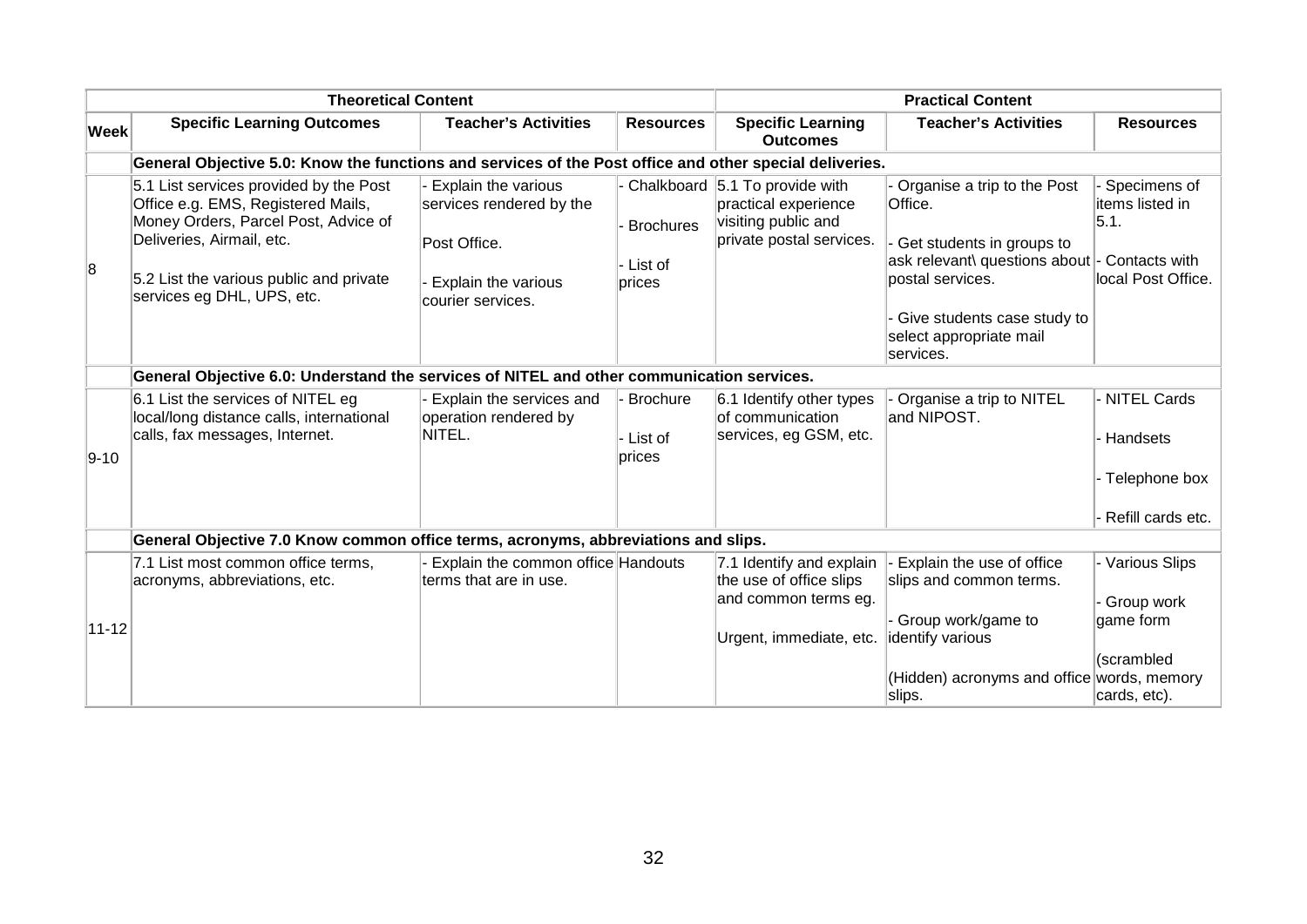|           | <b>Theoretical Content</b>                                                                                                                                                                                                 |                                                                                                             |                                  |                                                                                                           | <b>Practical Content</b>                                                                                                                                                                                        |                                                                          |
|-----------|----------------------------------------------------------------------------------------------------------------------------------------------------------------------------------------------------------------------------|-------------------------------------------------------------------------------------------------------------|----------------------------------|-----------------------------------------------------------------------------------------------------------|-----------------------------------------------------------------------------------------------------------------------------------------------------------------------------------------------------------------|--------------------------------------------------------------------------|
| Week      | <b>Specific Learning Outcomes</b>                                                                                                                                                                                          | <b>Teacher's Activities</b>                                                                                 | <b>Resources</b>                 | <b>Specific Learning</b><br><b>Outcomes</b>                                                               | <b>Teacher's Activities</b>                                                                                                                                                                                     | <b>Resources</b>                                                         |
|           | General Objective 5.0: Know the functions and services of the Post office and other special deliveries.                                                                                                                    |                                                                                                             |                                  |                                                                                                           |                                                                                                                                                                                                                 |                                                                          |
| 8         | 5.1 List services provided by the Post<br>Office e.g. EMS, Registered Mails,<br>Money Orders, Parcel Post, Advice of<br>Deliveries, Airmail, etc.<br>5.2 List the various public and private<br>services eg DHL, UPS, etc. | Explain the various<br>services rendered by the<br>Post Office.<br>Explain the various<br>courier services. | Brochures<br>- List of<br>prices | Chalkboard 5.1 To provide with<br>practical experience<br>visiting public and<br>private postal services. | Organise a trip to the Post<br>Office.<br>Get students in groups to<br>ask relevant\ questions about - Contacts with<br>postal services.<br>Give students case study to<br>select appropriate mail<br>services. | Specimens of<br>items listed in<br>5.1.<br>local Post Office.            |
|           | General Objective 6.0: Understand the services of NITEL and other communication services.                                                                                                                                  |                                                                                                             |                                  |                                                                                                           |                                                                                                                                                                                                                 |                                                                          |
| $9 - 10$  | 6.1 List the services of NITEL eg<br>local/long distance calls, international<br>calls, fax messages, Internet.                                                                                                            | Explain the services and<br>operation rendered by<br>NITEL.                                                 | Brochure<br>- List of<br>prices  | 6.1 Identify other types<br>lof communication<br>services, eg GSM, etc.                                   | Organise a trip to NITEL<br>and NIPOST.                                                                                                                                                                         | - NITEL Cards<br>Handsets<br>- Telephone box<br>Refill cards etc.        |
|           | General Objective 7.0 Know common office terms, acronyms, abbreviations and slips.                                                                                                                                         |                                                                                                             |                                  |                                                                                                           |                                                                                                                                                                                                                 |                                                                          |
| $11 - 12$ | 7.1 List most common office terms,<br>acronyms, abbreviations, etc.                                                                                                                                                        | Explain the common office Handouts<br>terms that are in use.                                                |                                  | 7.1 Identify and explain<br>the use of office slips<br>and common terms eg.<br>Urgent, immediate, etc.    | Explain the use of office<br>slips and common terms.<br>Group work/game to<br>identify various<br>(Hidden) acronyms and office words, memory<br>slips.                                                          | - Various Slips<br>Group work<br>game form<br>(scrambled<br>cards, etc). |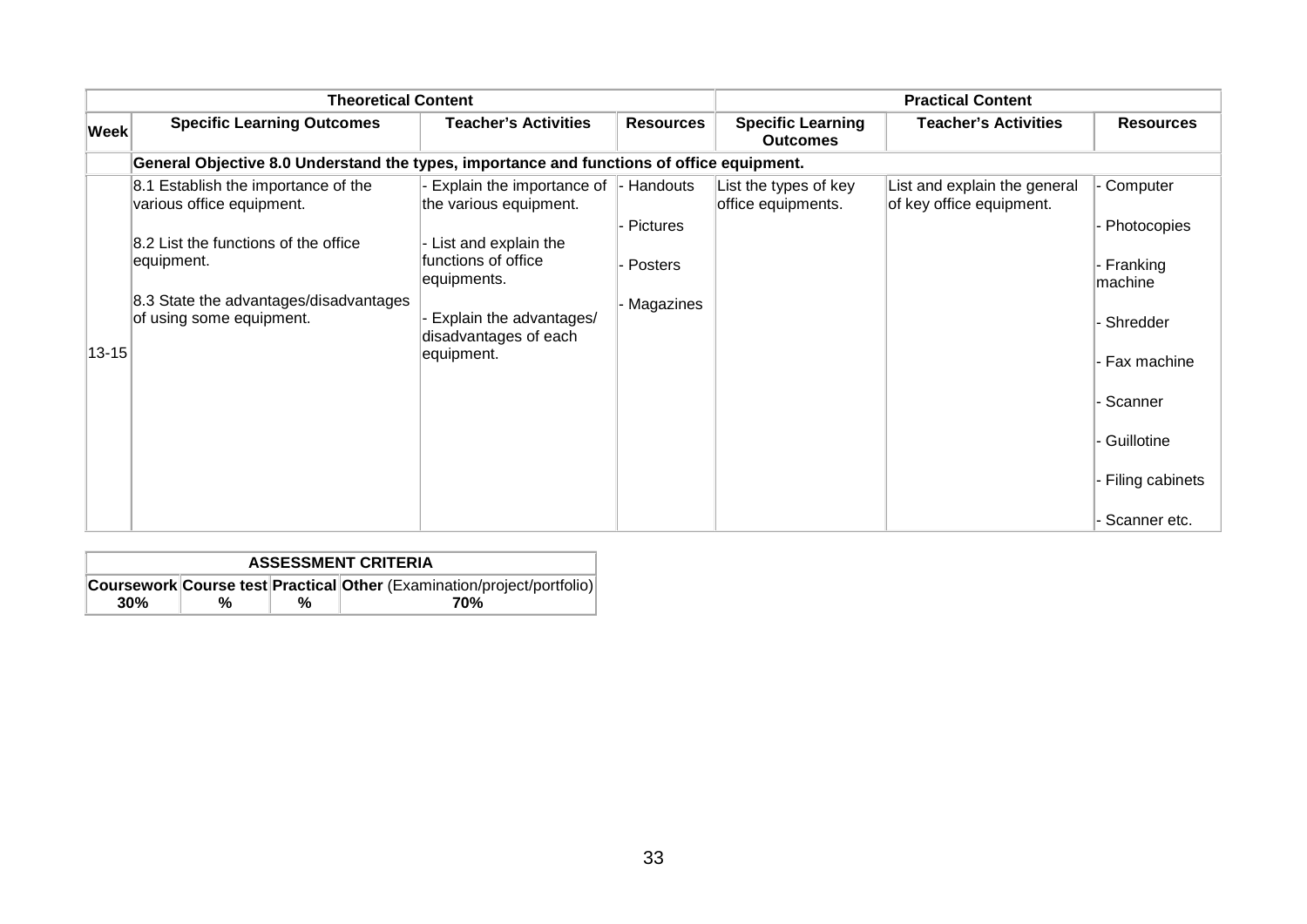|             | <b>Theoretical Content</b>                                                                                                                                                                   |                                                                                                                                                                                     |                                                      | <b>Practical Content</b>                    |                                                          |                                                                                                                |
|-------------|----------------------------------------------------------------------------------------------------------------------------------------------------------------------------------------------|-------------------------------------------------------------------------------------------------------------------------------------------------------------------------------------|------------------------------------------------------|---------------------------------------------|----------------------------------------------------------|----------------------------------------------------------------------------------------------------------------|
| <b>Week</b> | <b>Specific Learning Outcomes</b>                                                                                                                                                            | <b>Teacher's Activities</b>                                                                                                                                                         | <b>Resources</b>                                     | <b>Specific Learning</b><br><b>Outcomes</b> | <b>Teacher's Activities</b>                              | <b>Resources</b>                                                                                               |
|             | General Objective 8.0 Understand the types, importance and functions of office equipment.                                                                                                    |                                                                                                                                                                                     |                                                      |                                             |                                                          |                                                                                                                |
| $13 - 15$   | 8.1 Establish the importance of the<br>various office equipment.<br>8.2 List the functions of the office<br>equipment.<br>8.3 State the advantages/disadvantages<br>of using some equipment. | Explain the importance of<br>the various equipment.<br>List and explain the<br>functions of office<br>equipments.<br>Explain the advantages/<br>disadvantages of each<br>equipment. | - Handouts<br>- Pictures<br>- Posters<br>- Magazines | List the types of key<br>office equipments. | List and explain the general<br>of key office equipment. | - Computer<br>- Photocopies<br>- Franking<br>machine<br>- Shredder<br>- Fax machine<br>- Scanner<br>Guillotine |
|             |                                                                                                                                                                                              |                                                                                                                                                                                     |                                                      |                                             |                                                          | - Filing cabinets<br>- Scanner etc.                                                                            |

|     | <b>ASSESSMENT CRITERIA</b> |                                                                        |     |  |  |  |  |
|-----|----------------------------|------------------------------------------------------------------------|-----|--|--|--|--|
|     |                            | Coursework Course test Practical Other (Examination/project/portfolio) |     |  |  |  |  |
| 30% | %                          | %                                                                      | 70% |  |  |  |  |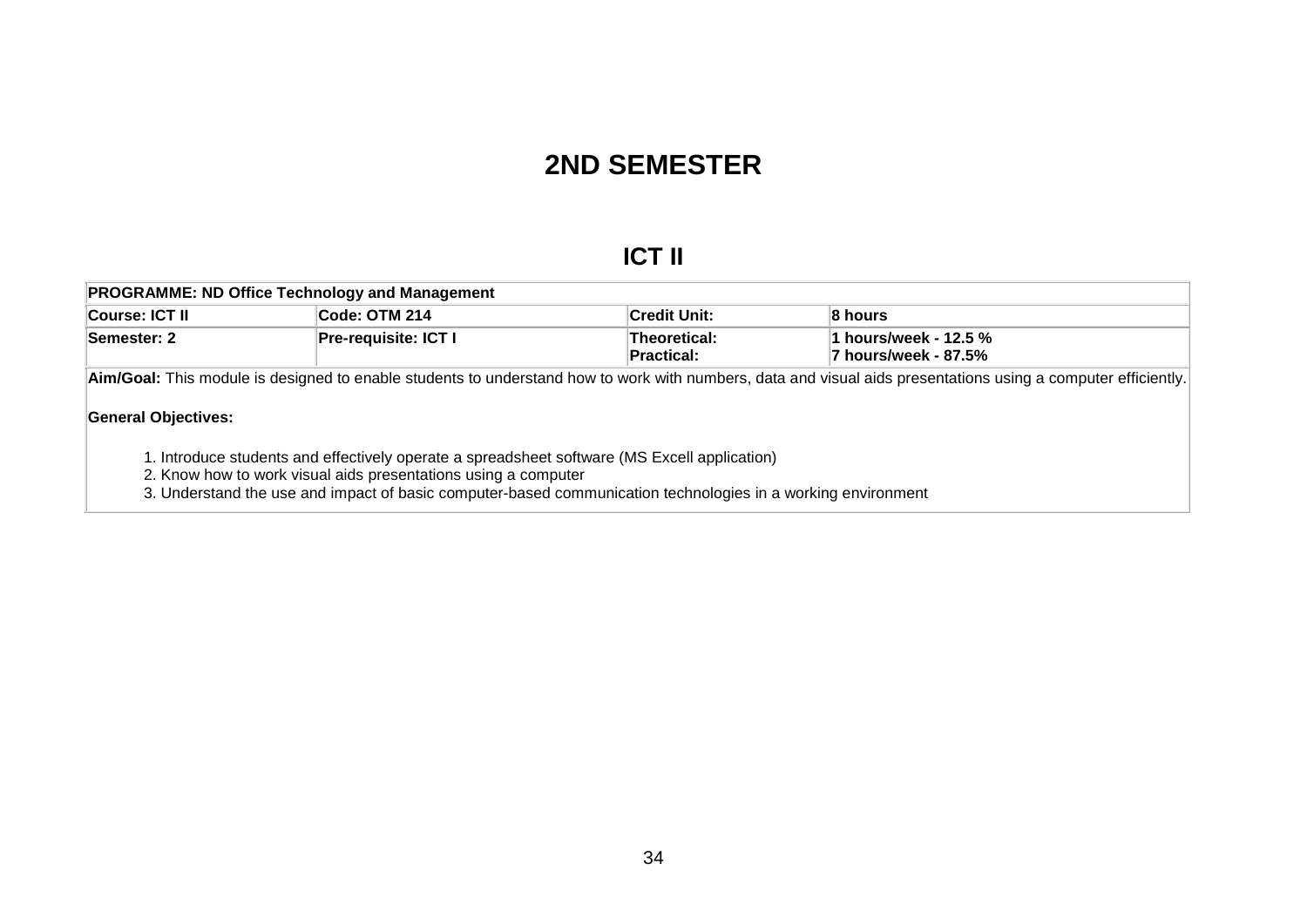## **2ND SEMESTER**

## **ICT II**

| <b>PROGRAMME: ND Office Technology and Management</b> |                       |                     |                       |
|-------------------------------------------------------|-----------------------|---------------------|-----------------------|
| <b>∣Course: ICT II</b>                                | ∣Code: OTM 214        | <b>Credit Unit:</b> | ∣8 hours              |
| Semester: 2                                           | ∣Pre-requisite: ICT I | Theoretical:        | 1 hours/week - 12.5 % |
|                                                       |                       | ∣Practical:         | 7 hours/week - 87.5%  |
|                                                       |                       |                     |                       |

**Aim/Goal:** This module is designed to enable students to understand how to work with numbers, data and visual aids presentations using a computer efficiently.

### **General Objectives:**

1. Introduce students and effectively operate a spreadsheet software (MS Excell application)

2. Know how to work visual aids presentations using a computer

<span id="page-35-0"></span>3. Understand the use and impact of basic computer-based communication technologies in a working environment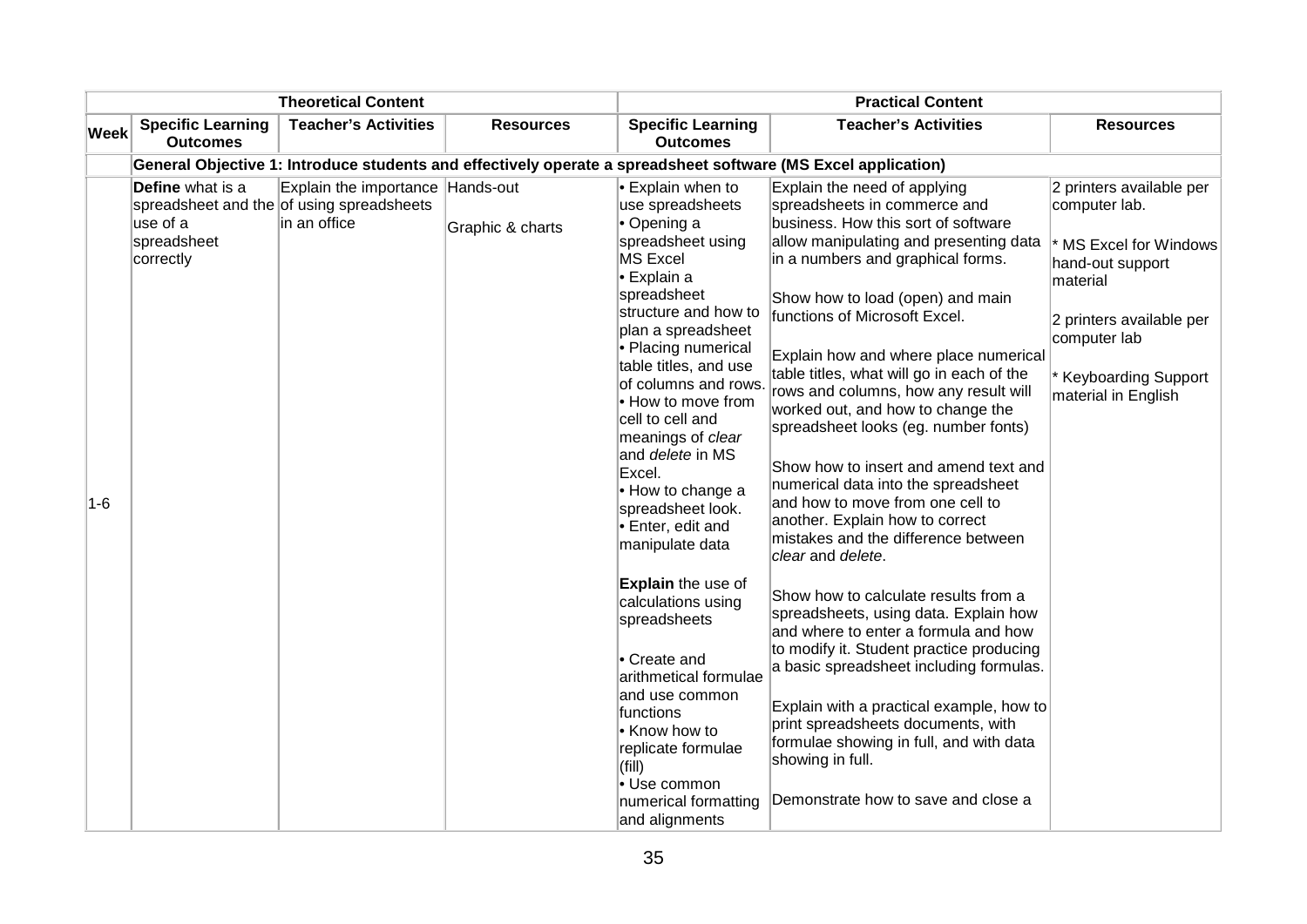|             |                                                                 | <b>Theoretical Content</b>                                                                    |                  |                                                                                                                                                                                                                                                                                                                                                                                                                                                            | <b>Practical Content</b>                                                                                                                                                                                                                                                                                                                                                                                                                                                                                                                                                                                                                                                               |                                                                                                                                                                                             |
|-------------|-----------------------------------------------------------------|-----------------------------------------------------------------------------------------------|------------------|------------------------------------------------------------------------------------------------------------------------------------------------------------------------------------------------------------------------------------------------------------------------------------------------------------------------------------------------------------------------------------------------------------------------------------------------------------|----------------------------------------------------------------------------------------------------------------------------------------------------------------------------------------------------------------------------------------------------------------------------------------------------------------------------------------------------------------------------------------------------------------------------------------------------------------------------------------------------------------------------------------------------------------------------------------------------------------------------------------------------------------------------------------|---------------------------------------------------------------------------------------------------------------------------------------------------------------------------------------------|
| <b>Week</b> | <b>Specific Learning</b><br><b>Outcomes</b>                     | <b>Teacher's Activities</b>                                                                   | <b>Resources</b> | <b>Specific Learning</b><br><b>Outcomes</b>                                                                                                                                                                                                                                                                                                                                                                                                                | <b>Teacher's Activities</b>                                                                                                                                                                                                                                                                                                                                                                                                                                                                                                                                                                                                                                                            | <b>Resources</b>                                                                                                                                                                            |
|             |                                                                 |                                                                                               |                  |                                                                                                                                                                                                                                                                                                                                                                                                                                                            | General Objective 1: Introduce students and effectively operate a spreadsheet software (MS Excel application)                                                                                                                                                                                                                                                                                                                                                                                                                                                                                                                                                                          |                                                                                                                                                                                             |
| $1-6$       | <b>Define</b> what is a<br>use of a<br>spreadsheet<br>correctly | Explain the importance Hands-out<br>spreadsheet and the of using spreadsheets<br>in an office | Graphic & charts | $\cdot$ Explain when to<br>use spreadsheets<br>$\bullet$ Opening a<br>spreadsheet using<br>MS Excel<br>l• Explain a<br>spreadsheet<br>structure and how to<br>plan a spreadsheet<br>• Placing numerical<br>table titles, and use<br>of columns and rows.<br>$\bullet$ How to move from<br>cell to cell and<br>meanings of clear<br>and <i>delete</i> in MS<br>Excel.<br>$\cdot$ How to change a<br>spreadsheet look.<br>Enter, edit and<br>manipulate data | Explain the need of applying<br>spreadsheets in commerce and<br>business. How this sort of software<br>allow manipulating and presenting data<br>in a numbers and graphical forms.<br>Show how to load (open) and main<br>functions of Microsoft Excel.<br>Explain how and where place numerical<br>table titles, what will go in each of the<br>rows and columns, how any result will<br>worked out, and how to change the<br>spreadsheet looks (eg. number fonts)<br>Show how to insert and amend text and<br>numerical data into the spreadsheet<br>and how to move from one cell to<br>another. Explain how to correct<br>mistakes and the difference between<br>clear and delete. | 2 printers available per<br>computer lab.<br>MS Excel for Windows<br>hand-out support<br>material<br>2 printers available per<br>computer lab<br>Keyboarding Support<br>material in English |
|             |                                                                 |                                                                                               |                  | Explain the use of<br>calculations using<br>spreadsheets<br>Create and<br>arithmetical formulae<br>and use common<br>functions<br>$\cdot$ Know how to<br>replicate formulae<br>(fill)<br>• Use common<br>numerical formatting<br>and alignments                                                                                                                                                                                                            | Show how to calculate results from a<br>spreadsheets, using data. Explain how<br>and where to enter a formula and how<br>to modify it. Student practice producing<br>a basic spreadsheet including formulas.<br>Explain with a practical example, how to<br>print spreadsheets documents, with<br>formulae showing in full, and with data<br>showing in full.<br>Demonstrate how to save and close a                                                                                                                                                                                                                                                                                   |                                                                                                                                                                                             |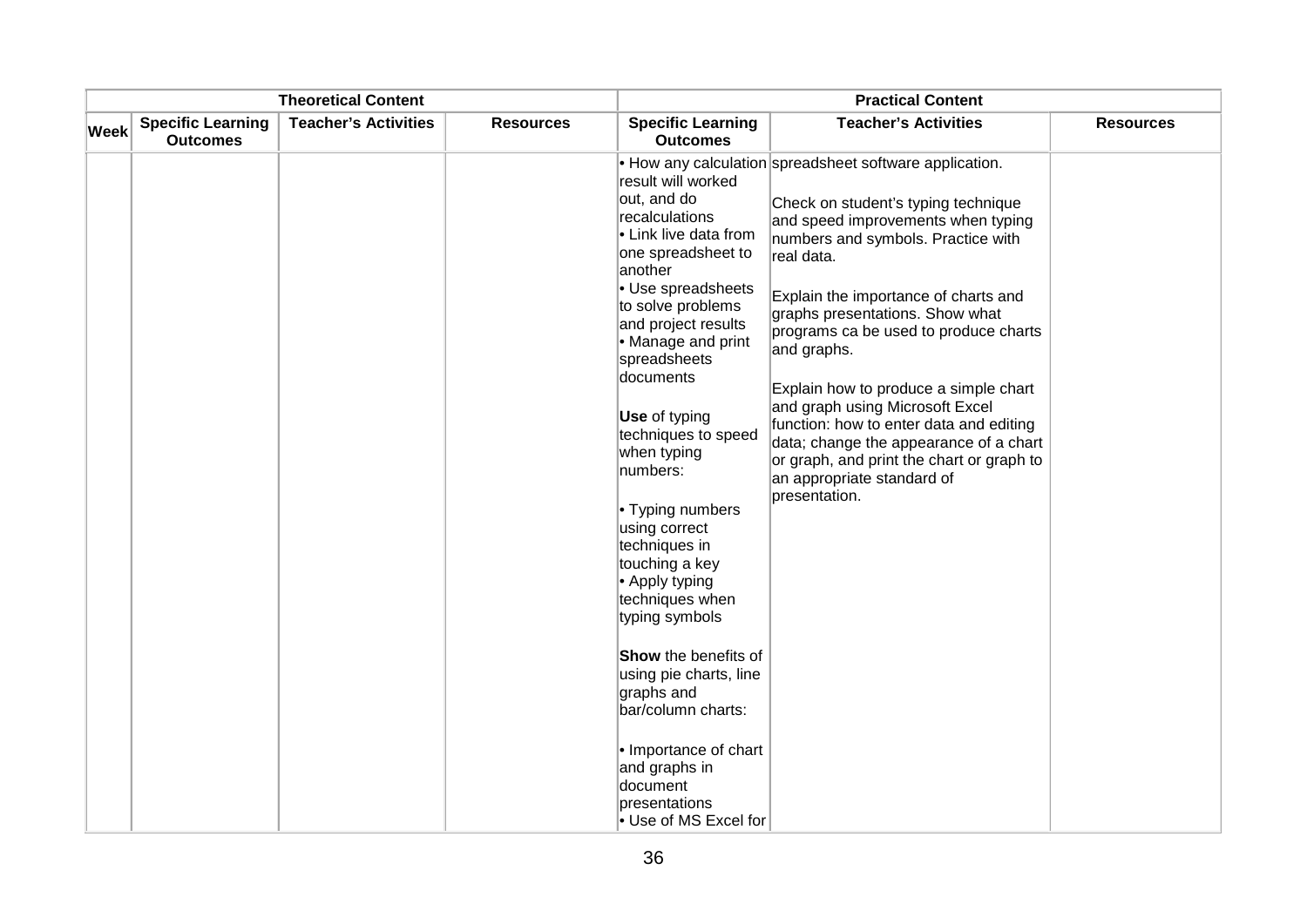|             |                                             | <b>Theoretical Content</b>  |                  |                                                                                                                                                                                                                                                                                                                                                                                                                                                                                                                                                                                                                            | <b>Practical Content</b>                                                                                                                                                                                                                                                                                                                                                                                                                                                                                                                                                                 |                  |
|-------------|---------------------------------------------|-----------------------------|------------------|----------------------------------------------------------------------------------------------------------------------------------------------------------------------------------------------------------------------------------------------------------------------------------------------------------------------------------------------------------------------------------------------------------------------------------------------------------------------------------------------------------------------------------------------------------------------------------------------------------------------------|------------------------------------------------------------------------------------------------------------------------------------------------------------------------------------------------------------------------------------------------------------------------------------------------------------------------------------------------------------------------------------------------------------------------------------------------------------------------------------------------------------------------------------------------------------------------------------------|------------------|
| <b>Week</b> | <b>Specific Learning</b><br><b>Outcomes</b> | <b>Teacher's Activities</b> | <b>Resources</b> | <b>Specific Learning</b><br><b>Outcomes</b>                                                                                                                                                                                                                                                                                                                                                                                                                                                                                                                                                                                | <b>Teacher's Activities</b>                                                                                                                                                                                                                                                                                                                                                                                                                                                                                                                                                              | <b>Resources</b> |
|             |                                             |                             |                  | result will worked<br>out, and do<br>recalculations<br>• Link live data from<br>one spreadsheet to<br>another<br>• Use spreadsheets<br>to solve problems<br>and project results<br>• Manage and print<br>spreadsheets<br>documents<br>Use of typing<br>techniques to speed<br>when typing<br>numbers:<br>• Typing numbers<br>using correct<br>techniques in<br>touching a key<br>• Apply typing<br>techniques when<br>typing symbols<br>Show the benefits of<br>using pie charts, line<br>graphs and<br>bar/column charts:<br>• Importance of chart<br>and graphs in<br>document<br>presentations<br>• Use of MS Excel for | • How any calculation spreadsheet software application.<br>Check on student's typing technique<br>and speed improvements when typing<br>numbers and symbols. Practice with<br>real data.<br>Explain the importance of charts and<br>graphs presentations. Show what<br>programs ca be used to produce charts<br>and graphs.<br>Explain how to produce a simple chart<br>and graph using Microsoft Excel<br>function: how to enter data and editing<br>data; change the appearance of a chart<br>or graph, and print the chart or graph to<br>an appropriate standard of<br>presentation. |                  |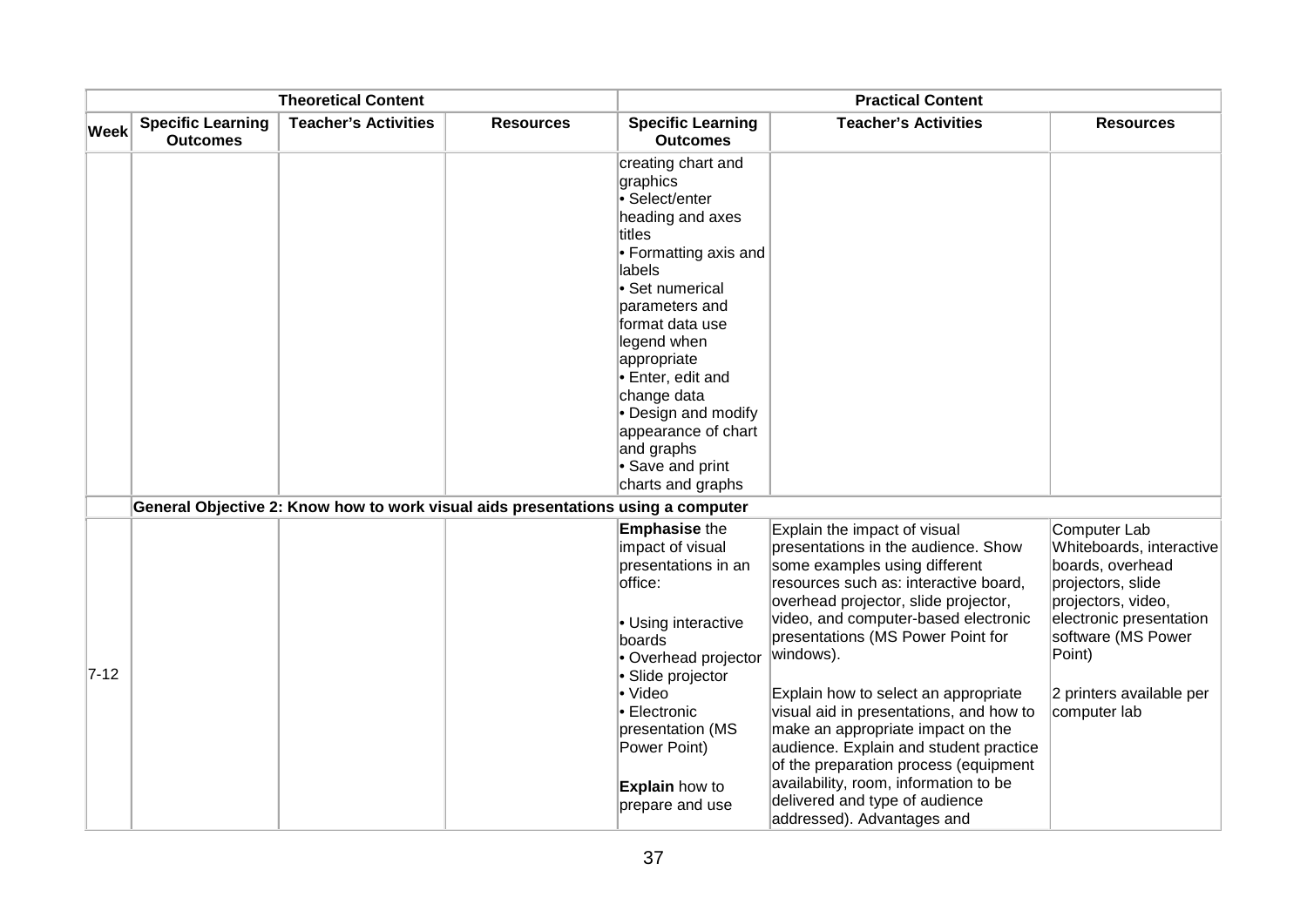|             |                                             | <b>Theoretical Content</b>                                                       |                  |                                                                                                                                                                                                                                                                                                                                                  | <b>Practical Content</b>                                                                                                                                                                                                                                                                                                                                                                                                                                                                                                                                                                            |                                                                                                                                                                                                                |
|-------------|---------------------------------------------|----------------------------------------------------------------------------------|------------------|--------------------------------------------------------------------------------------------------------------------------------------------------------------------------------------------------------------------------------------------------------------------------------------------------------------------------------------------------|-----------------------------------------------------------------------------------------------------------------------------------------------------------------------------------------------------------------------------------------------------------------------------------------------------------------------------------------------------------------------------------------------------------------------------------------------------------------------------------------------------------------------------------------------------------------------------------------------------|----------------------------------------------------------------------------------------------------------------------------------------------------------------------------------------------------------------|
| <b>Week</b> | <b>Specific Learning</b><br><b>Outcomes</b> | <b>Teacher's Activities</b>                                                      | <b>Resources</b> | <b>Specific Learning</b><br><b>Outcomes</b>                                                                                                                                                                                                                                                                                                      | <b>Teacher's Activities</b>                                                                                                                                                                                                                                                                                                                                                                                                                                                                                                                                                                         | <b>Resources</b>                                                                                                                                                                                               |
|             |                                             |                                                                                  |                  | creating chart and<br>graphics<br>• Select/enter<br>heading and axes<br>titles<br>• Formatting axis and<br>labels<br>• Set numerical<br>parameters and<br>format data use<br>legend when<br>appropriate<br>• Enter, edit and<br>change data<br>• Design and modify<br>appearance of chart<br>and graphs<br>• Save and print<br>charts and graphs |                                                                                                                                                                                                                                                                                                                                                                                                                                                                                                                                                                                                     |                                                                                                                                                                                                                |
|             |                                             | General Objective 2: Know how to work visual aids presentations using a computer |                  |                                                                                                                                                                                                                                                                                                                                                  |                                                                                                                                                                                                                                                                                                                                                                                                                                                                                                                                                                                                     |                                                                                                                                                                                                                |
| $7 - 12$    |                                             |                                                                                  |                  | <b>Emphasise the</b><br>impact of visual<br>presentations in an<br>office:<br>• Using interactive<br>boards<br>• Overhead projector<br>• Slide projector<br>• Video<br>• Electronic<br>presentation (MS<br>Power Point)<br><b>Explain</b> how to<br>prepare and use                                                                              | Explain the impact of visual<br>presentations in the audience. Show<br>some examples using different<br>resources such as: interactive board,<br>overhead projector, slide projector,<br>video, and computer-based electronic<br>presentations (MS Power Point for<br>windows).<br>Explain how to select an appropriate<br>visual aid in presentations, and how to<br>make an appropriate impact on the<br>audience. Explain and student practice<br>of the preparation process (equipment<br>availability, room, information to be<br>delivered and type of audience<br>addressed). Advantages and | Computer Lab<br>Whiteboards, interactive<br>boards, overhead<br>projectors, slide<br>projectors, video,<br>electronic presentation<br>software (MS Power<br>Point)<br>2 printers available per<br>computer lab |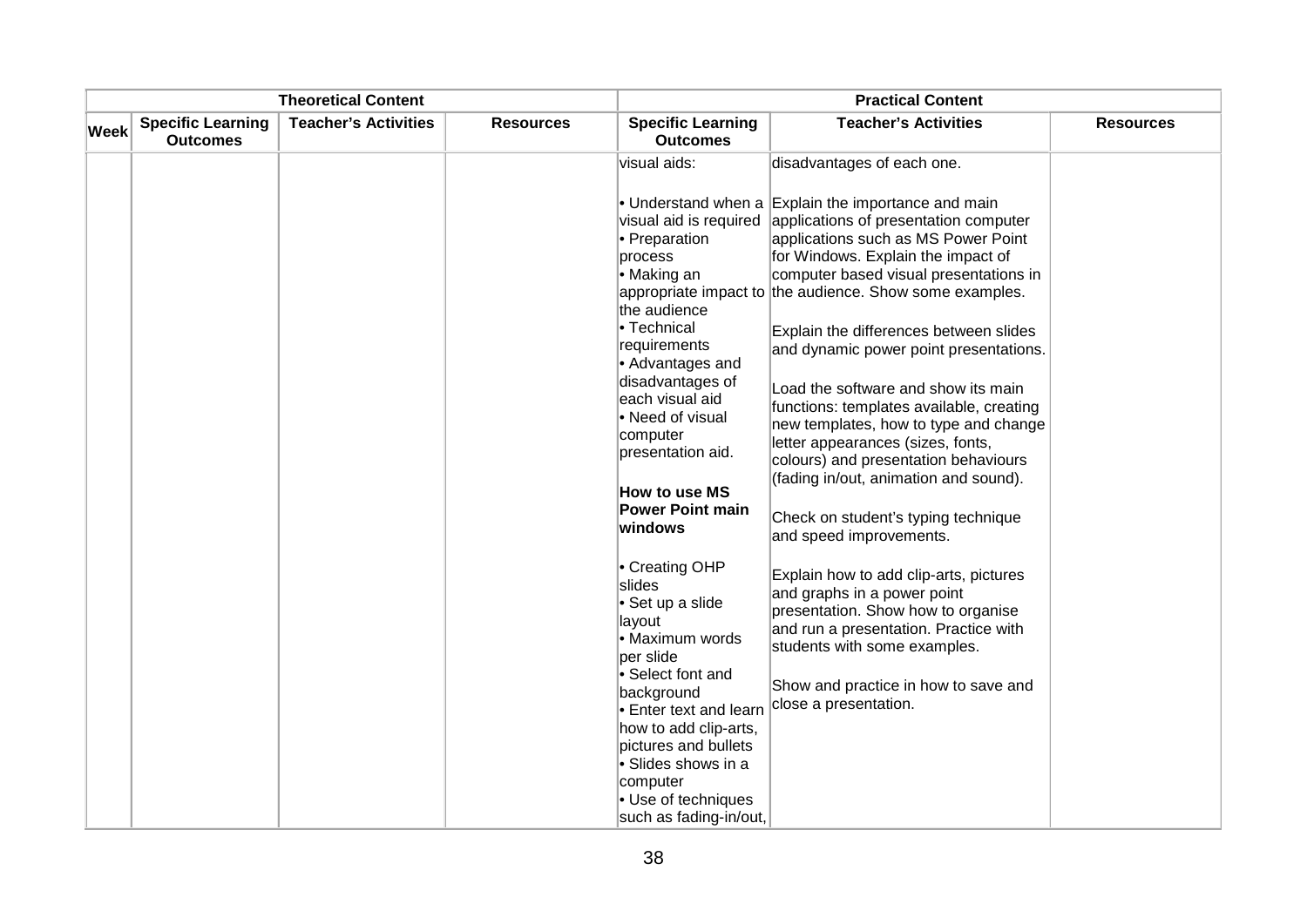|      |                                             | <b>Theoretical Content</b>  |                  |                                                                                                                                                                                                                                                                                          | <b>Practical Content</b>                                                                                                                                                                                                                                                                                                                                                                                                                                                                                                                                                                                                                                    |                  |
|------|---------------------------------------------|-----------------------------|------------------|------------------------------------------------------------------------------------------------------------------------------------------------------------------------------------------------------------------------------------------------------------------------------------------|-------------------------------------------------------------------------------------------------------------------------------------------------------------------------------------------------------------------------------------------------------------------------------------------------------------------------------------------------------------------------------------------------------------------------------------------------------------------------------------------------------------------------------------------------------------------------------------------------------------------------------------------------------------|------------------|
| Week | <b>Specific Learning</b><br><b>Outcomes</b> | <b>Teacher's Activities</b> | <b>Resources</b> | <b>Specific Learning</b><br><b>Outcomes</b>                                                                                                                                                                                                                                              | <b>Teacher's Activities</b>                                                                                                                                                                                                                                                                                                                                                                                                                                                                                                                                                                                                                                 | <b>Resources</b> |
|      |                                             |                             |                  | visual aids:                                                                                                                                                                                                                                                                             | disadvantages of each one.                                                                                                                                                                                                                                                                                                                                                                                                                                                                                                                                                                                                                                  |                  |
|      |                                             |                             |                  | visual aid is required<br>• Preparation<br>process<br>• Making an<br>the audience<br>• Technical<br>requirements<br>• Advantages and<br>disadvantages of<br>each visual aid<br>• Need of visual<br>computer<br>presentation aid.<br>How to use MS<br><b>Power Point main</b><br>windows  | • Understand when a Explain the importance and main<br>applications of presentation computer<br>applications such as MS Power Point<br>for Windows. Explain the impact of<br>computer based visual presentations in<br>appropriate impact to the audience. Show some examples.<br>Explain the differences between slides<br>and dynamic power point presentations.<br>Load the software and show its main<br>functions: templates available, creating<br>new templates, how to type and change<br>letter appearances (sizes, fonts,<br>colours) and presentation behaviours<br>(fading in/out, animation and sound).<br>Check on student's typing technique |                  |
|      |                                             |                             |                  | • Creating OHP<br>slides<br>• Set up a slide<br>layout<br>• Maximum words<br>per slide<br>• Select font and<br>background<br>• Enter text and learn<br>how to add clip-arts,<br>pictures and bullets<br>• Slides shows in a<br>computer<br>• Use of techniques<br>such as fading-in/out, | and speed improvements.<br>Explain how to add clip-arts, pictures<br>and graphs in a power point<br>presentation. Show how to organise<br>and run a presentation. Practice with<br>students with some examples.<br>Show and practice in how to save and<br>close a presentation.                                                                                                                                                                                                                                                                                                                                                                            |                  |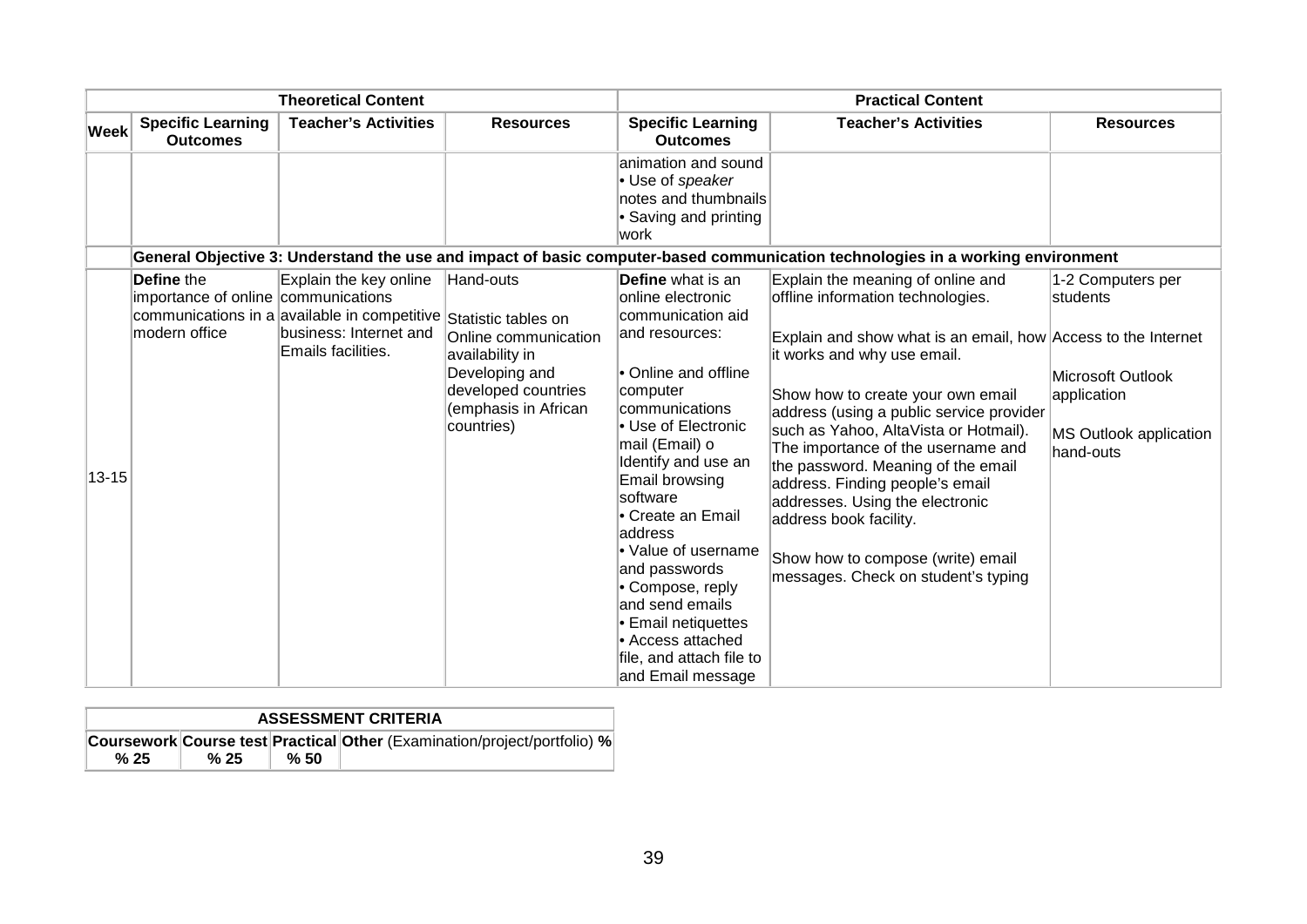|             |                                                   | <b>Theoretical Content</b>                                                                 |                                                                                                                        |                                                                                                                                                                                                                                                                                                                                                                                 | <b>Practical Content</b>                                                                                                                                                                                                                                                                                                                                                                                                                                                       |                                                                         |
|-------------|---------------------------------------------------|--------------------------------------------------------------------------------------------|------------------------------------------------------------------------------------------------------------------------|---------------------------------------------------------------------------------------------------------------------------------------------------------------------------------------------------------------------------------------------------------------------------------------------------------------------------------------------------------------------------------|--------------------------------------------------------------------------------------------------------------------------------------------------------------------------------------------------------------------------------------------------------------------------------------------------------------------------------------------------------------------------------------------------------------------------------------------------------------------------------|-------------------------------------------------------------------------|
| <b>Week</b> | <b>Specific Learning</b><br><b>Outcomes</b>       | <b>Teacher's Activities</b>                                                                | <b>Resources</b>                                                                                                       | <b>Specific Learning</b><br><b>Outcomes</b>                                                                                                                                                                                                                                                                                                                                     | <b>Teacher's Activities</b>                                                                                                                                                                                                                                                                                                                                                                                                                                                    | <b>Resources</b>                                                        |
|             |                                                   |                                                                                            |                                                                                                                        | animation and sound<br>• Use of speaker<br>notes and thumbnails<br>• Saving and printing<br>work                                                                                                                                                                                                                                                                                |                                                                                                                                                                                                                                                                                                                                                                                                                                                                                |                                                                         |
|             |                                                   |                                                                                            |                                                                                                                        |                                                                                                                                                                                                                                                                                                                                                                                 | General Objective 3: Understand the use and impact of basic computer-based communication technologies in a working environment                                                                                                                                                                                                                                                                                                                                                 |                                                                         |
|             | Define the<br>importance of online communications | Explain the key online<br>communications in a available in competitive Statistic tables on | Hand-outs                                                                                                              | Define what is an<br>online electronic<br>communication aid                                                                                                                                                                                                                                                                                                                     | Explain the meaning of online and<br>offline information technologies.                                                                                                                                                                                                                                                                                                                                                                                                         | 1-2 Computers per<br>lstudents                                          |
| 13-15       | modern office                                     | business: Internet and<br>Emails facilities.                                               | Online communication<br>availability in<br>Developing and<br>developed countries<br>(emphasis in African<br>countries) | and resources:<br>• Online and offline<br>computer<br>communications<br>• Use of Electronic<br>mail (Email) o<br>Identify and use an<br>Email browsing<br>software<br>Create an Email<br>address<br>• Value of username<br>and passwords<br>• Compose, reply<br>and send emails<br><b>Email netiquettes</b><br>Access attached<br>file, and attach file to<br>and Email message | Explain and show what is an email, how Access to the Internet<br>it works and why use email.<br>Show how to create your own email<br>address (using a public service provider<br>such as Yahoo, AltaVista or Hotmail).<br>The importance of the username and<br>the password. Meaning of the email<br>address. Finding people's email<br>addresses. Using the electronic<br>address book facility.<br>Show how to compose (write) email<br>messages. Check on student's typing | Microsoft Outlook<br>application<br>MS Outlook application<br>hand-outs |

| <b>ASSESSMENT CRITERIA</b> |      |     |                                                                                 |  |  |  |  |
|----------------------------|------|-----|---------------------------------------------------------------------------------|--|--|--|--|
|                            |      |     | <b>Coursework Course test Practical Other (Examination/project/portfolio) %</b> |  |  |  |  |
| %25                        | % 25 | %50 |                                                                                 |  |  |  |  |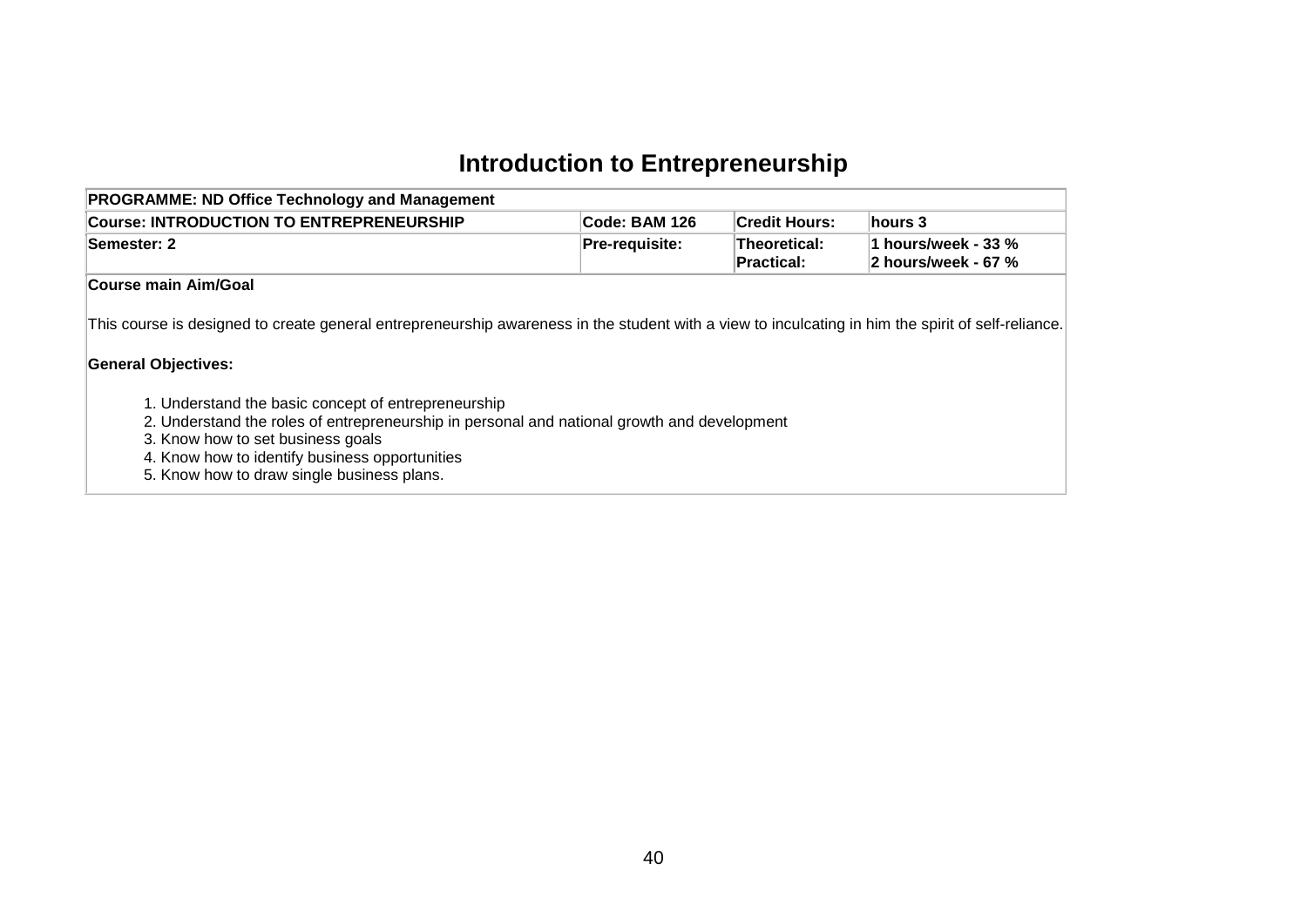# **Introduction to Entrepreneurship**

| <b>PROGRAMME: ND Office Technology and Management</b>                                                                                                                                                                                                                                   |                |                                   |                                                 |
|-----------------------------------------------------------------------------------------------------------------------------------------------------------------------------------------------------------------------------------------------------------------------------------------|----------------|-----------------------------------|-------------------------------------------------|
| <b>Course: INTRODUCTION TO ENTREPRENEURSHIP</b>                                                                                                                                                                                                                                         | Code: BAM 126  | <b>Credit Hours:</b>              | hours 3                                         |
| Semester: 2                                                                                                                                                                                                                                                                             | Pre-requisite: | <b>Theoretical:</b><br>Practical: | 1 hours/week - 33 $\%$<br>2 hours/week - 67 $%$ |
| Course main Aim/Goal                                                                                                                                                                                                                                                                    |                |                                   |                                                 |
| This course is designed to create general entrepreneurship awareness in the student with a view to inculcating in him the spirit of self-reliance.<br><b>General Objectives:</b>                                                                                                        |                |                                   |                                                 |
| 1. Understand the basic concept of entrepreneurship<br>2. Understand the roles of entrepreneurship in personal and national growth and development<br>3. Know how to set business goals<br>4. Know how to identify business opportunities<br>5. Know how to draw single business plans. |                |                                   |                                                 |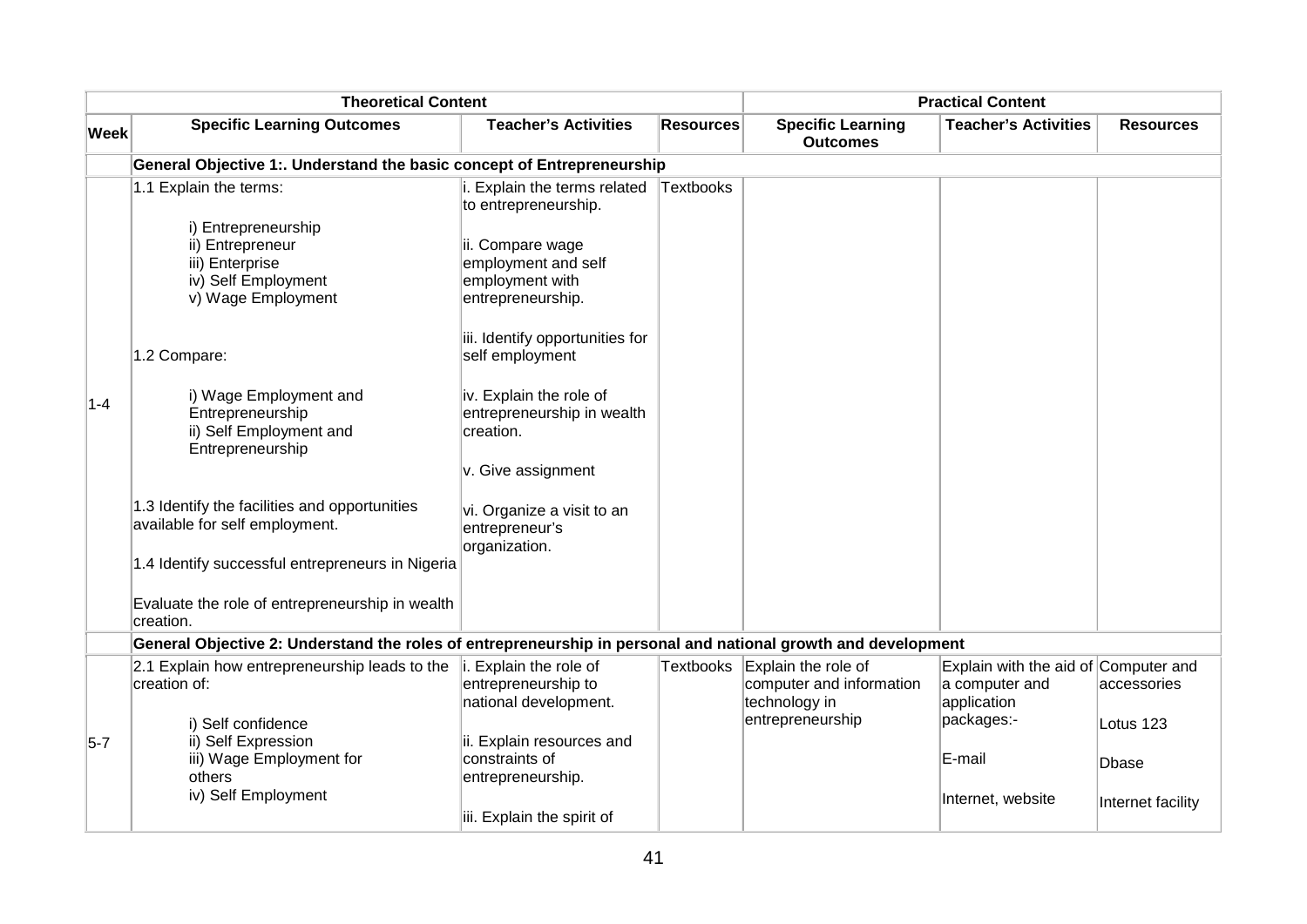|         | <b>Theoretical Content</b>                                                                                                          |                                                                                                                                                                            |                  |                                                                                                | <b>Practical Content</b>                                                            |                          |
|---------|-------------------------------------------------------------------------------------------------------------------------------------|----------------------------------------------------------------------------------------------------------------------------------------------------------------------------|------------------|------------------------------------------------------------------------------------------------|-------------------------------------------------------------------------------------|--------------------------|
| Week    | <b>Specific Learning Outcomes</b>                                                                                                   | <b>Teacher's Activities</b>                                                                                                                                                | <b>Resources</b> | <b>Specific Learning</b><br><b>Outcomes</b>                                                    | <b>Teacher's Activities</b>                                                         | <b>Resources</b>         |
|         | General Objective 1:. Understand the basic concept of Entrepreneurship                                                              |                                                                                                                                                                            |                  |                                                                                                |                                                                                     |                          |
|         | 1.1 Explain the terms:<br>i) Entrepreneurship<br>ii) Entrepreneur<br>iii) Enterprise<br>iv) Self Employment<br>v) Wage Employment   | i. Explain the terms related<br>to entrepreneurship.<br>ii. Compare wage<br>employment and self<br>employment with<br>entrepreneurship.<br>iii. Identify opportunities for | Textbooks        |                                                                                                |                                                                                     |                          |
| $1 - 4$ | 1.2 Compare:<br>i) Wage Employment and<br>Entrepreneurship<br>ii) Self Employment and<br>Entrepreneurship                           | self employment<br>iv. Explain the role of<br>entrepreneurship in wealth<br>creation.<br>v. Give assignment                                                                |                  |                                                                                                |                                                                                     |                          |
|         | 1.3 Identify the facilities and opportunities<br>available for self employment.<br>1.4 Identify successful entrepreneurs in Nigeria | vi. Organize a visit to an<br>entrepreneur's<br>organization.                                                                                                              |                  |                                                                                                |                                                                                     |                          |
|         | Evaluate the role of entrepreneurship in wealth<br>creation.                                                                        |                                                                                                                                                                            |                  |                                                                                                |                                                                                     |                          |
|         | General Objective 2: Understand the roles of entrepreneurship in personal and national growth and development                       |                                                                                                                                                                            |                  |                                                                                                |                                                                                     |                          |
|         | 2.1 Explain how entrepreneurship leads to the<br>creation of:<br>i) Self confidence                                                 | i. Explain the role of<br>entrepreneurship to<br>national development.                                                                                                     |                  | Textbooks Explain the role of<br>computer and information<br>technology in<br>entrepreneurship | Explain with the aid of Computer and<br>a computer and<br>application<br>packages:- | accessories<br>Lotus 123 |
| $5 - 7$ | ii) Self Expression<br>iii) Wage Employment for<br>others                                                                           | ii. Explain resources and<br>constraints of<br>entrepreneurship.                                                                                                           |                  |                                                                                                | E-mail                                                                              | Dbase                    |
|         | iv) Self Employment                                                                                                                 | iii. Explain the spirit of                                                                                                                                                 |                  |                                                                                                | Internet, website                                                                   | Internet facility        |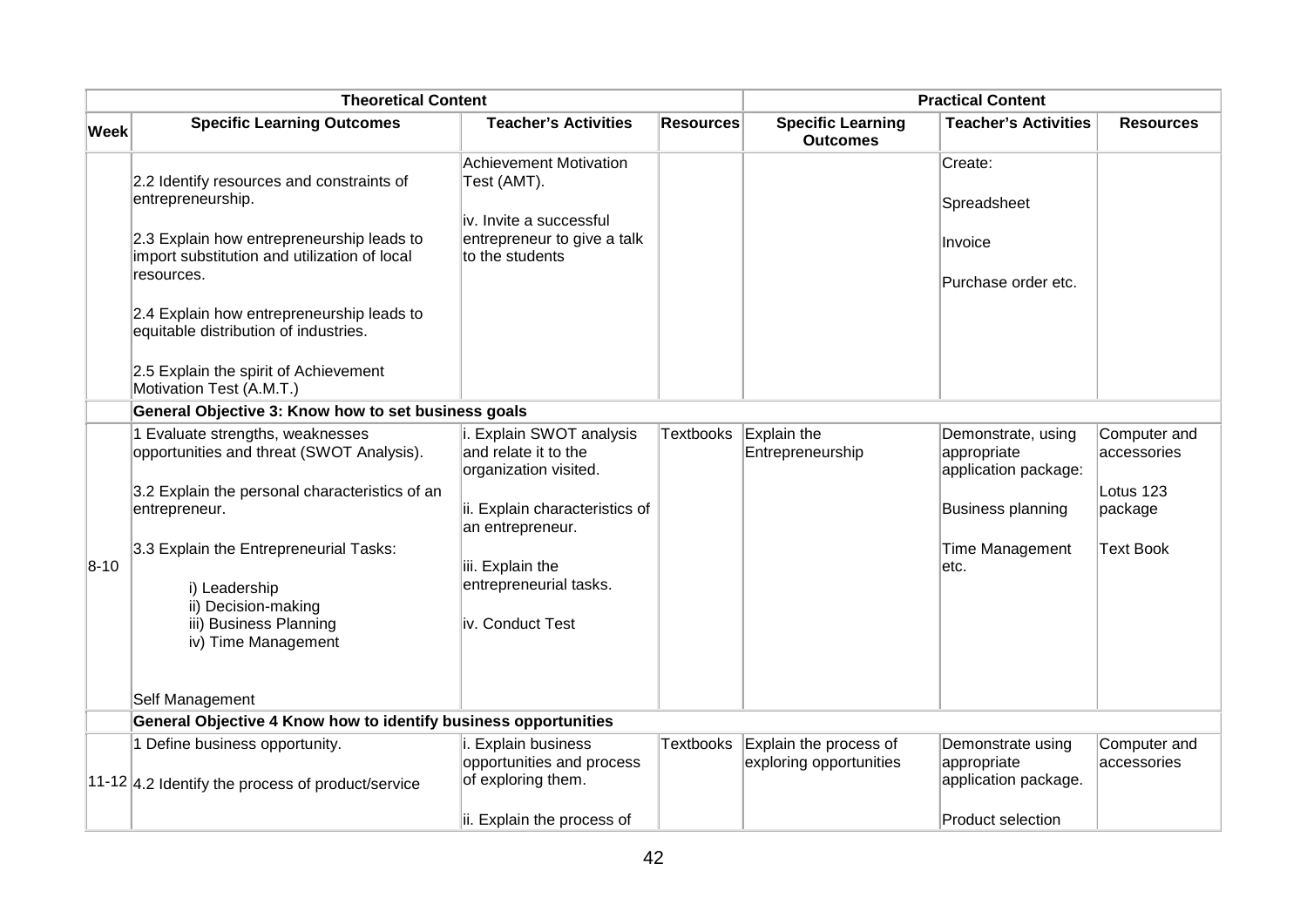|             | <b>Theoretical Content</b>                                                                              |                                                                           |                  |                                                   | <b>Practical Content</b>                                  |                             |
|-------------|---------------------------------------------------------------------------------------------------------|---------------------------------------------------------------------------|------------------|---------------------------------------------------|-----------------------------------------------------------|-----------------------------|
| <b>Week</b> | <b>Specific Learning Outcomes</b>                                                                       | <b>Teacher's Activities</b>                                               | <b>Resources</b> | <b>Specific Learning</b><br><b>Outcomes</b>       | <b>Teacher's Activities</b>                               | <b>Resources</b>            |
|             | 2.2 Identify resources and constraints of<br>entrepreneurship.                                          | <b>Achievement Motivation</b><br>Test (AMT).                              |                  |                                                   | Create:<br>Spreadsheet                                    |                             |
|             | 2.3 Explain how entrepreneurship leads to<br>import substitution and utilization of local<br>resources. | iv. Invite a successful<br>entrepreneur to give a talk<br>to the students |                  |                                                   | Invoice<br>Purchase order etc.                            |                             |
|             | 2.4 Explain how entrepreneurship leads to<br>equitable distribution of industries.                      |                                                                           |                  |                                                   |                                                           |                             |
|             | 2.5 Explain the spirit of Achievement<br>Motivation Test (A.M.T.)                                       |                                                                           |                  |                                                   |                                                           |                             |
|             | General Objective 3: Know how to set business goals                                                     |                                                                           |                  |                                                   |                                                           |                             |
|             | 1 Evaluate strengths, weaknesses<br>opportunities and threat (SWOT Analysis).                           | i. Explain SWOT analysis<br>and relate it to the<br>organization visited. | <b>Textbooks</b> | Explain the<br>Entrepreneurship                   | Demonstrate, using<br>appropriate<br>application package: | Computer and<br>accessories |
|             | 3.2 Explain the personal characteristics of an<br>entrepreneur.                                         | ii. Explain characteristics of<br>an entrepreneur.                        |                  |                                                   | Business planning                                         | Lotus 123<br>package        |
| $8 - 10$    | 3.3 Explain the Entrepreneurial Tasks:<br>i) Leadership                                                 | iii. Explain the<br>entrepreneurial tasks.                                |                  |                                                   | Time Management<br>etc.                                   | <b>Text Book</b>            |
|             | ii) Decision-making<br>iii) Business Planning<br>iv) Time Management                                    | iv. Conduct Test                                                          |                  |                                                   |                                                           |                             |
|             | Self Management                                                                                         |                                                                           |                  |                                                   |                                                           |                             |
|             | General Objective 4 Know how to identify business opportunities                                         |                                                                           |                  |                                                   |                                                           |                             |
|             | 1 Define business opportunity.                                                                          | i. Explain business<br>opportunities and process                          | <b>Textbooks</b> | Explain the process of<br>exploring opportunities | Demonstrate using<br>appropriate                          | Computer and<br>accessories |
|             | $11-12$ 4.2 Identify the process of product/service                                                     | of exploring them.<br>ii. Explain the process of                          |                  |                                                   | application package.<br><b>Product selection</b>          |                             |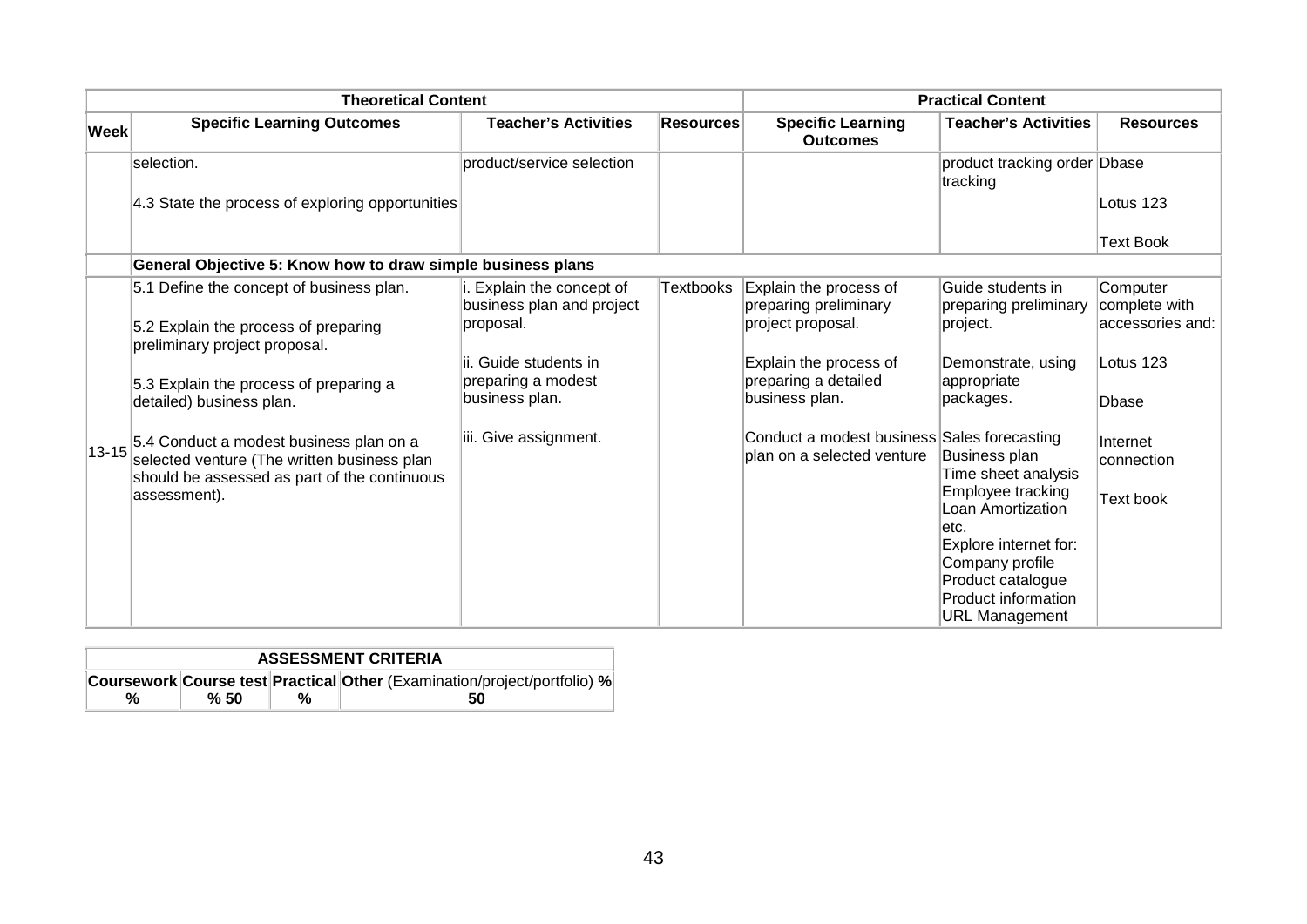|           | <b>Theoretical Content</b>                                                                                                             |                                                        |                  |                                                                           | <b>Practical Content</b>                   |                           |
|-----------|----------------------------------------------------------------------------------------------------------------------------------------|--------------------------------------------------------|------------------|---------------------------------------------------------------------------|--------------------------------------------|---------------------------|
| Week      | <b>Specific Learning Outcomes</b>                                                                                                      | <b>Teacher's Activities</b>                            | <b>Resources</b> | <b>Specific Learning</b><br><b>Outcomes</b>                               | <b>Teacher's Activities</b>                | <b>Resources</b>          |
|           | selection.                                                                                                                             | product/service selection                              |                  |                                                                           | product tracking order Dbase<br>tracking   |                           |
|           | 4.3 State the process of exploring opportunities                                                                                       |                                                        |                  |                                                                           |                                            | Lotus 123                 |
|           |                                                                                                                                        |                                                        |                  |                                                                           |                                            | <b>Text Book</b>          |
|           | General Objective 5: Know how to draw simple business plans                                                                            |                                                        |                  |                                                                           |                                            |                           |
|           | 5.1 Define the concept of business plan.                                                                                               | i. Explain the concept of<br>business plan and project | Textbooks        | Explain the process of<br>preparing preliminary                           | Guide students in<br>preparing preliminary | Computer<br>complete with |
|           | 5.2 Explain the process of preparing<br>preliminary project proposal.                                                                  | proposal.                                              |                  | project proposal.                                                         | project.                                   | accessories and:          |
|           |                                                                                                                                        | lii. Guide students in                                 |                  | Explain the process of                                                    | Demonstrate, using                         | Lotus 123                 |
|           | 5.3 Explain the process of preparing a<br>detailed) business plan.                                                                     | preparing a modest<br>business plan.                   |                  | preparing a detailed<br>business plan.                                    | appropriate<br>packages.                   | <b>Dbase</b>              |
| $13 - 15$ | 5.4 Conduct a modest business plan on a<br>selected venture (The written business plan<br>should be assessed as part of the continuous | iii. Give assignment.                                  |                  | Conduct a modest business Sales forecasting<br>plan on a selected venture | Business plan<br>Time sheet analysis       | Internet<br>connection    |
|           | assessment).                                                                                                                           |                                                        |                  |                                                                           | Employee tracking<br>Loan Amortization     | Text book                 |
|           |                                                                                                                                        |                                                        |                  |                                                                           | letc.                                      |                           |
|           |                                                                                                                                        |                                                        |                  |                                                                           | Explore internet for:<br>Company profile   |                           |
|           |                                                                                                                                        |                                                        |                  |                                                                           | Product catalogue                          |                           |
|           |                                                                                                                                        |                                                        |                  |                                                                           | <b>Product information</b>                 |                           |
|           |                                                                                                                                        |                                                        |                  |                                                                           | <b>URL Management</b>                      |                           |

|   | <b>ASSESSMENT CRITERIA</b> |   |                                                                          |  |  |  |
|---|----------------------------|---|--------------------------------------------------------------------------|--|--|--|
|   |                            |   | Coursework Course test Practical Other (Examination/project/portfolio) % |  |  |  |
| % | %50                        | % | 50                                                                       |  |  |  |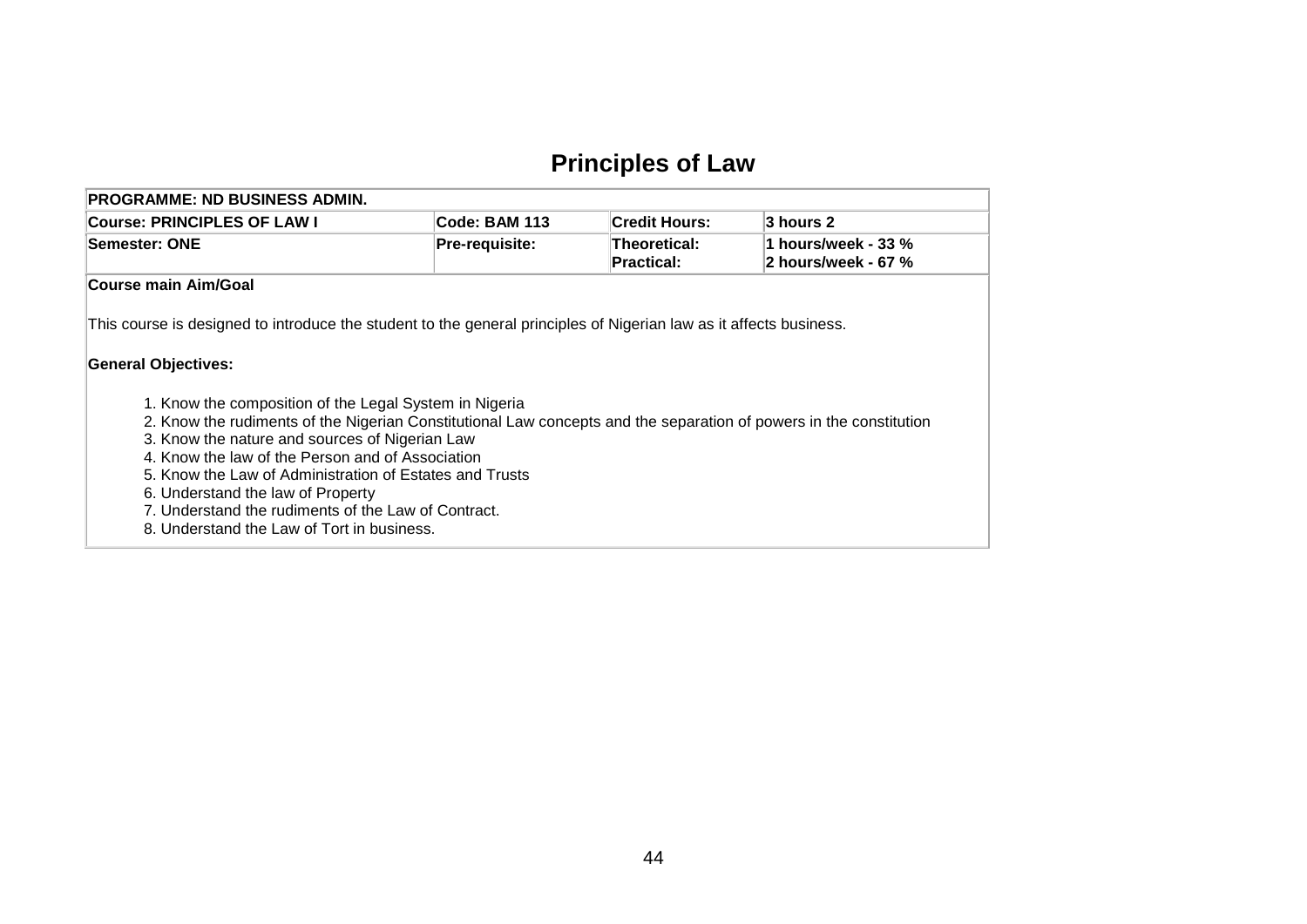## **Principles of Law**

| <b>PROGRAMME: ND BUSINESS ADMIN.</b>                                                                                                                                                                                                                                                                                                                                                                                                                                                                                  |                |                                   |                                            |
|-----------------------------------------------------------------------------------------------------------------------------------------------------------------------------------------------------------------------------------------------------------------------------------------------------------------------------------------------------------------------------------------------------------------------------------------------------------------------------------------------------------------------|----------------|-----------------------------------|--------------------------------------------|
| <b>Course: PRINCIPLES OF LAW I</b>                                                                                                                                                                                                                                                                                                                                                                                                                                                                                    | Code: BAM 113  | <b>Credit Hours:</b>              | 3 hours 2                                  |
| <b>Semester: ONE</b>                                                                                                                                                                                                                                                                                                                                                                                                                                                                                                  | Pre-requisite: | Theoretical:<br><b>Practical:</b> | 1 hours/week - 33 %<br>2 hours/week - 67 % |
| Course main Aim/Goal                                                                                                                                                                                                                                                                                                                                                                                                                                                                                                  |                |                                   |                                            |
| <b>General Objectives:</b><br>1. Know the composition of the Legal System in Nigeria<br>2. Know the rudiments of the Nigerian Constitutional Law concepts and the separation of powers in the constitution<br>3. Know the nature and sources of Nigerian Law<br>4. Know the law of the Person and of Association<br>5. Know the Law of Administration of Estates and Trusts<br>6. Understand the law of Property<br>7. Understand the rudiments of the Law of Contract.<br>8. Understand the Law of Tort in business. |                |                                   |                                            |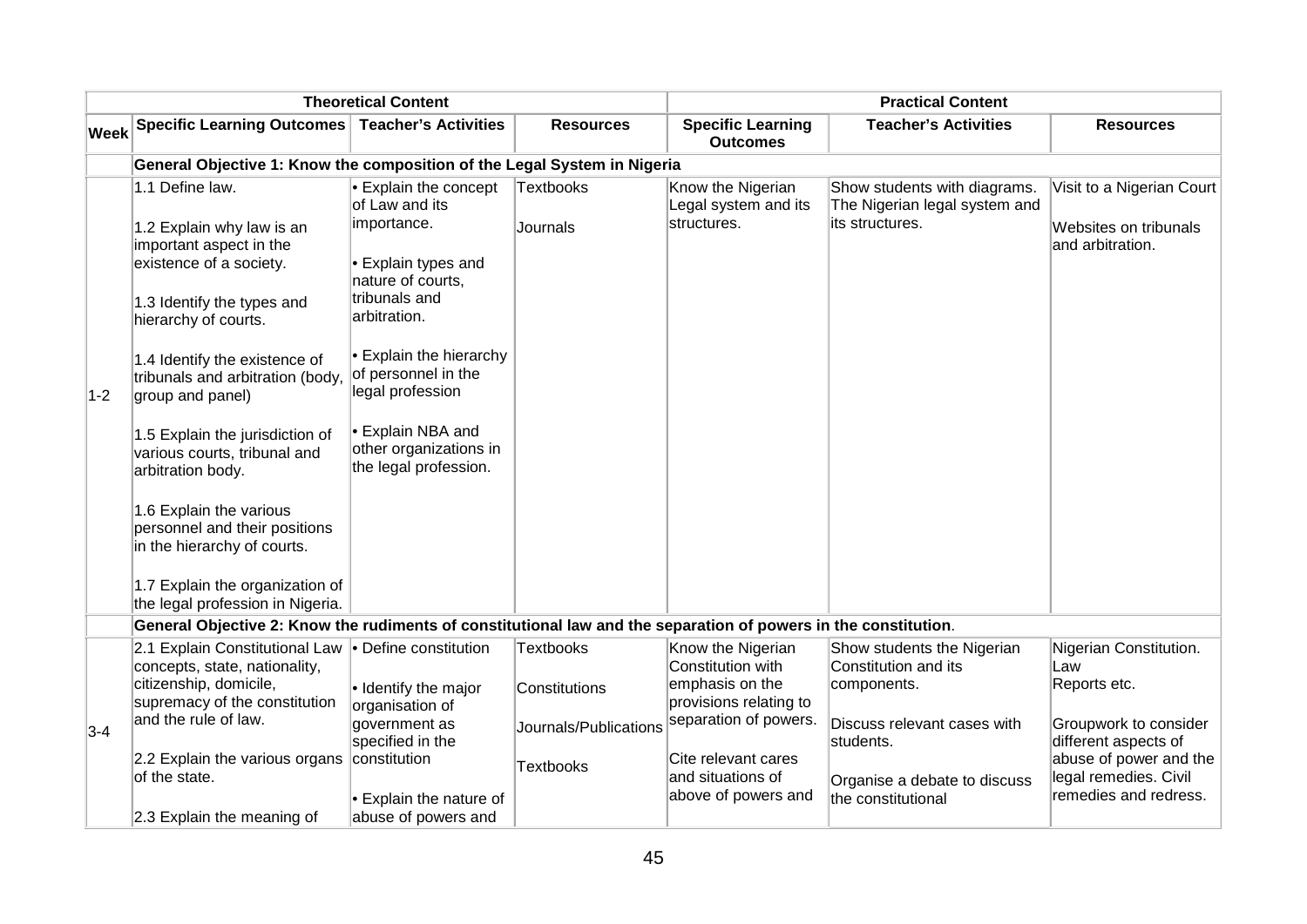| <b>Theoretical Content</b> |                                                                                                                                                                                                                                                                                                                                                                                                                                                                                                             |                                                                                                                                                                                                                                                                                  |                                                                                |                                                                                                                                                                                 | <b>Practical Content</b>                                                                                                                                            |                                                                                                                                                                            |
|----------------------------|-------------------------------------------------------------------------------------------------------------------------------------------------------------------------------------------------------------------------------------------------------------------------------------------------------------------------------------------------------------------------------------------------------------------------------------------------------------------------------------------------------------|----------------------------------------------------------------------------------------------------------------------------------------------------------------------------------------------------------------------------------------------------------------------------------|--------------------------------------------------------------------------------|---------------------------------------------------------------------------------------------------------------------------------------------------------------------------------|---------------------------------------------------------------------------------------------------------------------------------------------------------------------|----------------------------------------------------------------------------------------------------------------------------------------------------------------------------|
| Week                       | Specific Learning Outcomes Teacher's Activities                                                                                                                                                                                                                                                                                                                                                                                                                                                             |                                                                                                                                                                                                                                                                                  | <b>Resources</b>                                                               | <b>Specific Learning</b><br><b>Outcomes</b>                                                                                                                                     | <b>Teacher's Activities</b>                                                                                                                                         | <b>Resources</b>                                                                                                                                                           |
|                            | General Objective 1: Know the composition of the Legal System in Nigeria                                                                                                                                                                                                                                                                                                                                                                                                                                    |                                                                                                                                                                                                                                                                                  |                                                                                |                                                                                                                                                                                 |                                                                                                                                                                     |                                                                                                                                                                            |
| $1-2$                      | 1.1 Define law.<br>1.2 Explain why law is an<br>important aspect in the<br>existence of a society.<br>1.3 Identify the types and<br>hierarchy of courts.<br>1.4 Identify the existence of<br>tribunals and arbitration (body,<br>group and panel)<br>1.5 Explain the jurisdiction of<br>various courts, tribunal and<br>arbitration body.<br>1.6 Explain the various<br>personnel and their positions<br>in the hierarchy of courts.<br>1.7 Explain the organization of<br>the legal profession in Nigeria. | Explain the concept<br>of Law and its<br>importance.<br>Explain types and<br>nature of courts,<br>tribunals and<br>arbitration.<br><b>Explain the hierarchy</b><br>of personnel in the<br>legal profession<br>Explain NBA and<br>other organizations in<br>the legal profession. | <b>Textbooks</b><br>Journals                                                   | Know the Nigerian<br>Legal system and its<br>structures.                                                                                                                        | Show students with diagrams.<br>The Nigerian legal system and<br>its structures.                                                                                    | Visit to a Nigerian Court<br>Websites on tribunals<br>and arbitration.                                                                                                     |
|                            | General Objective 2: Know the rudiments of constitutional law and the separation of powers in the constitution.                                                                                                                                                                                                                                                                                                                                                                                             |                                                                                                                                                                                                                                                                                  |                                                                                |                                                                                                                                                                                 |                                                                                                                                                                     |                                                                                                                                                                            |
| $3-4$                      | 2.1 Explain Constitutional Law • Define constitution<br>concepts, state, nationality,<br>citizenship, domicile,<br>supremacy of the constitution<br>and the rule of law.<br>2.2 Explain the various organs constitution<br>of the state.                                                                                                                                                                                                                                                                    | $\bullet$ Identify the major<br>organisation of<br>government as<br>specified in the<br>Explain the nature of                                                                                                                                                                    | <b>Textbooks</b><br>Constitutions<br>Journals/Publications<br><b>Textbooks</b> | Know the Nigerian<br>Constitution with<br>emphasis on the<br>provisions relating to<br>separation of powers.<br>Cite relevant cares<br>and situations of<br>above of powers and | Show students the Nigerian<br>Constitution and its<br>components.<br>Discuss relevant cases with<br>students.<br>Organise a debate to discuss<br>the constitutional | Nigerian Constitution.<br>Law<br>Reports etc.<br>Groupwork to consider<br>different aspects of<br>abuse of power and the<br>legal remedies. Civil<br>remedies and redress. |
|                            | 2.3 Explain the meaning of                                                                                                                                                                                                                                                                                                                                                                                                                                                                                  | abuse of powers and                                                                                                                                                                                                                                                              |                                                                                |                                                                                                                                                                                 |                                                                                                                                                                     |                                                                                                                                                                            |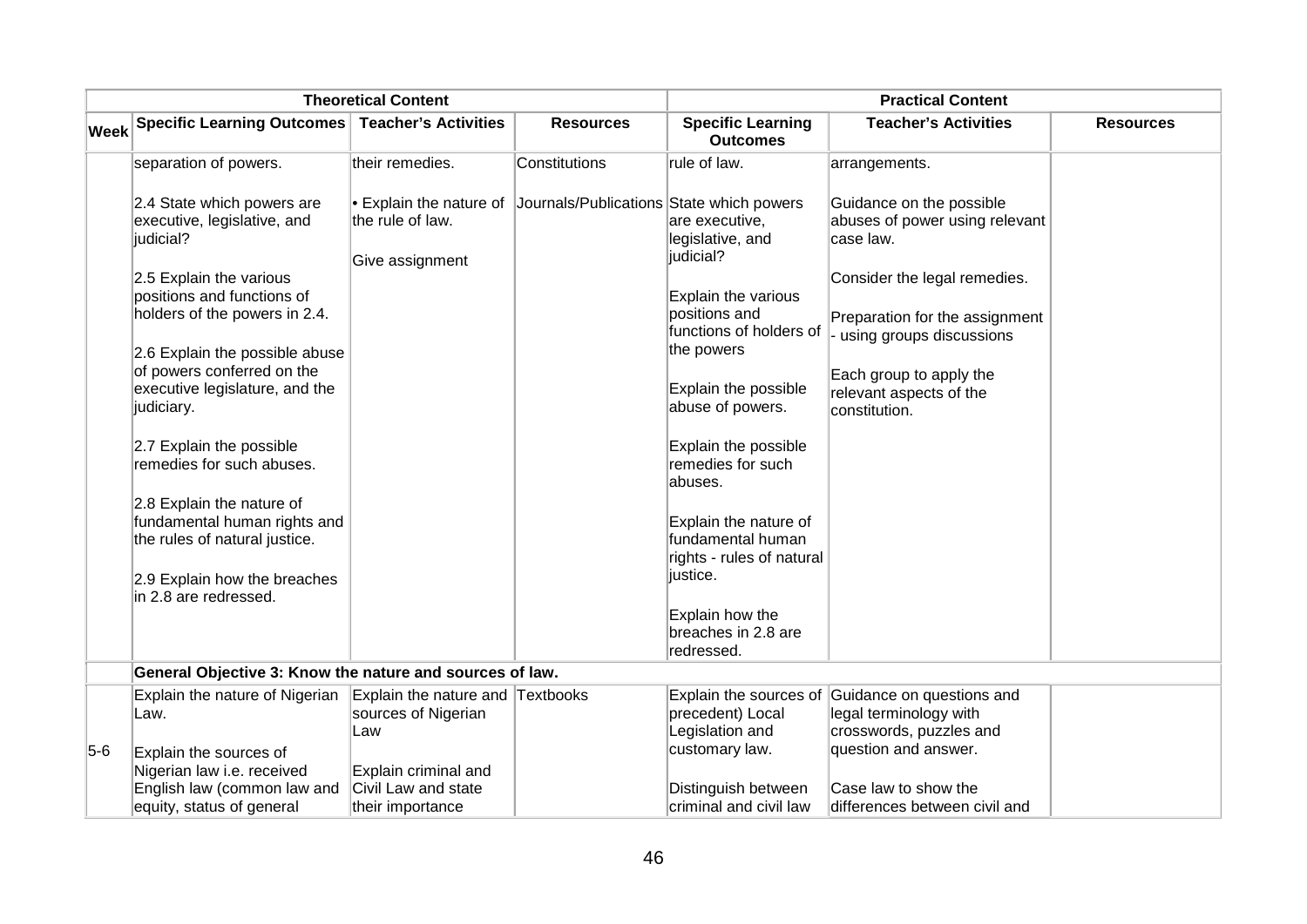|             | <b>Theoretical Content</b>                                                                                               |                                                                 |                                          | <b>Practical Content</b>                                                      |                                                                                            |                  |
|-------------|--------------------------------------------------------------------------------------------------------------------------|-----------------------------------------------------------------|------------------------------------------|-------------------------------------------------------------------------------|--------------------------------------------------------------------------------------------|------------------|
| <b>Week</b> | Specific Learning Outcomes   Teacher's Activities                                                                        |                                                                 | <b>Resources</b>                         | <b>Specific Learning</b><br><b>Outcomes</b>                                   | <b>Teacher's Activities</b>                                                                | <b>Resources</b> |
|             | separation of powers.                                                                                                    | their remedies.                                                 | Constitutions                            | rule of law.                                                                  | arrangements.                                                                              |                  |
|             | 2.4 State which powers are<br>executive, legislative, and<br>judicial?                                                   | • Explain the nature of<br>the rule of law.<br>Give assignment  | Journals/Publications State which powers | are executive,<br>legislative, and<br>judicial?                               | Guidance on the possible<br>abuses of power using relevant<br>case law.                    |                  |
|             | 2.5 Explain the various<br>positions and functions of<br>holders of the powers in 2.4.<br>2.6 Explain the possible abuse |                                                                 |                                          | Explain the various<br>positions and<br>functions of holders of<br>the powers | Consider the legal remedies.<br>Preparation for the assignment<br>using groups discussions |                  |
|             | of powers conferred on the<br>executive legislature, and the<br>judiciary.                                               |                                                                 |                                          | Explain the possible<br>abuse of powers.                                      | Each group to apply the<br>relevant aspects of the<br>constitution.                        |                  |
|             | 2.7 Explain the possible<br>remedies for such abuses.                                                                    |                                                                 |                                          | Explain the possible<br>remedies for such<br>abuses.                          |                                                                                            |                  |
|             | 2.8 Explain the nature of<br>fundamental human rights and<br>the rules of natural justice.                               |                                                                 |                                          | Explain the nature of<br>fundamental human<br>rights - rules of natural       |                                                                                            |                  |
|             | 2.9 Explain how the breaches<br>in 2.8 are redressed.                                                                    |                                                                 |                                          | justice.<br>Explain how the                                                   |                                                                                            |                  |
|             |                                                                                                                          |                                                                 |                                          | breaches in 2.8 are<br>redressed.                                             |                                                                                            |                  |
|             | General Objective 3: Know the nature and sources of law.                                                                 |                                                                 |                                          |                                                                               |                                                                                            |                  |
|             | Explain the nature of Nigerian<br>Law.                                                                                   | Explain the nature and Textbooks<br>sources of Nigerian<br>Law  |                                          | Explain the sources of<br>precedent) Local<br>Legislation and                 | Guidance on questions and<br>legal terminology with<br>crosswords, puzzles and             |                  |
| $5-6$       | Explain the sources of<br>Nigerian law i.e. received<br>English law (common law and<br>equity, status of general         | Explain criminal and<br>Civil Law and state<br>their importance |                                          | customary law.<br>Distinguish between<br>criminal and civil law               | question and answer.<br>Case law to show the<br>differences between civil and              |                  |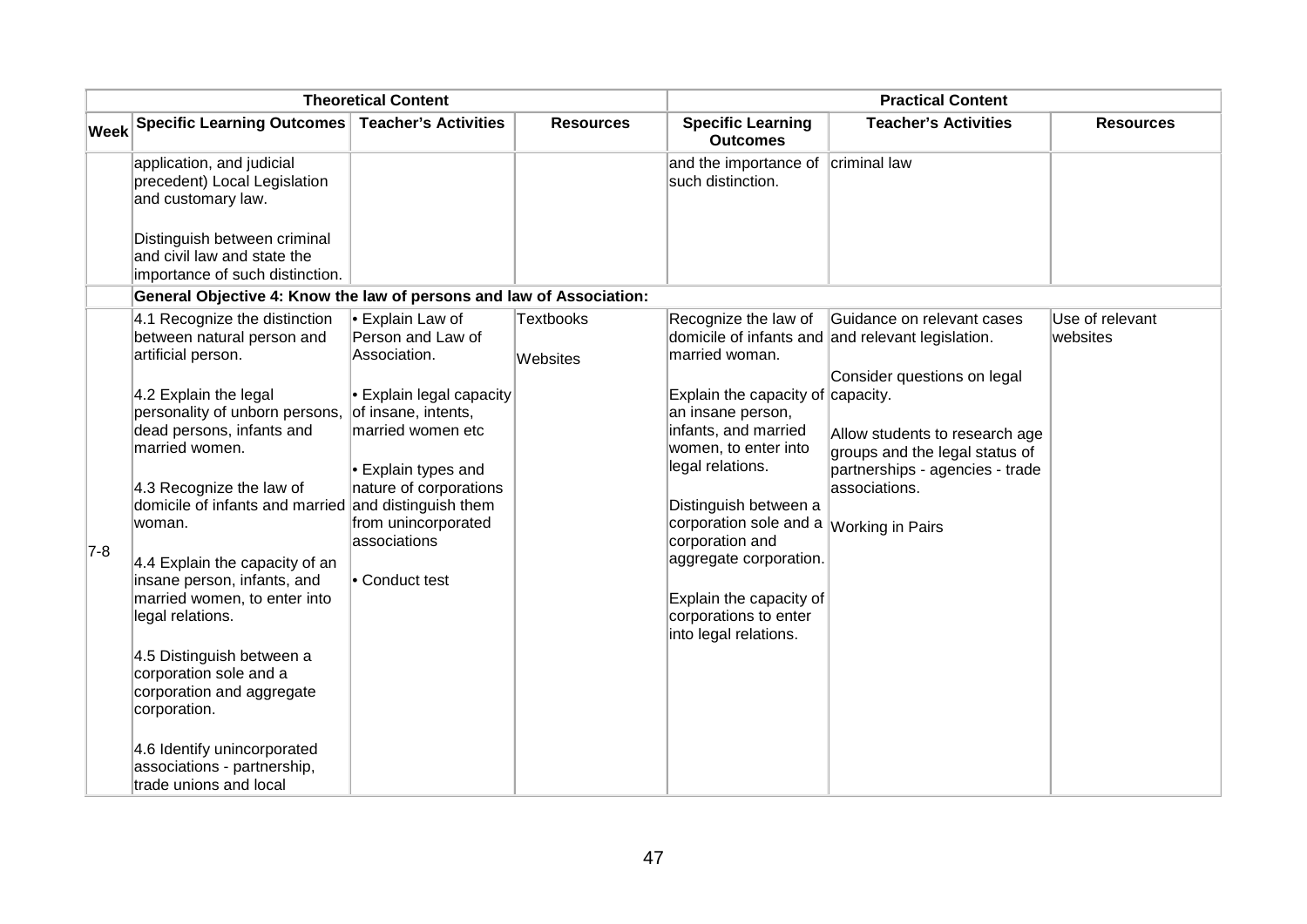| <b>Theoretical Content</b> |                                                                                                                                                                                                                                                                                                                                                                                                          |                                                                                                                                                                                                                                    |                              | <b>Practical Content</b>                                                                                                                                                                                                                                                                                                                 |                                                                                                                      |                             |
|----------------------------|----------------------------------------------------------------------------------------------------------------------------------------------------------------------------------------------------------------------------------------------------------------------------------------------------------------------------------------------------------------------------------------------------------|------------------------------------------------------------------------------------------------------------------------------------------------------------------------------------------------------------------------------------|------------------------------|------------------------------------------------------------------------------------------------------------------------------------------------------------------------------------------------------------------------------------------------------------------------------------------------------------------------------------------|----------------------------------------------------------------------------------------------------------------------|-----------------------------|
| Week                       | Specific Learning Outcomes Teacher's Activities                                                                                                                                                                                                                                                                                                                                                          |                                                                                                                                                                                                                                    | <b>Resources</b>             | <b>Specific Learning</b><br><b>Outcomes</b>                                                                                                                                                                                                                                                                                              | <b>Teacher's Activities</b>                                                                                          | <b>Resources</b>            |
|                            | application, and judicial<br>precedent) Local Legislation<br>and customary law.<br>Distinguish between criminal<br>and civil law and state the<br>importance of such distinction.                                                                                                                                                                                                                        |                                                                                                                                                                                                                                    |                              | and the importance of<br>such distinction.                                                                                                                                                                                                                                                                                               | criminal law                                                                                                         |                             |
|                            | General Objective 4: Know the law of persons and law of Association:                                                                                                                                                                                                                                                                                                                                     |                                                                                                                                                                                                                                    |                              |                                                                                                                                                                                                                                                                                                                                          |                                                                                                                      |                             |
|                            | 4.1 Recognize the distinction<br>between natural person and<br>artificial person.                                                                                                                                                                                                                                                                                                                        | <b>Explain Law of</b><br>Person and Law of<br>Association.                                                                                                                                                                         | <b>Textbooks</b><br>Websites | Recognize the law of<br>married woman.                                                                                                                                                                                                                                                                                                   | Guidance on relevant cases<br>domicile of infants and and relevant legislation.<br>Consider questions on legal       | Use of relevant<br>websites |
| $7-8$                      | 4.2 Explain the legal<br>personality of unborn persons,<br>dead persons, infants and<br>married women.<br>4.3 Recognize the law of<br>domicile of infants and married<br>woman.<br>4.4 Explain the capacity of an<br>insane person, infants, and<br>married women, to enter into<br>legal relations.<br>4.5 Distinguish between a<br>corporation sole and a<br>corporation and aggregate<br>corporation. | $\blacktriangleright$ Explain legal capacity<br>of insane, intents,<br>married women etc<br>$\bullet$ Explain types and<br>nature of corporations<br>and distinguish them<br>from unincorporated<br>associations<br>• Conduct test |                              | Explain the capacity of $\alpha$ capacity.<br>an insane person,<br>infants, and married<br>women, to enter into<br>legal relations.<br>Distinguish between a<br>corporation sole and a <i>Working in Pairs</i><br>corporation and<br>aggregate corporation.<br>Explain the capacity of<br>corporations to enter<br>into legal relations. | Allow students to research age<br>groups and the legal status of<br>partnerships - agencies - trade<br>associations. |                             |
|                            | 4.6 Identify unincorporated<br>associations - partnership,<br>trade unions and local                                                                                                                                                                                                                                                                                                                     |                                                                                                                                                                                                                                    |                              |                                                                                                                                                                                                                                                                                                                                          |                                                                                                                      |                             |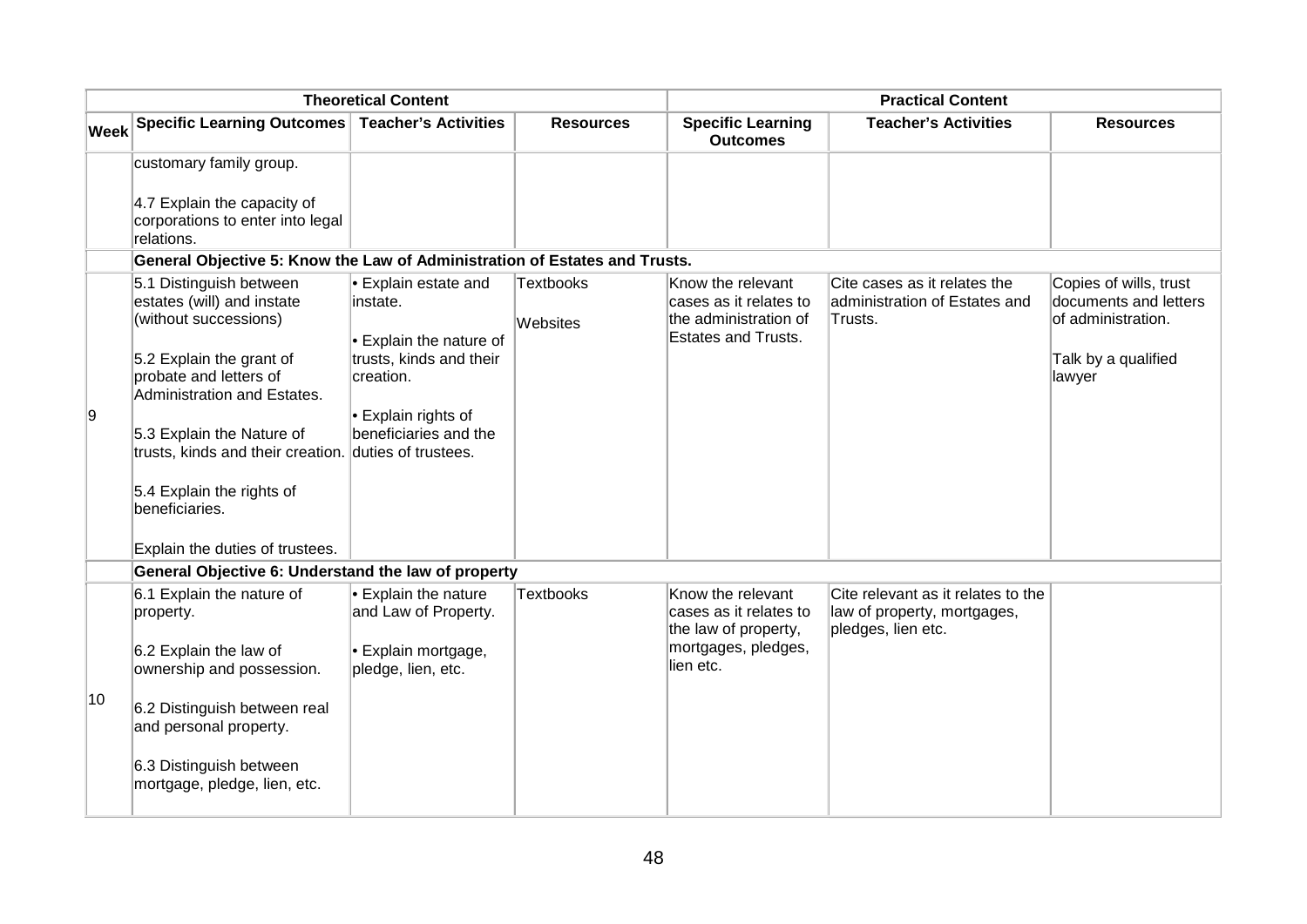|      |                                                                                                                                                                                                                                                                                                          | <b>Theoretical Content</b>                                                                                                                    |                              |                                                                                                         | <b>Practical Content</b>                                                                |                                                                                                        |
|------|----------------------------------------------------------------------------------------------------------------------------------------------------------------------------------------------------------------------------------------------------------------------------------------------------------|-----------------------------------------------------------------------------------------------------------------------------------------------|------------------------------|---------------------------------------------------------------------------------------------------------|-----------------------------------------------------------------------------------------|--------------------------------------------------------------------------------------------------------|
| Week | Specific Learning Outcomes   Teacher's Activities                                                                                                                                                                                                                                                        |                                                                                                                                               | <b>Resources</b>             | <b>Specific Learning</b><br><b>Outcomes</b>                                                             | <b>Teacher's Activities</b>                                                             | <b>Resources</b>                                                                                       |
|      | customary family group.                                                                                                                                                                                                                                                                                  |                                                                                                                                               |                              |                                                                                                         |                                                                                         |                                                                                                        |
|      | 4.7 Explain the capacity of<br>corporations to enter into legal<br>relations.                                                                                                                                                                                                                            |                                                                                                                                               |                              |                                                                                                         |                                                                                         |                                                                                                        |
|      | General Objective 5: Know the Law of Administration of Estates and Trusts.                                                                                                                                                                                                                               |                                                                                                                                               |                              |                                                                                                         |                                                                                         |                                                                                                        |
| 9    | 5.1 Distinguish between<br>estates (will) and instate<br>(without successions)<br>5.2 Explain the grant of<br>probate and letters of<br>Administration and Estates.<br>5.3 Explain the Nature of<br>trusts, kinds and their creation. duties of trustees.<br>5.4 Explain the rights of<br>beneficiaries. | Explain estate and<br>instate.<br>Explain the nature of<br>trusts, kinds and their<br>creation.<br>Explain rights of<br>beneficiaries and the | <b>Textbooks</b><br>Websites | Know the relevant<br>cases as it relates to<br>the administration of<br><b>Estates and Trusts.</b>      | Cite cases as it relates the<br>administration of Estates and<br>Trusts.                | Copies of wills, trust<br>documents and letters<br>of administration.<br>Talk by a qualified<br>lawyer |
|      | Explain the duties of trustees.                                                                                                                                                                                                                                                                          |                                                                                                                                               |                              |                                                                                                         |                                                                                         |                                                                                                        |
|      | General Objective 6: Understand the law of property                                                                                                                                                                                                                                                      |                                                                                                                                               |                              |                                                                                                         |                                                                                         |                                                                                                        |
|      | 6.1 Explain the nature of<br>property.<br>6.2 Explain the law of<br>ownership and possession.                                                                                                                                                                                                            | $\bullet$ Explain the nature<br>and Law of Property.<br>Explain mortgage,<br>pledge, lien, etc.                                               | <b>Textbooks</b>             | Know the relevant<br>cases as it relates to<br>the law of property,<br>mortgages, pledges,<br>lien etc. | Cite relevant as it relates to the<br>law of property, mortgages,<br>pledges, lien etc. |                                                                                                        |
| 10   | 6.2 Distinguish between real<br>and personal property.                                                                                                                                                                                                                                                   |                                                                                                                                               |                              |                                                                                                         |                                                                                         |                                                                                                        |
|      | 6.3 Distinguish between<br>mortgage, pledge, lien, etc.                                                                                                                                                                                                                                                  |                                                                                                                                               |                              |                                                                                                         |                                                                                         |                                                                                                        |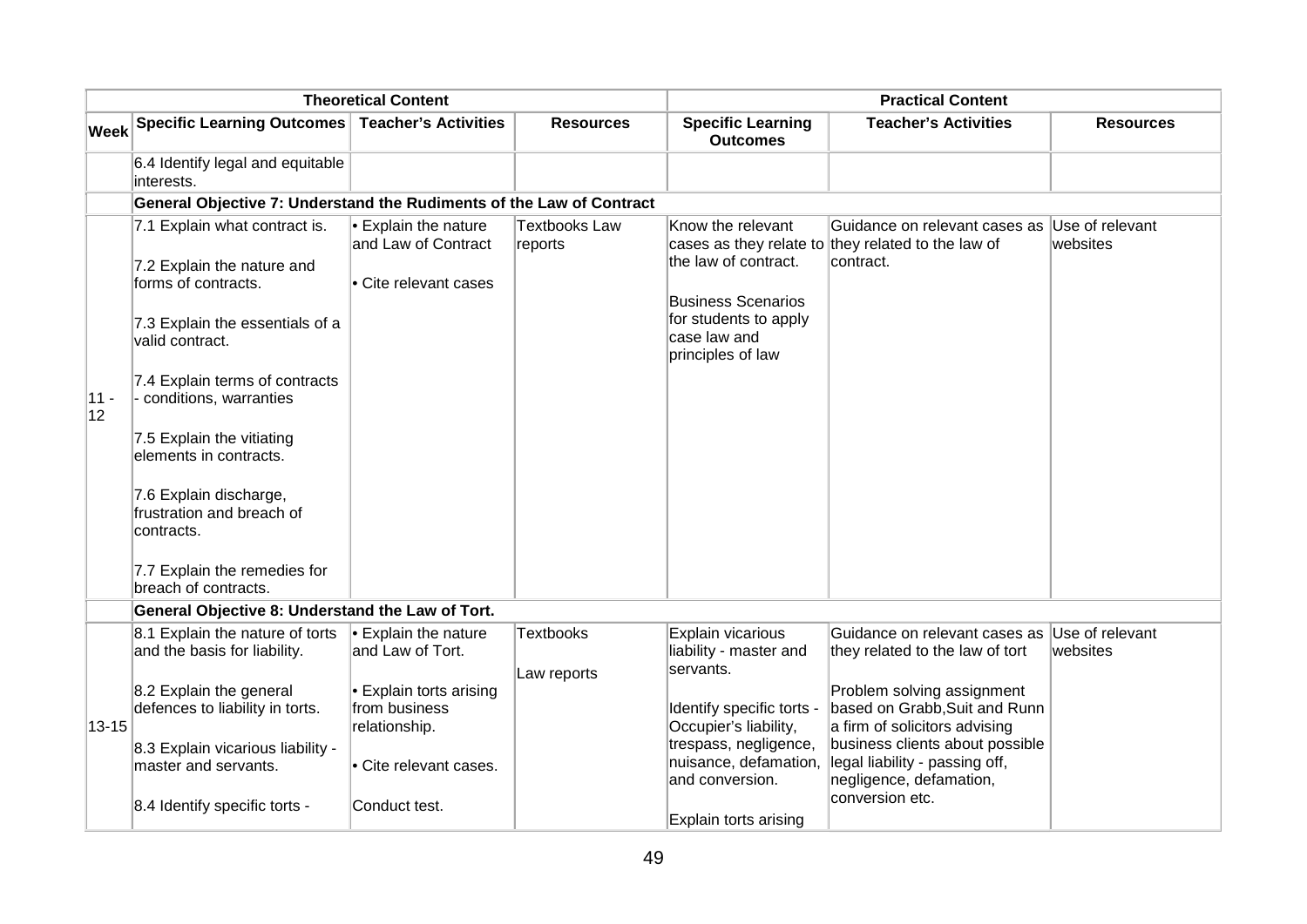|              | <b>Theoretical Content</b>                                                                                                                                                                                                                                                                                                                                                                 |                                                                              |                          |                                                                                                                                      | <b>Practical Content</b>                                                                                           |                             |
|--------------|--------------------------------------------------------------------------------------------------------------------------------------------------------------------------------------------------------------------------------------------------------------------------------------------------------------------------------------------------------------------------------------------|------------------------------------------------------------------------------|--------------------------|--------------------------------------------------------------------------------------------------------------------------------------|--------------------------------------------------------------------------------------------------------------------|-----------------------------|
| <b>Week</b>  | <b>Specific Learning Outcomes</b>                                                                                                                                                                                                                                                                                                                                                          | <b>Teacher's Activities</b>                                                  | <b>Resources</b>         | <b>Specific Learning</b><br><b>Outcomes</b>                                                                                          | <b>Teacher's Activities</b>                                                                                        | <b>Resources</b>            |
|              | 6.4 Identify legal and equitable<br>interests.                                                                                                                                                                                                                                                                                                                                             |                                                                              |                          |                                                                                                                                      |                                                                                                                    |                             |
|              | General Objective 7: Understand the Rudiments of the Law of Contract                                                                                                                                                                                                                                                                                                                       |                                                                              |                          |                                                                                                                                      |                                                                                                                    |                             |
| $11 -$<br>12 | 7.1 Explain what contract is.<br>7.2 Explain the nature and<br>forms of contracts.<br>7.3 Explain the essentials of a<br>valid contract.<br>7.4 Explain terms of contracts<br>- conditions, warranties<br>7.5 Explain the vitiating<br>elements in contracts.<br>7.6 Explain discharge,<br>frustration and breach of<br>contracts.<br>7.7 Explain the remedies for<br>breach of contracts. | $\bullet$ Explain the nature<br>and Law of Contract<br>• Cite relevant cases | Textbooks Law<br>reports | Know the relevant<br>the law of contract.<br><b>Business Scenarios</b><br>for students to apply<br>case law and<br>principles of law | Guidance on relevant cases as<br>cases as they relate to they related to the law of<br>contract.                   | Use of relevant<br>websites |
|              |                                                                                                                                                                                                                                                                                                                                                                                            |                                                                              |                          |                                                                                                                                      |                                                                                                                    |                             |
|              | General Objective 8: Understand the Law of Tort.                                                                                                                                                                                                                                                                                                                                           |                                                                              |                          |                                                                                                                                      |                                                                                                                    |                             |
|              | 8.1 Explain the nature of torts<br>and the basis for liability.                                                                                                                                                                                                                                                                                                                            | $\bullet$ Explain the nature<br>and Law of Tort.                             | <b>Textbooks</b>         | Explain vicarious<br>liability - master and<br>servants.                                                                             | Guidance on relevant cases as<br>they related to the law of tort                                                   | Use of relevant<br>websites |
| 13-15        | 8.2 Explain the general<br>defences to liability in torts.                                                                                                                                                                                                                                                                                                                                 | • Explain torts arising<br>from business<br>relationship.                    | Law reports              | Identify specific torts -<br>Occupier's liability,                                                                                   | Problem solving assignment<br>based on Grabb, Suit and Runn<br>a firm of solicitors advising                       |                             |
|              | 8.3 Explain vicarious liability -<br>master and servants.                                                                                                                                                                                                                                                                                                                                  | Cite relevant cases.                                                         |                          | trespass, negligence,<br>and conversion.                                                                                             | business clients about possible<br>nuisance, defamation, legal liability - passing off,<br>negligence, defamation, |                             |
|              | 8.4 Identify specific torts -                                                                                                                                                                                                                                                                                                                                                              | Conduct test.                                                                |                          | Explain torts arising                                                                                                                | conversion etc.                                                                                                    |                             |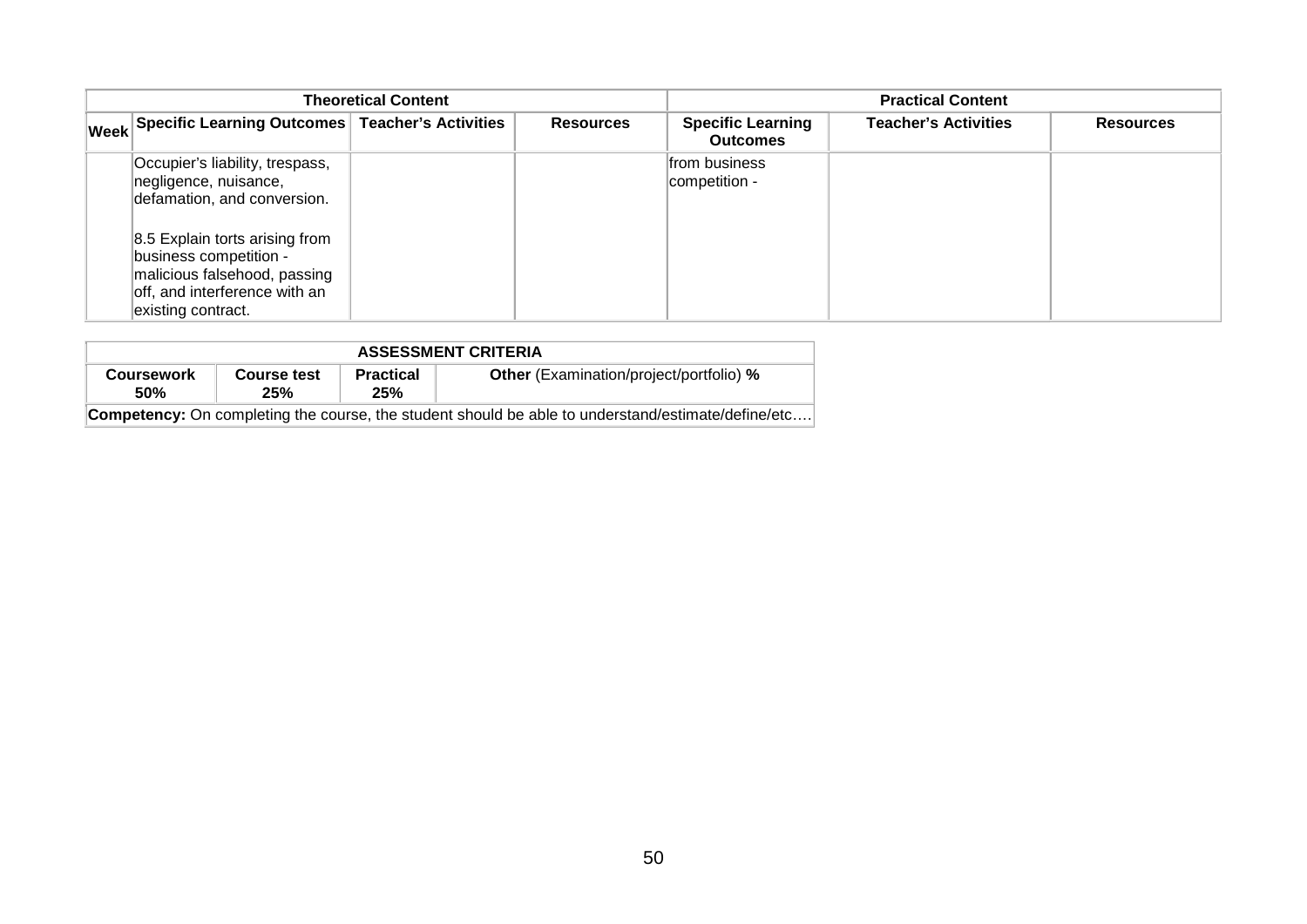| <b>Theoretical Content</b>                           |  |                  | <b>Practical Content</b>                    |                             |                  |
|------------------------------------------------------|--|------------------|---------------------------------------------|-----------------------------|------------------|
| Week Specific Learning Outcomes Teacher's Activities |  | <b>Resources</b> | <b>Specific Learning</b><br><b>Outcomes</b> | <b>Teacher's Activities</b> | <b>Resources</b> |
| Occupier's liability, trespass,                      |  |                  | from business                               |                             |                  |
| negligence, nuisance,                                |  |                  | competition -                               |                             |                  |
| defamation, and conversion.                          |  |                  |                                             |                             |                  |
| 8.5 Explain torts arising from                       |  |                  |                                             |                             |                  |
| business competition -                               |  |                  |                                             |                             |                  |
| malicious falsehood, passing                         |  |                  |                                             |                             |                  |
| off, and interference with an                        |  |                  |                                             |                             |                  |
| existing contract.                                   |  |                  |                                             |                             |                  |

| <b>ASSESSMENT CRITERIA</b>                                                                                |                    |                         |                                                |  |  |  |
|-----------------------------------------------------------------------------------------------------------|--------------------|-------------------------|------------------------------------------------|--|--|--|
| Coursework<br>50%                                                                                         | Course test<br>25% | <b>Practical</b><br>25% | <b>Other</b> (Examination/project/portfolio) % |  |  |  |
| <b>Competency:</b> On completing the course, the student should be able to understand/estimate/define/etc |                    |                         |                                                |  |  |  |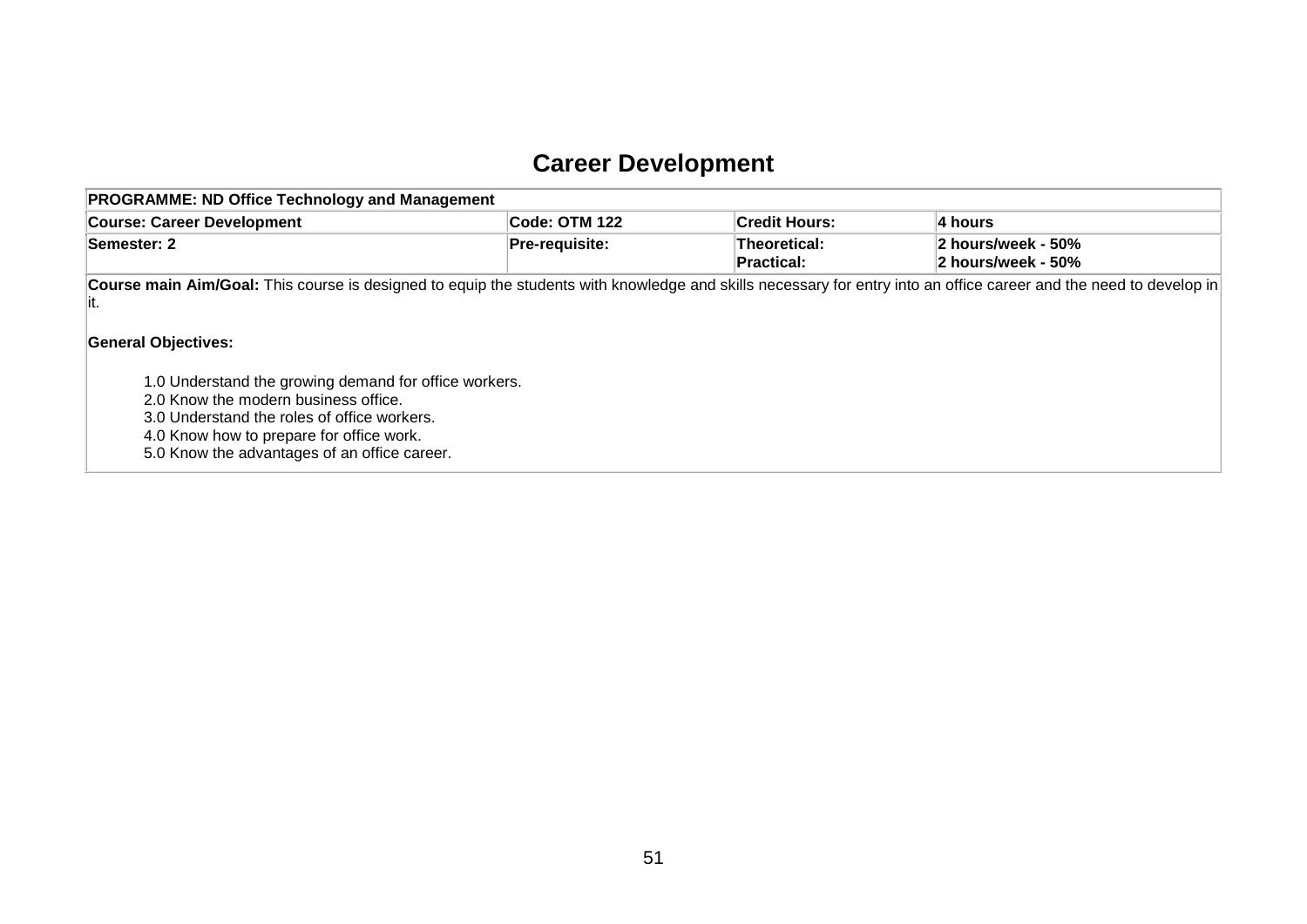## **Career Development**

| <b>PROGRAMME: ND Office Technology and Management</b>                                                                                                                                                                                                                                                                                                                                                                                                |                |                                   |                                          |  |  |  |
|------------------------------------------------------------------------------------------------------------------------------------------------------------------------------------------------------------------------------------------------------------------------------------------------------------------------------------------------------------------------------------------------------------------------------------------------------|----------------|-----------------------------------|------------------------------------------|--|--|--|
| <b>Course: Career Development</b>                                                                                                                                                                                                                                                                                                                                                                                                                    | Code: OTM 122  | Credit Hours:                     | 4 hours                                  |  |  |  |
| Semester: 2                                                                                                                                                                                                                                                                                                                                                                                                                                          | Pre-requisite: | Theoretical:<br><b>Practical:</b> | 2 hours/week - 50%<br>2 hours/week - 50% |  |  |  |
| Course main Aim/Goal: This course is designed to equip the students with knowledge and skills necessary for entry into an office career and the need to develop in<br>lit.<br><b>General Objectives:</b><br>1.0 Understand the growing demand for office workers.<br>2.0 Know the modern business office.<br>3.0 Understand the roles of office workers.<br>4.0 Know how to prepare for office work.<br>5.0 Know the advantages of an office career. |                |                                   |                                          |  |  |  |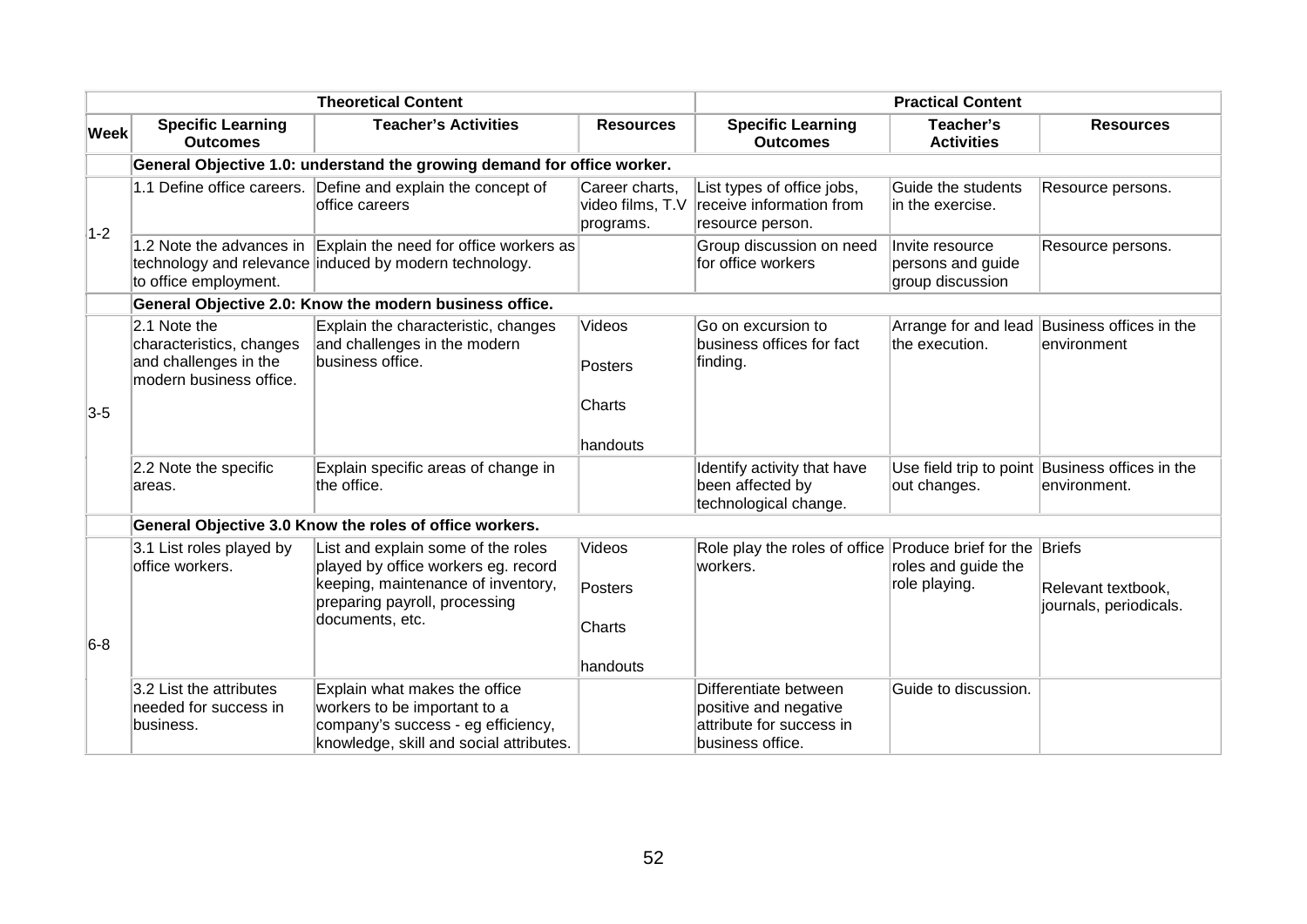|             |                                                                                              | <b>Theoretical Content</b>                                                                                                                     |                                                 | <b>Practical Content</b>                                                                       |                                                          |                                                                  |
|-------------|----------------------------------------------------------------------------------------------|------------------------------------------------------------------------------------------------------------------------------------------------|-------------------------------------------------|------------------------------------------------------------------------------------------------|----------------------------------------------------------|------------------------------------------------------------------|
| <b>Week</b> | <b>Specific Learning</b><br><b>Outcomes</b>                                                  | <b>Teacher's Activities</b>                                                                                                                    | <b>Resources</b>                                | <b>Specific Learning</b><br><b>Outcomes</b>                                                    | Teacher's<br><b>Activities</b>                           | <b>Resources</b>                                                 |
|             |                                                                                              | General Objective 1.0: understand the growing demand for office worker.                                                                        |                                                 |                                                                                                |                                                          |                                                                  |
| $1-2$       | 1.1 Define office careers.                                                                   | Define and explain the concept of<br>office careers                                                                                            | Career charts,<br>video films, T.V<br>programs. | List types of office jobs,<br>receive information from<br>resource person.                     | Guide the students<br>in the exercise.                   | Resource persons.                                                |
|             | to office employment.                                                                        | 1.2 Note the advances in Explain the need for office workers as<br>technology and relevance induced by modern technology.                      |                                                 | Group discussion on need<br>for office workers                                                 | Invite resource<br>persons and guide<br>group discussion | Resource persons.                                                |
|             |                                                                                              | General Objective 2.0: Know the modern business office.                                                                                        |                                                 |                                                                                                |                                                          |                                                                  |
|             | 2.1 Note the<br>characteristics, changes<br>and challenges in the<br>modern business office. | Explain the characteristic, changes<br>and challenges in the modern<br>business office.                                                        | Videos<br><b>Posters</b>                        | Go on excursion to<br>business offices for fact<br>finding.                                    | the execution.                                           | Arrange for and lead Business offices in the<br>lenvironment     |
| $3-5$       |                                                                                              |                                                                                                                                                | Charts<br>handouts                              |                                                                                                |                                                          |                                                                  |
|             | 2.2 Note the specific<br>areas.                                                              | Explain specific areas of change in<br>the office.                                                                                             |                                                 | Identify activity that have<br>been affected by<br>technological change.                       | out changes.                                             | Use field trip to point Business offices in the<br>lenvironment. |
|             |                                                                                              | General Objective 3.0 Know the roles of office workers.                                                                                        |                                                 |                                                                                                |                                                          |                                                                  |
|             | 3.1 List roles played by<br>office workers.                                                  | List and explain some of the roles<br>played by office workers eg. record<br>keeping, maintenance of inventory,                                | Videos<br>Posters                               | Role play the roles of office Produce brief for the Briefs<br>workers.                         | roles and guide the<br>role playing.                     | Relevant textbook,                                               |
| $6-8$       |                                                                                              | preparing payroll, processing<br>documents, etc.                                                                                               | Charts                                          |                                                                                                |                                                          | journals, periodicals.                                           |
|             |                                                                                              |                                                                                                                                                | handouts                                        |                                                                                                |                                                          |                                                                  |
|             | 3.2 List the attributes<br>needed for success in<br>business.                                | Explain what makes the office<br>workers to be important to a<br>company's success - eg efficiency,<br>knowledge, skill and social attributes. |                                                 | Differentiate between<br>positive and negative<br>attribute for success in<br>business office. | Guide to discussion.                                     |                                                                  |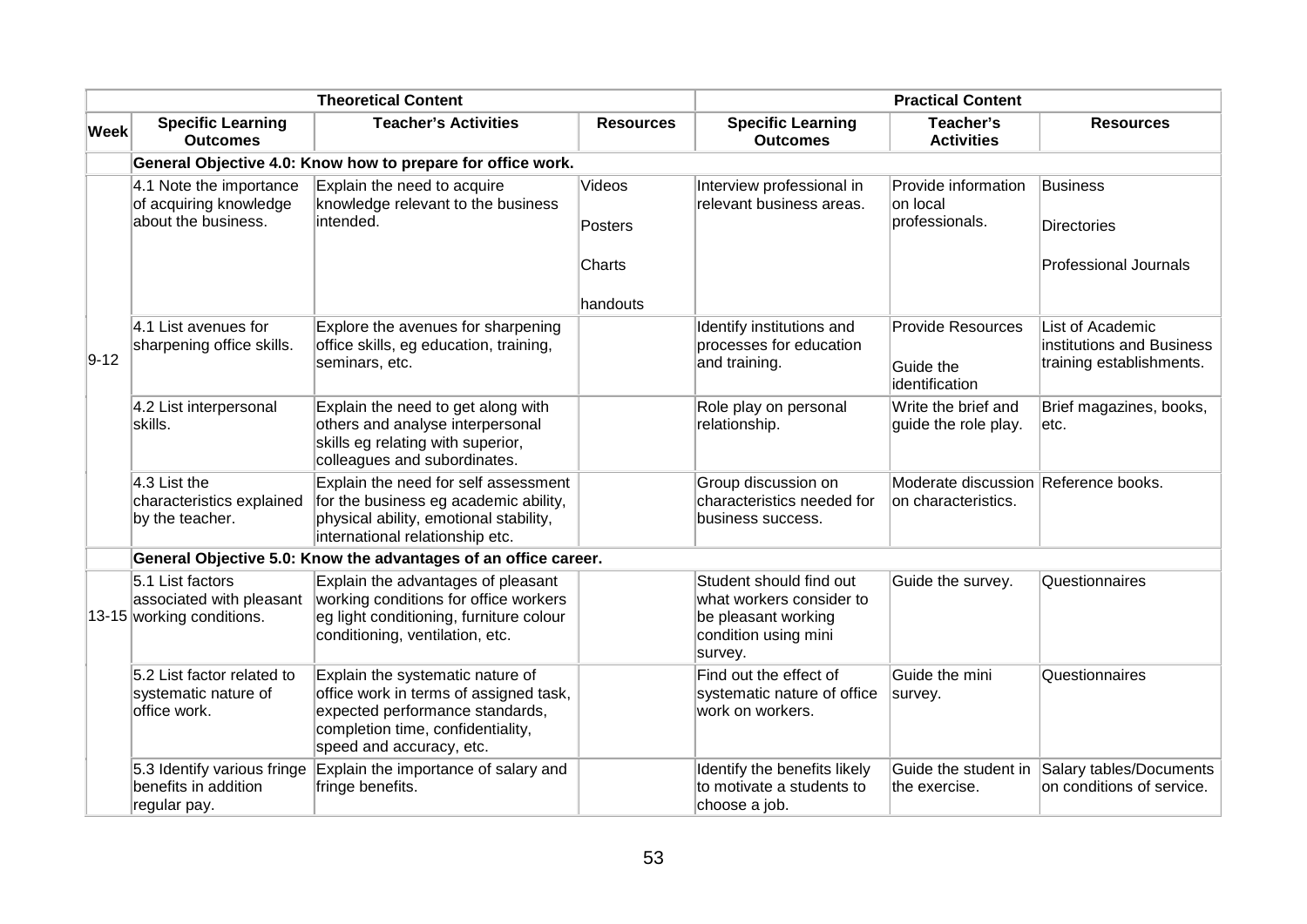|             |                                                                             | <b>Theoretical Content</b>                                                                                                                                                     |                    | <b>Practical Content</b>                                                                                      |                                                             |                                                                           |
|-------------|-----------------------------------------------------------------------------|--------------------------------------------------------------------------------------------------------------------------------------------------------------------------------|--------------------|---------------------------------------------------------------------------------------------------------------|-------------------------------------------------------------|---------------------------------------------------------------------------|
| <b>Week</b> | <b>Specific Learning</b><br><b>Outcomes</b>                                 | <b>Teacher's Activities</b>                                                                                                                                                    | <b>Resources</b>   | <b>Specific Learning</b><br><b>Outcomes</b>                                                                   | Teacher's<br><b>Activities</b>                              | <b>Resources</b>                                                          |
|             |                                                                             | General Objective 4.0: Know how to prepare for office work.                                                                                                                    |                    |                                                                                                               |                                                             |                                                                           |
|             | 4.1 Note the importance<br>of acquiring knowledge<br>about the business.    | Explain the need to acquire<br>knowledge relevant to the business<br>intended.                                                                                                 | Videos<br>Posters  | Interview professional in<br>relevant business areas.                                                         | Provide information<br>on local<br>professionals.           | <b>Business</b><br><b>Directories</b>                                     |
|             |                                                                             |                                                                                                                                                                                | Charts<br>handouts |                                                                                                               |                                                             | <b>Professional Journals</b>                                              |
| $9 - 12$    | $4.1$ List avenues for<br>sharpening office skills.                         | Explore the avenues for sharpening<br>office skills, eg education, training,<br>seminars, etc.                                                                                 |                    | Identify institutions and<br>processes for education<br>and training.                                         | <b>Provide Resources</b><br>Guide the<br>lidentification    | List of Academic<br>institutions and Business<br>training establishments. |
|             | 4.2 List interpersonal<br>skills.                                           | Explain the need to get along with<br>others and analyse interpersonal<br>skills eg relating with superior,<br>colleagues and subordinates.                                    |                    | Role play on personal<br>relationship.                                                                        | Write the brief and<br>guide the role play.                 | Brief magazines, books,<br>etc.                                           |
|             | $ 4.3$ List the<br>characteristics explained<br>by the teacher.             | Explain the need for self assessment<br>for the business eg academic ability,<br>physical ability, emotional stability,<br>international relationship etc.                     |                    | Group discussion on<br>characteristics needed for<br>business success.                                        | Moderate discussion Reference books.<br>on characteristics. |                                                                           |
|             |                                                                             | General Objective 5.0: Know the advantages of an office career.                                                                                                                |                    |                                                                                                               |                                                             |                                                                           |
|             | 5.1 List factors<br>associated with pleasant<br>$13-15$ working conditions. | Explain the advantages of pleasant<br>working conditions for office workers<br>eg light conditioning, furniture colour<br>conditioning, ventilation, etc.                      |                    | Student should find out<br>what workers consider to<br>be pleasant working<br>condition using mini<br>survey. | Guide the survey.                                           | Questionnaires                                                            |
|             | 5.2 List factor related to<br>systematic nature of<br>office work.          | Explain the systematic nature of<br>office work in terms of assigned task,<br>expected performance standards,<br>completion time, confidentiality,<br>speed and accuracy, etc. |                    | Find out the effect of<br>systematic nature of office<br>work on workers.                                     | Guide the mini<br>survey.                                   | Questionnaires                                                            |
|             | 5.3 Identify various fringe<br>benefits in addition<br>regular pay.         | Explain the importance of salary and<br>fringe benefits.                                                                                                                       |                    | Identify the benefits likely<br>to motivate a students to<br>choose a job.                                    | Guide the student in<br>the exercise.                       | Salary tables/Documents<br>on conditions of service.                      |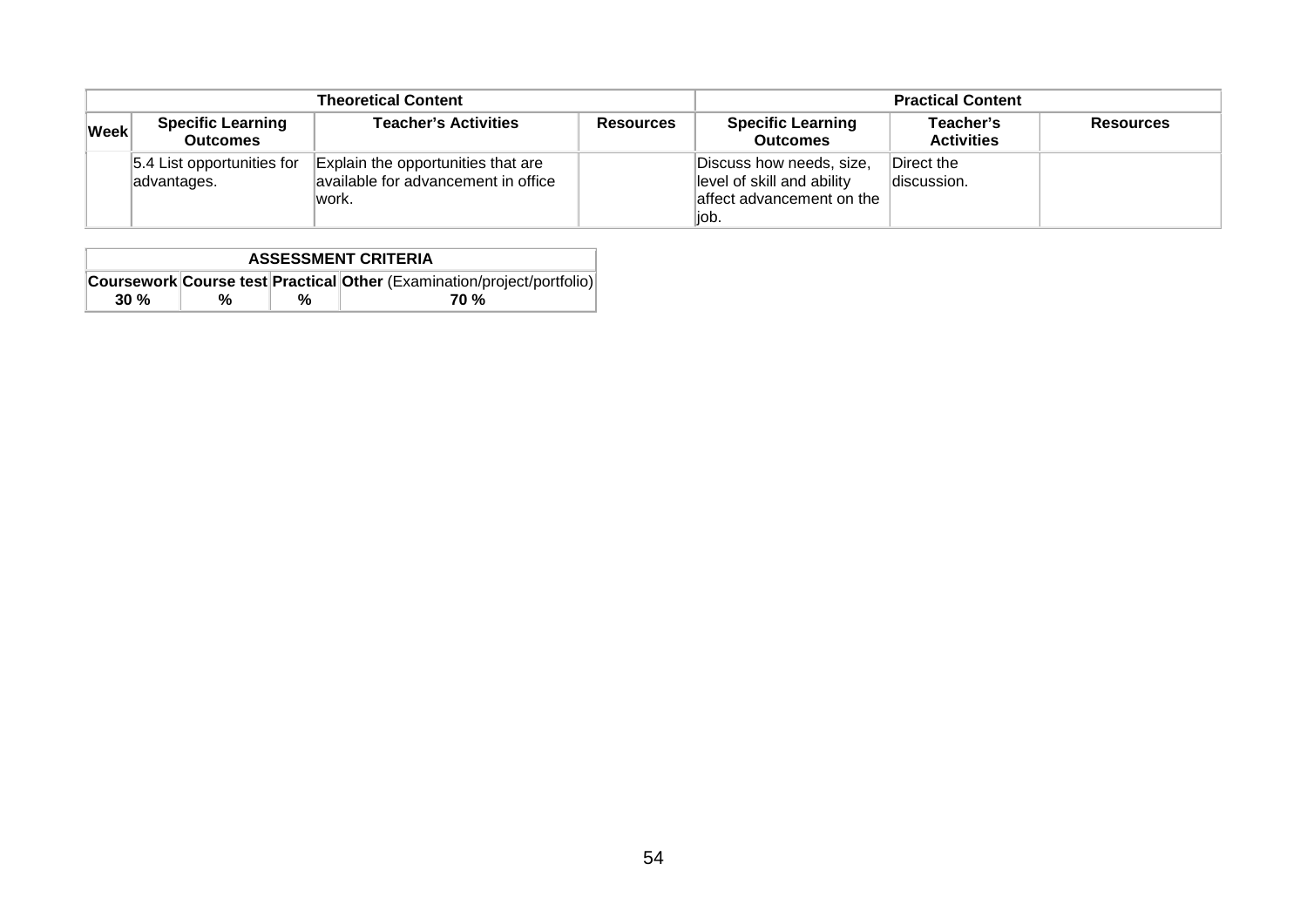|             |                                             | <b>Theoretical Content</b>                                                          |                  | <b>Practical Content</b>                                                                     |                                |                  |
|-------------|---------------------------------------------|-------------------------------------------------------------------------------------|------------------|----------------------------------------------------------------------------------------------|--------------------------------|------------------|
| <b>Week</b> | <b>Specific Learning</b><br><b>Outcomes</b> | <b>Teacher's Activities</b>                                                         | <b>Resources</b> | <b>Specific Learning</b><br><b>Outcomes</b>                                                  | Teacher's<br><b>Activities</b> | <b>Resources</b> |
|             | 5.4 List opportunities for<br>advantages.   | Explain the opportunities that are<br>available for advancement in office<br>lwork. |                  | Discuss how needs, size,<br>level of skill and ability<br>affect advancement on the<br>liob. | Direct the<br>discussion.      |                  |

|                                                                        | <b>ASSESSMENT CRITERIA</b> |  |  |  |  |  |
|------------------------------------------------------------------------|----------------------------|--|--|--|--|--|
| Coursework Course test Practical Other (Examination/project/portfolio) |                            |  |  |  |  |  |
| 30%<br>70 %<br>%<br>%                                                  |                            |  |  |  |  |  |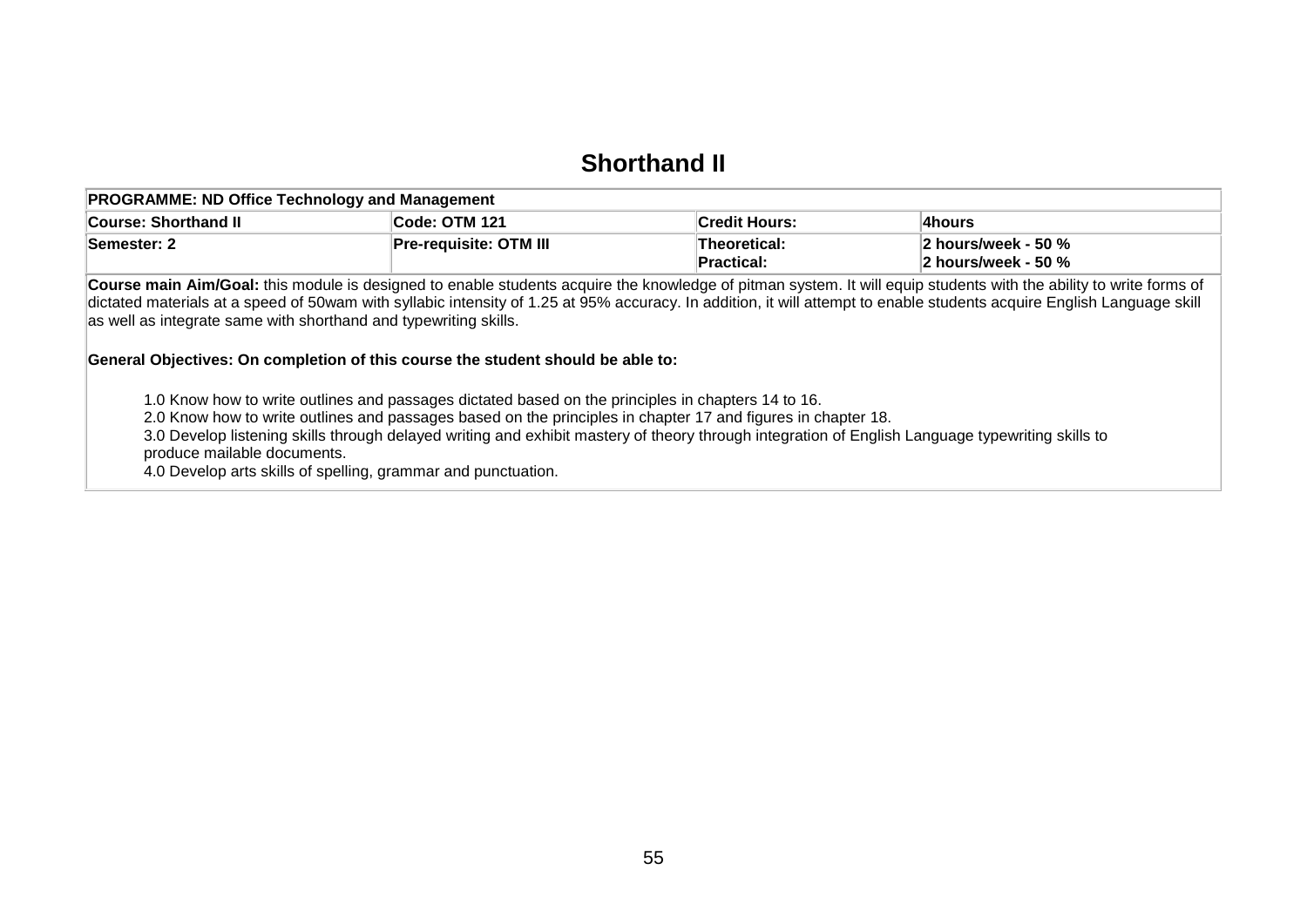#### **Shorthand II**

| <b>PROGRAMME: ND Office Technology and Management</b> |                               |                            |                                                                |  |
|-------------------------------------------------------|-------------------------------|----------------------------|----------------------------------------------------------------|--|
| Course: Shorthand II                                  | Code: OTM 121                 | <b>Credit Hours:</b>       | ∣4hours                                                        |  |
| <b>Semester: 2</b>                                    | <b>Pre-requisite: OTM III</b> | Theoretical:<br>Practical: | $ 2 \text{ hours/week} - 50 \%$<br>$\vert$ 2 hours/week - 50 % |  |

**Course main Aim/Goal:** this module is designed to enable students acquire the knowledge of pitman system. It will equip students with the ability to write forms of dictated materials at a speed of 50wam with syllabic intensity of 1.25 at 95% accuracy. In addition, it will attempt to enable students acquire English Language skill as well as integrate same with shorthand and typewriting skills.

#### **General Objectives: On completion of this course the student should be able to:**

1.0 Know how to write outlines and passages dictated based on the principles in chapters 14 to 16.

2.0 Know how to write outlines and passages based on the principles in chapter 17 and figures in chapter 18.

3.0 Develop listening skills through delayed writing and exhibit mastery of theory through integration of English Language typewriting skills to produce mailable documents.

4.0 Develop arts skills of spelling, grammar and punctuation.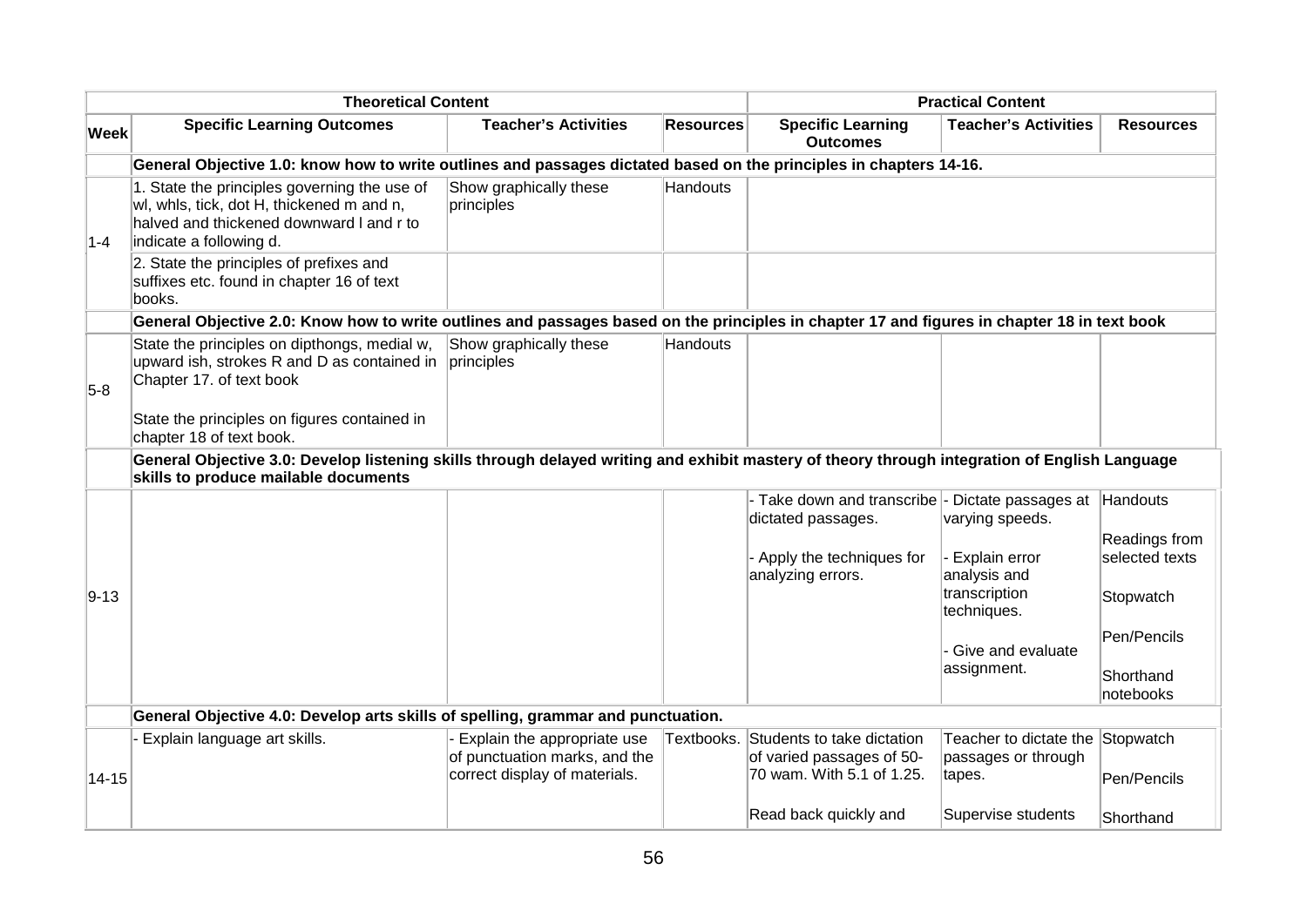|             | <b>Theoretical Content</b>                                                                                                                                                            |                                                                                               |                  | <b>Practical Content</b>                                                             |                                                                   |                                 |
|-------------|---------------------------------------------------------------------------------------------------------------------------------------------------------------------------------------|-----------------------------------------------------------------------------------------------|------------------|--------------------------------------------------------------------------------------|-------------------------------------------------------------------|---------------------------------|
| <b>Week</b> | <b>Specific Learning Outcomes</b>                                                                                                                                                     | <b>Teacher's Activities</b>                                                                   | <b>Resources</b> | <b>Specific Learning</b><br><b>Outcomes</b>                                          | <b>Teacher's Activities</b>                                       | <b>Resources</b>                |
|             | General Objective 1.0: know how to write outlines and passages dictated based on the principles in chapters 14-16.                                                                    |                                                                                               |                  |                                                                                      |                                                                   |                                 |
| $1 - 4$     | 1. State the principles governing the use of<br>wl, whls, tick, dot H, thickened m and n,<br>halved and thickened downward I and r to<br>indicate a following d.                      | Show graphically these<br>principles                                                          | Handouts         |                                                                                      |                                                                   |                                 |
|             | 2. State the principles of prefixes and<br>suffixes etc. found in chapter 16 of text<br>books.                                                                                        |                                                                                               |                  |                                                                                      |                                                                   |                                 |
|             | General Objective 2.0: Know how to write outlines and passages based on the principles in chapter 17 and figures in chapter 18 in text book                                           |                                                                                               |                  |                                                                                      |                                                                   |                                 |
| $5-8$       | State the principles on dipthongs, medial w,<br>upward ish, strokes R and D as contained in<br>Chapter 17. of text book                                                               | Show graphically these<br>principles                                                          | <b>Handouts</b>  |                                                                                      |                                                                   |                                 |
|             | State the principles on figures contained in<br>chapter 18 of text book.                                                                                                              |                                                                                               |                  |                                                                                      |                                                                   |                                 |
|             | General Objective 3.0: Develop listening skills through delayed writing and exhibit mastery of theory through integration of English Language<br>skills to produce mailable documents |                                                                                               |                  |                                                                                      |                                                                   |                                 |
|             |                                                                                                                                                                                       |                                                                                               |                  | - Take down and transcribe - Dictate passages at Handouts<br>dictated passages.      | varying speeds.                                                   |                                 |
|             |                                                                                                                                                                                       |                                                                                               |                  | - Apply the techniques for<br>analyzing errors.                                      | Explain error<br>analysis and                                     | Readings from<br>selected texts |
| $9 - 13$    |                                                                                                                                                                                       |                                                                                               |                  |                                                                                      | transcription<br>techniques.                                      | Stopwatch                       |
|             |                                                                                                                                                                                       |                                                                                               |                  |                                                                                      | Give and evaluate                                                 | Pen/Pencils                     |
|             |                                                                                                                                                                                       |                                                                                               |                  |                                                                                      | assignment.                                                       | Shorthand<br>notebooks          |
|             | General Objective 4.0: Develop arts skills of spelling, grammar and punctuation.                                                                                                      |                                                                                               |                  |                                                                                      |                                                                   |                                 |
| $14 - 15$   | Explain language art skills.                                                                                                                                                          | Explain the appropriate use<br>of punctuation marks, and the<br>correct display of materials. | Textbooks.       | Students to take dictation<br>of varied passages of 50-<br>70 wam. With 5.1 of 1.25. | Teacher to dictate the Stopwatch<br>passages or through<br>tapes. | Pen/Pencils                     |
|             |                                                                                                                                                                                       |                                                                                               |                  | Read back quickly and                                                                | Supervise students                                                | Shorthand                       |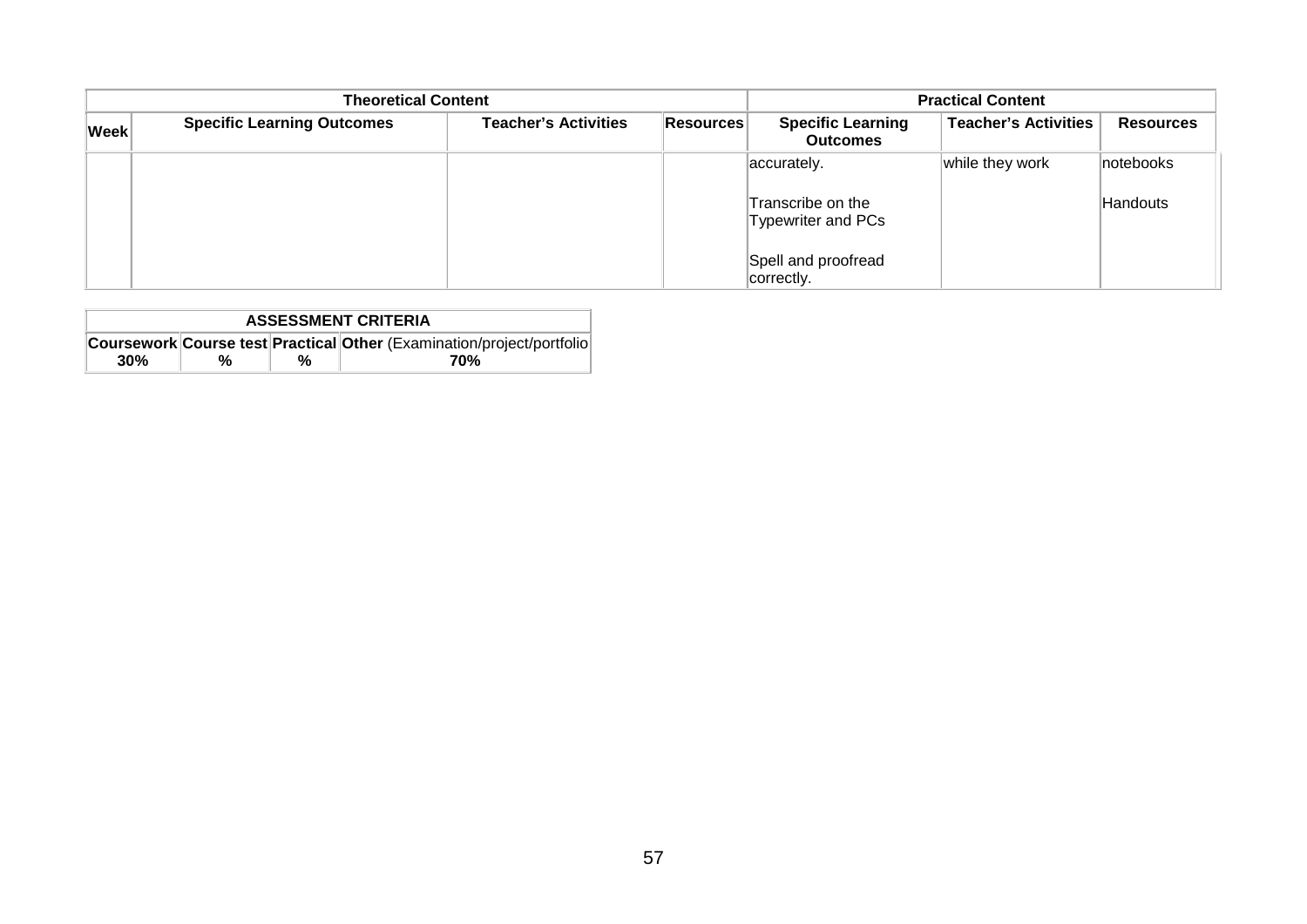|             | <b>Theoretical Content</b>        | <b>Practical Content</b>    |           |                                             |                             |                  |
|-------------|-----------------------------------|-----------------------------|-----------|---------------------------------------------|-----------------------------|------------------|
| <b>Week</b> | <b>Specific Learning Outcomes</b> | <b>Teacher's Activities</b> | Resources | <b>Specific Learning</b><br><b>Outcomes</b> | <b>Teacher's Activities</b> | <b>Resources</b> |
|             |                                   |                             |           | accurately.                                 | while they work             | notebooks        |
|             |                                   |                             |           | Transcribe on the<br>Typewriter and PCs     |                             | Handouts         |
|             |                                   |                             |           | Spell and proofread<br>correctly.           |                             |                  |

| <b>ASSESSMENT CRITERIA</b> |                                                                        |   |     |  |  |
|----------------------------|------------------------------------------------------------------------|---|-----|--|--|
|                            | Coursework Course test Practical Other (Examination/project/portfolio) |   |     |  |  |
| 30%                        | %                                                                      | % | 70% |  |  |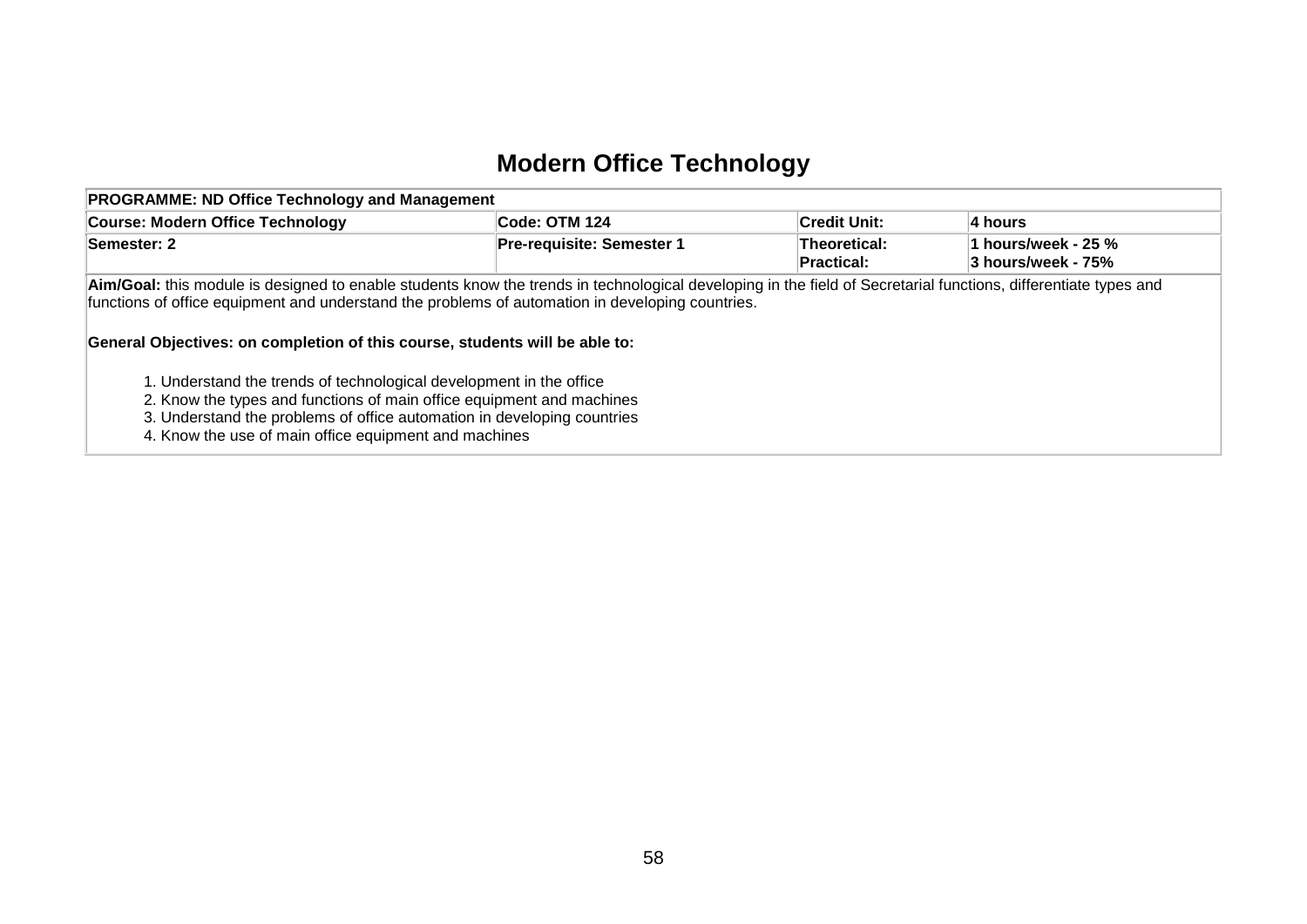## **Modern Office Technology**

| <b>PROGRAMME: ND Office Technology and Management</b>                                                                                                                                                                                                                                                                                                                                                                     |                           |                            |                                           |  |  |
|---------------------------------------------------------------------------------------------------------------------------------------------------------------------------------------------------------------------------------------------------------------------------------------------------------------------------------------------------------------------------------------------------------------------------|---------------------------|----------------------------|-------------------------------------------|--|--|
| <b>Course: Modern Office Technology</b>                                                                                                                                                                                                                                                                                                                                                                                   | Code: OTM 124             | ∣Credit Unit:              | 4 hours                                   |  |  |
| Semester: 2                                                                                                                                                                                                                                                                                                                                                                                                               | Pre-requisite: Semester 1 | Theoretical:<br>Practical: | 1 hours/week - 25 %<br>3 hours/week - 75% |  |  |
| Aim/Goal: this module is designed to enable students know the trends in technological developing in the field of Secretarial functions, differentiate types and<br>functions of office equipment and understand the problems of automation in developing countries.<br>General Objectives: on completion of this course, students will be able to:<br>1. Understand the trends of technological development in the office |                           |                            |                                           |  |  |
| 2. Know the types and functions of main office equipment and machines<br>3. Understand the problems of office automation in developing countries<br>4. Know the use of main office equipment and machines                                                                                                                                                                                                                 |                           |                            |                                           |  |  |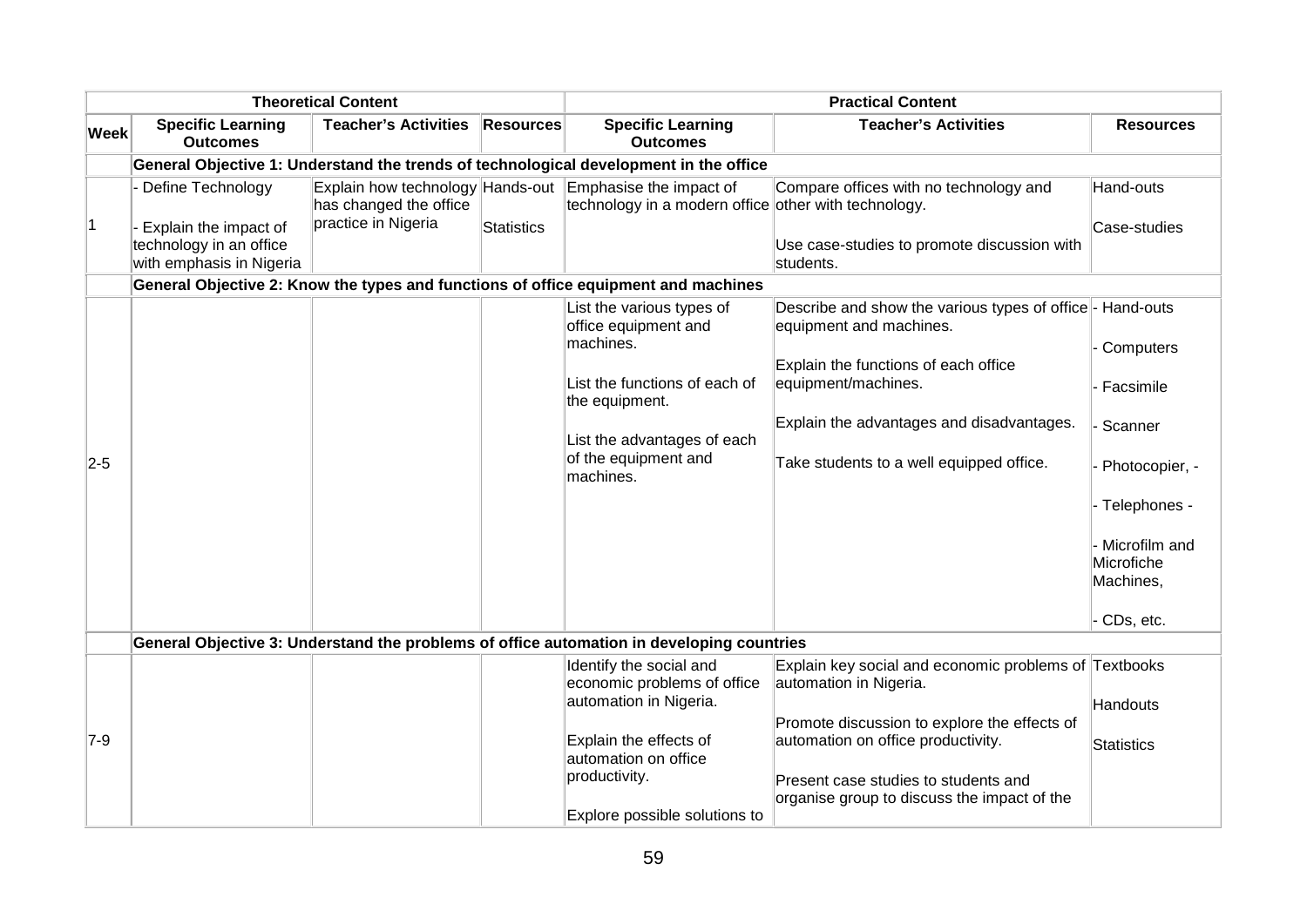| <b>Theoretical Content</b> |                                                                                                     | <b>Practical Content</b>                      |                  |                                                                                                                  |                                                                                                                              |                               |
|----------------------------|-----------------------------------------------------------------------------------------------------|-----------------------------------------------|------------------|------------------------------------------------------------------------------------------------------------------|------------------------------------------------------------------------------------------------------------------------------|-------------------------------|
| <b>Week</b>                | <b>Specific Learning</b><br><b>Outcomes</b>                                                         | <b>Teacher's Activities</b>                   | <b>Resources</b> | <b>Specific Learning</b><br><b>Outcomes</b>                                                                      | <b>Teacher's Activities</b>                                                                                                  | <b>Resources</b>              |
|                            |                                                                                                     |                                               |                  | General Objective 1: Understand the trends of technological development in the office                            |                                                                                                                              |                               |
| $\vert$ 1                  | Define Technology<br>- Explain the impact of<br>technology in an office<br>with emphasis in Nigeria | has changed the office<br>practice in Nigeria | Statistics       | Explain how technology Hands-out Emphasise the impact of<br>technology in a modern office other with technology. | Compare offices with no technology and<br>Use case-studies to promote discussion with<br>students.                           | Hand-outs<br>Case-studies     |
|                            |                                                                                                     |                                               |                  | General Objective 2: Know the types and functions of office equipment and machines                               |                                                                                                                              |                               |
|                            |                                                                                                     |                                               |                  | List the various types of<br>office equipment and<br>machines.                                                   | Describe and show the various types of office - Hand-outs<br>equipment and machines.<br>Explain the functions of each office | Computers                     |
|                            |                                                                                                     |                                               |                  | List the functions of each of<br>the equipment.                                                                  | equipment/machines.                                                                                                          | - Facsimile                   |
|                            |                                                                                                     |                                               |                  | List the advantages of each                                                                                      | Explain the advantages and disadvantages.                                                                                    | - Scanner                     |
| $2-5$                      |                                                                                                     |                                               |                  | of the equipment and<br>machines.                                                                                | Take students to a well equipped office.                                                                                     | - Photocopier, -              |
|                            |                                                                                                     |                                               |                  |                                                                                                                  |                                                                                                                              | - Telephones -                |
|                            |                                                                                                     |                                               |                  |                                                                                                                  |                                                                                                                              | - Microfilm and<br>Microfiche |
|                            |                                                                                                     |                                               |                  |                                                                                                                  |                                                                                                                              | Machines,                     |
|                            |                                                                                                     |                                               |                  |                                                                                                                  |                                                                                                                              | CDs, etc.                     |
|                            |                                                                                                     |                                               |                  | General Objective 3: Understand the problems of office automation in developing countries                        |                                                                                                                              |                               |
|                            |                                                                                                     |                                               |                  | Identify the social and<br>economic problems of office                                                           | Explain key social and economic problems of Textbooks<br>automation in Nigeria.                                              |                               |
|                            |                                                                                                     |                                               |                  | automation in Nigeria.                                                                                           |                                                                                                                              | Handouts                      |
|                            |                                                                                                     |                                               |                  |                                                                                                                  | Promote discussion to explore the effects of                                                                                 |                               |
| $7-9$                      |                                                                                                     |                                               |                  | Explain the effects of<br>automation on office                                                                   | automation on office productivity.                                                                                           | <b>Statistics</b>             |
|                            |                                                                                                     |                                               |                  | productivity.                                                                                                    | Present case studies to students and                                                                                         |                               |
|                            |                                                                                                     |                                               |                  | Explore possible solutions to                                                                                    | organise group to discuss the impact of the                                                                                  |                               |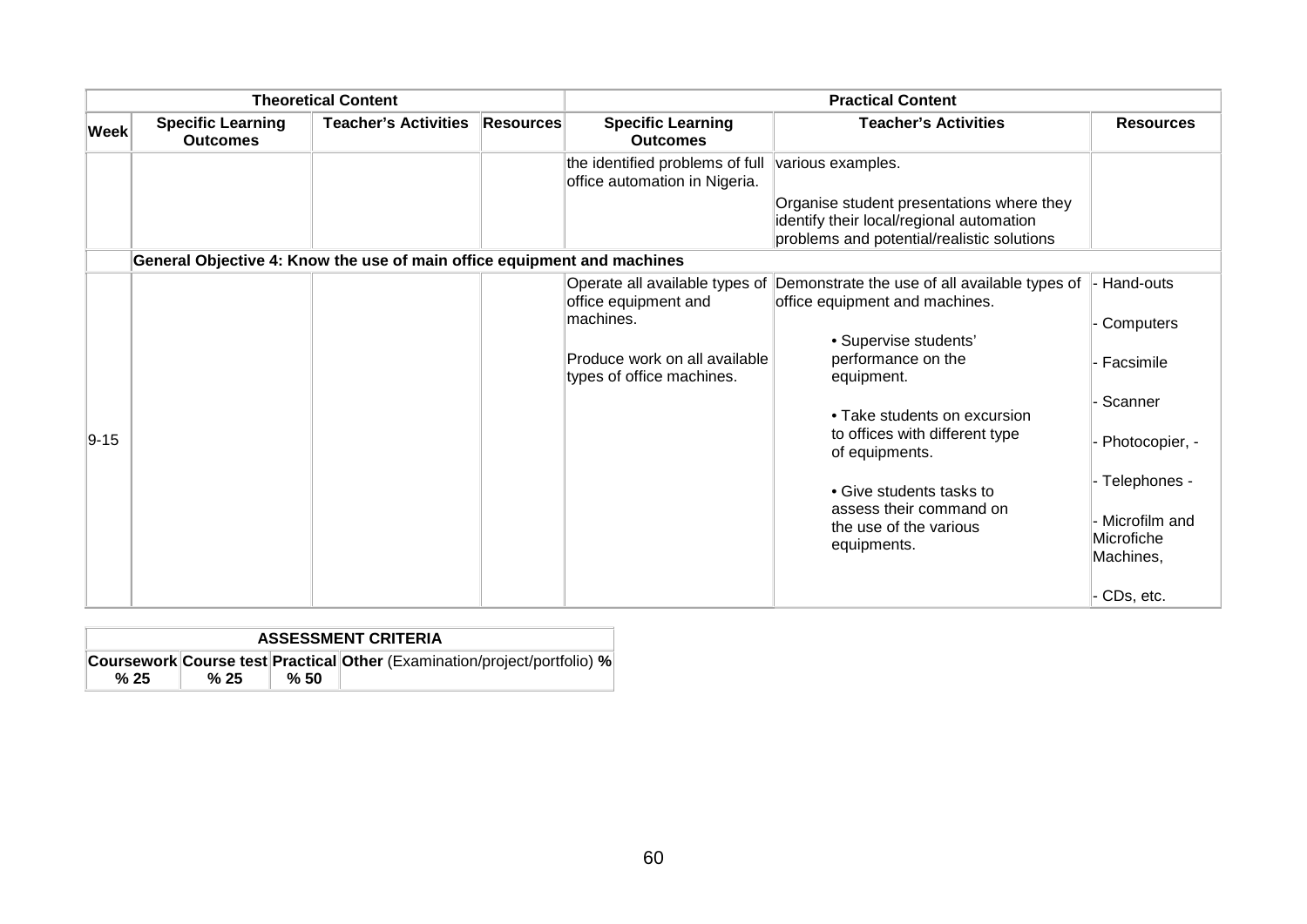| <b>Theoretical Content</b> |                                                                         | <b>Practical Content</b>    |                  |                                                                                                                                   |                                                                                                                                                                                                                                                                                                                                  |                                                                                                                              |
|----------------------------|-------------------------------------------------------------------------|-----------------------------|------------------|-----------------------------------------------------------------------------------------------------------------------------------|----------------------------------------------------------------------------------------------------------------------------------------------------------------------------------------------------------------------------------------------------------------------------------------------------------------------------------|------------------------------------------------------------------------------------------------------------------------------|
| <b>Week</b>                | <b>Specific Learning</b><br><b>Outcomes</b>                             | <b>Teacher's Activities</b> | <b>Resources</b> | <b>Specific Learning</b><br><b>Outcomes</b>                                                                                       | <b>Teacher's Activities</b>                                                                                                                                                                                                                                                                                                      | <b>Resources</b>                                                                                                             |
|                            |                                                                         |                             |                  | the identified problems of full<br>office automation in Nigeria.                                                                  | various examples.<br>Organise student presentations where they<br>identify their local/regional automation<br>problems and potential/realistic solutions                                                                                                                                                                         |                                                                                                                              |
|                            | General Objective 4: Know the use of main office equipment and machines |                             |                  |                                                                                                                                   |                                                                                                                                                                                                                                                                                                                                  |                                                                                                                              |
| $9 - 15$                   |                                                                         |                             |                  | Operate all available types of<br>office equipment and<br>machines.<br>Produce work on all available<br>types of office machines. | Demonstrate the use of all available types of<br>office equipment and machines.<br>• Supervise students'<br>performance on the<br>equipment.<br>• Take students on excursion<br>to offices with different type<br>of equipments.<br>• Give students tasks to<br>assess their command on<br>the use of the various<br>equipments. | Hand-outs<br>Computers<br>Facsimile<br>Scanner<br>Photocopier, -<br>Telephones -<br>Microfilm and<br>Microfiche<br>Machines, |
|                            |                                                                         |                             |                  |                                                                                                                                   |                                                                                                                                                                                                                                                                                                                                  | CDs, etc.                                                                                                                    |

| <b>ASSESSMENT CRITERIA</b>                                               |      |     |  |  |
|--------------------------------------------------------------------------|------|-----|--|--|
| Coursework Course test Practical Other (Examination/project/portfolio) % |      |     |  |  |
| % 25                                                                     | % 25 | %50 |  |  |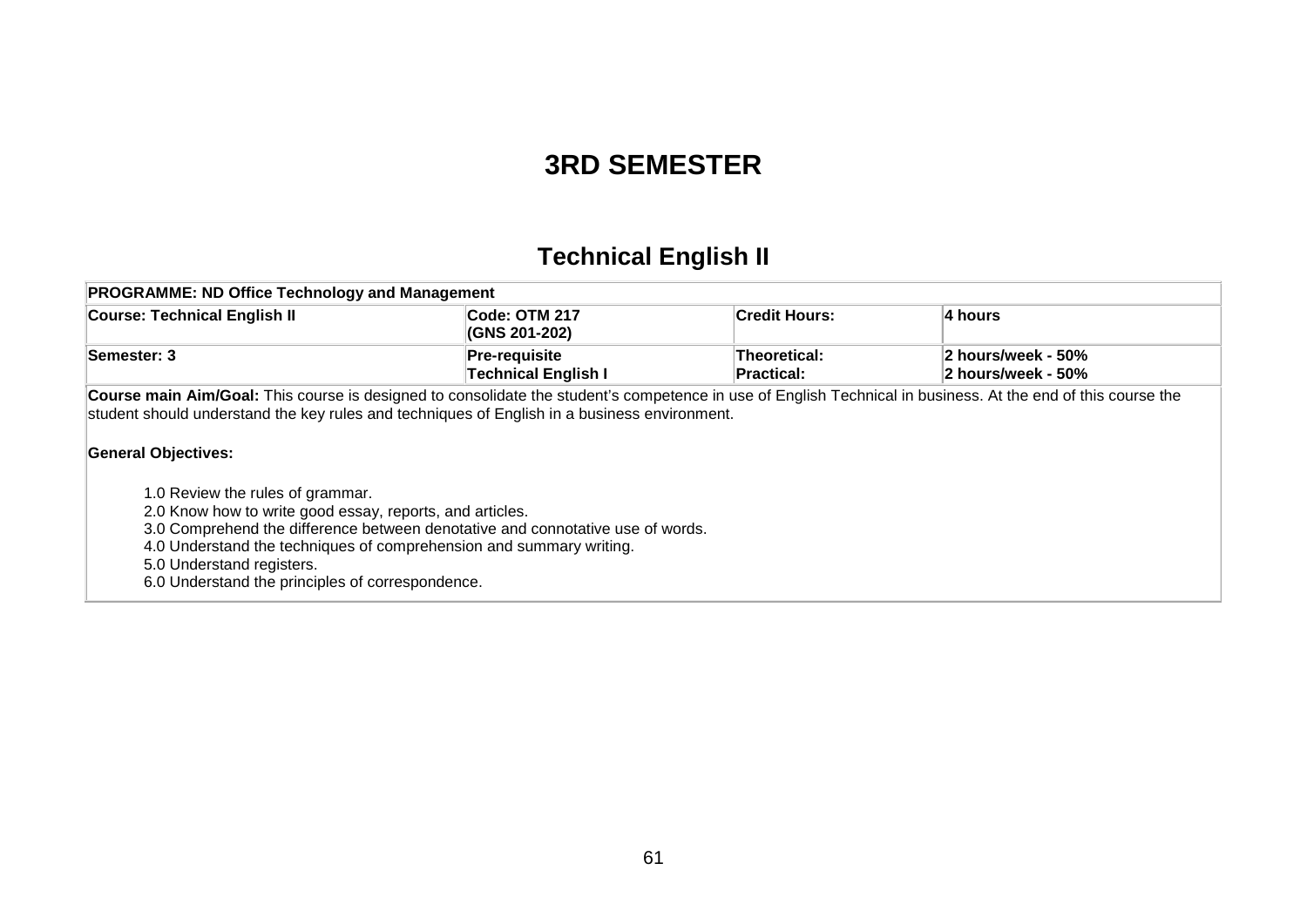#### **3RD SEMESTER**

# **Technical English II**

| <b>PROGRAMME: ND Office Technology and Management</b>                                                                                                                                                                                                                                                                                                                                                                                                                                                                                                                                                                                |                                                    |                                    |                                          |  |  |
|--------------------------------------------------------------------------------------------------------------------------------------------------------------------------------------------------------------------------------------------------------------------------------------------------------------------------------------------------------------------------------------------------------------------------------------------------------------------------------------------------------------------------------------------------------------------------------------------------------------------------------------|----------------------------------------------------|------------------------------------|------------------------------------------|--|--|
| <b>Course: Technical English II</b>                                                                                                                                                                                                                                                                                                                                                                                                                                                                                                                                                                                                  | Code: OTM 217<br>(GNS 201-202)                     | Credit Hours:                      | ∣4 hours                                 |  |  |
| Semester: 3                                                                                                                                                                                                                                                                                                                                                                                                                                                                                                                                                                                                                          | <b>Pre-requisite</b><br><b>Technical English I</b> | <b>Theoretical:</b><br>∣Practical: | 2 hours/week - 50%<br>2 hours/week - 50% |  |  |
| Course main Aim/Goal: This course is designed to consolidate the student's competence in use of English Technical in business. At the end of this course the<br>student should understand the key rules and techniques of English in a business environment.<br><b>General Objectives:</b><br>1.0 Review the rules of grammar.<br>2.0 Know how to write good essay, reports, and articles.<br>3.0 Comprehend the difference between denotative and connotative use of words.<br>4.0 Understand the techniques of comprehension and summary writing.<br>5.0 Understand registers.<br>6.0 Understand the principles of correspondence. |                                                    |                                    |                                          |  |  |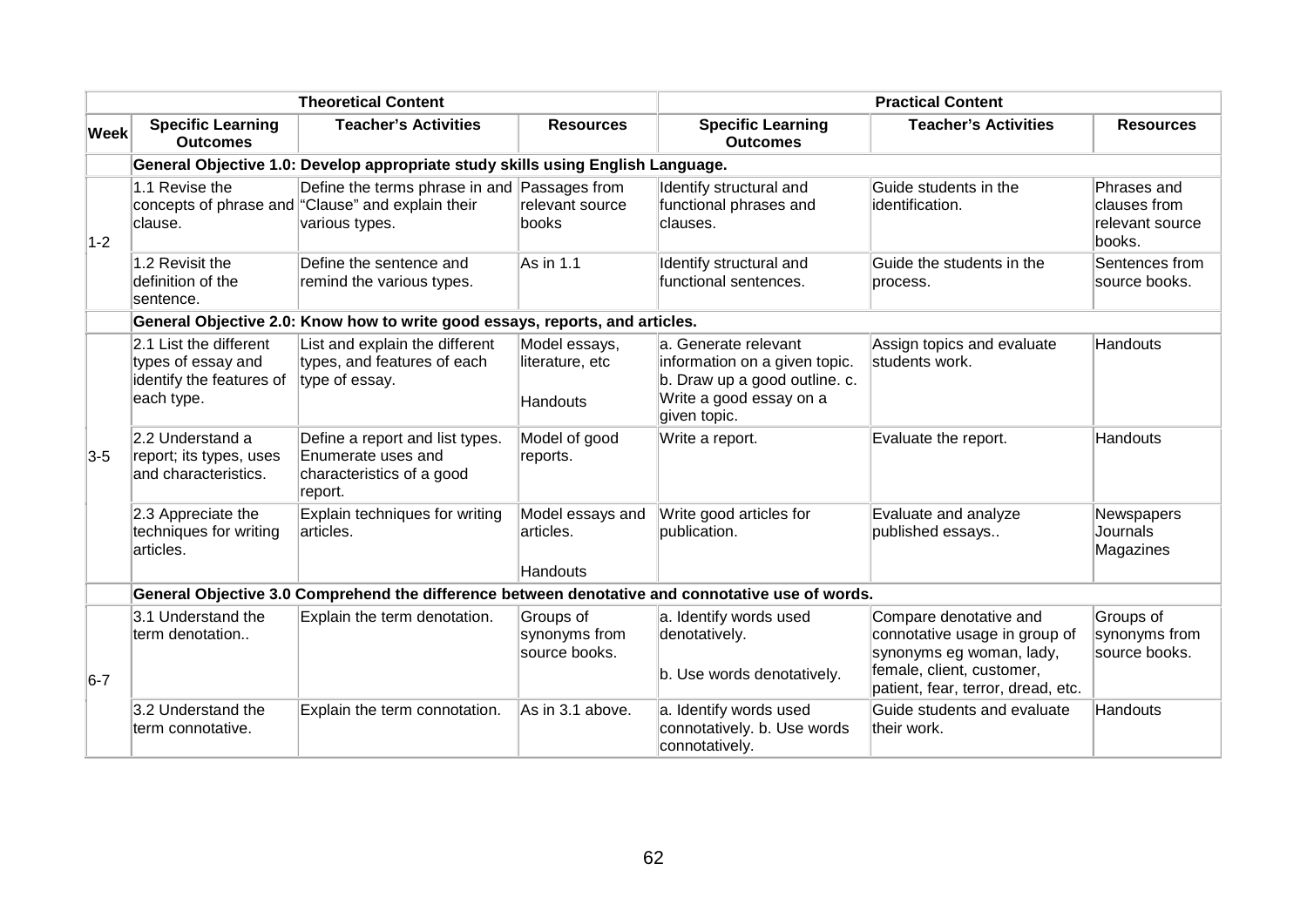|             |                                                                                        | <b>Theoretical Content</b>                                                                            |                                              |                                                                                                                                    | <b>Practical Content</b>                                                                                                                               |                                                          |
|-------------|----------------------------------------------------------------------------------------|-------------------------------------------------------------------------------------------------------|----------------------------------------------|------------------------------------------------------------------------------------------------------------------------------------|--------------------------------------------------------------------------------------------------------------------------------------------------------|----------------------------------------------------------|
| <b>Week</b> | <b>Specific Learning</b><br><b>Outcomes</b>                                            | <b>Teacher's Activities</b>                                                                           | <b>Resources</b>                             | <b>Specific Learning</b><br><b>Outcomes</b>                                                                                        | <b>Teacher's Activities</b>                                                                                                                            | <b>Resources</b>                                         |
|             |                                                                                        | General Objective 1.0: Develop appropriate study skills using English Language.                       |                                              |                                                                                                                                    |                                                                                                                                                        |                                                          |
| $1-2$       | 1.1 Revise the<br>clause.                                                              | Define the terms phrase in and<br>concepts of phrase and "Clause" and explain their<br>various types. | Passages from<br>relevant source<br>books    | Identify structural and<br>functional phrases and<br>clauses.                                                                      | Guide students in the<br>identification.                                                                                                               | Phrases and<br>clauses from<br>relevant source<br>books. |
|             | 1.2 Revisit the<br>definition of the<br>sentence.                                      | Define the sentence and<br>remind the various types.                                                  | As in 1.1                                    | Identify structural and<br>functional sentences.                                                                                   | Guide the students in the<br>process.                                                                                                                  | Sentences from<br>source books.                          |
|             |                                                                                        | General Objective 2.0: Know how to write good essays, reports, and articles.                          |                                              |                                                                                                                                    |                                                                                                                                                        |                                                          |
|             | 2.1 List the different<br>types of essay and<br>identify the features of<br>each type. | List and explain the different<br>types, and features of each<br>type of essay.                       | Model essays,<br>literature, etc<br>Handouts | la. Generate relevant<br>information on a given topic.<br>b. Draw up a good outline. c.<br>Write a good essay on a<br>given topic. | Assign topics and evaluate<br>students work.                                                                                                           | <b>Handouts</b>                                          |
| $3-5$       | 2.2 Understand a<br>report; its types, uses<br>and characteristics.                    | Define a report and list types.<br>Enumerate uses and<br>characteristics of a good<br>report.         | Model of good<br>reports.                    | Write a report.                                                                                                                    | Evaluate the report.                                                                                                                                   | Handouts                                                 |
|             | 2.3 Appreciate the<br>techniques for writing<br>articles.                              | Explain techniques for writing<br>articles.                                                           | Model essays and<br>articles.<br>Handouts    | Write good articles for<br>publication.                                                                                            | Evaluate and analyze<br>published essays                                                                                                               | Newspapers<br>Journals<br>Magazines                      |
|             |                                                                                        | General Objective 3.0 Comprehend the difference between denotative and connotative use of words.      |                                              |                                                                                                                                    |                                                                                                                                                        |                                                          |
| $6-7$       | 3.1 Understand the<br>term denotation                                                  | Explain the term denotation.                                                                          | Groups of<br>synonyms from<br>source books.  | a. Identify words used<br>denotatively.<br>b. Use words denotatively.                                                              | Compare denotative and<br>connotative usage in group of<br>synonyms eg woman, lady,<br>female, client, customer,<br>patient, fear, terror, dread, etc. | Groups of<br>synonyms from<br>source books.              |
|             | 3.2 Understand the<br>term connotative.                                                | Explain the term connotation.                                                                         | As in 3.1 above.                             | a. Identify words used<br>connotatively. b. Use words<br>connotatively.                                                            | Guide students and evaluate<br>their work.                                                                                                             | Handouts                                                 |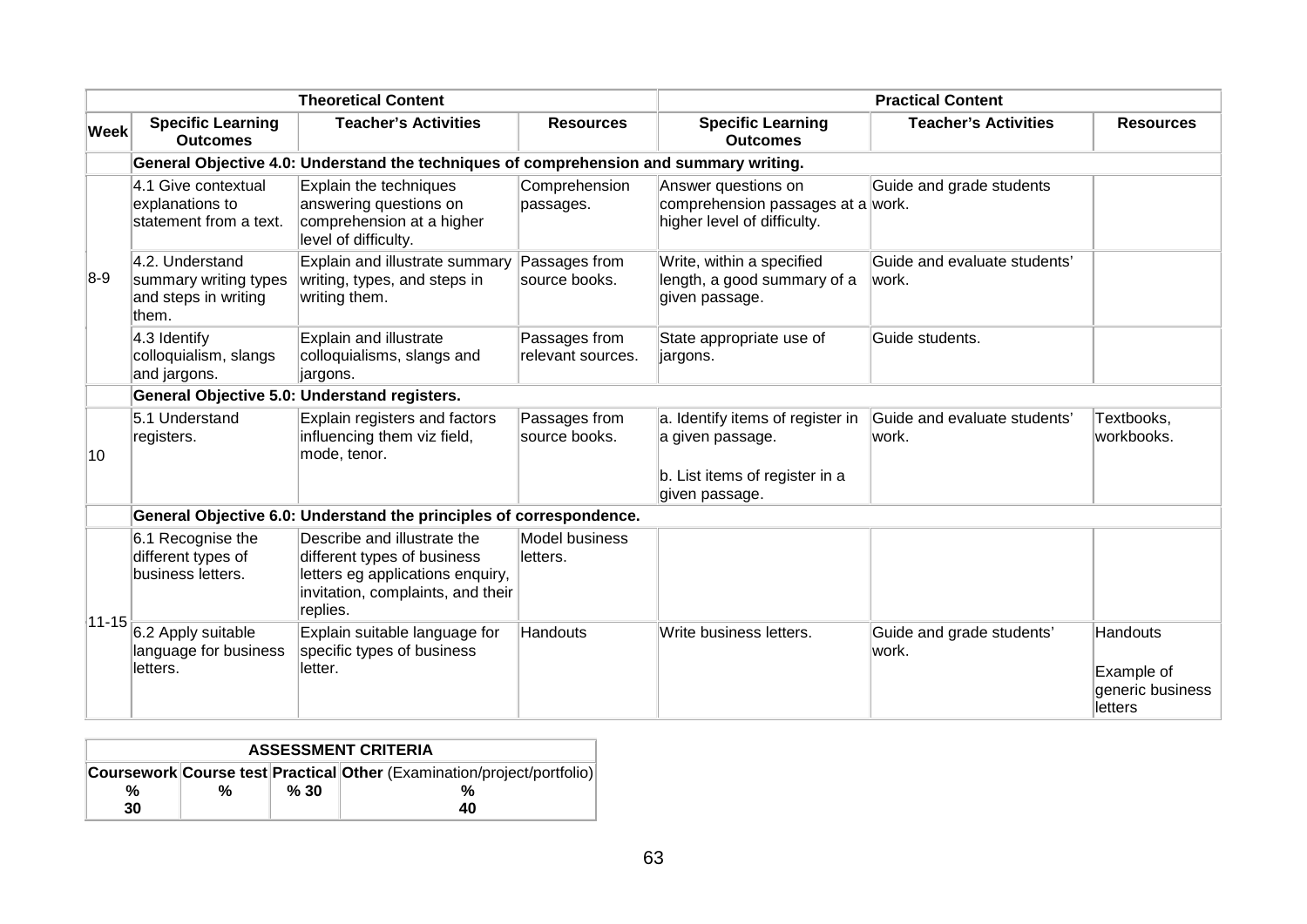| <b>Theoretical Content</b> |                                                                           | <b>Practical Content</b>                                                                                                                        |                                    |                                                                                                          |                                        |                                                              |
|----------------------------|---------------------------------------------------------------------------|-------------------------------------------------------------------------------------------------------------------------------------------------|------------------------------------|----------------------------------------------------------------------------------------------------------|----------------------------------------|--------------------------------------------------------------|
| <b>Week</b>                | <b>Specific Learning</b><br><b>Outcomes</b>                               | <b>Teacher's Activities</b>                                                                                                                     | <b>Resources</b>                   | <b>Specific Learning</b><br><b>Outcomes</b>                                                              | <b>Teacher's Activities</b>            | <b>Resources</b>                                             |
|                            |                                                                           | General Objective 4.0: Understand the techniques of comprehension and summary writing.                                                          |                                    |                                                                                                          |                                        |                                                              |
|                            | 4.1 Give contextual<br>explanations to<br>statement from a text.          | Explain the techniques<br>answering questions on<br>comprehension at a higher<br>level of difficulty.                                           | Comprehension<br>passages.         | Answer questions on<br>comprehension passages at a work.<br>higher level of difficulty.                  | Guide and grade students               |                                                              |
| $8-9$                      | 4.2. Understand<br>summary writing types<br>and steps in writing<br>them. | Explain and illustrate summary<br>writing, types, and steps in<br>writing them.                                                                 | Passages from<br>source books.     | Write, within a specified<br>length, a good summary of a<br>given passage.                               | Guide and evaluate students'<br>lwork. |                                                              |
|                            | 4.3 Identify<br>colloquialism, slangs<br>and jargons.                     | Explain and illustrate<br>colloquialisms, slangs and<br>jargons.                                                                                | Passages from<br>relevant sources. | State appropriate use of<br>jargons.                                                                     | Guide students.                        |                                                              |
|                            |                                                                           | General Objective 5.0: Understand registers.                                                                                                    |                                    |                                                                                                          |                                        |                                                              |
| 10                         | 5.1 Understand<br>registers.                                              | Explain registers and factors<br>influencing them viz field,<br>mode, tenor.                                                                    | Passages from<br>source books.     | a. Identify items of register in<br>a given passage.<br>b. List items of register in a<br>given passage. | Guide and evaluate students'<br>work.  | Textbooks,<br>workbooks.                                     |
|                            |                                                                           | General Objective 6.0: Understand the principles of correspondence.                                                                             |                                    |                                                                                                          |                                        |                                                              |
| $ 11 - 15 $                | 6.1 Recognise the<br>different types of<br>business letters.              | Describe and illustrate the<br>different types of business<br>letters eg applications enquiry,<br>invitation, complaints, and their<br>replies. | <b>Model business</b><br>letters.  |                                                                                                          |                                        |                                                              |
|                            | 6.2 Apply suitable<br>language for business<br>letters.                   | Explain suitable language for<br>specific types of business<br>letter.                                                                          | Handouts                           | Write business letters.                                                                                  | Guide and grade students'<br>work.     | <b>Handouts</b><br>Example of<br>generic business<br>letters |

| <b>ASSESSMENT CRITERIA</b>                                             |   |     |    |  |
|------------------------------------------------------------------------|---|-----|----|--|
| Coursework Course test Practical Other (Examination/project/portfolio) |   |     |    |  |
| %                                                                      | % | %30 |    |  |
| 30                                                                     |   |     | 40 |  |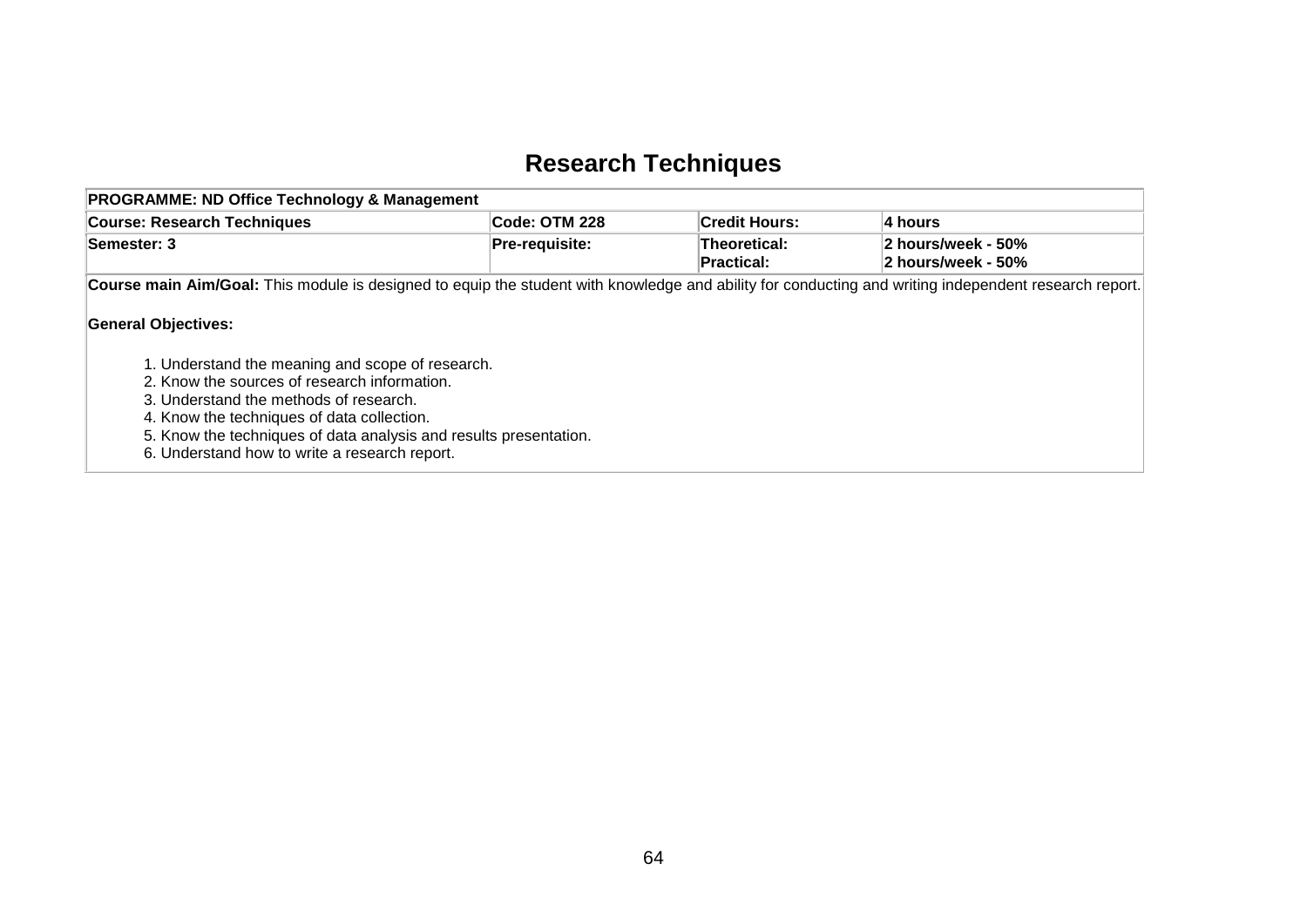## **Research Techniques**

| <b>PROGRAMME: ND Office Technology &amp; Management</b>                                                                                                                                                                                                                                                                                      |                       |                            |                                          |
|----------------------------------------------------------------------------------------------------------------------------------------------------------------------------------------------------------------------------------------------------------------------------------------------------------------------------------------------|-----------------------|----------------------------|------------------------------------------|
| <b>Course: Research Techniques</b>                                                                                                                                                                                                                                                                                                           | Code: OTM 228         | <b>Credit Hours:</b>       | 4 hours                                  |
| Semester: 3                                                                                                                                                                                                                                                                                                                                  | <b>Pre-requisite:</b> | Theoretical:<br>Practical: | 2 hours/week - 50%<br>2 hours/week - 50% |
| Course main Aim/Goal: This module is designed to equip the student with knowledge and ability for conducting and writing independent research report.                                                                                                                                                                                        |                       |                            |                                          |
| <b>General Objectives:</b><br>1. Understand the meaning and scope of research.<br>2. Know the sources of research information.<br>3. Understand the methods of research.<br>4. Know the techniques of data collection.<br>5. Know the techniques of data analysis and results presentation.<br>6. Understand how to write a research report. |                       |                            |                                          |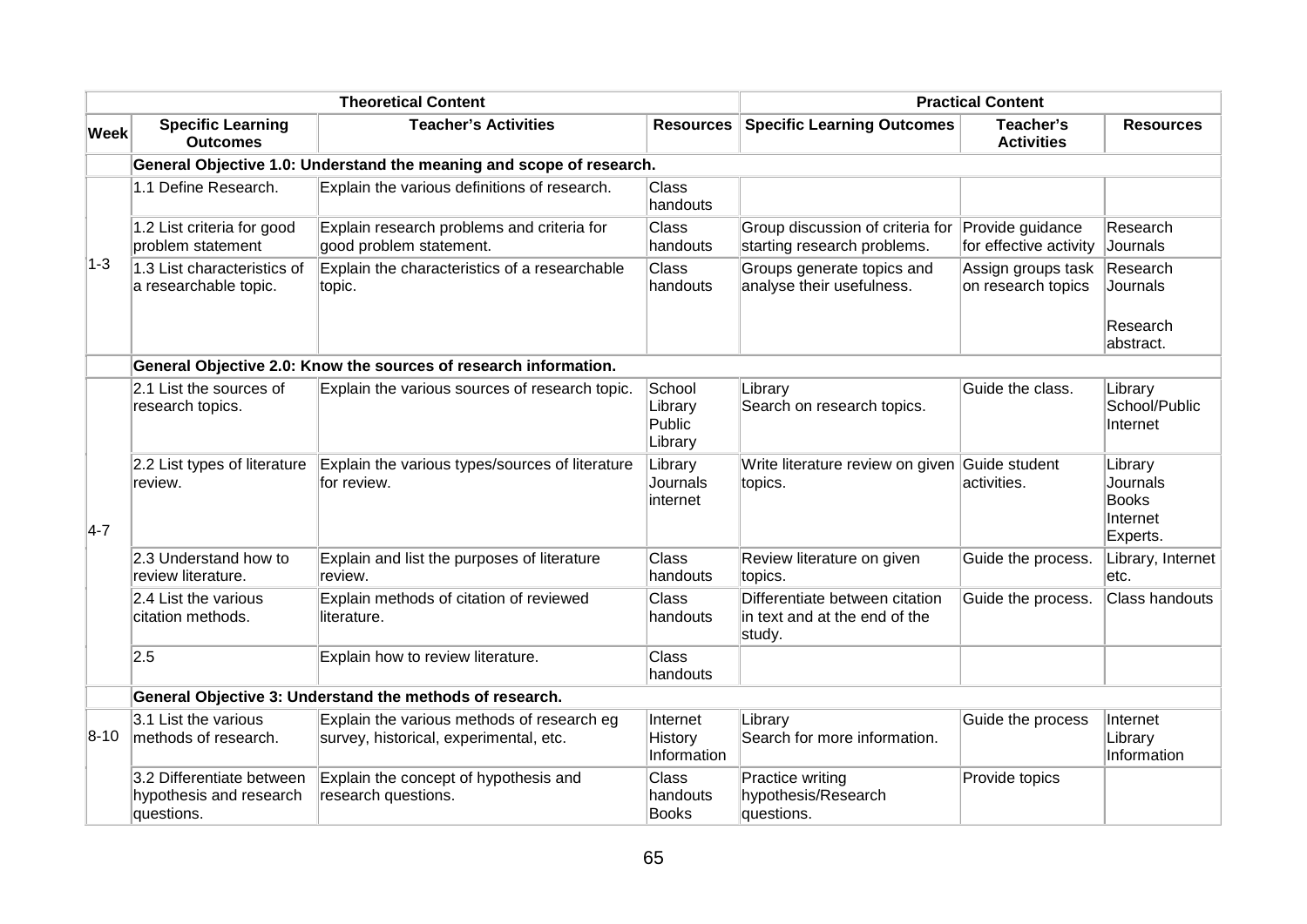| <b>Theoretical Content</b> |                                                                                                |                                                                                      | <b>Practical Content</b>               |                                                                           |                                            |                                                             |  |  |  |
|----------------------------|------------------------------------------------------------------------------------------------|--------------------------------------------------------------------------------------|----------------------------------------|---------------------------------------------------------------------------|--------------------------------------------|-------------------------------------------------------------|--|--|--|
| <b>Week</b>                | <b>Specific Learning</b><br><b>Teacher's Activities</b><br><b>Resources</b><br><b>Outcomes</b> |                                                                                      | <b>Specific Learning Outcomes</b>      | Teacher's<br><b>Activities</b>                                            | <b>Resources</b>                           |                                                             |  |  |  |
|                            | General Objective 1.0: Understand the meaning and scope of research.                           |                                                                                      |                                        |                                                                           |                                            |                                                             |  |  |  |
|                            | 1.1 Define Research.                                                                           | Explain the various definitions of research.                                         |                                        |                                                                           |                                            |                                                             |  |  |  |
|                            | 1.2 List criteria for good<br>problem statement                                                | Explain research problems and criteria for<br>good problem statement.                | <b>Class</b><br>handouts               | Group discussion of criteria for<br>starting research problems.           | Provide guidance<br>for effective activity | Research<br>Journals                                        |  |  |  |
| $ 1-3 $                    | 1.3 List characteristics of<br>a researchable topic.                                           | Explain the characteristics of a researchable<br>topic.                              | <b>Class</b><br>handouts               | Groups generate topics and<br>analyse their usefulness.                   | Assign groups task<br>on research topics   | Research<br>Journals                                        |  |  |  |
|                            |                                                                                                |                                                                                      |                                        |                                                                           |                                            | Research<br>abstract.                                       |  |  |  |
|                            |                                                                                                | General Objective 2.0: Know the sources of research information.                     |                                        |                                                                           |                                            |                                                             |  |  |  |
| $4-7$                      | 2.1 List the sources of<br>research topics.                                                    | Explain the various sources of research topic.                                       | School<br>Library<br>Public<br>Library | Library<br>Search on research topics.                                     | Guide the class.                           | Library<br>School/Public<br>Internet                        |  |  |  |
|                            | 2.2 List types of literature<br>review.                                                        | Explain the various types/sources of literature<br>for review.                       | Library<br>Journals<br>internet        | Write literature review on given Guide student<br>topics.                 | activities.                                | Library<br>Journals<br><b>Books</b><br>Internet<br>Experts. |  |  |  |
|                            | 2.3 Understand how to<br>review literature.                                                    | Explain and list the purposes of literature<br>review.                               | <b>Class</b><br>handouts               | Review literature on given<br>topics.                                     | Guide the process.                         | Library, Internet<br>letc.                                  |  |  |  |
|                            | 2.4 List the various<br>citation methods.                                                      | Explain methods of citation of reviewed<br>literature.                               | <b>Class</b><br>handouts               | Differentiate between citation<br>in text and at the end of the<br>study. | Guide the process.                         | <b>Class handouts</b>                                       |  |  |  |
|                            | 2.5                                                                                            | Explain how to review literature.                                                    | <b>Class</b><br>handouts               |                                                                           |                                            |                                                             |  |  |  |
|                            |                                                                                                | General Objective 3: Understand the methods of research.                             |                                        |                                                                           |                                            |                                                             |  |  |  |
| 8-10                       | 3.1 List the various<br>methods of research.                                                   | Explain the various methods of research eg<br>survey, historical, experimental, etc. | Internet<br>History<br>Information     | Library<br>Search for more information.                                   | Guide the process                          | Internet<br>Library<br>Information                          |  |  |  |
|                            | 3.2 Differentiate between<br>hypothesis and research<br>questions.                             | Explain the concept of hypothesis and<br>research questions.                         | Class<br>handouts<br><b>Books</b>      | Practice writing<br>hypothesis/Research<br>questions.                     | Provide topics                             |                                                             |  |  |  |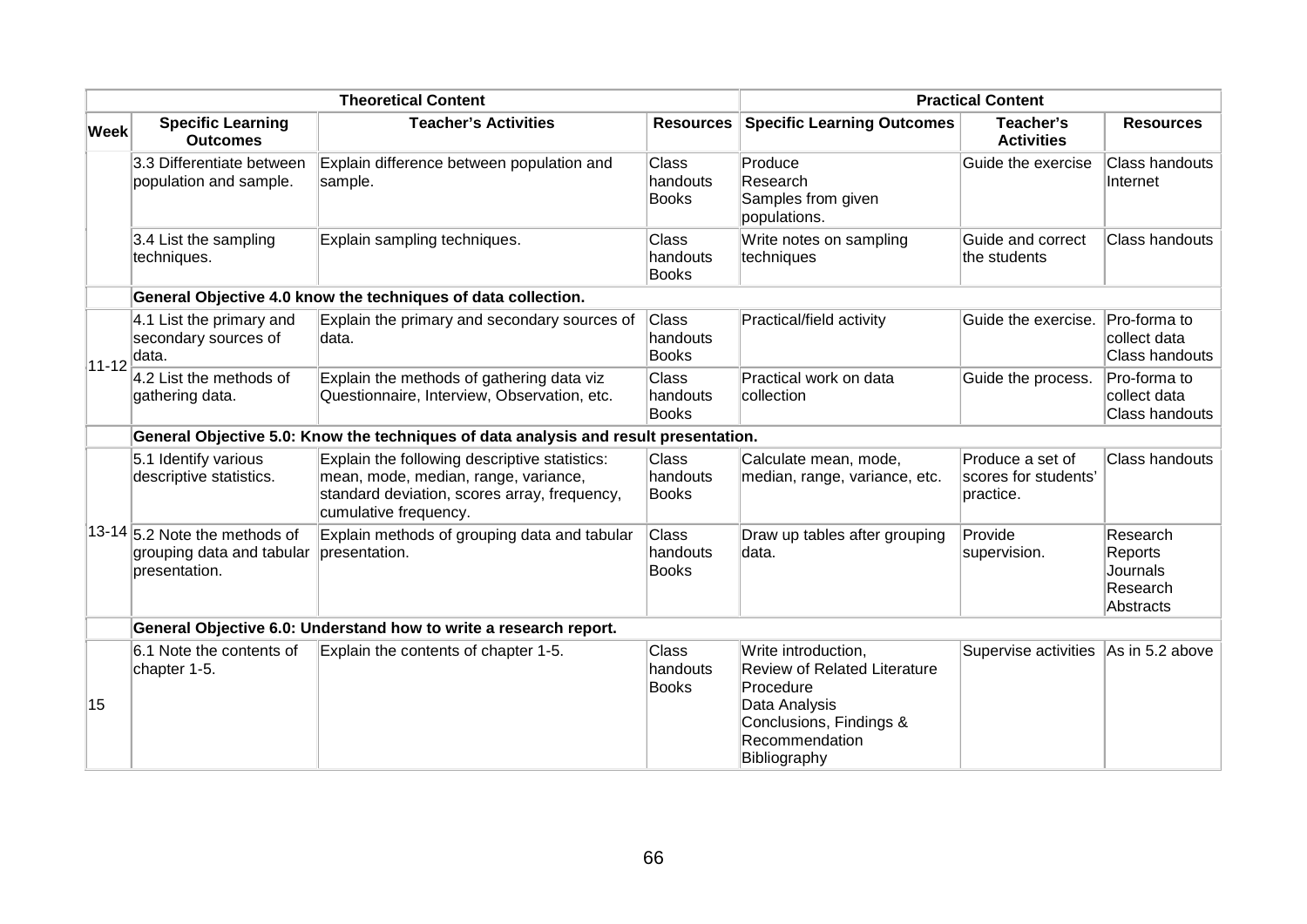| <b>Theoretical Content</b> |                                                                               |                                                                                                                                                                | <b>Practical Content</b>                 |                                                                                                                                                       |                                                       |                                                          |
|----------------------------|-------------------------------------------------------------------------------|----------------------------------------------------------------------------------------------------------------------------------------------------------------|------------------------------------------|-------------------------------------------------------------------------------------------------------------------------------------------------------|-------------------------------------------------------|----------------------------------------------------------|
| <b>Week</b>                | <b>Specific Learning</b><br><b>Outcomes</b>                                   | <b>Teacher's Activities</b>                                                                                                                                    | <b>Resources</b>                         | <b>Specific Learning Outcomes</b>                                                                                                                     | Teacher's<br><b>Activities</b>                        | <b>Resources</b>                                         |
|                            | 3.3 Differentiate between<br>population and sample.                           | Explain difference between population and<br>sample.                                                                                                           | <b>Class</b><br>handouts<br><b>Books</b> | Produce<br>Research<br>Samples from given<br>populations.                                                                                             | Guide the exercise                                    | <b>Class handouts</b><br>Internet                        |
|                            | 3.4 List the sampling<br>techniques.                                          | Explain sampling techniques.                                                                                                                                   | <b>Class</b><br>handouts<br>Books        | Write notes on sampling<br>techniques                                                                                                                 | Guide and correct<br>the students                     | Class handouts                                           |
|                            |                                                                               | General Objective 4.0 know the techniques of data collection.                                                                                                  |                                          |                                                                                                                                                       |                                                       |                                                          |
| $11 - 12$                  | 4.1 List the primary and<br>secondary sources of<br>data.                     | Explain the primary and secondary sources of<br>ldata.                                                                                                         | Class<br>handouts<br><b>Books</b>        | Practical/field activity                                                                                                                              | Guide the exercise. Pro-forma to                      | collect data<br>Class handouts                           |
|                            | $4.2$ List the methods of<br>gathering data.                                  | Explain the methods of gathering data viz<br>Questionnaire, Interview, Observation, etc.                                                                       | Class<br>handouts<br><b>Books</b>        | Practical work on data<br>collection                                                                                                                  | Guide the process.                                    | Pro-forma to<br>collect data<br><b>Class handouts</b>    |
|                            |                                                                               | General Objective 5.0: Know the techniques of data analysis and result presentation.                                                                           |                                          |                                                                                                                                                       |                                                       |                                                          |
|                            | 5.1 Identify various<br>descriptive statistics.                               | Explain the following descriptive statistics:<br>mean, mode, median, range, variance,<br>standard deviation, scores array, frequency,<br>cumulative frequency. | <b>Class</b><br>handouts<br><b>Books</b> | Calculate mean, mode,<br>median, range, variance, etc.                                                                                                | Produce a set of<br>scores for students'<br>practice. | Class handouts                                           |
|                            | $13-14$ 5.2 Note the methods of<br>grouping data and tabular<br>presentation. | Explain methods of grouping data and tabular<br>presentation.                                                                                                  | Class<br>handouts<br><b>Books</b>        | Draw up tables after grouping<br>data.                                                                                                                | Provide<br>supervision.                               | Research<br>Reports<br>Journals<br>Research<br>Abstracts |
|                            | General Objective 6.0: Understand how to write a research report.             |                                                                                                                                                                |                                          |                                                                                                                                                       |                                                       |                                                          |
| 15                         | 6.1 Note the contents of<br>chapter 1-5.                                      | Explain the contents of chapter 1-5.                                                                                                                           | Class<br>handouts<br><b>Books</b>        | Write introduction,<br><b>Review of Related Literature</b><br>Procedure<br>Data Analysis<br>Conclusions, Findings &<br>Recommendation<br>Bibliography | Supervise activities                                  | As in 5.2 above                                          |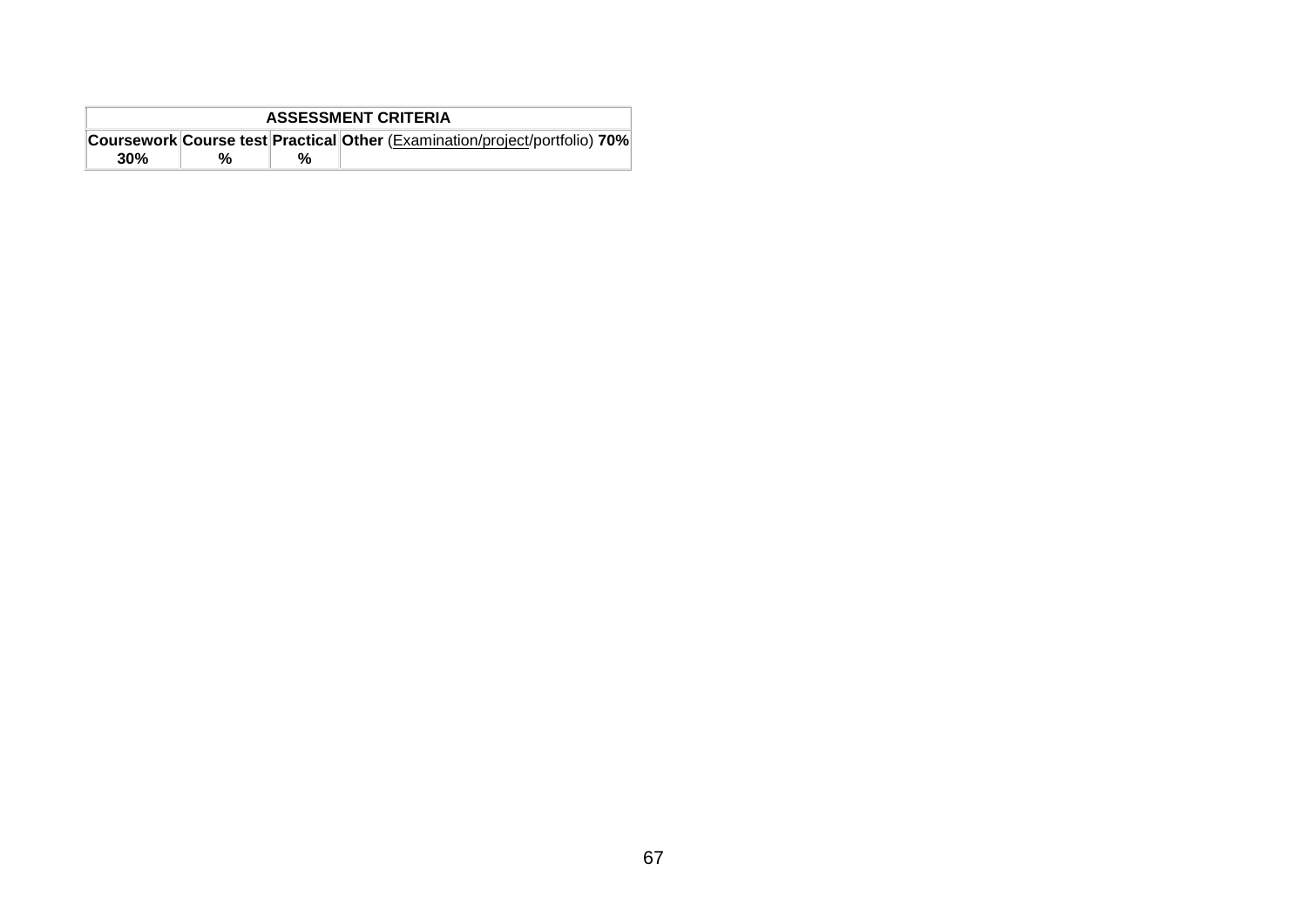| <b>ASSESSMENT CRITERIA</b> |                                                                                   |  |  |  |  |
|----------------------------|-----------------------------------------------------------------------------------|--|--|--|--|
|                            | <b>Coursework Course test Practical Other (Examination/project/portfolio) 70%</b> |  |  |  |  |
| 30%                        |                                                                                   |  |  |  |  |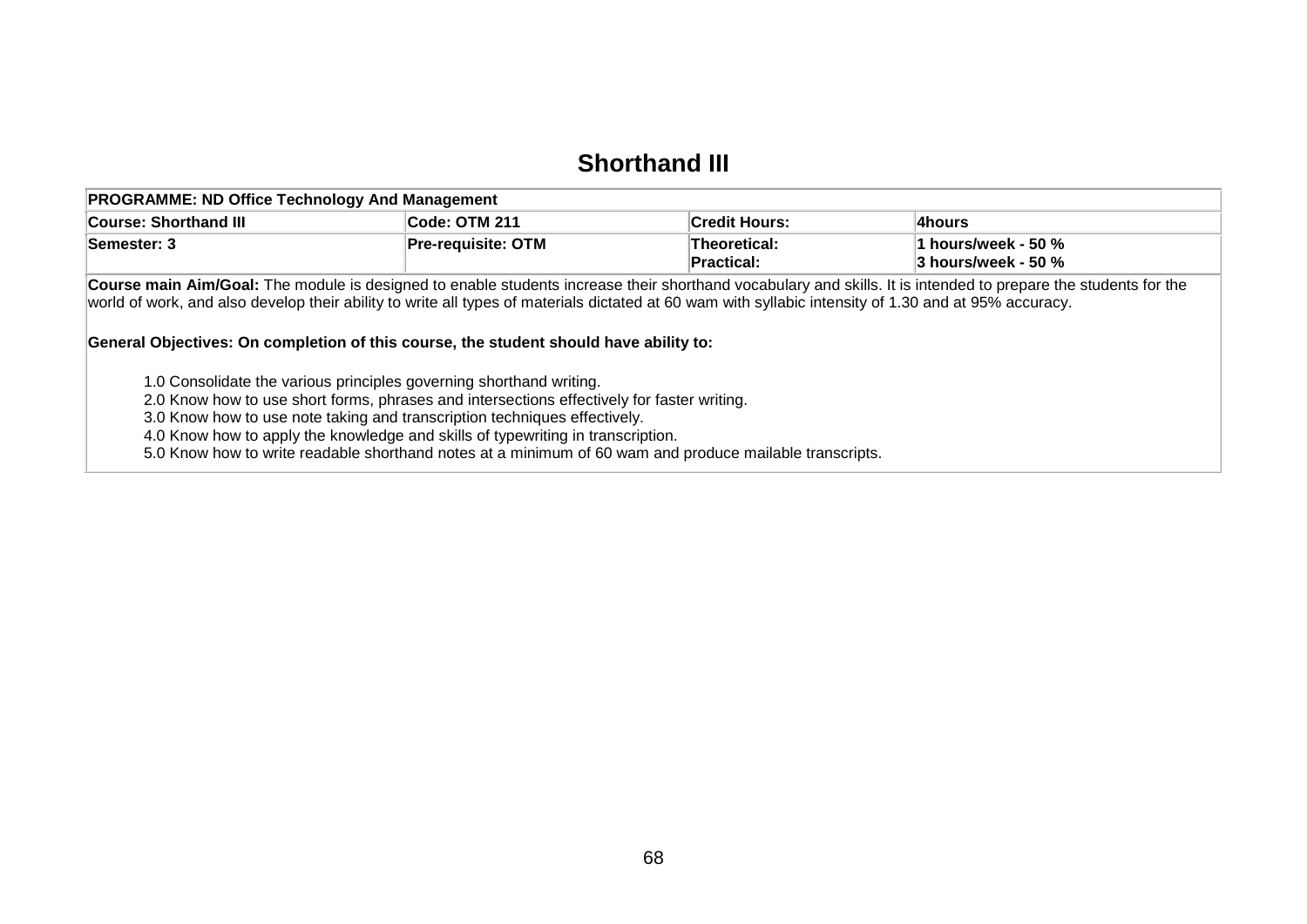#### **Shorthand III**

| <b>PROGRAMME: ND Office Technology And Management</b>                                                                                                                                                                                          |                           |                            |                                                                                                                                                                |
|------------------------------------------------------------------------------------------------------------------------------------------------------------------------------------------------------------------------------------------------|---------------------------|----------------------------|----------------------------------------------------------------------------------------------------------------------------------------------------------------|
| <b>Course: Shorthand III</b>                                                                                                                                                                                                                   | Code: OTM 211             | <b>Credit Hours:</b>       | Ahours!                                                                                                                                                        |
| Semester: 3                                                                                                                                                                                                                                    | <b>Pre-requisite: OTM</b> | Theoretical:<br>Practical: | 1 hours/week - 50 %<br>3 hours/week - 50 %                                                                                                                     |
| world of work, and also develop their ability to write all types of materials dictated at 60 wam with syllabic intensity of 1.30 and at 95% accuracy.<br>General Objectives: On completion of this course, the student should have ability to: |                           |                            | Course main Aim/Goal: The module is designed to enable students increase their shorthand vocabulary and skills. It is intended to prepare the students for the |
| 1.0 Consolidate the various principles governing shorthand writing.<br>2.0 Know how to use short forms, phrases and intersections effectively for faster writing.                                                                              |                           |                            |                                                                                                                                                                |

3.0 Know how to use note taking and transcription techniques effectively.

4.0 Know how to apply the knowledge and skills of typewriting in transcription.

5.0 Know how to write readable shorthand notes at a minimum of 60 wam and produce mailable transcripts.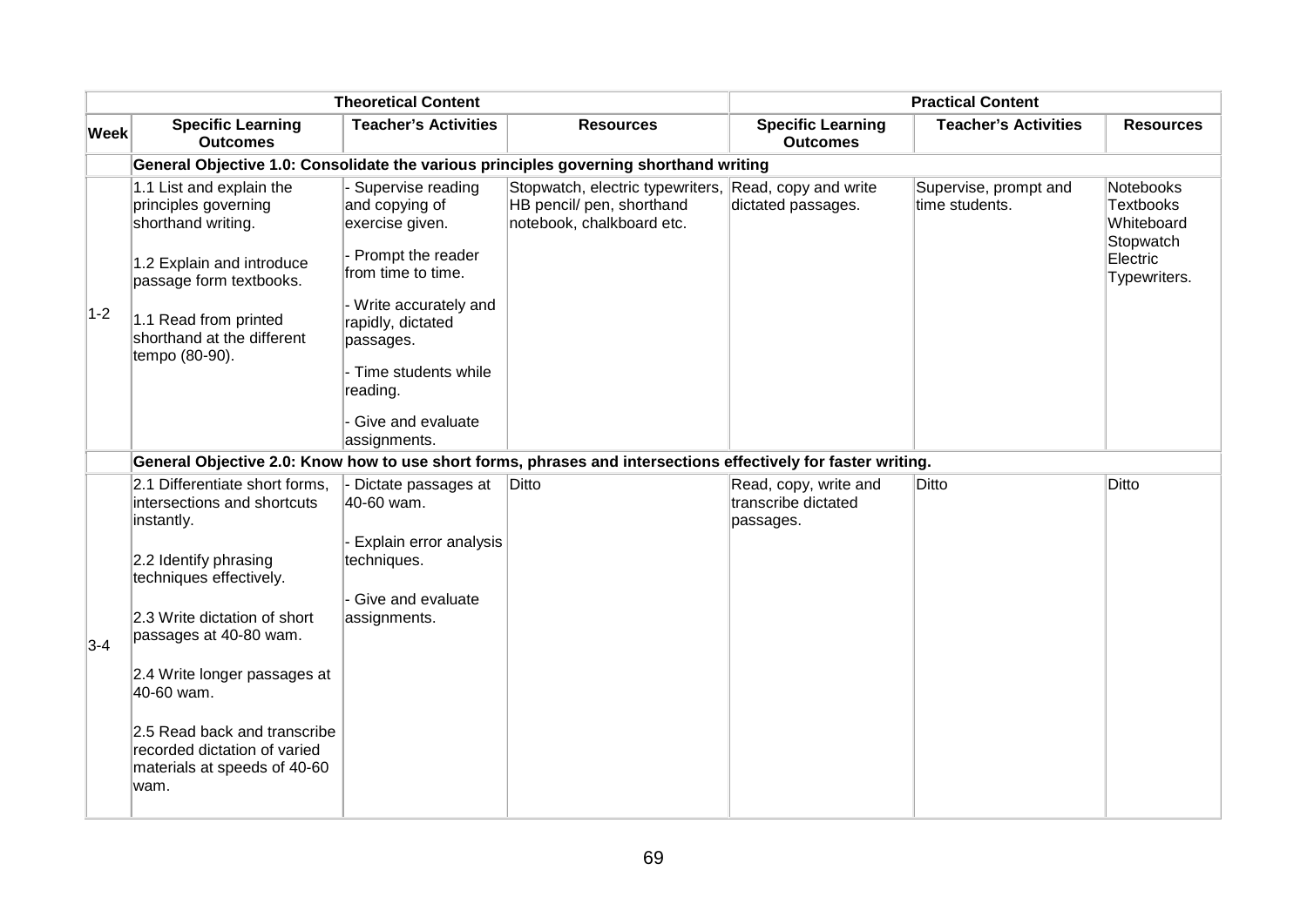|             |                                                                                                                                                                                                                                                                                                                                                 | <b>Theoretical Content</b>                                                                                                                                                                                                                    |                                                                                                               |                                                           | <b>Practical Content</b>                |                                                                                             |
|-------------|-------------------------------------------------------------------------------------------------------------------------------------------------------------------------------------------------------------------------------------------------------------------------------------------------------------------------------------------------|-----------------------------------------------------------------------------------------------------------------------------------------------------------------------------------------------------------------------------------------------|---------------------------------------------------------------------------------------------------------------|-----------------------------------------------------------|-----------------------------------------|---------------------------------------------------------------------------------------------|
| <b>Week</b> | <b>Specific Learning</b><br><b>Outcomes</b>                                                                                                                                                                                                                                                                                                     | <b>Teacher's Activities</b>                                                                                                                                                                                                                   | <b>Resources</b>                                                                                              | <b>Specific Learning</b><br><b>Outcomes</b>               | <b>Teacher's Activities</b>             | <b>Resources</b>                                                                            |
|             |                                                                                                                                                                                                                                                                                                                                                 |                                                                                                                                                                                                                                               | General Objective 1.0: Consolidate the various principles governing shorthand writing                         |                                                           |                                         |                                                                                             |
| $1-2$       | 1.1 List and explain the<br>principles governing<br>shorthand writing.<br>1.2 Explain and introduce<br>passage form textbooks.<br>1.1 Read from printed<br>shorthand at the different<br>tempo (80-90).                                                                                                                                         | - Supervise reading<br>and copying of<br>exercise given.<br>- Prompt the reader<br>from time to time.<br>- Write accurately and<br>rapidly, dictated<br>passages.<br>- Time students while<br>reading.<br>- Give and evaluate<br>assignments. | Stopwatch, electric typewriters,<br>HB pencil/ pen, shorthand<br>notebook, chalkboard etc.                    | Read, copy and write<br>dictated passages.                | Supervise, prompt and<br>time students. | <b>Notebooks</b><br><b>Textbooks</b><br>Whiteboard<br>Stopwatch<br>Electric<br>Typewriters. |
|             |                                                                                                                                                                                                                                                                                                                                                 |                                                                                                                                                                                                                                               | General Objective 2.0: Know how to use short forms, phrases and intersections effectively for faster writing. |                                                           |                                         |                                                                                             |
| $3-4$       | 2.1 Differentiate short forms,<br>intersections and shortcuts<br>instantly.<br>2.2 Identify phrasing<br>techniques effectively.<br>2.3 Write dictation of short<br>passages at 40-80 wam.<br>2.4 Write longer passages at<br>40-60 wam.<br>2.5 Read back and transcribe<br>recorded dictation of varied<br>materials at speeds of 40-60<br>wam. | Dictate passages at<br>40-60 wam.<br>- Explain error analysis<br>techniques.<br>- Give and evaluate<br>assignments.                                                                                                                           | Ditto                                                                                                         | Read, copy, write and<br>transcribe dictated<br>passages. | Ditto                                   | Ditto                                                                                       |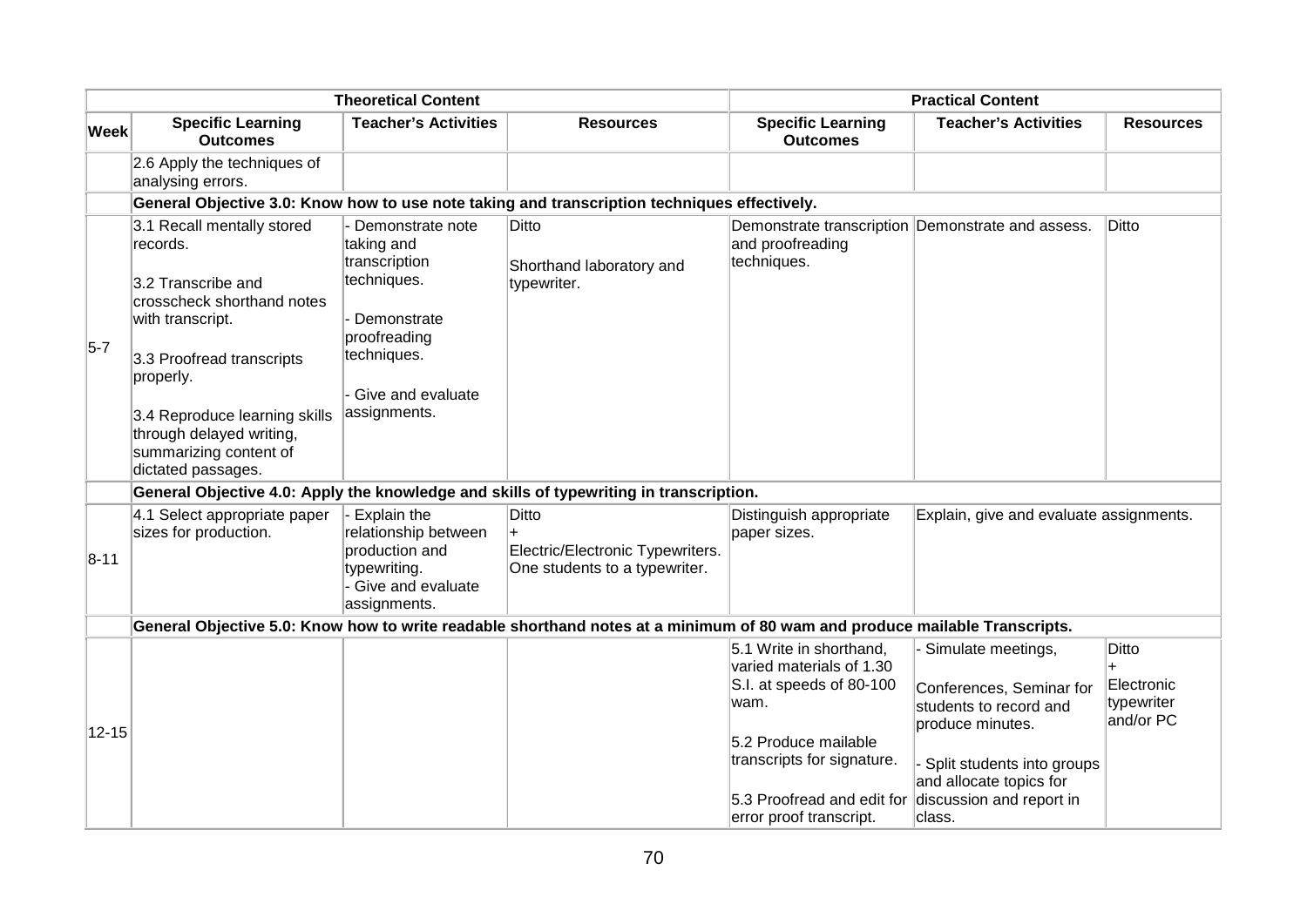|           |                                                                                                                                                                                                                                                                       | <b>Theoretical Content</b>                                                                                                                        |                                                                                        |                                                                                                             | <b>Practical Content</b>                                                                     |                                                |  |  |  |  |
|-----------|-----------------------------------------------------------------------------------------------------------------------------------------------------------------------------------------------------------------------------------------------------------------------|---------------------------------------------------------------------------------------------------------------------------------------------------|----------------------------------------------------------------------------------------|-------------------------------------------------------------------------------------------------------------|----------------------------------------------------------------------------------------------|------------------------------------------------|--|--|--|--|
| Week      | <b>Specific Learning</b><br><b>Outcomes</b>                                                                                                                                                                                                                           | <b>Teacher's Activities</b>                                                                                                                       | <b>Resources</b>                                                                       | <b>Specific Learning</b><br><b>Outcomes</b>                                                                 | <b>Teacher's Activities</b>                                                                  | <b>Resources</b>                               |  |  |  |  |
|           | 2.6 Apply the techniques of<br>analysing errors.                                                                                                                                                                                                                      |                                                                                                                                                   |                                                                                        |                                                                                                             |                                                                                              |                                                |  |  |  |  |
|           |                                                                                                                                                                                                                                                                       | General Objective 3.0: Know how to use note taking and transcription techniques effectively.                                                      |                                                                                        |                                                                                                             |                                                                                              |                                                |  |  |  |  |
| $5-7$     | 3.1 Recall mentally stored<br>records.<br>3.2 Transcribe and<br>crosscheck shorthand notes<br>with transcript.<br>3.3 Proofread transcripts<br>properly.<br>3.4 Reproduce learning skills<br>through delayed writing,<br>summarizing content of<br>dictated passages. | Demonstrate note<br>taking and<br>transcription<br>techniques.<br>Demonstrate<br>proofreading<br>techniques.<br>Give and evaluate<br>assignments. | Ditto<br>Shorthand laboratory and<br>typewriter.                                       | and proofreading<br>techniques.                                                                             | Demonstrate transcription Demonstrate and assess.                                            | Ditto                                          |  |  |  |  |
|           |                                                                                                                                                                                                                                                                       |                                                                                                                                                   | General Objective 4.0: Apply the knowledge and skills of typewriting in transcription. |                                                                                                             |                                                                                              |                                                |  |  |  |  |
| $8-11$    | 4.1 Select appropriate paper<br>sizes for production.                                                                                                                                                                                                                 | Explain the<br>relationship between<br>production and<br>typewriting.<br>Give and evaluate<br>assignments.                                        | <b>Ditto</b><br>Electric/Electronic Typewriters.<br>One students to a typewriter.      | Distinguish appropriate<br>paper sizes.                                                                     | Explain, give and evaluate assignments.                                                      |                                                |  |  |  |  |
|           | General Objective 5.0: Know how to write readable shorthand notes at a minimum of 80 wam and produce mailable Transcripts.                                                                                                                                            |                                                                                                                                                   |                                                                                        |                                                                                                             |                                                                                              |                                                |  |  |  |  |
|           |                                                                                                                                                                                                                                                                       |                                                                                                                                                   |                                                                                        | 5.1 Write in shorthand,<br>varied materials of 1.30<br>S.I. at speeds of 80-100<br>wam.                     | Simulate meetings,<br>Conferences, Seminar for<br>students to record and<br>produce minutes. | Ditto<br>Electronic<br>typewriter<br>and/or PC |  |  |  |  |
| $12 - 15$ |                                                                                                                                                                                                                                                                       |                                                                                                                                                   |                                                                                        | 5.2 Produce mailable<br>transcripts for signature.<br>5.3 Proofread and edit for<br>error proof transcript. | Split students into groups<br>and allocate topics for<br>discussion and report in<br>class.  |                                                |  |  |  |  |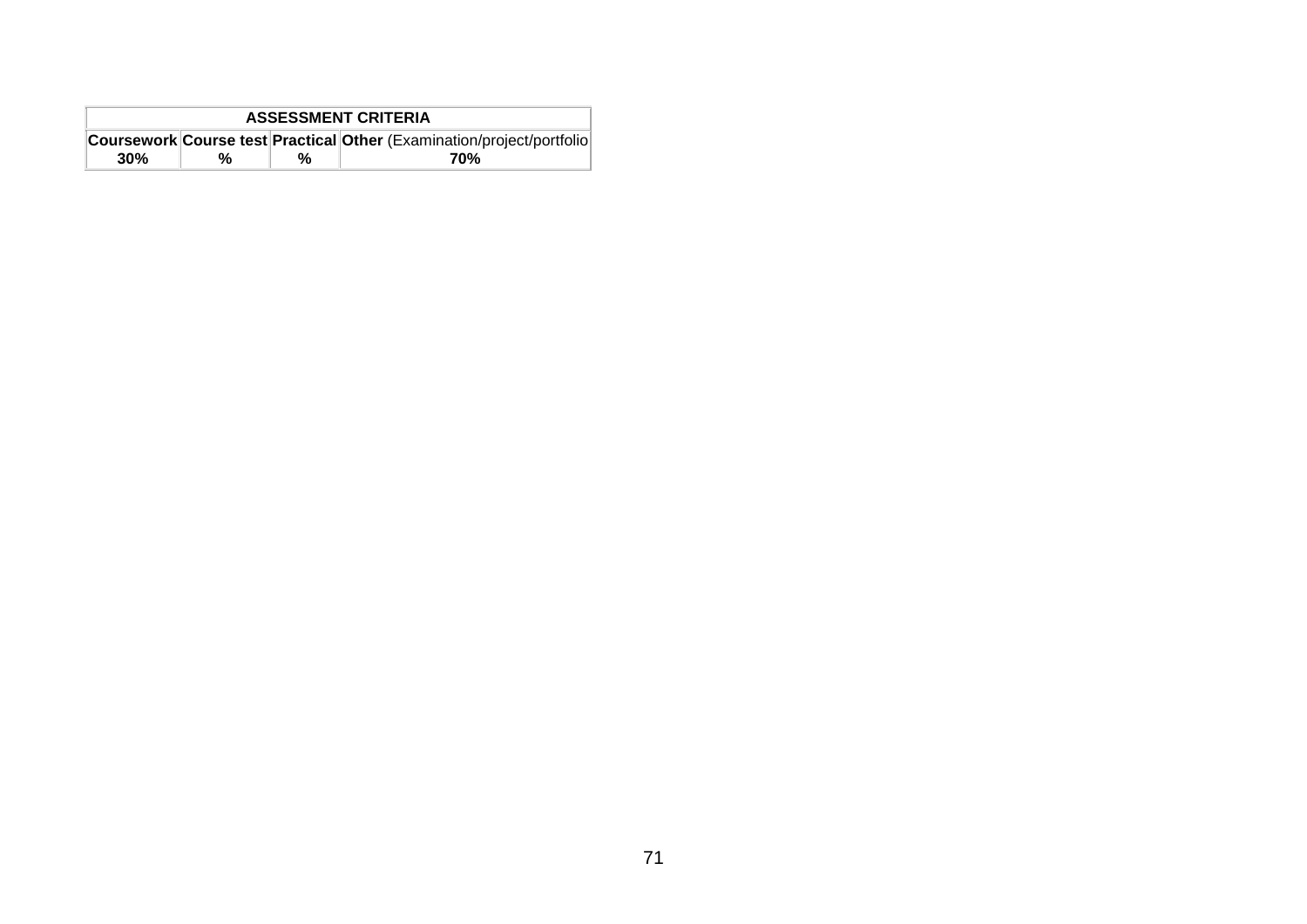| <b>ASSESSMENT CRITERIA</b> |   |   |                                                                            |  |
|----------------------------|---|---|----------------------------------------------------------------------------|--|
|                            |   |   | Coursework Course test   Practical   Other (Examination/project/portfolio) |  |
| 30%                        | % | % | 70%                                                                        |  |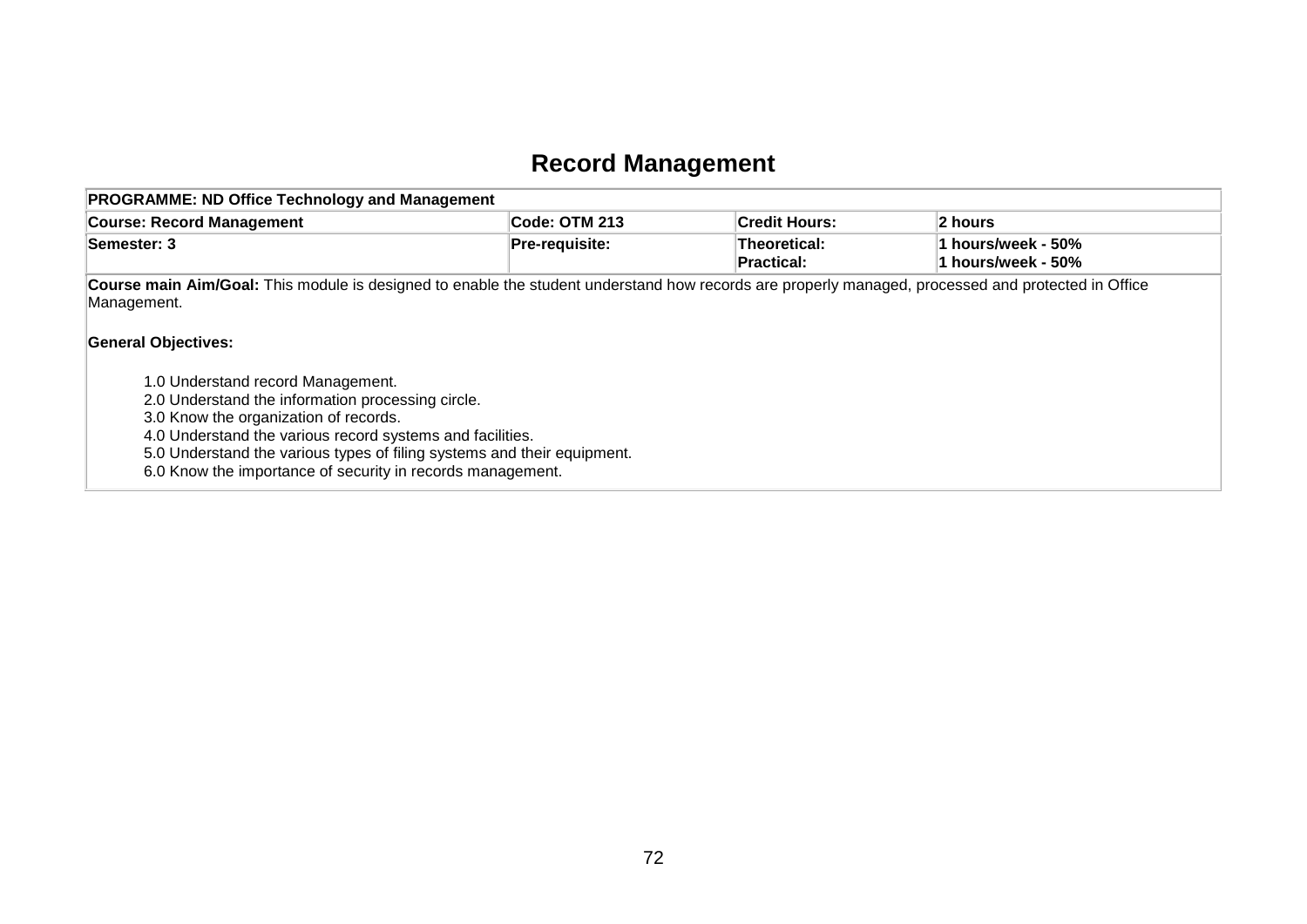# **Record Management**

| <b>Course: Record Management</b>                                                                                                                                                                                                                                                                                                      | Code: OTM 213         | <b>Credit Hours:</b>              | 2 hours                                  |
|---------------------------------------------------------------------------------------------------------------------------------------------------------------------------------------------------------------------------------------------------------------------------------------------------------------------------------------|-----------------------|-----------------------------------|------------------------------------------|
| Semester: 3                                                                                                                                                                                                                                                                                                                           | <b>Pre-requisite:</b> | Theoretical:<br><b>Practical:</b> | 1 hours/week - 50%<br>1 hours/week - 50% |
| Course main Aim/Goal: This module is designed to enable the student understand how records are properly managed, processed and protected in Office<br>Management.<br><b>General Objectives:</b>                                                                                                                                       |                       |                                   |                                          |
| 1.0 Understand record Management.<br>2.0 Understand the information processing circle.<br>3.0 Know the organization of records.<br>4.0 Understand the various record systems and facilities.<br>5.0 Understand the various types of filing systems and their equipment.<br>6.0 Know the importance of security in records management. |                       |                                   |                                          |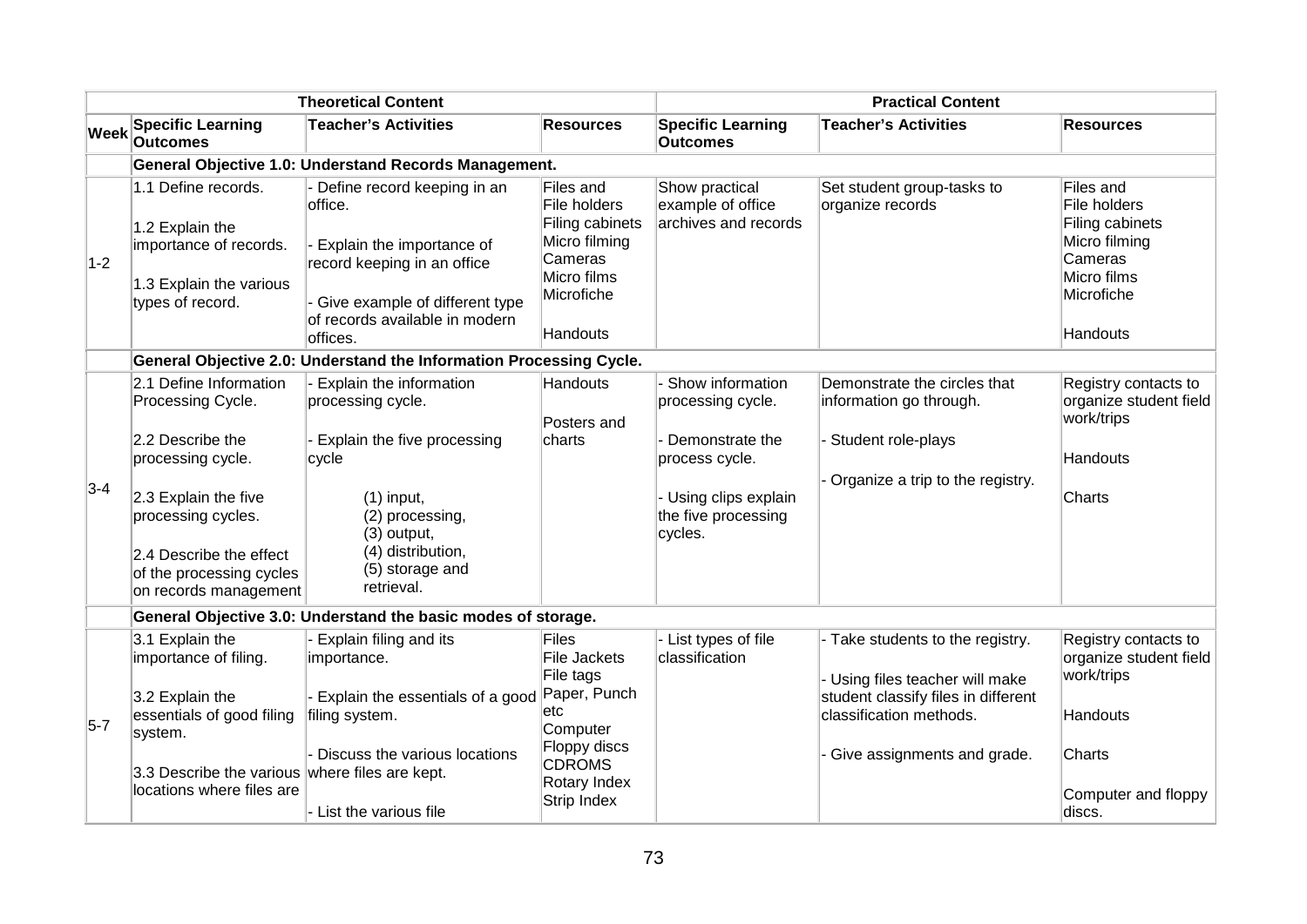| <b>Theoretical Content</b> |                                                                                                                 |                                                                                                                                                                                     | <b>Practical Content</b>                                                                                          |                                                             |                                                                   |                                                                                                                   |  |  |  |
|----------------------------|-----------------------------------------------------------------------------------------------------------------|-------------------------------------------------------------------------------------------------------------------------------------------------------------------------------------|-------------------------------------------------------------------------------------------------------------------|-------------------------------------------------------------|-------------------------------------------------------------------|-------------------------------------------------------------------------------------------------------------------|--|--|--|
| <b>Week</b>                | <b>Specific Learning</b><br><b>Outcomes</b>                                                                     | <b>Teacher's Activities</b>                                                                                                                                                         | <b>Resources</b>                                                                                                  | <b>Specific Learning</b><br><b>Outcomes</b>                 | <b>Teacher's Activities</b>                                       | <b>Resources</b>                                                                                                  |  |  |  |
|                            |                                                                                                                 | General Objective 1.0: Understand Records Management.                                                                                                                               |                                                                                                                   |                                                             |                                                                   |                                                                                                                   |  |  |  |
| $1-2$                      | 1.1 Define records.<br>1.2 Explain the<br>importance of records.<br>1.3 Explain the various<br>types of record. | Define record keeping in an<br>office.<br>Explain the importance of<br>record keeping in an office<br>Give example of different type<br>of records available in modern<br>loffices. | Files and<br>File holders<br>Filing cabinets<br>Micro filming<br>Cameras<br>Micro films<br>Microfiche<br>Handouts | Show practical<br>example of office<br>archives and records | Set student group-tasks to<br>organize records                    | Files and<br>File holders<br>Filing cabinets<br>Micro filming<br>Cameras<br>Micro films<br>Microfiche<br>Handouts |  |  |  |
|                            |                                                                                                                 | General Objective 2.0: Understand the Information Processing Cycle.                                                                                                                 |                                                                                                                   |                                                             |                                                                   |                                                                                                                   |  |  |  |
|                            | 2.1 Define Information<br>Processing Cycle.                                                                     | Explain the information<br>processing cycle.                                                                                                                                        | Handouts<br>Posters and                                                                                           | Show information<br>processing cycle.                       | Demonstrate the circles that<br>information go through.           | Registry contacts to<br>organize student field<br>work/trips                                                      |  |  |  |
|                            | 2.2 Describe the<br>processing cycle.                                                                           | Explain the five processing<br> cycle                                                                                                                                               | charts                                                                                                            | - Demonstrate the<br>process cycle.                         | - Student role-plays                                              | Handouts                                                                                                          |  |  |  |
| $3-4$                      | 2.3 Explain the five<br>processing cycles.                                                                      | $(1)$ input,<br>(2) processing,<br>$(3)$ output,                                                                                                                                    |                                                                                                                   | - Using clips explain<br>the five processing<br>cycles.     | - Organize a trip to the registry.                                | Charts                                                                                                            |  |  |  |
|                            | 2.4 Describe the effect<br>of the processing cycles<br>on records management                                    | (4) distribution,<br>(5) storage and<br>retrieval.                                                                                                                                  |                                                                                                                   |                                                             |                                                                   |                                                                                                                   |  |  |  |
|                            |                                                                                                                 | General Objective 3.0: Understand the basic modes of storage.                                                                                                                       |                                                                                                                   |                                                             |                                                                   |                                                                                                                   |  |  |  |
|                            | 3.1 Explain the<br>importance of filing.                                                                        | Explain filing and its<br>importance.                                                                                                                                               | <b>Files</b><br><b>File Jackets</b><br>File tags                                                                  | - List types of file<br>classification                      | - Take students to the registry.<br>Using files teacher will make | Registry contacts to<br>organize student field<br>work/trips                                                      |  |  |  |
| $5-7$                      | 3.2 Explain the<br>essentials of good filing<br>system.                                                         | Explain the essentials of a good<br>filing system.                                                                                                                                  | Paper, Punch<br>etc<br>Computer                                                                                   |                                                             | student classify files in different<br>classification methods.    | Handouts                                                                                                          |  |  |  |
|                            | 3.3 Describe the various where files are kept.<br>locations where files are                                     | Discuss the various locations                                                                                                                                                       | Floppy discs<br><b>CDROMS</b><br>Rotary Index                                                                     |                                                             | Give assignments and grade.                                       | Charts<br>Computer and floppy                                                                                     |  |  |  |
|                            |                                                                                                                 | - List the various file                                                                                                                                                             | <b>Strip Index</b>                                                                                                |                                                             |                                                                   | discs.                                                                                                            |  |  |  |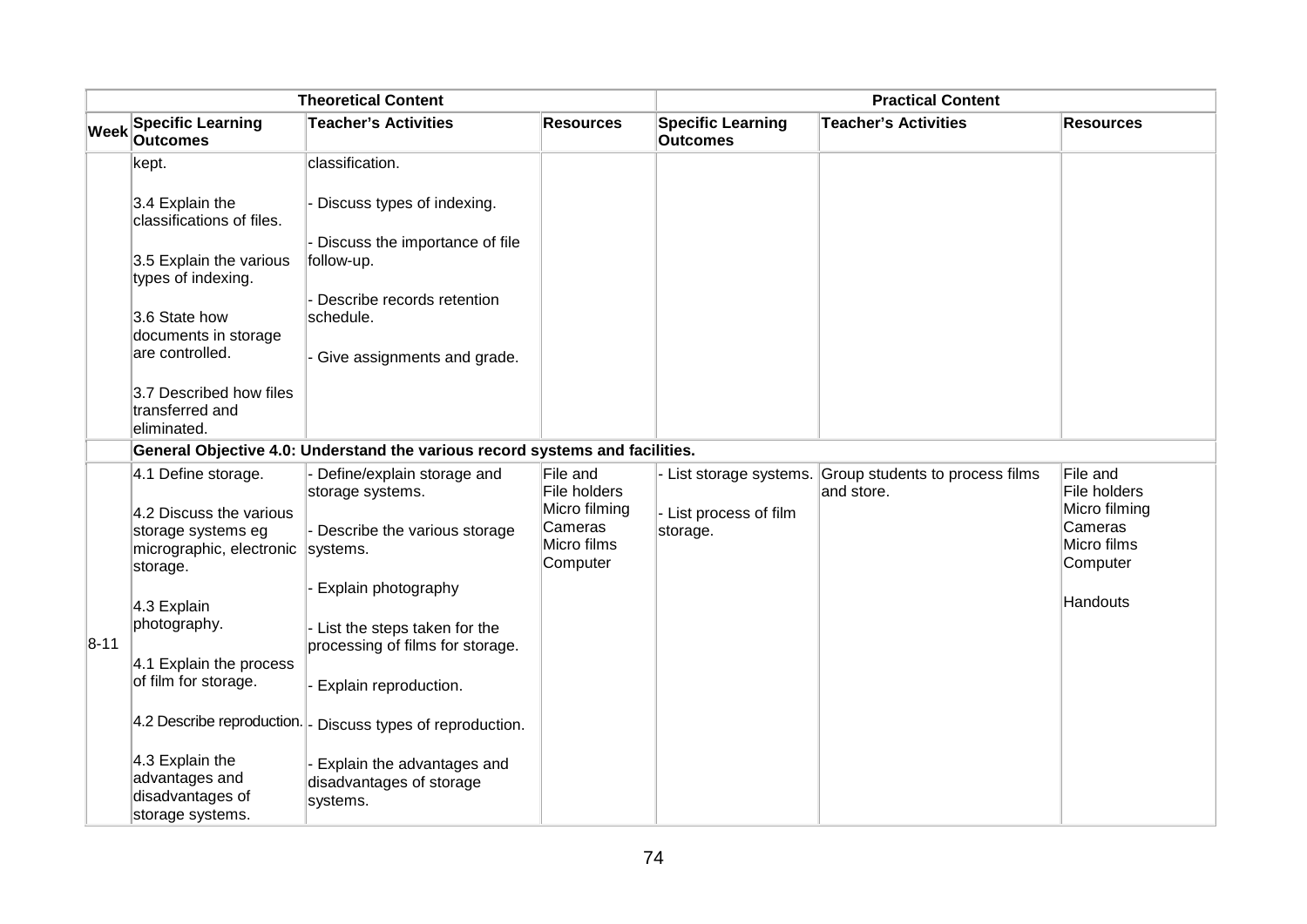| <b>Theoretical Content</b> |                                                                                                |                                                                              | <b>Practical Content</b>                            |                                      |                                               |                                                     |
|----------------------------|------------------------------------------------------------------------------------------------|------------------------------------------------------------------------------|-----------------------------------------------------|--------------------------------------|-----------------------------------------------|-----------------------------------------------------|
| <b>Week</b>                | <b>Specific Learning</b><br><b>Outcomes</b>                                                    | <b>Teacher's Activities</b>                                                  | <b>Resources</b>                                    | <b>Specific Learning</b><br>Outcomes | <b>Teacher's Activities</b>                   | <b>Resources</b>                                    |
|                            | kept.                                                                                          | classification.                                                              |                                                     |                                      |                                               |                                                     |
|                            | 3.4 Explain the<br>classifications of files.                                                   | Discuss types of indexing.                                                   |                                                     |                                      |                                               |                                                     |
|                            | 3.5 Explain the various<br>types of indexing.                                                  | Discuss the importance of file<br>follow-up.                                 |                                                     |                                      |                                               |                                                     |
|                            | 3.6 State how<br>documents in storage                                                          | Describe records retention<br>schedule.                                      |                                                     |                                      |                                               |                                                     |
|                            | are controlled.                                                                                | - Give assignments and grade.                                                |                                                     |                                      |                                               |                                                     |
|                            | 3.7 Described how files<br>transferred and<br>eliminated.                                      |                                                                              |                                                     |                                      |                                               |                                                     |
|                            |                                                                                                | General Objective 4.0: Understand the various record systems and facilities. |                                                     |                                      |                                               |                                                     |
|                            | 4.1 Define storage.                                                                            | Define/explain storage and<br>storage systems.                               | File and<br>File holders                            | - List storage systems.              | Group students to process films<br>and store. | File and<br>File holders                            |
|                            | 4.2 Discuss the various<br>storage systems eg<br>micrographic, electronic systems.<br>storage. | - Describe the various storage                                               | Micro filming<br>Cameras<br>Micro films<br>Computer | - List process of film<br>storage.   |                                               | Micro filming<br>Cameras<br>Micro films<br>Computer |
|                            | 4.3 Explain                                                                                    | Explain photography                                                          |                                                     |                                      |                                               | Handouts                                            |
| $8 - 11$                   | photography.                                                                                   | - List the steps taken for the<br>processing of films for storage.           |                                                     |                                      |                                               |                                                     |
|                            | 4.1 Explain the process<br>of film for storage.                                                | Explain reproduction.                                                        |                                                     |                                      |                                               |                                                     |
|                            | 4.2 Describe reproduction.  _                                                                  | Discuss types of reproduction.                                               |                                                     |                                      |                                               |                                                     |
|                            | 4.3 Explain the<br>advantages and<br>disadvantages of<br>storage systems.                      | Explain the advantages and<br>disadvantages of storage<br>systems.           |                                                     |                                      |                                               |                                                     |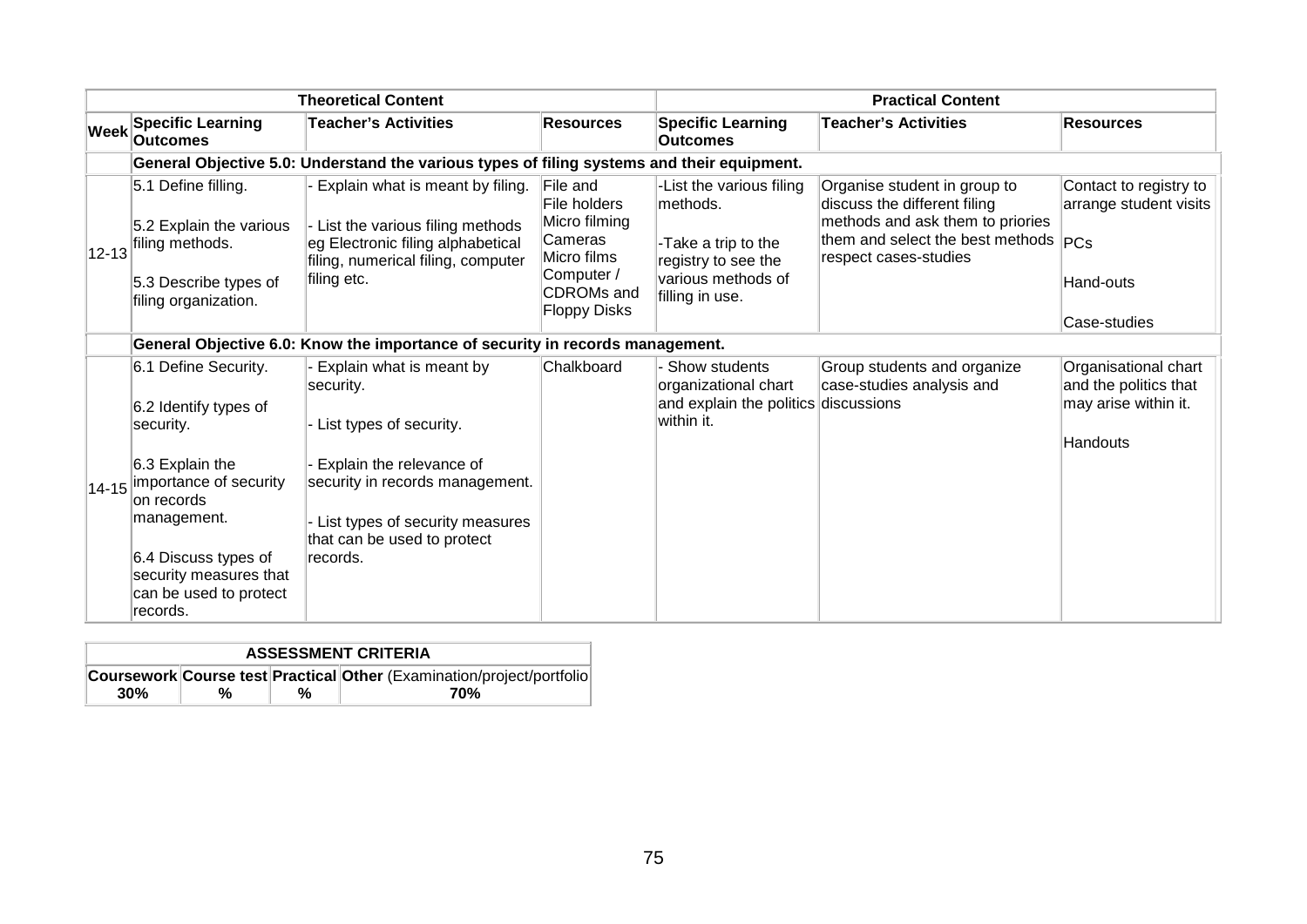| <b>Theoretical Content</b> |                                                                                                                                                                                                                              | <b>Practical Content</b>                                                                                                                                                                                      |                                                                                                                               |                                                                                                                              |                                                                                                                                                                       |                                                                                   |
|----------------------------|------------------------------------------------------------------------------------------------------------------------------------------------------------------------------------------------------------------------------|---------------------------------------------------------------------------------------------------------------------------------------------------------------------------------------------------------------|-------------------------------------------------------------------------------------------------------------------------------|------------------------------------------------------------------------------------------------------------------------------|-----------------------------------------------------------------------------------------------------------------------------------------------------------------------|-----------------------------------------------------------------------------------|
|                            | <b>Specific Learning</b><br>Week Outcomes                                                                                                                                                                                    | <b>Teacher's Activities</b>                                                                                                                                                                                   | <b>Resources</b>                                                                                                              | <b>Specific Learning</b><br><b>Outcomes</b>                                                                                  | <b>Teacher's Activities</b>                                                                                                                                           | <b>Resources</b>                                                                  |
|                            |                                                                                                                                                                                                                              | General Objective 5.0: Understand the various types of filing systems and their equipment.                                                                                                                    |                                                                                                                               |                                                                                                                              |                                                                                                                                                                       |                                                                                   |
| $ 12 - 13 $                | 5.1 Define filling.<br>5.2 Explain the various<br>filing methods.<br>5.3 Describe types of<br>filing organization.                                                                                                           | Explain what is meant by filing.<br>List the various filing methods<br>eg Electronic filing alphabetical<br>filing, numerical filing, computer<br>filing etc.                                                 | File and<br>File holders<br>Micro filming<br>Cameras<br>Micro films<br>Computer /<br><b>CDROMs</b> and<br><b>Floppy Disks</b> | -List the various filing<br>lmethods.<br>-Take a trip to the<br>registry to see the<br>various methods of<br>filling in use. | Organise student in group to<br>discuss the different filing<br>methods and ask them to priories<br>them and select the best methods $ PCs $<br>respect cases-studies | Contact to registry to<br>arrange student visits<br>Hand-outs<br>Case-studies     |
|                            |                                                                                                                                                                                                                              | General Objective 6.0: Know the importance of security in records management.                                                                                                                                 |                                                                                                                               |                                                                                                                              |                                                                                                                                                                       |                                                                                   |
| $ 14 - 15 $                | 6.1 Define Security.<br>6.2 Identify types of<br>security.<br>6.3 Explain the<br>importance of security<br>on records<br>management.<br>6.4 Discuss types of<br>security measures that<br>can be used to protect<br>records. | Explain what is meant by<br>security.<br>List types of security.<br>Explain the relevance of<br>security in records management.<br>List types of security measures<br>that can be used to protect<br>records. | Chalkboard                                                                                                                    | Show students<br>organizational chart<br>and explain the politics discussions<br>within it.                                  | Group students and organize<br>case-studies analysis and                                                                                                              | Organisational chart<br>and the politics that<br>may arise within it.<br>Handouts |

| <b>ASSESSMENT CRITERIA</b> |   |   |                                                                        |  |  |
|----------------------------|---|---|------------------------------------------------------------------------|--|--|
|                            |   |   | Coursework Course test Practical Other (Examination/project/portfolio) |  |  |
| 30%                        | % | % | 70%                                                                    |  |  |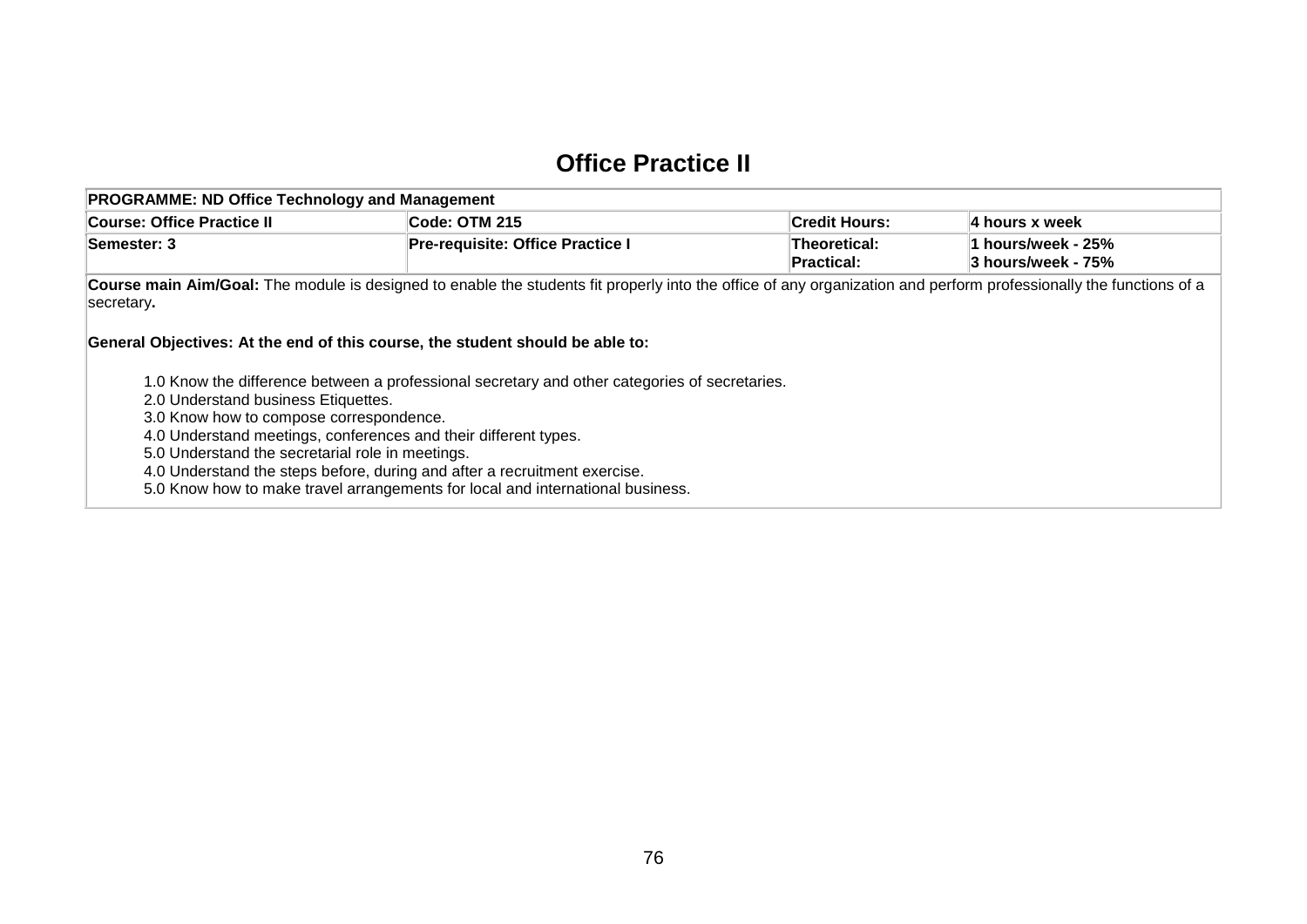#### **Office Practice II**

| <b>PROGRAMME: ND Office Technology and Management</b>                                                                                                                                                                                                                                                                                                                                                                                                                 |                                         |                                   |                                          |  |  |  |  |
|-----------------------------------------------------------------------------------------------------------------------------------------------------------------------------------------------------------------------------------------------------------------------------------------------------------------------------------------------------------------------------------------------------------------------------------------------------------------------|-----------------------------------------|-----------------------------------|------------------------------------------|--|--|--|--|
| Course: Office Practice II                                                                                                                                                                                                                                                                                                                                                                                                                                            | Code: OTM 215                           | <b>Credit Hours:</b>              | 4 hours x week                           |  |  |  |  |
| Semester: 3                                                                                                                                                                                                                                                                                                                                                                                                                                                           | <b>Pre-requisite: Office Practice I</b> | Theoretical:<br><b>Practical:</b> | 1 hours/week - 25%<br>3 hours/week - 75% |  |  |  |  |
| Course main Aim/Goal: The module is designed to enable the students fit properly into the office of any organization and perform professionally the functions of a<br>secretary.<br>General Objectives: At the end of this course, the student should be able to:                                                                                                                                                                                                     |                                         |                                   |                                          |  |  |  |  |
| 1.0 Know the difference between a professional secretary and other categories of secretaries.<br>2.0 Understand business Etiquettes.<br>3.0 Know how to compose correspondence.<br>4.0 Understand meetings, conferences and their different types.<br>5.0 Understand the secretarial role in meetings.<br>4.0 Understand the steps before, during and after a recruitment exercise.<br>5.0 Know how to make travel arrangements for local and international business. |                                         |                                   |                                          |  |  |  |  |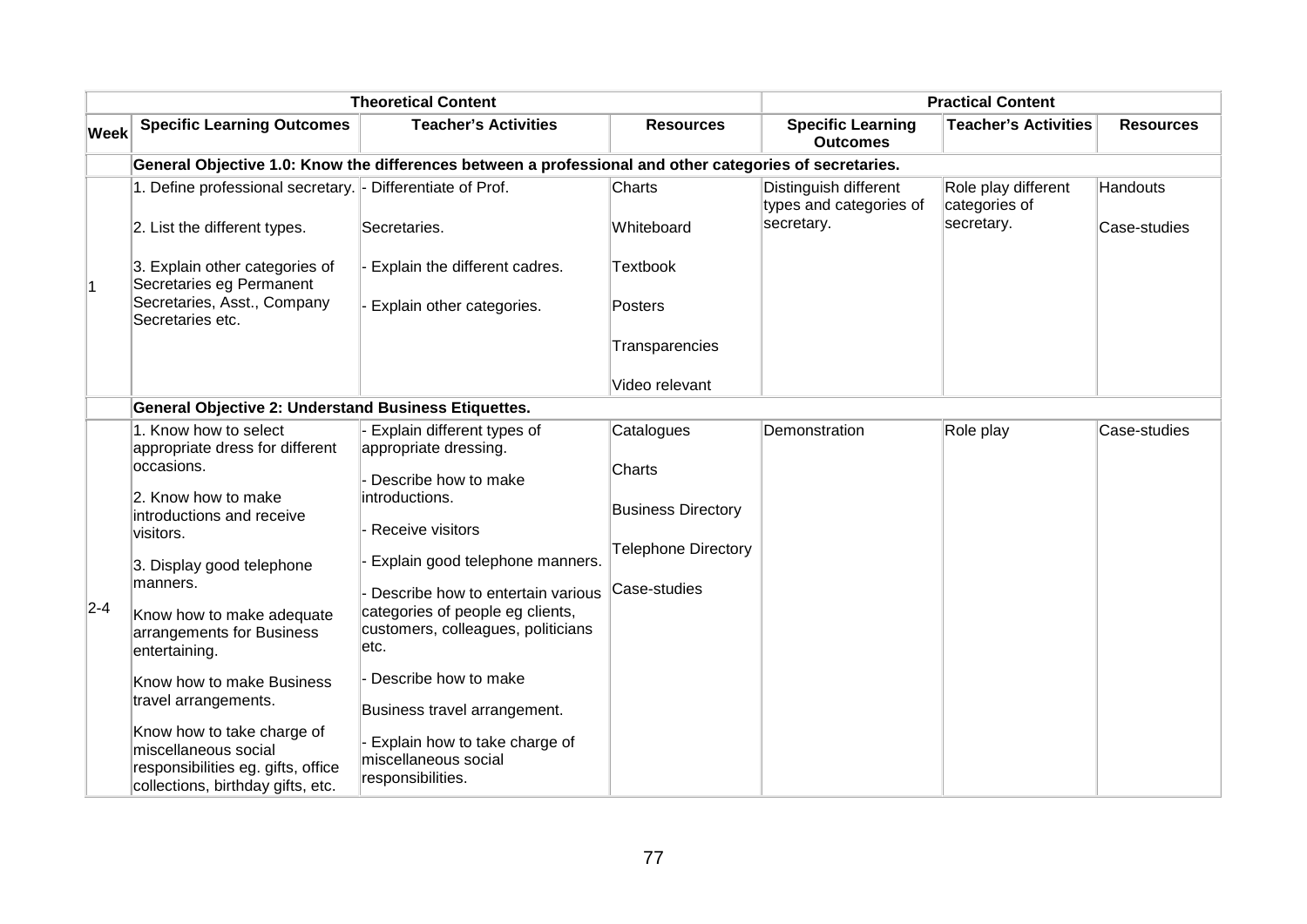| <b>Theoretical Content</b> |                                                                                                                               |                                                                                                                     |                                     | <b>Practical Content</b>                                       |                                                    |                          |  |
|----------------------------|-------------------------------------------------------------------------------------------------------------------------------|---------------------------------------------------------------------------------------------------------------------|-------------------------------------|----------------------------------------------------------------|----------------------------------------------------|--------------------------|--|
| <b>Week</b>                | <b>Specific Learning Outcomes</b>                                                                                             | <b>Teacher's Activities</b>                                                                                         | <b>Resources</b>                    | <b>Specific Learning</b><br><b>Outcomes</b>                    | <b>Teacher's Activities</b>                        | <b>Resources</b>         |  |
|                            |                                                                                                                               | General Objective 1.0: Know the differences between a professional and other categories of secretaries.             |                                     |                                                                |                                                    |                          |  |
|                            | 1. Define professional secretary. - Differentiate of Prof.<br>2. List the different types.                                    | Secretaries.                                                                                                        | Charts<br>Whiteboard                | Distinguish different<br>types and categories of<br>secretary. | Role play different<br>categories of<br>secretary. | Handouts<br>Case-studies |  |
| 1                          | 3. Explain other categories of<br>Secretaries eg Permanent<br>Secretaries, Asst., Company                                     | Explain the different cadres.                                                                                       | <b>Textbook</b>                     |                                                                |                                                    |                          |  |
|                            | Secretaries etc.                                                                                                              | Explain other categories.                                                                                           | Posters<br>Transparencies           |                                                                |                                                    |                          |  |
|                            |                                                                                                                               |                                                                                                                     | Video relevant                      |                                                                |                                                    |                          |  |
|                            | <b>General Objective 2: Understand Business Etiquettes.</b>                                                                   |                                                                                                                     |                                     |                                                                |                                                    |                          |  |
|                            | 1. Know how to select<br>appropriate dress for different                                                                      | Explain different types of<br>appropriate dressing.                                                                 | Catalogues                          | Demonstration                                                  | Role play                                          | Case-studies             |  |
|                            | occasions.<br>2. Know how to make<br>introductions and receive<br>visitors.                                                   | Describe how to make<br>introductions.<br>Receive visitors                                                          | Charts<br><b>Business Directory</b> |                                                                |                                                    |                          |  |
|                            | 3. Display good telephone                                                                                                     | Explain good telephone manners.                                                                                     | <b>Telephone Directory</b>          |                                                                |                                                    |                          |  |
| $2 - 4$                    | manners.<br>Know how to make adequate<br>arrangements for Business<br>entertaining.                                           | Describe how to entertain various<br>categories of people eg clients,<br>customers, colleagues, politicians<br>etc. | Case-studies                        |                                                                |                                                    |                          |  |
|                            | Know how to make Business<br>travel arrangements.                                                                             | Describe how to make                                                                                                |                                     |                                                                |                                                    |                          |  |
|                            |                                                                                                                               | Business travel arrangement.                                                                                        |                                     |                                                                |                                                    |                          |  |
|                            | Know how to take charge of<br>miscellaneous social<br>responsibilities eg. gifts, office<br>collections, birthday gifts, etc. | Explain how to take charge of<br>miscellaneous social<br>responsibilities.                                          |                                     |                                                                |                                                    |                          |  |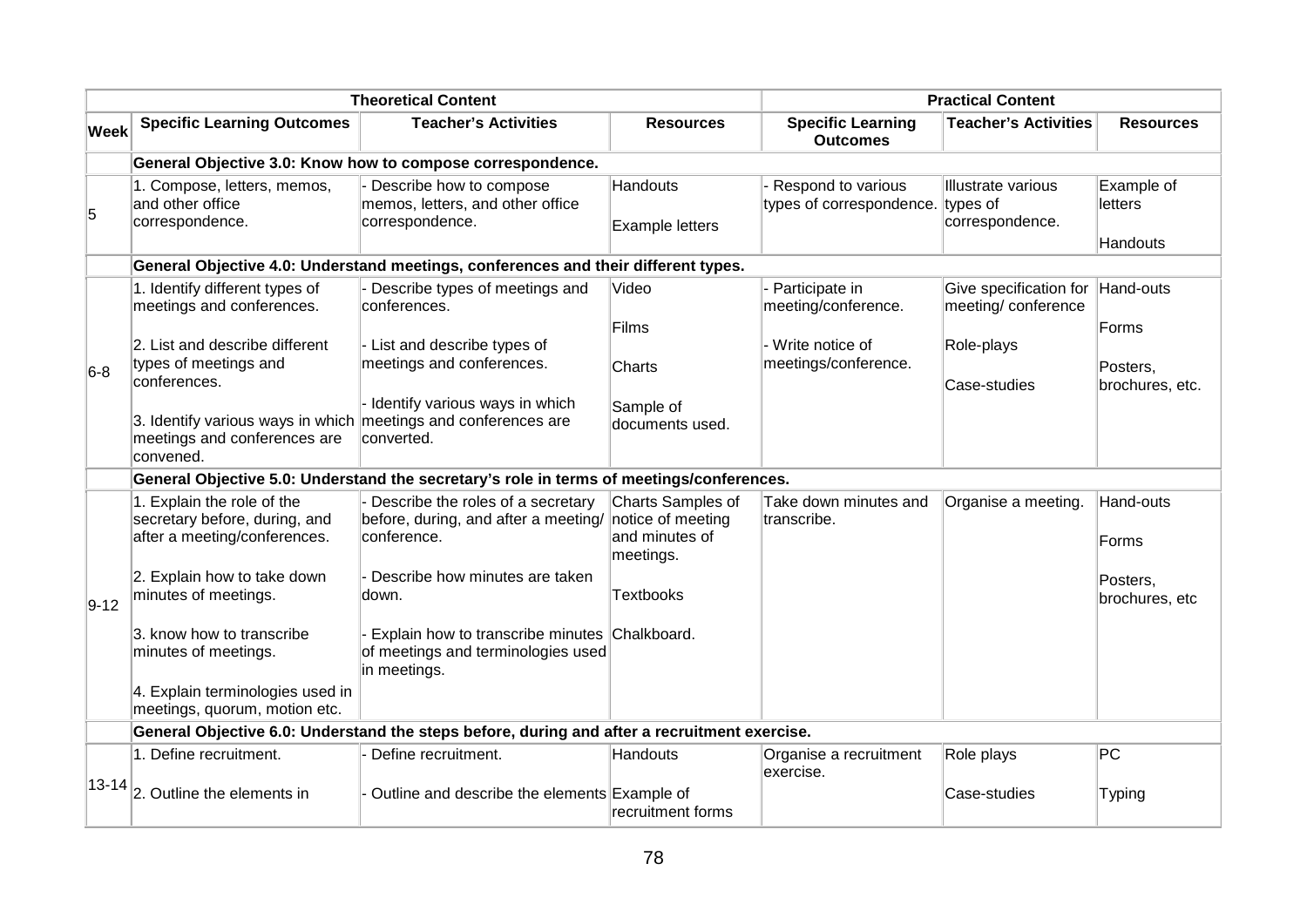|             | <b>Theoretical Content</b>                                                                                  |                                                                                                     |                                                                       | <b>Practical Content</b>                                 |                                                             |                                   |
|-------------|-------------------------------------------------------------------------------------------------------------|-----------------------------------------------------------------------------------------------------|-----------------------------------------------------------------------|----------------------------------------------------------|-------------------------------------------------------------|-----------------------------------|
| <b>Week</b> | <b>Specific Learning Outcomes</b>                                                                           | <b>Teacher's Activities</b>                                                                         | <b>Resources</b>                                                      | <b>Specific Learning</b><br><b>Outcomes</b>              | <b>Teacher's Activities</b>                                 | <b>Resources</b>                  |
|             |                                                                                                             | General Objective 3.0: Know how to compose correspondence.                                          |                                                                       |                                                          |                                                             |                                   |
| 5           | 1. Compose, letters, memos,<br>and other office<br>correspondence.                                          | Describe how to compose<br>memos, letters, and other office<br>correspondence.                      | Handouts<br><b>Example letters</b>                                    | Respond to various<br>types of correspondence.           | Illustrate various<br>types of<br>correspondence.           | Example of<br>letters<br>Handouts |
|             |                                                                                                             | General Objective 4.0: Understand meetings, conferences and their different types.                  |                                                                       |                                                          |                                                             |                                   |
|             | 1. Identify different types of<br>meetings and conferences.<br>2. List and describe different               | Describe types of meetings and<br>conferences.<br>List and describe types of                        | Video<br>Films                                                        | Participate in<br>meeting/conference.<br>Write notice of | Give specification for<br>meeting/ conference<br>Role-plays | Hand-outs<br>Forms                |
| $6-8$       | types of meetings and<br>conferences.                                                                       | meetings and conferences.                                                                           | Charts                                                                | meetings/conference.                                     | Case-studies                                                | Posters,<br>brochures, etc.       |
|             | 3. Identify various ways in which meetings and conferences are<br>meetings and conferences are<br>convened. | - Identify various ways in which<br>converted.                                                      | Sample of<br>documents used.                                          |                                                          |                                                             |                                   |
|             |                                                                                                             | General Objective 5.0: Understand the secretary's role in terms of meetings/conferences.            |                                                                       |                                                          |                                                             |                                   |
|             | 1. Explain the role of the<br>secretary before, during, and<br>after a meeting/conferences.                 | Describe the roles of a secretary<br>before, during, and after a meeting/<br>conference.            | Charts Samples of<br>notice of meeting<br>and minutes of<br>meetings. | Take down minutes and<br>transcribe.                     | Organise a meeting.                                         | Hand-outs<br>Forms                |
| $9 - 12$    | 2. Explain how to take down<br>minutes of meetings.                                                         | Describe how minutes are taken<br>down.                                                             | <b>Textbooks</b>                                                      |                                                          |                                                             | Posters,<br>brochures, etc        |
|             | 3. know how to transcribe<br>minutes of meetings.                                                           | Explain how to transcribe minutes Chalkboard.<br>of meetings and terminologies used<br>in meetings. |                                                                       |                                                          |                                                             |                                   |
|             | 4. Explain terminologies used in<br>meetings, quorum, motion etc.                                           |                                                                                                     |                                                                       |                                                          |                                                             |                                   |
|             |                                                                                                             | General Objective 6.0: Understand the steps before, during and after a recruitment exercise.        |                                                                       |                                                          |                                                             |                                   |
|             | 1. Define recruitment.                                                                                      | Define recruitment.                                                                                 | Handouts                                                              | Organise a recruitment<br>exercise.                      | Role plays                                                  | PC                                |
|             | $ 13-14 $ <sub>2</sub> . Outline the elements in                                                            | Outline and describe the elements Example of                                                        | recruitment forms                                                     |                                                          | Case-studies                                                | Typing                            |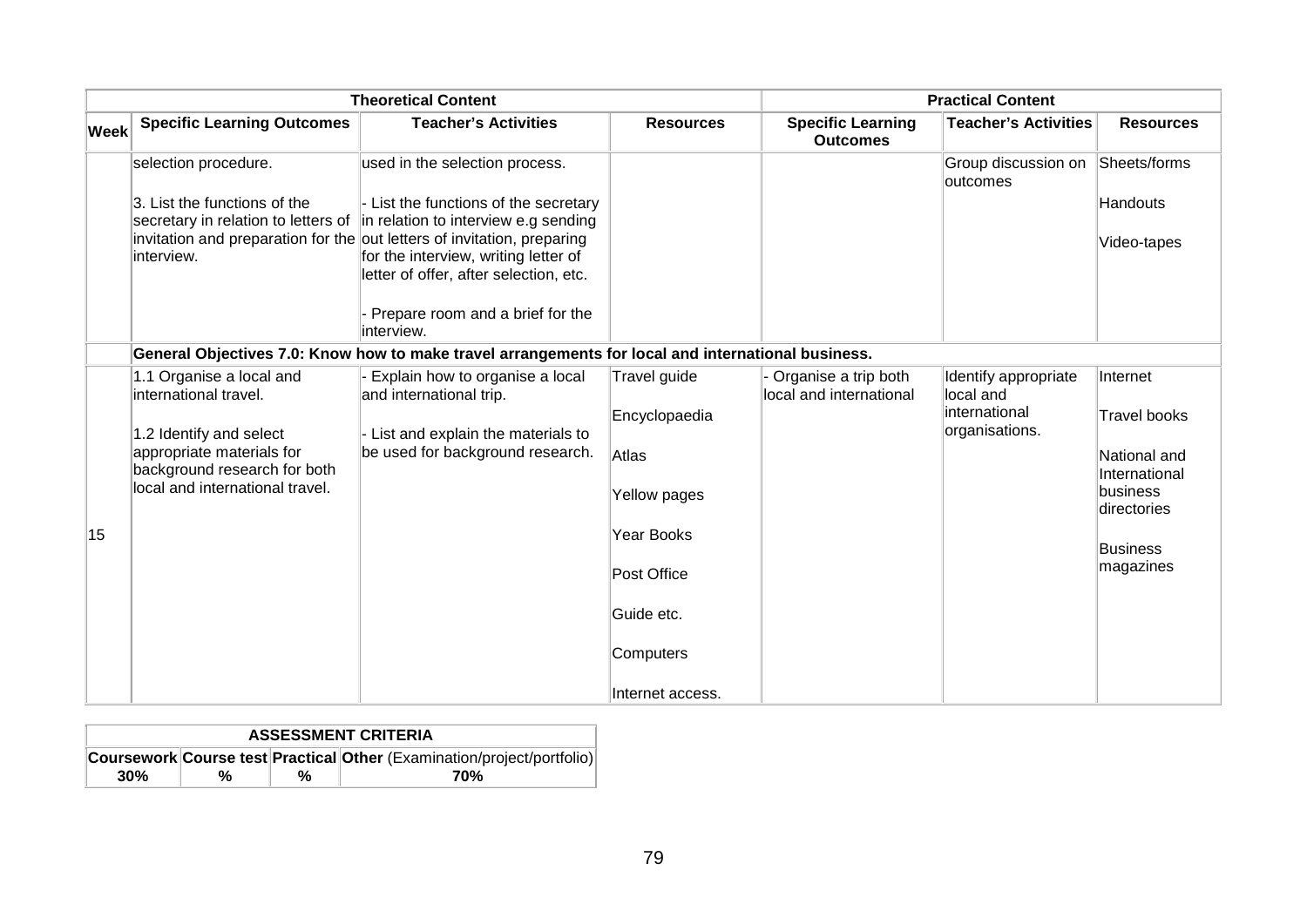|             | <b>Theoretical Content</b>                                                                                                                                                   |                                                                                                                                                                                                                                                                                                                              | <b>Practical Content</b>                                                                                                           |                                                   |                                                                      |                                                                                                                             |
|-------------|------------------------------------------------------------------------------------------------------------------------------------------------------------------------------|------------------------------------------------------------------------------------------------------------------------------------------------------------------------------------------------------------------------------------------------------------------------------------------------------------------------------|------------------------------------------------------------------------------------------------------------------------------------|---------------------------------------------------|----------------------------------------------------------------------|-----------------------------------------------------------------------------------------------------------------------------|
| <b>Week</b> | <b>Specific Learning Outcomes</b>                                                                                                                                            | <b>Teacher's Activities</b>                                                                                                                                                                                                                                                                                                  | <b>Resources</b>                                                                                                                   | <b>Specific Learning</b><br><b>Outcomes</b>       | <b>Teacher's Activities</b>                                          | <b>Resources</b>                                                                                                            |
|             | selection procedure.<br>3. List the functions of the<br>secretary in relation to letters of<br>interview.                                                                    | used in the selection process.<br>List the functions of the secretary<br>in relation to interview e.g sending<br>invitation and preparation for the out letters of invitation, preparing<br>for the interview, writing letter of<br>letter of offer, after selection, etc.<br>Prepare room and a brief for the<br>interview. |                                                                                                                                    |                                                   | Group discussion on<br>outcomes                                      | Sheets/forms<br>Handouts<br>Video-tapes                                                                                     |
|             |                                                                                                                                                                              | General Objectives 7.0: Know how to make travel arrangements for local and international business.                                                                                                                                                                                                                           |                                                                                                                                    |                                                   |                                                                      |                                                                                                                             |
| 15          | 1.1 Organise a local and<br>international travel.<br>1.2 Identify and select<br>appropriate materials for<br>background research for both<br>local and international travel. | Explain how to organise a local<br>and international trip.<br>List and explain the materials to<br>be used for background research.                                                                                                                                                                                          | Travel guide<br>Encyclopaedia<br>Atlas<br>Yellow pages<br>Year Books<br>Post Office<br>Guide etc.<br>Computers<br>Internet access. | - Organise a trip both<br>local and international | Identify appropriate<br>local and<br>international<br>organisations. | Internet<br><b>Travel books</b><br>National and<br>International<br>business<br>directories<br><b>Business</b><br>magazines |

| <b>ASSESSMENT CRITERIA</b> |   |   |                                                                        |  |
|----------------------------|---|---|------------------------------------------------------------------------|--|
|                            |   |   | Coursework Course test Practical Other (Examination/project/portfolio) |  |
| 30%                        | % | % | 70%                                                                    |  |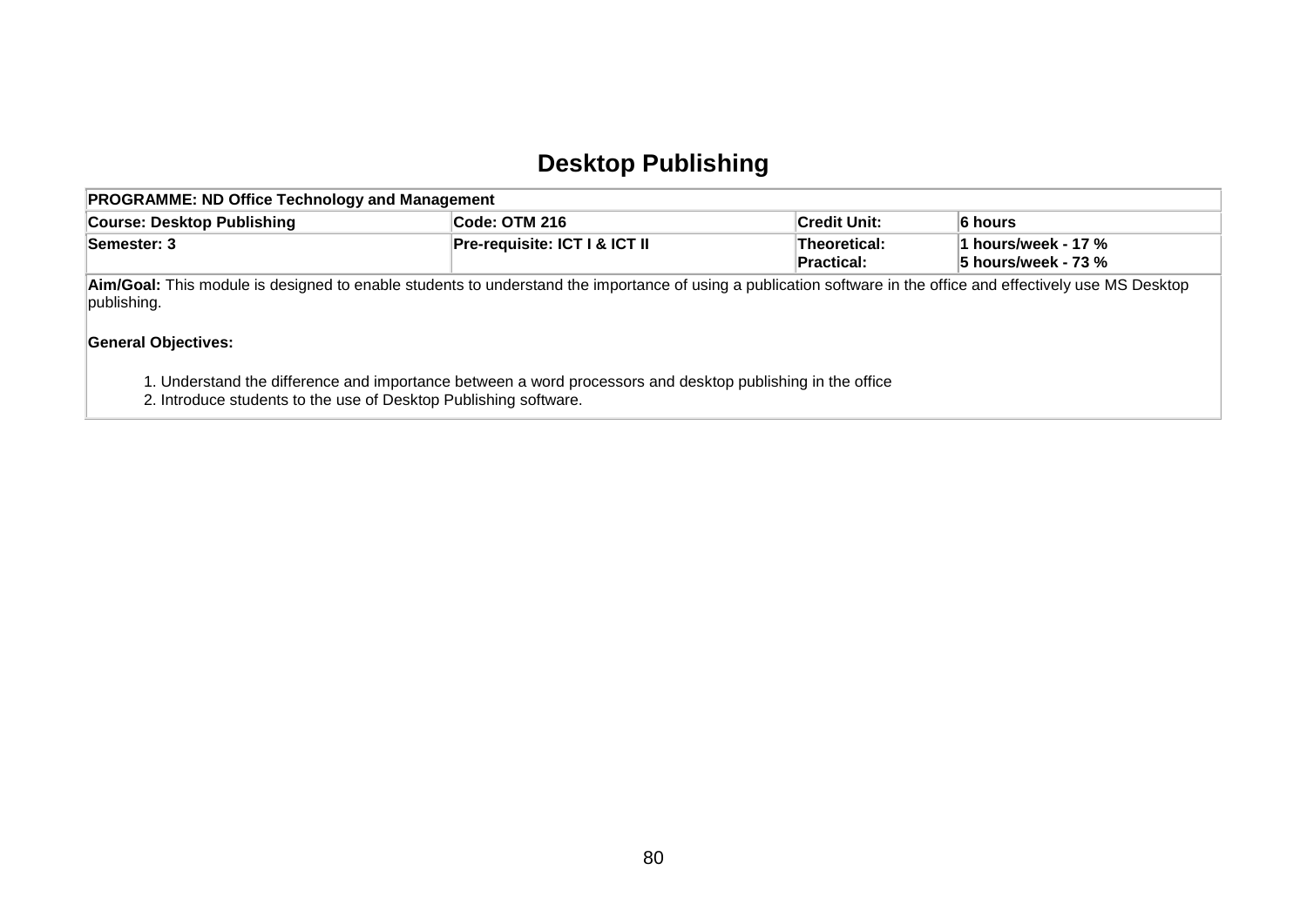### **Desktop Publishing**

| <b>PROGRAMME: ND Office Technology and Management</b>                                                                                                                         |                                   |                                            |         |  |  |  |  |
|-------------------------------------------------------------------------------------------------------------------------------------------------------------------------------|-----------------------------------|--------------------------------------------|---------|--|--|--|--|
| <b>Course: Desktop Publishing</b>                                                                                                                                             | Code: OTM 216                     | ∣Credit Unit:                              | 6 hours |  |  |  |  |
| Semester: 3                                                                                                                                                                   | Theoretical:<br><b>Practical:</b> | 1 hours/week - 17 %<br>5 hours/week - 73 % |         |  |  |  |  |
| Aim/Goal: This module is designed to enable students to understand the importance of using a publication software in the office and effectively use MS Desktop<br>publishing. |                                   |                                            |         |  |  |  |  |
| <b>General Objectives:</b>                                                                                                                                                    |                                   |                                            |         |  |  |  |  |

- 1. Understand the difference and importance between a word processors and desktop publishing in the office
- 2. Introduce students to the use of Desktop Publishing software.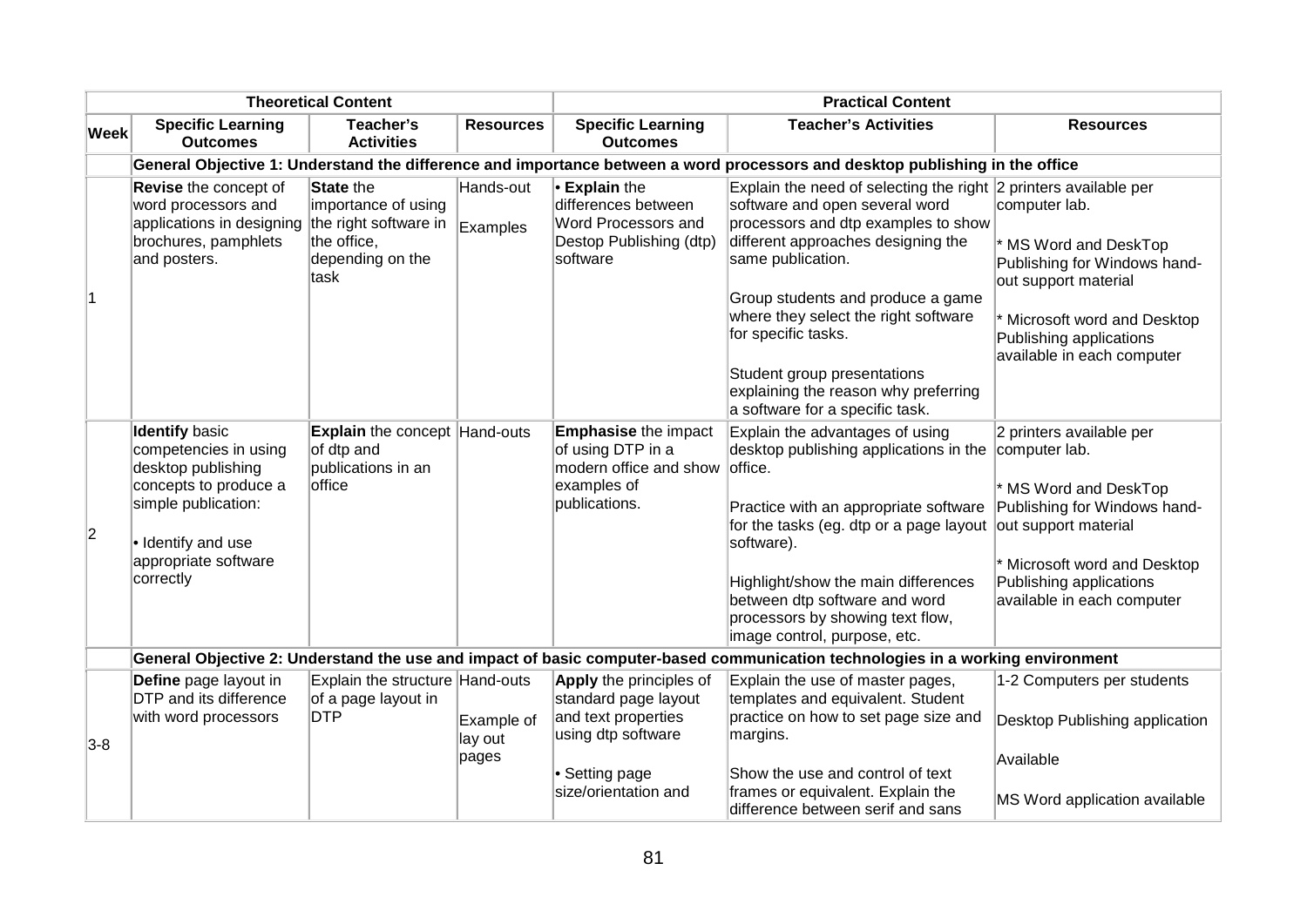| <b>Theoretical Content</b> |                                                                                                                                                                                 |                                                                                    |                                             | <b>Practical Content</b>                                                                                              |                                                                                                                                                                                                                                                                                                                                                                                                                    |                                                                                                                                                                                       |
|----------------------------|---------------------------------------------------------------------------------------------------------------------------------------------------------------------------------|------------------------------------------------------------------------------------|---------------------------------------------|-----------------------------------------------------------------------------------------------------------------------|--------------------------------------------------------------------------------------------------------------------------------------------------------------------------------------------------------------------------------------------------------------------------------------------------------------------------------------------------------------------------------------------------------------------|---------------------------------------------------------------------------------------------------------------------------------------------------------------------------------------|
| Week                       | <b>Specific Learning</b><br>Teacher's<br><b>Resources</b><br><b>Outcomes</b><br><b>Activities</b>                                                                               |                                                                                    | <b>Specific Learning</b><br><b>Outcomes</b> | <b>Teacher's Activities</b>                                                                                           | <b>Resources</b>                                                                                                                                                                                                                                                                                                                                                                                                   |                                                                                                                                                                                       |
|                            |                                                                                                                                                                                 |                                                                                    |                                             |                                                                                                                       | General Objective 1: Understand the difference and importance between a word processors and desktop publishing in the office                                                                                                                                                                                                                                                                                       |                                                                                                                                                                                       |
| 11.                        | Revise the concept of<br>word processors and<br>applications in designing the right software in<br>brochures, pamphlets<br>and posters.                                         | <b>State the</b><br>importance of using<br>the office,<br>depending on the<br>task | Hands-out<br>Examples                       | <b>Explain the</b><br>differences between<br>Word Processors and<br>Destop Publishing (dtp)<br>software               | Explain the need of selecting the right 2 printers available per<br>software and open several word<br>processors and dtp examples to show<br>different approaches designing the<br>same publication.<br>Group students and produce a game<br>where they select the right software<br>for specific tasks.<br>Student group presentations<br>explaining the reason why preferring<br>a software for a specific task. | computer lab.<br>* MS Word and DeskTop<br>Publishing for Windows hand-<br>out support material<br>Microsoft word and Desktop<br>Publishing applications<br>available in each computer |
| $ 2\rangle$                | <b>Identify basic</b><br>competencies in using<br>desktop publishing<br>concepts to produce a<br>simple publication:<br>· Identify and use<br>appropriate software<br>correctly | <b>Explain</b> the concept Hand-outs<br>of dtp and<br>publications in an<br>office |                                             | <b>Emphasise</b> the impact<br>of using DTP in a<br>modern office and show<br>examples of<br>publications.            | Explain the advantages of using<br>desktop publishing applications in the computer lab.<br>office.<br>Practice with an appropriate software<br>for the tasks (eg. dtp or a page layout out support material<br>software).<br>Highlight/show the main differences<br>between dtp software and word<br>processors by showing text flow,<br>image control, purpose, etc.                                              | 2 printers available per<br>* MS Word and DeskTop<br>Publishing for Windows hand-<br>* Microsoft word and Desktop<br>Publishing applications<br>available in each computer            |
|                            |                                                                                                                                                                                 |                                                                                    |                                             |                                                                                                                       | General Objective 2: Understand the use and impact of basic computer-based communication technologies in a working environment                                                                                                                                                                                                                                                                                     |                                                                                                                                                                                       |
| $3-8$                      | Define page layout in<br><b>DTP</b> and its difference<br>with word processors                                                                                                  | Explain the structure Hand-outs<br>of a page layout in<br><b>DTP</b>               | Example of<br>lay out<br>pages              | <b>Apply</b> the principles of<br>standard page layout<br>and text properties<br>using dtp software<br>• Setting page | Explain the use of master pages,<br>templates and equivalent. Student<br>practice on how to set page size and<br>margins.<br>Show the use and control of text                                                                                                                                                                                                                                                      | 1-2 Computers per students<br>Desktop Publishing application<br>Available                                                                                                             |
|                            |                                                                                                                                                                                 |                                                                                    |                                             | size/orientation and                                                                                                  | frames or equivalent. Explain the<br>difference between serif and sans                                                                                                                                                                                                                                                                                                                                             | MS Word application available                                                                                                                                                         |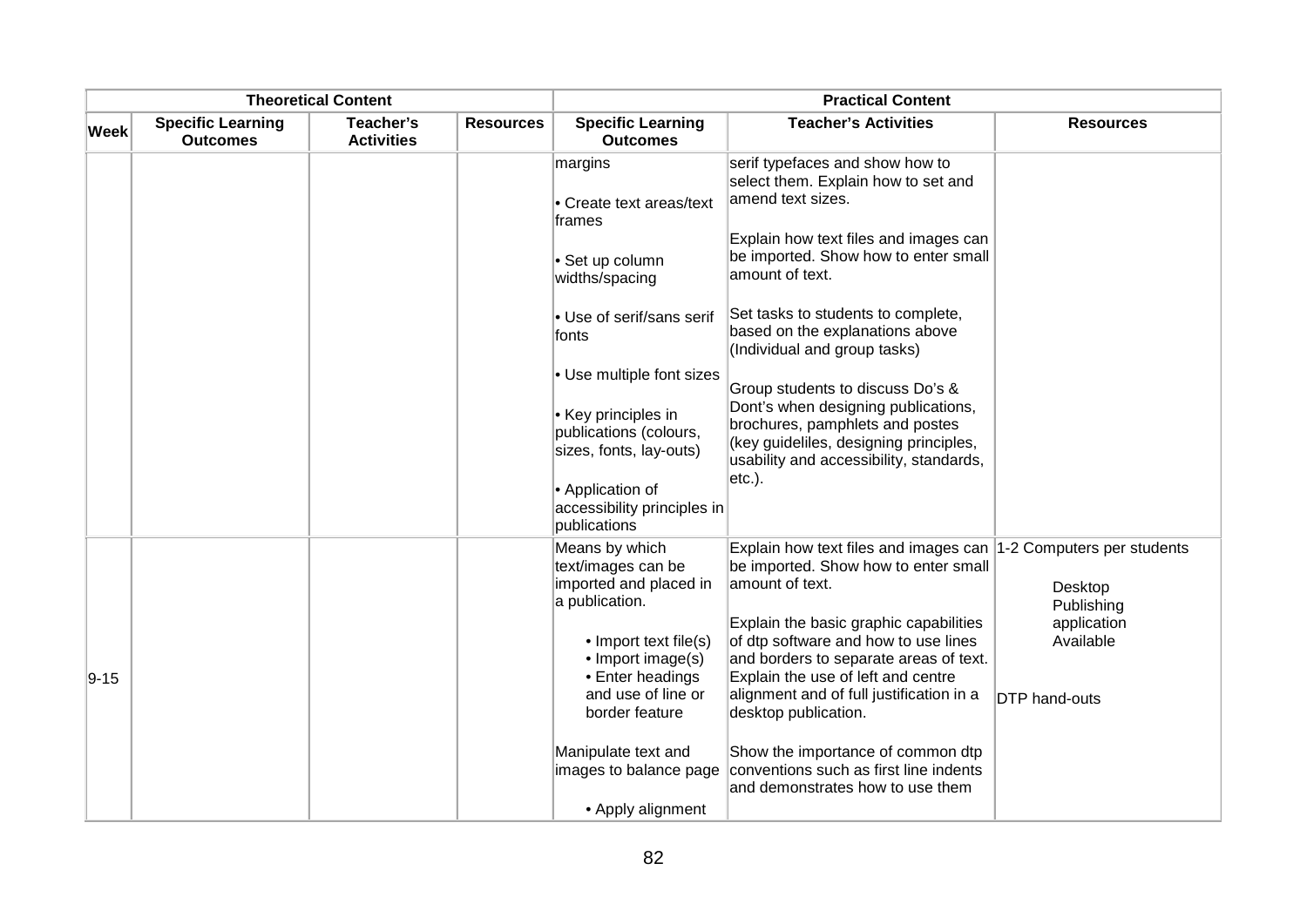|             |                                             | <b>Theoretical Content</b>     |                  |                                                                                                                                                                          | <b>Practical Content</b>                                                                                                                                                                                                           |                                                  |
|-------------|---------------------------------------------|--------------------------------|------------------|--------------------------------------------------------------------------------------------------------------------------------------------------------------------------|------------------------------------------------------------------------------------------------------------------------------------------------------------------------------------------------------------------------------------|--------------------------------------------------|
| <b>Week</b> | <b>Specific Learning</b><br><b>Outcomes</b> | Teacher's<br><b>Activities</b> | <b>Resources</b> | <b>Specific Learning</b><br><b>Outcomes</b>                                                                                                                              | <b>Teacher's Activities</b>                                                                                                                                                                                                        | <b>Resources</b>                                 |
|             |                                             |                                |                  | margins<br>• Create text areas/text<br>frames                                                                                                                            | serif typefaces and show how to<br>select them. Explain how to set and<br>amend text sizes.                                                                                                                                        |                                                  |
|             |                                             |                                |                  | · Set up column<br>widths/spacing                                                                                                                                        | Explain how text files and images can<br>be imported. Show how to enter small<br>amount of text.                                                                                                                                   |                                                  |
|             |                                             |                                |                  | • Use of serif/sans serif<br>fonts                                                                                                                                       | Set tasks to students to complete,<br>based on the explanations above<br>(Individual and group tasks)                                                                                                                              |                                                  |
|             |                                             |                                |                  | • Use multiple font sizes<br>• Key principles in<br>publications (colours,<br>sizes, fonts, lay-outs)<br>• Application of<br>accessibility principles in<br>publications | Group students to discuss Do's &<br>Dont's when designing publications,<br>brochures, pamphlets and postes<br>(key guideliles, designing principles,<br>usability and accessibility, standards,<br>$ etc.$ ).                      |                                                  |
|             |                                             |                                |                  | Means by which<br>text/images can be<br>imported and placed in<br>a publication.                                                                                         | Explain how text files and images can 1-2 Computers per students<br>be imported. Show how to enter small<br>amount of text.                                                                                                        | Desktop<br>Publishing                            |
| $9 - 15$    |                                             |                                |                  | • Import text file(s)<br>• Import image(s)<br>• Enter headings<br>and use of line or<br>border feature                                                                   | Explain the basic graphic capabilities<br>of dtp software and how to use lines<br>and borders to separate areas of text.<br>Explain the use of left and centre<br>alignment and of full justification in a<br>desktop publication. | application<br>Available<br><b>DTP</b> hand-outs |
|             |                                             |                                |                  | Manipulate text and<br>images to balance page<br>• Apply alignment                                                                                                       | Show the importance of common dtp<br>conventions such as first line indents<br>and demonstrates how to use them                                                                                                                    |                                                  |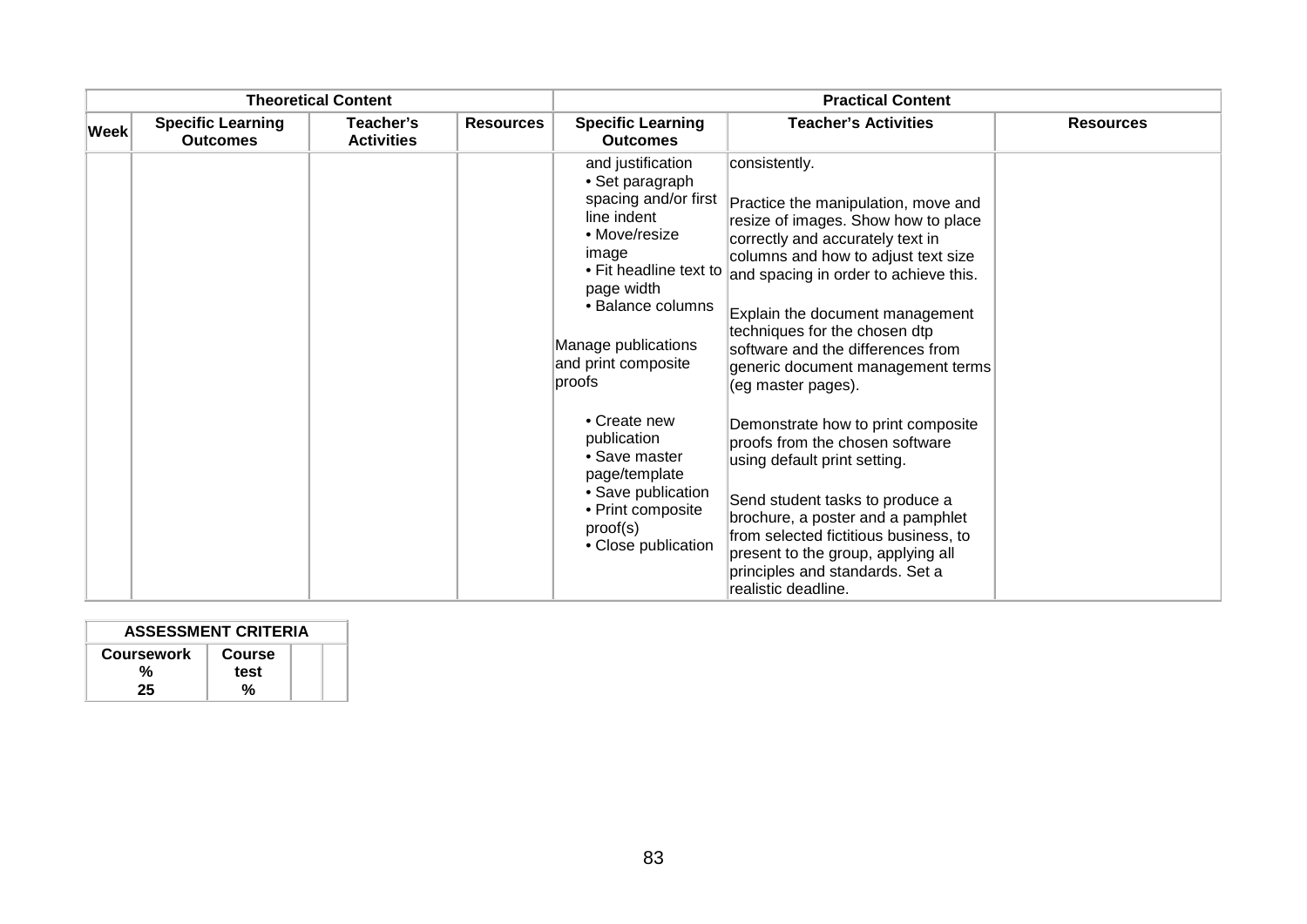| <b>Theoretical Content</b> |                                             |                                |                  | <b>Practical Content</b>                                                                                                                                                                                                   |                                                                                                                                                                                                                                                                                                                                                                                     |                  |  |
|----------------------------|---------------------------------------------|--------------------------------|------------------|----------------------------------------------------------------------------------------------------------------------------------------------------------------------------------------------------------------------------|-------------------------------------------------------------------------------------------------------------------------------------------------------------------------------------------------------------------------------------------------------------------------------------------------------------------------------------------------------------------------------------|------------------|--|
| $ \textsf{Week} $          | <b>Specific Learning</b><br><b>Outcomes</b> | Teacher's<br><b>Activities</b> | <b>Resources</b> | <b>Specific Learning</b><br><b>Outcomes</b>                                                                                                                                                                                | <b>Teacher's Activities</b>                                                                                                                                                                                                                                                                                                                                                         | <b>Resources</b> |  |
|                            |                                             |                                |                  | and justification<br>• Set paragraph<br>spacing and/or first<br>line indent<br>• Move/resize<br>image<br>• Fit headline text to<br>page width<br>• Balance columns<br>Manage publications<br>and print composite<br>proofs | consistently.<br>Practice the manipulation, move and<br>resize of images. Show how to place<br>correctly and accurately text in<br>columns and how to adjust text size<br>and spacing in order to achieve this.<br>Explain the document management<br>techniques for the chosen dtp<br>software and the differences from<br>generic document management terms<br>(eg master pages). |                  |  |
|                            |                                             |                                |                  | • Create new<br>publication<br>• Save master<br>page/template<br>• Save publication<br>• Print composite<br>proof(s)<br>• Close publication                                                                                | Demonstrate how to print composite<br>proofs from the chosen software<br>using default print setting.<br>Send student tasks to produce a<br>brochure, a poster and a pamphlet<br>from selected fictitious business, to<br>present to the group, applying all<br>principles and standards. Set a<br>realistic deadline.                                                              |                  |  |

| <b>ASSESSMENT CRITERIA</b> |        |  |  |  |
|----------------------------|--------|--|--|--|
| <b>Coursework</b>          | Course |  |  |  |
| %                          | test   |  |  |  |
| 25                         | %      |  |  |  |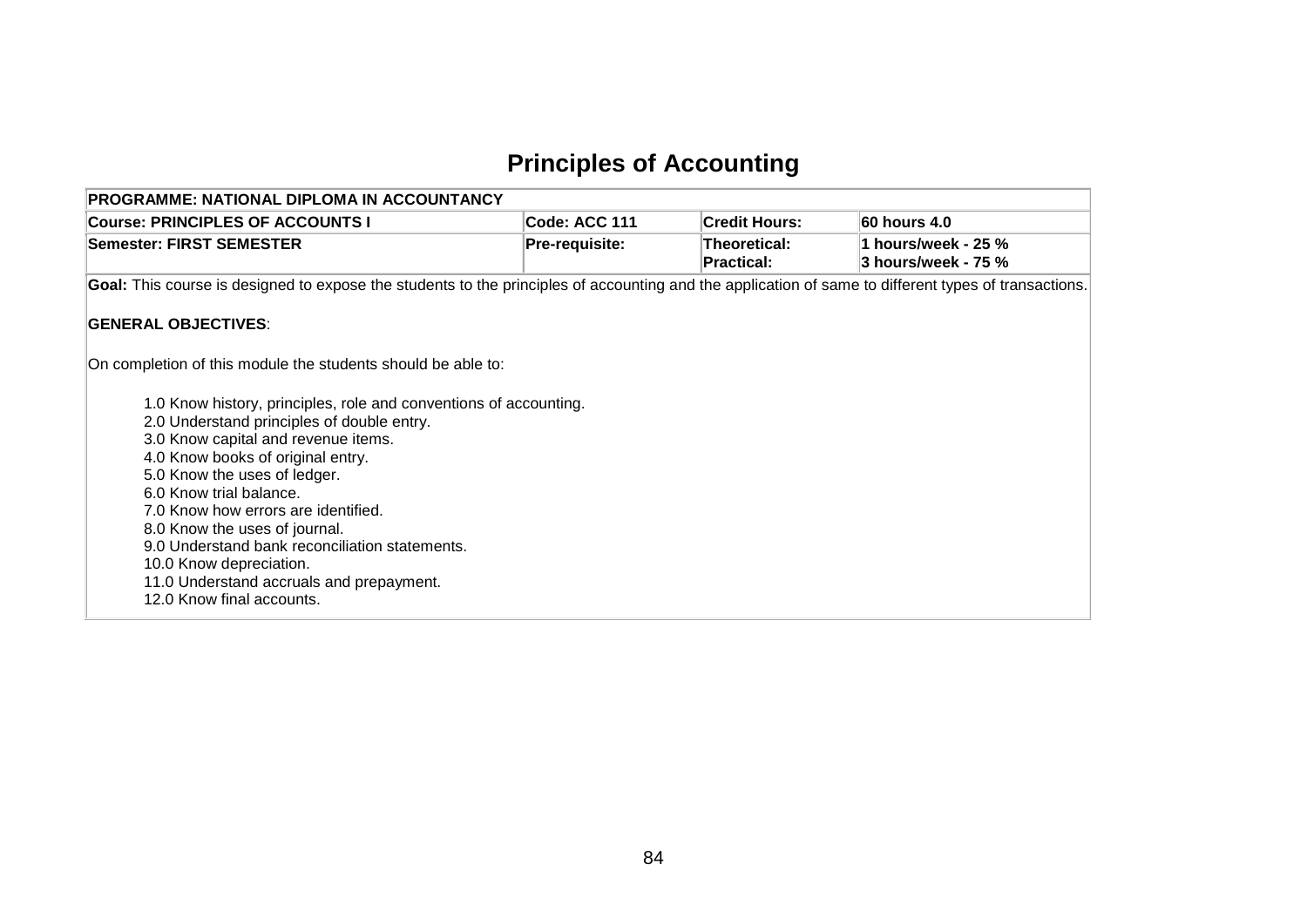### **Principles of Accounting**

| PROGRAMME: NATIONAL DIPLOMA IN ACCOUNTANCY                                                                                                           |                |                            |                     |
|------------------------------------------------------------------------------------------------------------------------------------------------------|----------------|----------------------------|---------------------|
| <b>Course: PRINCIPLES OF ACCOUNTS I</b>                                                                                                              | Code: ACC 111  | <b>Credit Hours:</b>       | 60 hours 4.0        |
| Semester: FIRST SEMESTER                                                                                                                             | Pre-requisite: | Theoretical:<br>Practical: | 3 hours/week - 75 % |
| Goal: This course is designed to expose the students to the principles of accounting and the application of same to different types of transactions. |                |                            |                     |
| <b>GENERAL OBJECTIVES:</b>                                                                                                                           |                |                            |                     |
| On completion of this module the students should be able to:                                                                                         |                |                            |                     |
| 1.0 Know history, principles, role and conventions of accounting.<br>2.0 Understand principles of double entry.                                      |                |                            |                     |
| 3.0 Know capital and revenue items.                                                                                                                  |                |                            |                     |
| 4.0 Know books of original entry.<br>5.0 Know the uses of ledger.                                                                                    |                |                            |                     |
| 6.0 Know trial balance.<br>7.0 Know how errors are identified.                                                                                       |                |                            |                     |
| 8.0 Know the uses of journal.<br>9.0 Understand bank reconciliation statements.                                                                      |                |                            |                     |
| 10.0 Know depreciation.                                                                                                                              |                |                            |                     |
| 11.0 Understand accruals and prepayment.<br>12.0 Know final accounts.                                                                                |                |                            |                     |
|                                                                                                                                                      |                |                            |                     |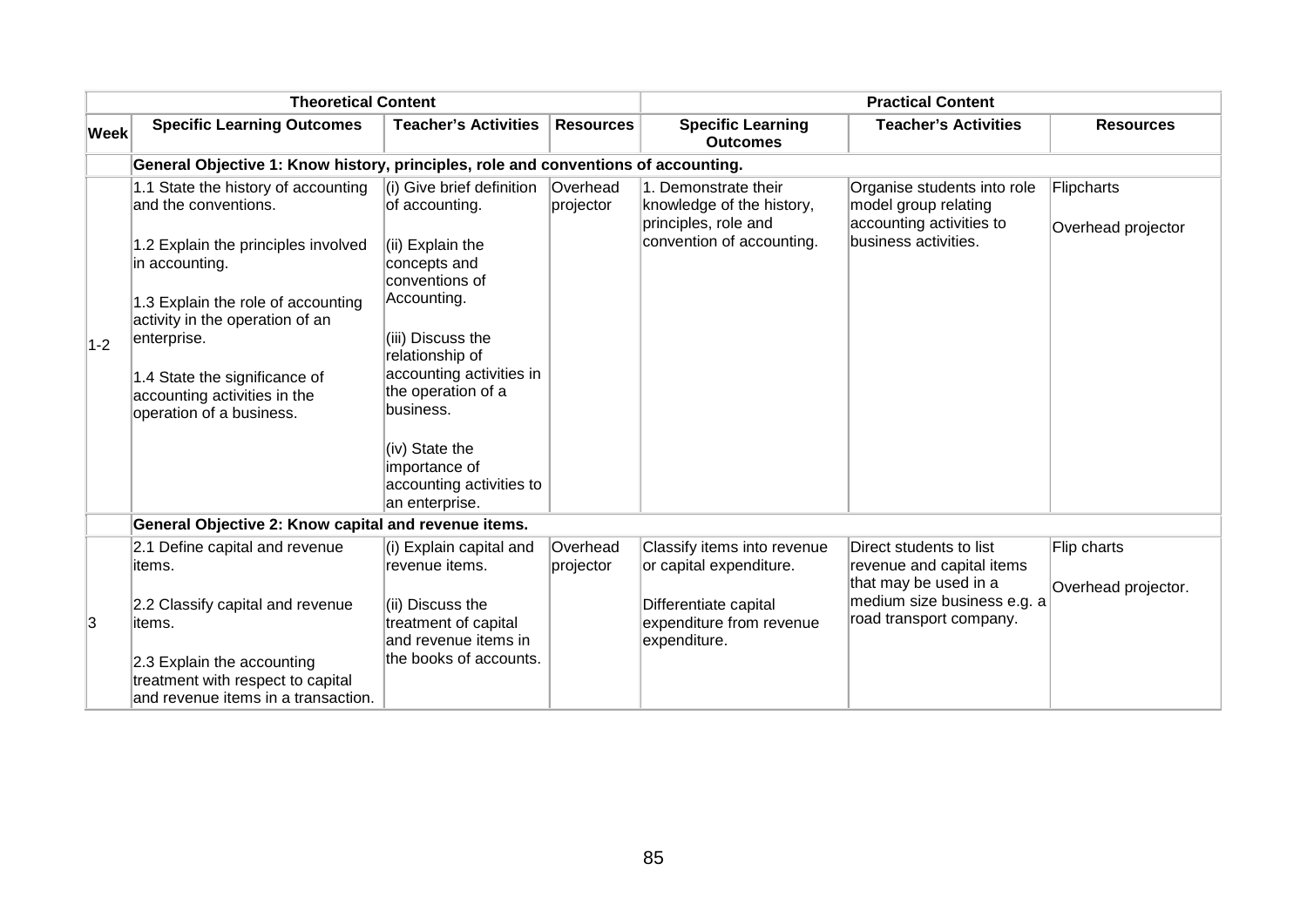|       | <b>Theoretical Content</b>                                                                             |                                                                  |                       |                                                                           | <b>Practical Content</b>                                                        |                                  |
|-------|--------------------------------------------------------------------------------------------------------|------------------------------------------------------------------|-----------------------|---------------------------------------------------------------------------|---------------------------------------------------------------------------------|----------------------------------|
| Week  | <b>Specific Learning Outcomes</b>                                                                      | <b>Teacher's Activities</b>                                      | <b>Resources</b>      | <b>Specific Learning</b><br><b>Outcomes</b>                               | <b>Teacher's Activities</b>                                                     | <b>Resources</b>                 |
|       | General Objective 1: Know history, principles, role and conventions of accounting.                     |                                                                  |                       |                                                                           |                                                                                 |                                  |
|       | 1.1 State the history of accounting<br>and the conventions.                                            | (i) Give brief definition<br>of accounting.                      | Overhead<br>projector | 1. Demonstrate their<br>knowledge of the history,<br>principles, role and | Organise students into role<br>model group relating<br>accounting activities to | Flipcharts<br>Overhead projector |
|       | 1.2 Explain the principles involved<br>in accounting.                                                  | (ii) Explain the<br>concepts and<br>conventions of               |                       | convention of accounting.                                                 | business activities.                                                            |                                  |
|       | 1.3 Explain the role of accounting<br>activity in the operation of an                                  | Accounting.                                                      |                       |                                                                           |                                                                                 |                                  |
| $1-2$ | enterprise.                                                                                            | (iii) Discuss the<br>relationship of                             |                       |                                                                           |                                                                                 |                                  |
|       | 1.4 State the significance of<br>accounting activities in the<br>operation of a business.              | accounting activities in<br>the operation of a<br>business.      |                       |                                                                           |                                                                                 |                                  |
|       |                                                                                                        | (iv) State the                                                   |                       |                                                                           |                                                                                 |                                  |
|       |                                                                                                        | importance of<br>accounting activities to                        |                       |                                                                           |                                                                                 |                                  |
|       |                                                                                                        | an enterprise.                                                   |                       |                                                                           |                                                                                 |                                  |
|       | General Objective 2: Know capital and revenue items.                                                   |                                                                  |                       |                                                                           |                                                                                 |                                  |
|       | 2.1 Define capital and revenue<br>items.                                                               | (i) Explain capital and<br>revenue items.                        | Overhead<br>projector | Classify items into revenue<br>or capital expenditure.                    | Direct students to list<br>revenue and capital items                            | Flip charts                      |
| 3     | 2.2 Classify capital and revenue<br>items.                                                             | (ii) Discuss the<br>treatment of capital<br>and revenue items in |                       | Differentiate capital<br>expenditure from revenue                         | that may be used in a<br>medium size business e.g. a<br>road transport company. | Overhead projector.              |
|       | 2.3 Explain the accounting<br>treatment with respect to capital<br>and revenue items in a transaction. | the books of accounts.                                           |                       | expenditure.                                                              |                                                                                 |                                  |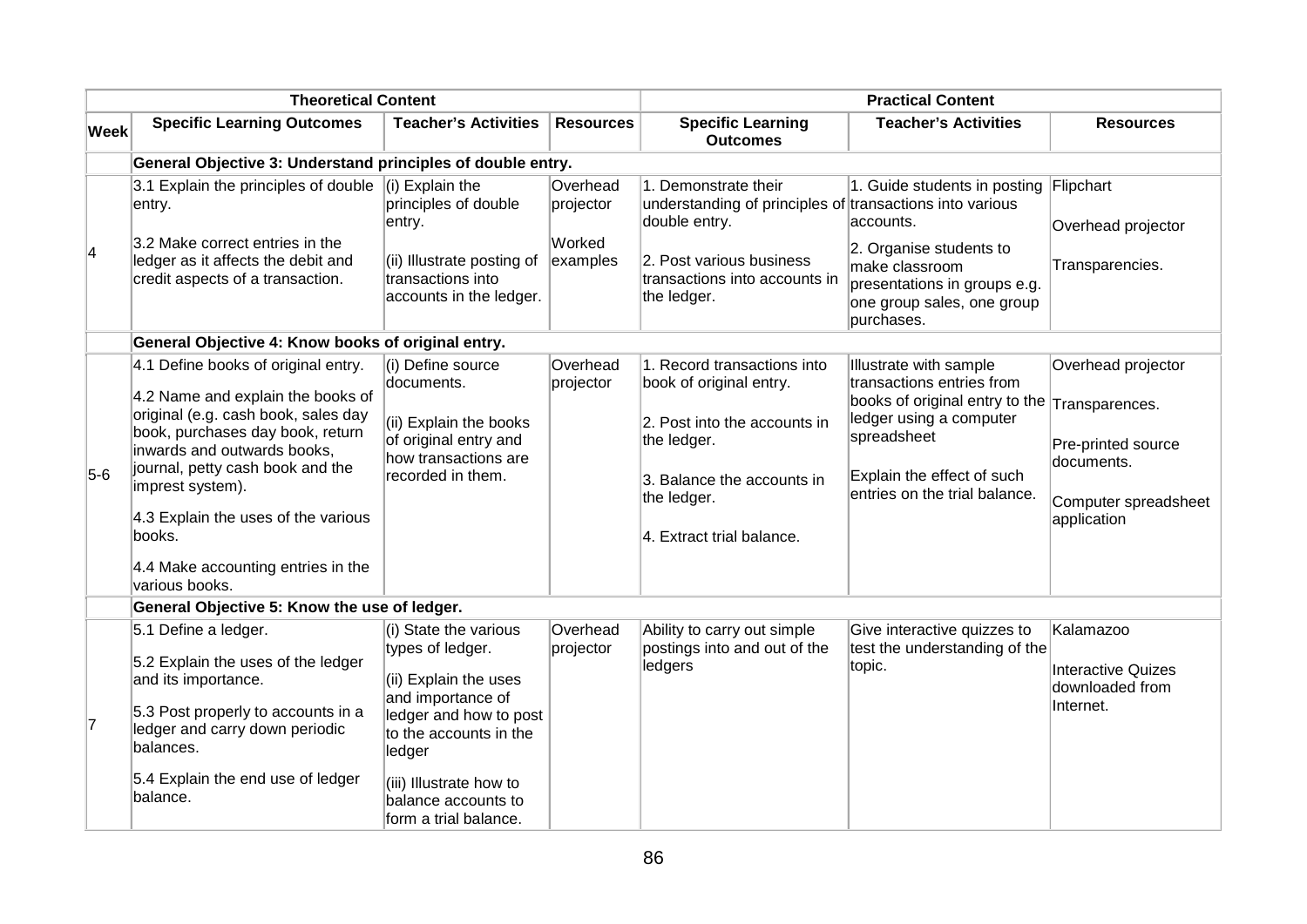| <b>Specific Learning Outcomes</b>                                                                                                                                                                                                                                                                                                                   | <b>Teacher's Activities</b>                                                                                                                                                      |                                                                                                                                                    |                                                                                                                                                                                 |                                                                                                                                                                                                |                                                                                                                 |
|-----------------------------------------------------------------------------------------------------------------------------------------------------------------------------------------------------------------------------------------------------------------------------------------------------------------------------------------------------|----------------------------------------------------------------------------------------------------------------------------------------------------------------------------------|----------------------------------------------------------------------------------------------------------------------------------------------------|---------------------------------------------------------------------------------------------------------------------------------------------------------------------------------|------------------------------------------------------------------------------------------------------------------------------------------------------------------------------------------------|-----------------------------------------------------------------------------------------------------------------|
|                                                                                                                                                                                                                                                                                                                                                     |                                                                                                                                                                                  | <b>Resources</b>                                                                                                                                   | <b>Specific Learning</b><br><b>Outcomes</b>                                                                                                                                     | <b>Teacher's Activities</b>                                                                                                                                                                    | <b>Resources</b>                                                                                                |
| General Objective 3: Understand principles of double entry.                                                                                                                                                                                                                                                                                         |                                                                                                                                                                                  |                                                                                                                                                    |                                                                                                                                                                                 |                                                                                                                                                                                                |                                                                                                                 |
| 3.1 Explain the principles of double $\vert$ (i) Explain the<br>entry.<br>3.2 Make correct entries in the<br>ledger as it affects the debit and<br>credit aspects of a transaction.                                                                                                                                                                 | principles of double<br>entry.<br>(ii) Illustrate posting of<br>transactions into<br>accounts in the ledger.                                                                     | Overhead<br>projector<br>Worked<br>examples                                                                                                        | 1. Demonstrate their<br>understanding of principles of transactions into various<br>double entry.<br>2. Post various business<br>transactions into accounts in<br>the ledger.   | 1. Guide students in posting Flipchart<br>make classroom<br>presentations in groups e.g.<br>purchases.                                                                                         | Overhead projector<br>Transparencies.                                                                           |
|                                                                                                                                                                                                                                                                                                                                                     |                                                                                                                                                                                  |                                                                                                                                                    |                                                                                                                                                                                 |                                                                                                                                                                                                |                                                                                                                 |
| 4.1 Define books of original entry.<br>4.2 Name and explain the books of<br>original (e.g. cash book, sales day<br>book, purchases day book, return<br>inwards and outwards books,<br>journal, petty cash book and the<br>imprest system).<br>4.3 Explain the uses of the various<br>books.<br>4.4 Make accounting entries in the<br>various books. | (i) Define source<br>documents.<br>(ii) Explain the books<br>of original entry and<br>how transactions are<br>recorded in them.                                                  | Overhead<br>projector                                                                                                                              | 1. Record transactions into<br>book of original entry.<br>2. Post into the accounts in<br>the ledger.<br>3. Balance the accounts in<br>the ledger.<br>4. Extract trial balance. | Illustrate with sample<br>transactions entries from<br>books of original entry to the<br>ledger using a computer<br>spreadsheet<br>Explain the effect of such<br>entries on the trial balance. | Overhead projector<br>Transparences.<br>Pre-printed source<br>documents.<br>Computer spreadsheet<br>application |
|                                                                                                                                                                                                                                                                                                                                                     |                                                                                                                                                                                  |                                                                                                                                                    |                                                                                                                                                                                 |                                                                                                                                                                                                |                                                                                                                 |
| 5.1 Define a ledger.<br>5.2 Explain the uses of the ledger<br>and its importance.<br>5.3 Post properly to accounts in a<br>ledger and carry down periodic<br>balances.<br>5.4 Explain the end use of ledger<br>balance.                                                                                                                             | (i) State the various<br>types of ledger.<br>(ii) Explain the uses<br>and importance of<br>ledger and how to post<br>to the accounts in the<br>ledger<br>(iii) Illustrate how to | Overhead<br>projector                                                                                                                              | Ability to carry out simple<br>postings into and out of the<br>ledgers                                                                                                          | Give interactive quizzes to<br>test the understanding of the<br>topic.                                                                                                                         | Kalamazoo<br><b>Interactive Quizes</b><br>downloaded from<br>Internet.                                          |
|                                                                                                                                                                                                                                                                                                                                                     |                                                                                                                                                                                  | General Objective 4: Know books of original entry.<br>General Objective 5: Know the use of ledger.<br>balance accounts to<br>form a trial balance. |                                                                                                                                                                                 |                                                                                                                                                                                                | accounts.<br>2. Organise students to<br>one group sales, one group                                              |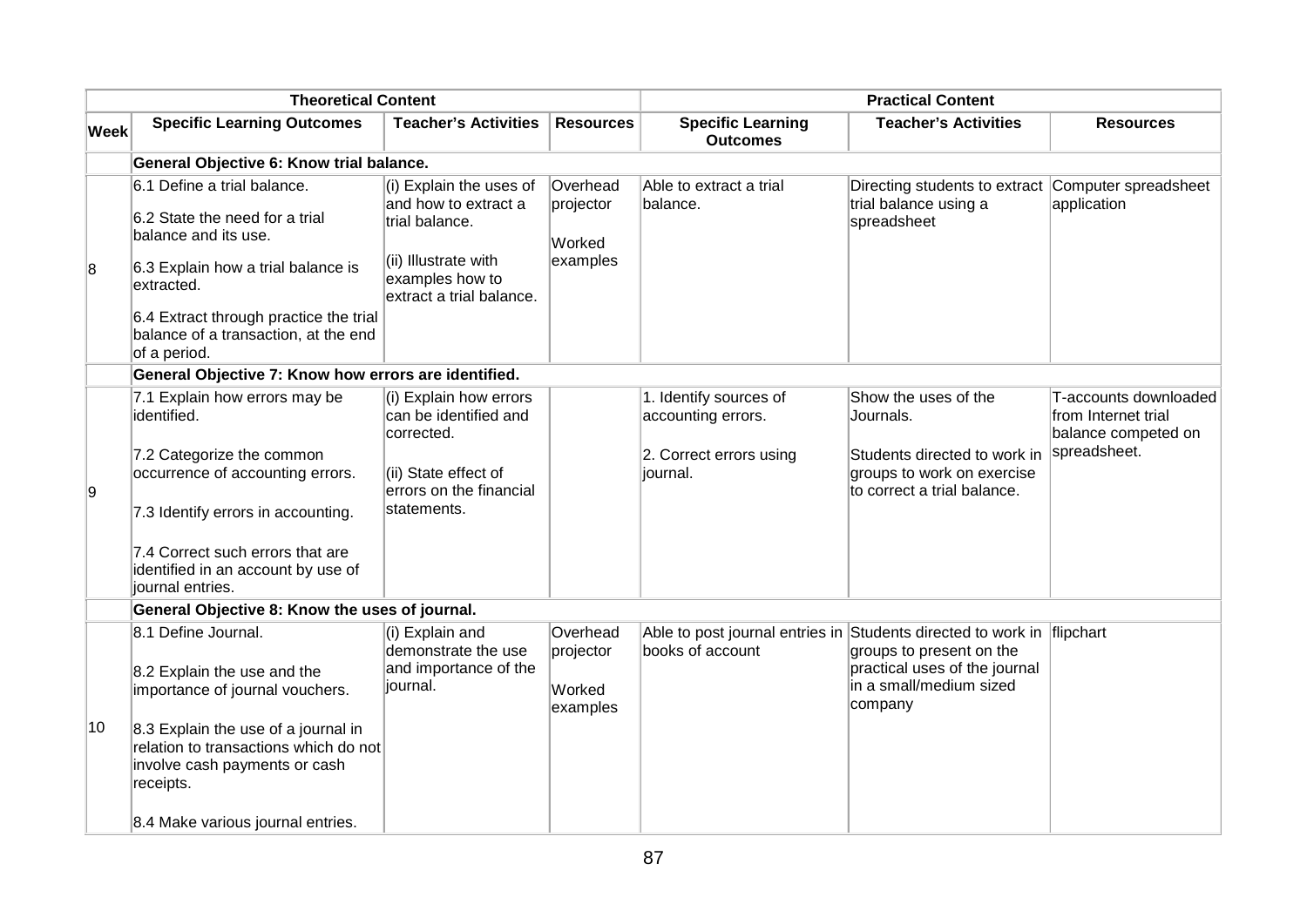| <b>Theoretical Content</b> |                                                                                                                                                                                                                                                   |                                                                                                                                            |                                             | <b>Practical Content</b>                                                                   |                                                                                                                                |                                                                                     |
|----------------------------|---------------------------------------------------------------------------------------------------------------------------------------------------------------------------------------------------------------------------------------------------|--------------------------------------------------------------------------------------------------------------------------------------------|---------------------------------------------|--------------------------------------------------------------------------------------------|--------------------------------------------------------------------------------------------------------------------------------|-------------------------------------------------------------------------------------|
| <b>Week</b>                | <b>Specific Learning Outcomes</b>                                                                                                                                                                                                                 | <b>Teacher's Activities</b>                                                                                                                | <b>Resources</b>                            | <b>Specific Learning</b><br><b>Outcomes</b>                                                | <b>Teacher's Activities</b>                                                                                                    | <b>Resources</b>                                                                    |
|                            | General Objective 6: Know trial balance.                                                                                                                                                                                                          |                                                                                                                                            |                                             |                                                                                            |                                                                                                                                |                                                                                     |
| 8                          | 6.1 Define a trial balance.<br>6.2 State the need for a trial<br>balance and its use.<br>6.3 Explain how a trial balance is<br>extracted.<br>6.4 Extract through practice the trial<br>balance of a transaction, at the end<br>of a period.       | $(i)$ Explain the uses of<br>and how to extract a<br>trial balance.<br>(ii) Illustrate with<br>examples how to<br>extract a trial balance. | Overhead<br>projector<br>Worked<br>examples | Able to extract a trial<br>balance.                                                        | Directing students to extract<br>trial balance using a<br>spreadsheet                                                          | Computer spreadsheet<br>application                                                 |
|                            | General Objective 7: Know how errors are identified.                                                                                                                                                                                              |                                                                                                                                            |                                             |                                                                                            |                                                                                                                                |                                                                                     |
| 9                          | 7.1 Explain how errors may be<br>identified.<br>7.2 Categorize the common<br>occurrence of accounting errors.<br>7.3 Identify errors in accounting.<br>7.4 Correct such errors that are<br>identified in an account by use of<br>journal entries. | (i) Explain how errors<br>can be identified and<br>corrected.<br>(ii) State effect of<br>errors on the financial<br>statements.            |                                             | 1. Identify sources of<br>accounting errors.<br>2. Correct errors using<br>journal.        | Show the uses of the<br>Journals.<br>Students directed to work in<br>groups to work on exercise<br>to correct a trial balance. | T-accounts downloaded<br>from Internet trial<br>balance competed on<br>spreadsheet. |
|                            | General Objective 8: Know the uses of journal.                                                                                                                                                                                                    |                                                                                                                                            |                                             |                                                                                            |                                                                                                                                |                                                                                     |
| 10                         | 8.1 Define Journal.<br>8.2 Explain the use and the<br>importance of journal vouchers.<br>8.3 Explain the use of a journal in<br>relation to transactions which do not<br>involve cash payments or cash<br>receipts.                               | (i) Explain and<br>demonstrate the use<br>and importance of the<br>journal.                                                                | Overhead<br>projector<br>Worked<br>examples | Able to post journal entries in Students directed to work in flipchart<br>books of account | groups to present on the<br>practical uses of the journal<br>in a small/medium sized<br>company                                |                                                                                     |
|                            | 8.4 Make various journal entries.                                                                                                                                                                                                                 |                                                                                                                                            |                                             |                                                                                            |                                                                                                                                |                                                                                     |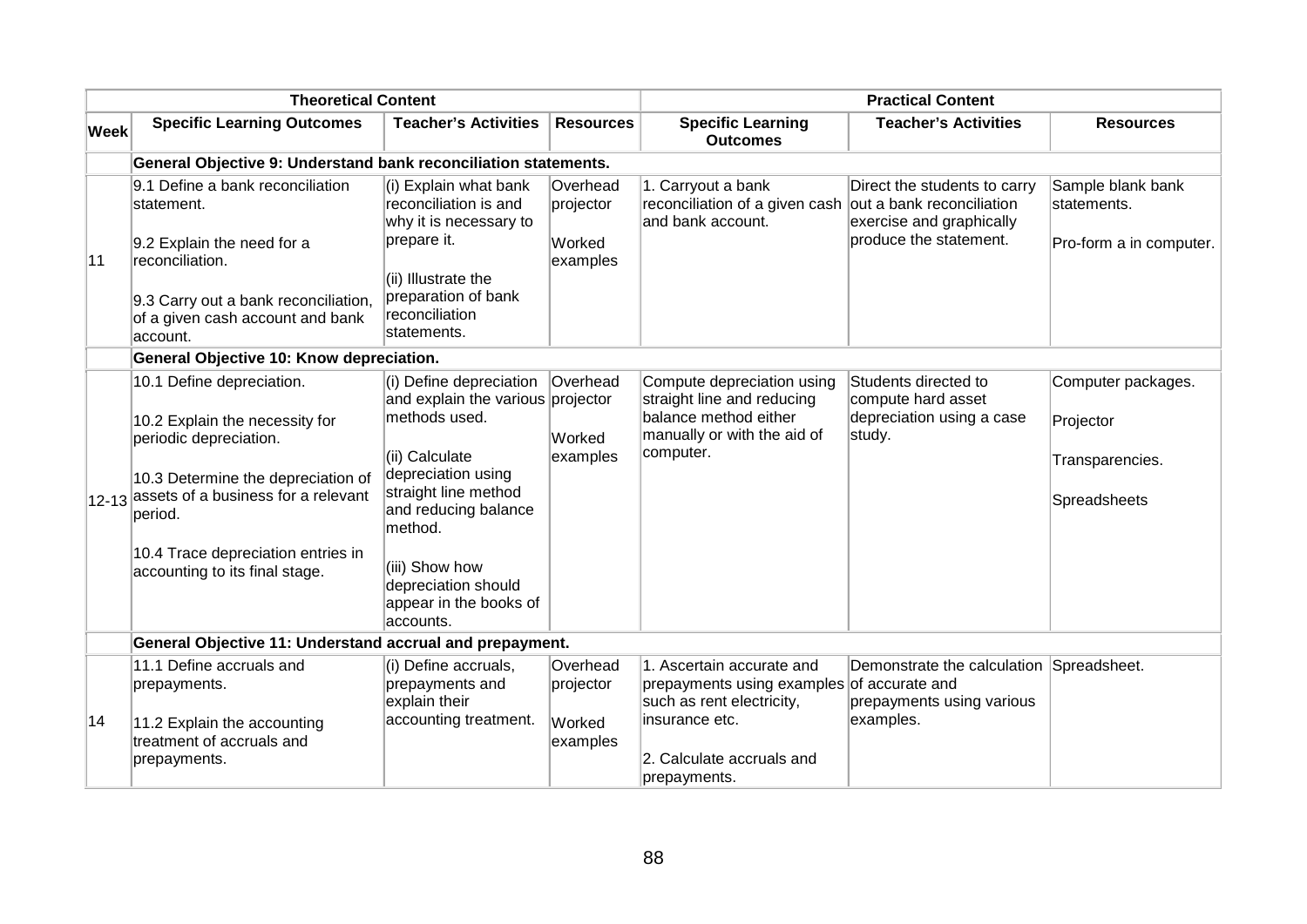| <b>Theoretical Content</b>                   |                                                                                                                                                                                                                                                                 | <b>Practical Content</b>                                                                                                                                                                                                                                         |                                             |                                                                                                                               |                                                                                    |                                                                    |
|----------------------------------------------|-----------------------------------------------------------------------------------------------------------------------------------------------------------------------------------------------------------------------------------------------------------------|------------------------------------------------------------------------------------------------------------------------------------------------------------------------------------------------------------------------------------------------------------------|---------------------------------------------|-------------------------------------------------------------------------------------------------------------------------------|------------------------------------------------------------------------------------|--------------------------------------------------------------------|
| $ \mathsf{W}\mathsf{e}\mathsf{e}\mathsf{k} $ | <b>Specific Learning Outcomes</b>                                                                                                                                                                                                                               | <b>Teacher's Activities</b>                                                                                                                                                                                                                                      | <b>Resources</b>                            | <b>Specific Learning</b><br><b>Outcomes</b>                                                                                   | <b>Teacher's Activities</b>                                                        | <b>Resources</b>                                                   |
|                                              | General Objective 9: Understand bank reconciliation statements.                                                                                                                                                                                                 |                                                                                                                                                                                                                                                                  |                                             |                                                                                                                               |                                                                                    |                                                                    |
| 11                                           | 9.1 Define a bank reconciliation<br>statement.<br>9.2 Explain the need for a<br>reconciliation.                                                                                                                                                                 | (i) Explain what bank<br>reconciliation is and<br>why it is necessary to<br>prepare it.                                                                                                                                                                          | Overhead<br>projector<br>Worked<br>examples | 1. Carryout a bank<br>reconciliation of a given cash out a bank reconciliation<br>and bank account.                           | Direct the students to carry<br>exercise and graphically<br>produce the statement. | Sample blank bank<br>statements.<br>Pro-form a in computer.        |
|                                              | 9.3 Carry out a bank reconciliation,<br>of a given cash account and bank<br>account.                                                                                                                                                                            | (ii) Illustrate the<br>preparation of bank<br>reconciliation<br>statements.                                                                                                                                                                                      |                                             |                                                                                                                               |                                                                                    |                                                                    |
|                                              | General Objective 10: Know depreciation.                                                                                                                                                                                                                        |                                                                                                                                                                                                                                                                  |                                             |                                                                                                                               |                                                                                    |                                                                    |
|                                              | 10.1 Define depreciation.<br>10.2 Explain the necessity for<br>periodic depreciation.<br>10.3 Determine the depreciation of<br>$ 12-13 $ assets of a business for a relevant<br>period.<br>10.4 Trace depreciation entries in<br>accounting to its final stage. | (i) Define depreciation<br>and explain the various projector<br>methods used.<br>(ii) Calculate<br>depreciation using<br>straight line method<br>and reducing balance<br>method.<br>(iii) Show how<br>depreciation should<br>appear in the books of<br>accounts. | Overhead<br>Worked<br>examples              | Compute depreciation using<br>straight line and reducing<br>balance method either<br>manually or with the aid of<br>computer. | Students directed to<br>compute hard asset<br>depreciation using a case<br>study.  | Computer packages.<br>Projector<br>Transparencies.<br>Spreadsheets |
|                                              | General Objective 11: Understand accrual and prepayment.                                                                                                                                                                                                        |                                                                                                                                                                                                                                                                  |                                             |                                                                                                                               |                                                                                    |                                                                    |
|                                              | 11.1 Define accruals and<br>prepayments.                                                                                                                                                                                                                        | (i) Define accruals,<br>prepayments and<br>explain their                                                                                                                                                                                                         | Overhead<br>projector                       | 1. Ascertain accurate and<br>prepayments using examples of accurate and<br>such as rent electricity,                          | Demonstrate the calculation Spreadsheet.<br>prepayments using various              |                                                                    |
| 14                                           | 11.2 Explain the accounting<br>treatment of accruals and<br>prepayments.                                                                                                                                                                                        | accounting treatment.                                                                                                                                                                                                                                            | Worked<br>examples                          | insurance etc.<br>2. Calculate accruals and<br>prepayments.                                                                   | examples.                                                                          |                                                                    |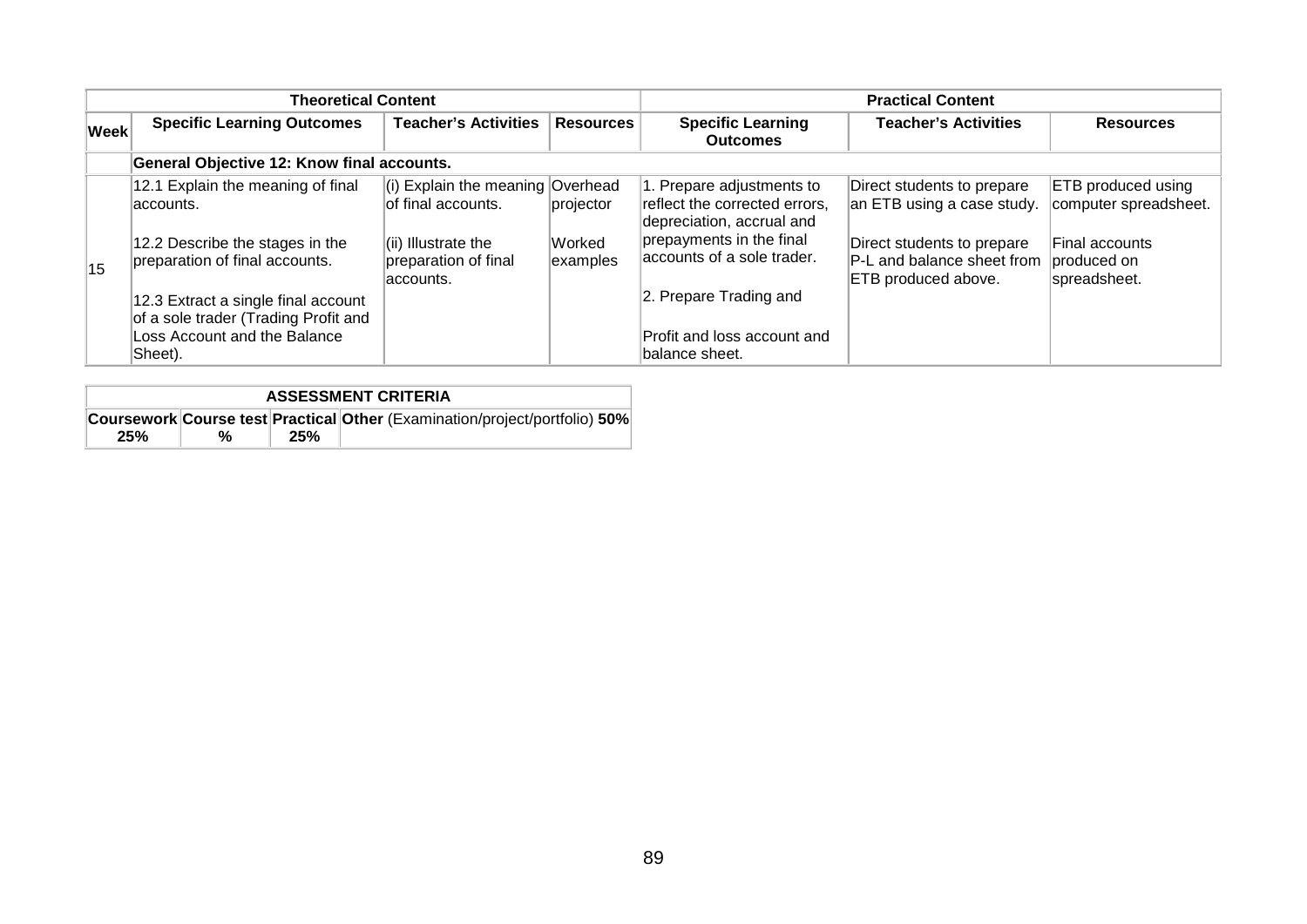|             | <b>Theoretical Content</b>                                                                                             |                                                                                                               |                                 |                                                                                                                                                   | <b>Practical Content</b>                                                                                             |                                                                              |
|-------------|------------------------------------------------------------------------------------------------------------------------|---------------------------------------------------------------------------------------------------------------|---------------------------------|---------------------------------------------------------------------------------------------------------------------------------------------------|----------------------------------------------------------------------------------------------------------------------|------------------------------------------------------------------------------|
| <b>Week</b> | <b>Specific Learning Outcomes</b>                                                                                      | <b>Teacher's Activities</b>                                                                                   | <b>Resources</b>                | <b>Specific Learning</b><br><b>Outcomes</b>                                                                                                       | <b>Teacher's Activities</b>                                                                                          | <b>Resources</b>                                                             |
|             | General Objective 12: Know final accounts.                                                                             |                                                                                                               |                                 |                                                                                                                                                   |                                                                                                                      |                                                                              |
|             | 12.1 Explain the meaning of final<br>laccounts.<br>12.2 Describe the stages in the<br>preparation of final accounts.   | (i) Explain the meaning Overhead<br>of final accounts.<br>$\vert$ (ii) Illustrate the<br>preparation of final | projector<br>Worked<br>examples | 1. Prepare adjustments to<br>reflect the corrected errors.<br>depreciation, accrual and<br>prepayments in the final<br>accounts of a sole trader. | Direct students to prepare<br>an ETB using a case study.<br>Direct students to prepare<br>P-L and balance sheet from | ETB produced using<br>computer spreadsheet.<br>Final accounts<br>produced on |
| 15          | 12.3 Extract a single final account<br>of a sole trader (Trading Profit and<br>Loss Account and the Balance<br>Sheet). | accounts.                                                                                                     |                                 | 2. Prepare Trading and<br>Profit and loss account and<br>balance sheet.                                                                           | <b>ETB</b> produced above.                                                                                           | spreadsheet.                                                                 |

| <b>ASSESSMENT CRITERIA</b> |  |     |                                                                                   |  |  |  |
|----------------------------|--|-----|-----------------------------------------------------------------------------------|--|--|--|
|                            |  |     | <b>Coursework Course test Practical Other (Examination/project/portfolio) 50%</b> |  |  |  |
| 25%                        |  | 25% |                                                                                   |  |  |  |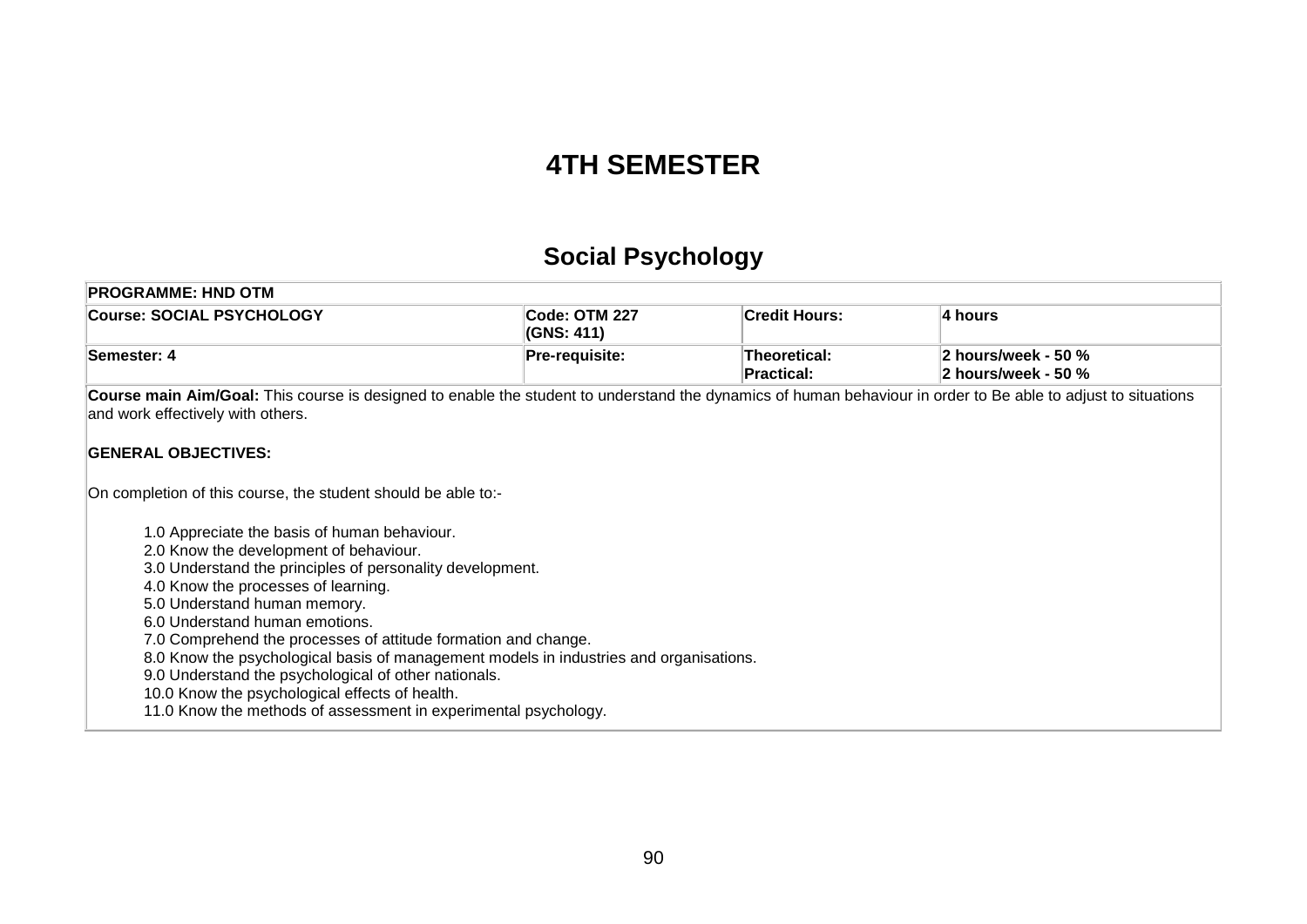### **4TH SEMESTER**

# **Social Psychology**

| <b>Course: SOCIAL PSYCHOLOGY</b><br>Code: OTM 227                                                                                                                                                  | <b>Credit Hours:</b>              |                                            |
|----------------------------------------------------------------------------------------------------------------------------------------------------------------------------------------------------|-----------------------------------|--------------------------------------------|
| (GNS: 411)                                                                                                                                                                                         |                                   | 4 hours                                    |
| Semester: 4<br>Pre-requisite:                                                                                                                                                                      | Theoretical:<br><b>Practical:</b> | 2 hours/week - 50 %<br>2 hours/week - 50 % |
| Course main Aim/Goal: This course is designed to enable the student to understand the dynamics of human behaviour in order to Be able to adjust to situations<br>and work effectively with others. |                                   |                                            |
| <b>GENERAL OBJECTIVES:</b>                                                                                                                                                                         |                                   |                                            |
| On completion of this course, the student should be able to:-                                                                                                                                      |                                   |                                            |
| 1.0 Appreciate the basis of human behaviour.                                                                                                                                                       |                                   |                                            |
| 2.0 Know the development of behaviour.                                                                                                                                                             |                                   |                                            |
| 3.0 Understand the principles of personality development.                                                                                                                                          |                                   |                                            |
| 4.0 Know the processes of learning.                                                                                                                                                                |                                   |                                            |
| 5.0 Understand human memory.                                                                                                                                                                       |                                   |                                            |
| 6.0 Understand human emotions.                                                                                                                                                                     |                                   |                                            |
| 7.0 Comprehend the processes of attitude formation and change.                                                                                                                                     |                                   |                                            |
| 8.0 Know the psychological basis of management models in industries and organisations.                                                                                                             |                                   |                                            |
| 9.0 Understand the psychological of other nationals.                                                                                                                                               |                                   |                                            |
| 10.0 Know the psychological effects of health.                                                                                                                                                     |                                   |                                            |
| 11.0 Know the methods of assessment in experimental psychology.                                                                                                                                    |                                   |                                            |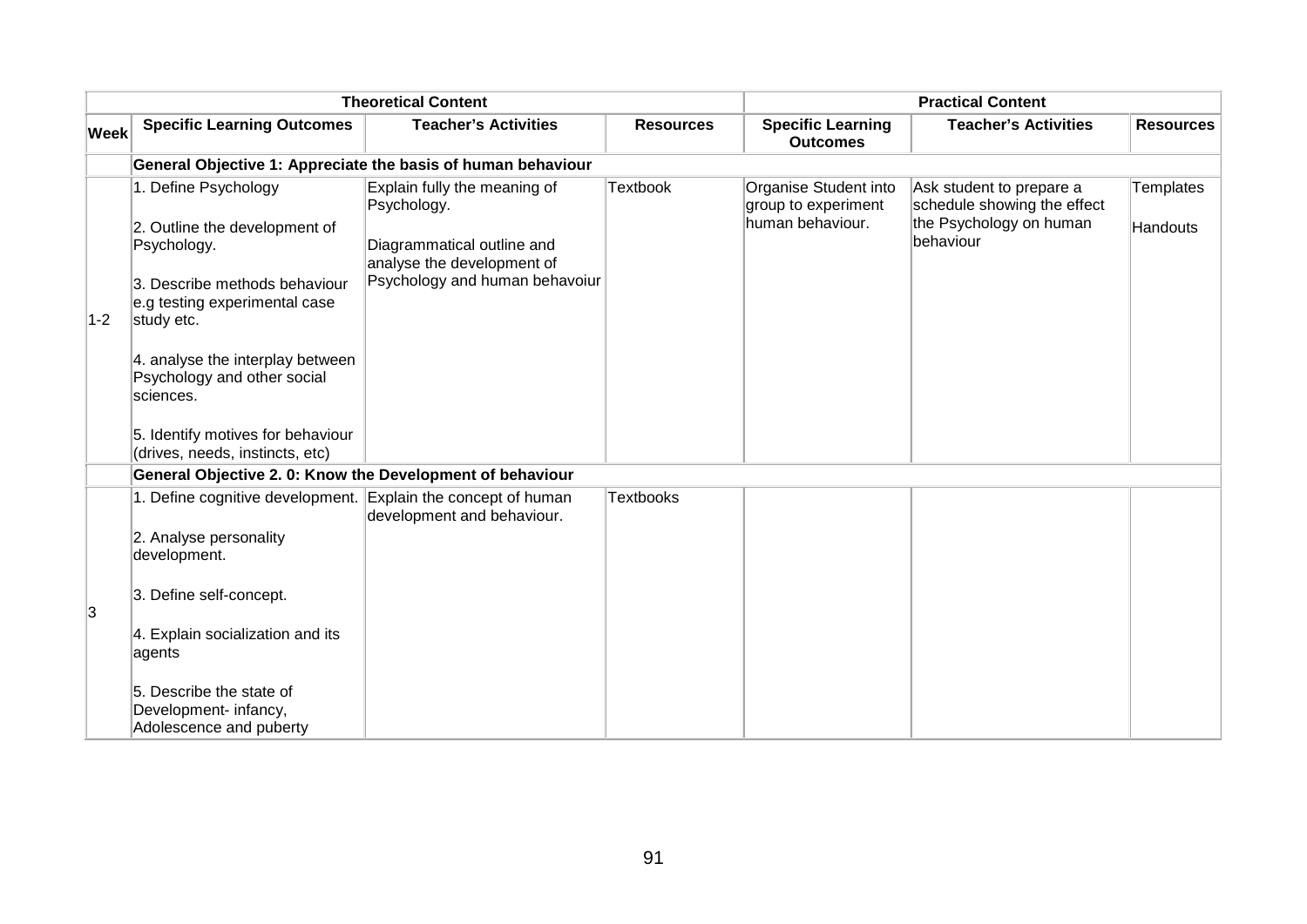|             |                                                                                                                                                                                                                                                                           | <b>Theoretical Content</b>                                                                                                                |                  |                                                                  | <b>Practical Content</b>                                                                        |                              |
|-------------|---------------------------------------------------------------------------------------------------------------------------------------------------------------------------------------------------------------------------------------------------------------------------|-------------------------------------------------------------------------------------------------------------------------------------------|------------------|------------------------------------------------------------------|-------------------------------------------------------------------------------------------------|------------------------------|
| <b>Week</b> | <b>Specific Learning Outcomes</b>                                                                                                                                                                                                                                         | <b>Teacher's Activities</b>                                                                                                               | <b>Resources</b> | <b>Specific Learning</b><br><b>Outcomes</b>                      | <b>Teacher's Activities</b>                                                                     | <b>Resources</b>             |
|             |                                                                                                                                                                                                                                                                           | General Objective 1: Appreciate the basis of human behaviour                                                                              |                  |                                                                  |                                                                                                 |                              |
| $ 1-2 $     | 1. Define Psychology<br>2. Outline the development of<br>Psychology.<br>3. Describe methods behaviour<br>e.g testing experimental case<br>study etc.<br>4. analyse the interplay between<br>Psychology and other social<br>sciences.<br>5. Identify motives for behaviour | Explain fully the meaning of<br>Psychology.<br>Diagrammatical outline and<br>analyse the development of<br>Psychology and human behavoiur | <b>Textbook</b>  | Organise Student into<br>group to experiment<br>human behaviour. | Ask student to prepare a<br>schedule showing the effect<br>the Psychology on human<br>behaviour | <b>Templates</b><br>Handouts |
|             | (drives, needs, instincts, etc)                                                                                                                                                                                                                                           |                                                                                                                                           |                  |                                                                  |                                                                                                 |                              |
|             | General Objective 2. 0: Know the Development of behaviour                                                                                                                                                                                                                 |                                                                                                                                           |                  |                                                                  |                                                                                                 |                              |
| 3           | 1. Define cognitive development.<br>2. Analyse personality<br>development.<br>3. Define self-concept.<br>4. Explain socialization and its<br>agents<br>5. Describe the state of<br>Development- infancy,<br>Adolescence and puberty                                       | Explain the concept of human<br>development and behaviour.                                                                                | <b>Textbooks</b> |                                                                  |                                                                                                 |                              |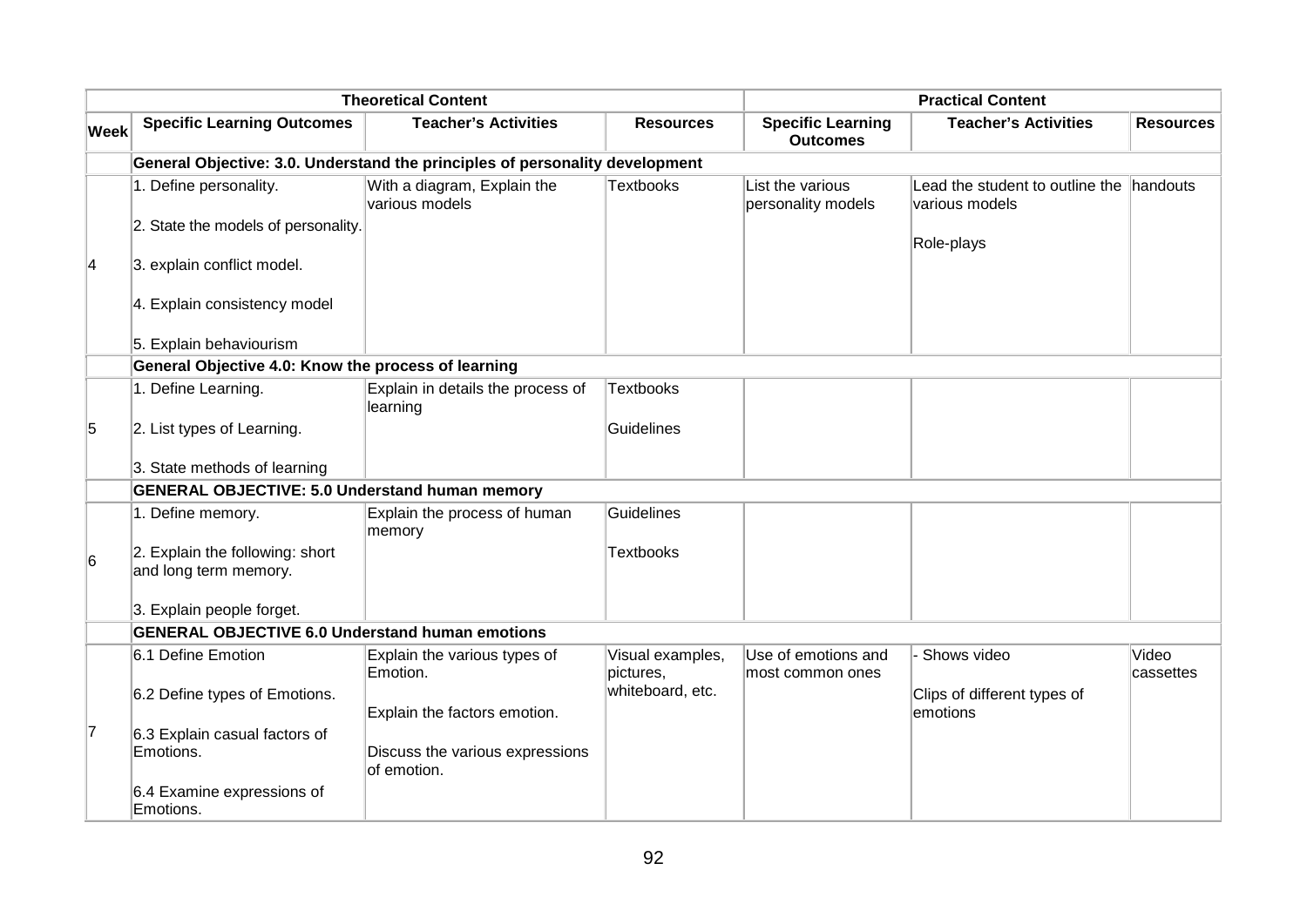| <b>Theoretical Content</b> |                                                                              |                                                |                               | <b>Practical Content</b>                    |                                                   |                    |  |  |  |
|----------------------------|------------------------------------------------------------------------------|------------------------------------------------|-------------------------------|---------------------------------------------|---------------------------------------------------|--------------------|--|--|--|
| Week                       | <b>Specific Learning Outcomes</b>                                            | <b>Teacher's Activities</b>                    | <b>Resources</b>              | <b>Specific Learning</b><br><b>Outcomes</b> | <b>Teacher's Activities</b>                       | <b>Resources</b>   |  |  |  |
|                            | General Objective: 3.0. Understand the principles of personality development |                                                |                               |                                             |                                                   |                    |  |  |  |
|                            | 1. Define personality.                                                       | With a diagram, Explain the<br>various models  | <b>Textbooks</b>              | List the various<br>personality models      | Lead the student to outline the<br>various models | handouts           |  |  |  |
|                            | 2. State the models of personality.                                          |                                                |                               |                                             | Role-plays                                        |                    |  |  |  |
| $\vert 4 \vert$            | 3. explain conflict model.                                                   |                                                |                               |                                             |                                                   |                    |  |  |  |
|                            | 4. Explain consistency model                                                 |                                                |                               |                                             |                                                   |                    |  |  |  |
|                            | 5. Explain behaviourism                                                      |                                                |                               |                                             |                                                   |                    |  |  |  |
|                            | General Objective 4.0: Know the process of learning                          |                                                |                               |                                             |                                                   |                    |  |  |  |
|                            | 1. Define Learning.                                                          | Explain in details the process of<br>learning  | <b>Textbooks</b>              |                                             |                                                   |                    |  |  |  |
| 5                          | 2. List types of Learning.                                                   |                                                | Guidelines                    |                                             |                                                   |                    |  |  |  |
|                            | 3. State methods of learning                                                 |                                                |                               |                                             |                                                   |                    |  |  |  |
|                            | <b>GENERAL OBJECTIVE: 5.0 Understand human memory</b>                        |                                                |                               |                                             |                                                   |                    |  |  |  |
|                            | 1. Define memory.                                                            | Explain the process of human<br>memory         | Guidelines                    |                                             |                                                   |                    |  |  |  |
| 6                          | 2. Explain the following: short<br>and long term memory.                     |                                                | <b>Textbooks</b>              |                                             |                                                   |                    |  |  |  |
|                            | 3. Explain people forget.                                                    |                                                |                               |                                             |                                                   |                    |  |  |  |
|                            | <b>GENERAL OBJECTIVE 6.0 Understand human emotions</b>                       |                                                |                               |                                             |                                                   |                    |  |  |  |
|                            | 6.1 Define Emotion                                                           | Explain the various types of<br>Emotion.       | Visual examples,<br>pictures, | Use of emotions and<br>most common ones     | Shows video                                       | Video<br>cassettes |  |  |  |
|                            | 6.2 Define types of Emotions.                                                | Explain the factors emotion.                   | whiteboard, etc.              |                                             | Clips of different types of<br>lemotions          |                    |  |  |  |
| 7                          | 6.3 Explain casual factors of<br>Emotions.                                   | Discuss the various expressions<br>of emotion. |                               |                                             |                                                   |                    |  |  |  |
|                            | 6.4 Examine expressions of<br>Emotions.                                      |                                                |                               |                                             |                                                   |                    |  |  |  |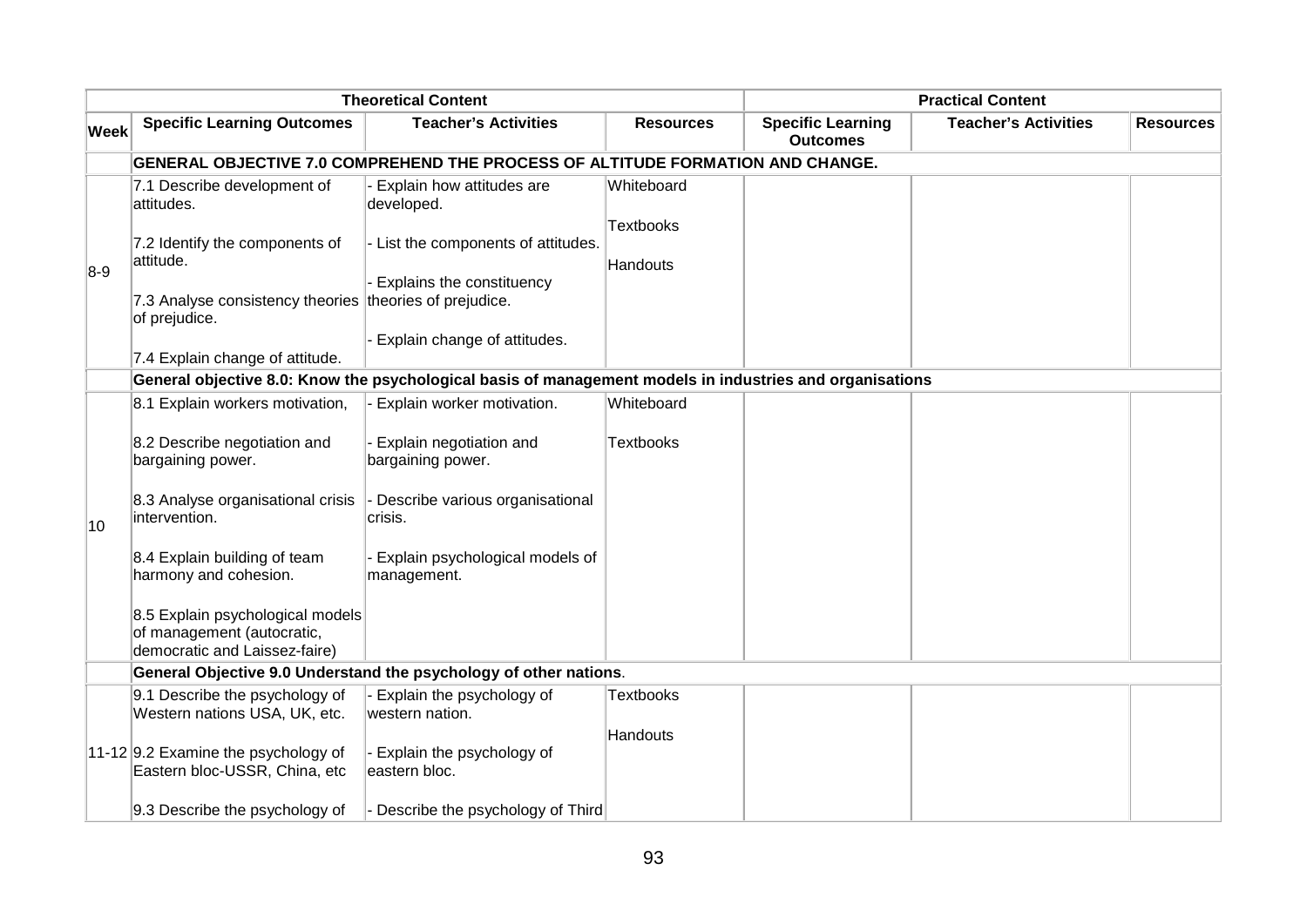| <b>Theoretical Content</b> |                                                                                                 |                                                                                                          |                                     | <b>Practical Content</b>                    |                             |                  |  |  |
|----------------------------|-------------------------------------------------------------------------------------------------|----------------------------------------------------------------------------------------------------------|-------------------------------------|---------------------------------------------|-----------------------------|------------------|--|--|
| <b>Week</b>                | <b>Specific Learning Outcomes</b>                                                               | <b>Teacher's Activities</b>                                                                              | <b>Resources</b>                    | <b>Specific Learning</b><br><b>Outcomes</b> | <b>Teacher's Activities</b> | <b>Resources</b> |  |  |
|                            | GENERAL OBJECTIVE 7.0 COMPREHEND THE PROCESS OF ALTITUDE FORMATION AND CHANGE.                  |                                                                                                          |                                     |                                             |                             |                  |  |  |
|                            | 7.1 Describe development of<br>attitudes.                                                       | Explain how attitudes are<br>developed.                                                                  | Whiteboard                          |                                             |                             |                  |  |  |
|                            | 7.2 Identify the components of<br>attitude.                                                     | List the components of attitudes.                                                                        | <b>Textbooks</b><br><b>Handouts</b> |                                             |                             |                  |  |  |
| $8-9$                      | 7.3 Analyse consistency theories theories of prejudice.<br>of prejudice.                        | Explains the constituency                                                                                |                                     |                                             |                             |                  |  |  |
|                            | 7.4 Explain change of attitude.                                                                 | Explain change of attitudes.                                                                             |                                     |                                             |                             |                  |  |  |
|                            |                                                                                                 | General objective 8.0: Know the psychological basis of management models in industries and organisations |                                     |                                             |                             |                  |  |  |
|                            | 8.1 Explain workers motivation,                                                                 | Explain worker motivation.                                                                               | Whiteboard                          |                                             |                             |                  |  |  |
|                            | 8.2 Describe negotiation and<br>bargaining power.                                               | Explain negotiation and<br>bargaining power.                                                             | <b>Textbooks</b>                    |                                             |                             |                  |  |  |
| 10                         | 8.3 Analyse organisational crisis<br>intervention.                                              | Describe various organisational<br>crisis.                                                               |                                     |                                             |                             |                  |  |  |
|                            | 8.4 Explain building of team<br>harmony and cohesion.                                           | Explain psychological models of<br>management.                                                           |                                     |                                             |                             |                  |  |  |
|                            | 8.5 Explain psychological models<br>of management (autocratic,<br>democratic and Laissez-faire) |                                                                                                          |                                     |                                             |                             |                  |  |  |
|                            |                                                                                                 | General Objective 9.0 Understand the psychology of other nations.                                        |                                     |                                             |                             |                  |  |  |
|                            | 9.1 Describe the psychology of<br>Western nations USA, UK, etc.                                 | Explain the psychology of<br>western nation.                                                             | <b>Textbooks</b>                    |                                             |                             |                  |  |  |
|                            | 11-12 9.2 Examine the psychology of<br>Eastern bloc-USSR, China, etc                            | Explain the psychology of<br>eastern bloc.                                                               | <b>Handouts</b>                     |                                             |                             |                  |  |  |
|                            | 9.3 Describe the psychology of                                                                  | Describe the psychology of Third                                                                         |                                     |                                             |                             |                  |  |  |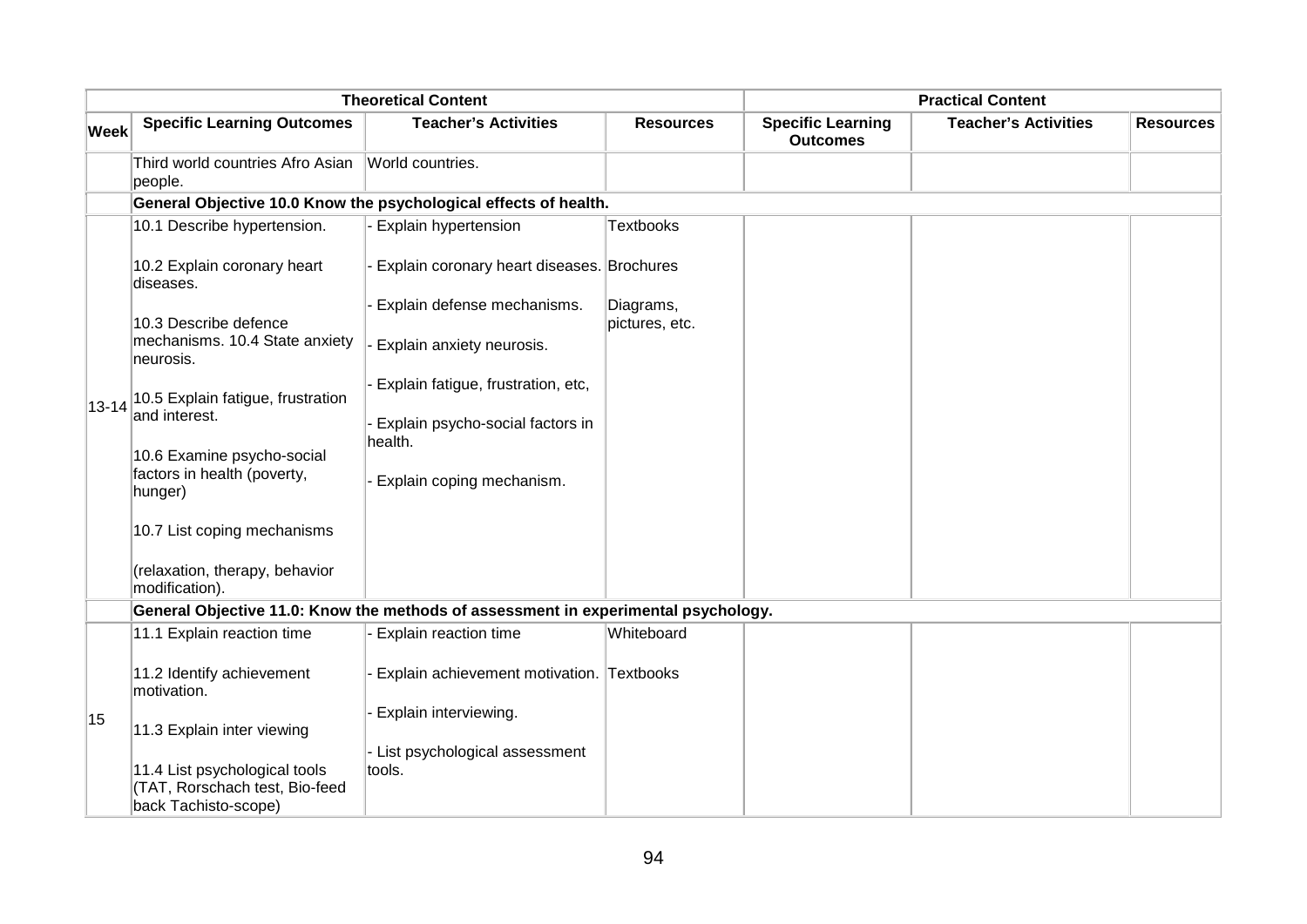| <b>Theoretical Content</b> |                                                                 |                                                                                    |                             | <b>Practical Content</b>                    |                             |                  |  |
|----------------------------|-----------------------------------------------------------------|------------------------------------------------------------------------------------|-----------------------------|---------------------------------------------|-----------------------------|------------------|--|
| <b>Week</b>                | <b>Specific Learning Outcomes</b>                               | <b>Teacher's Activities</b>                                                        | <b>Resources</b>            | <b>Specific Learning</b><br><b>Outcomes</b> | <b>Teacher's Activities</b> | <b>Resources</b> |  |
|                            | Third world countries Afro Asian<br>people.                     | World countries.                                                                   |                             |                                             |                             |                  |  |
|                            |                                                                 | General Objective 10.0 Know the psychological effects of health.                   |                             |                                             |                             |                  |  |
|                            | 10.1 Describe hypertension.                                     | - Explain hypertension                                                             | <b>Textbooks</b>            |                                             |                             |                  |  |
|                            | 10.2 Explain coronary heart<br>diseases.                        | Explain coronary heart diseases. Brochures                                         |                             |                                             |                             |                  |  |
|                            | 10.3 Describe defence                                           | Explain defense mechanisms.                                                        | Diagrams,<br>pictures, etc. |                                             |                             |                  |  |
|                            | mechanisms. 10.4 State anxiety<br>neurosis.                     | - Explain anxiety neurosis.                                                        |                             |                                             |                             |                  |  |
| $13 - 14$                  | 10.5 Explain fatigue, frustration<br>and interest.              | Explain fatigue, frustration, etc,<br>Explain psycho-social factors in             |                             |                                             |                             |                  |  |
|                            | 10.6 Examine psycho-social                                      | health.                                                                            |                             |                                             |                             |                  |  |
|                            | factors in health (poverty,<br>hunger)                          | Explain coping mechanism.                                                          |                             |                                             |                             |                  |  |
|                            | 10.7 List coping mechanisms                                     |                                                                                    |                             |                                             |                             |                  |  |
|                            | (relaxation, therapy, behavior<br>modification).                |                                                                                    |                             |                                             |                             |                  |  |
|                            |                                                                 | General Objective 11.0: Know the methods of assessment in experimental psychology. |                             |                                             |                             |                  |  |
|                            | 11.1 Explain reaction time                                      | <b>Explain reaction time</b>                                                       | Whiteboard                  |                                             |                             |                  |  |
|                            | 11.2 Identify achievement<br>motivation.                        | Explain achievement motivation. Textbooks                                          |                             |                                             |                             |                  |  |
| 15                         | 11.3 Explain inter viewing                                      | Explain interviewing.                                                              |                             |                                             |                             |                  |  |
|                            | 11.4 List psychological tools<br>(TAT, Rorschach test, Bio-feed | List psychological assessment<br>tools.                                            |                             |                                             |                             |                  |  |
|                            | back Tachisto-scope)                                            |                                                                                    |                             |                                             |                             |                  |  |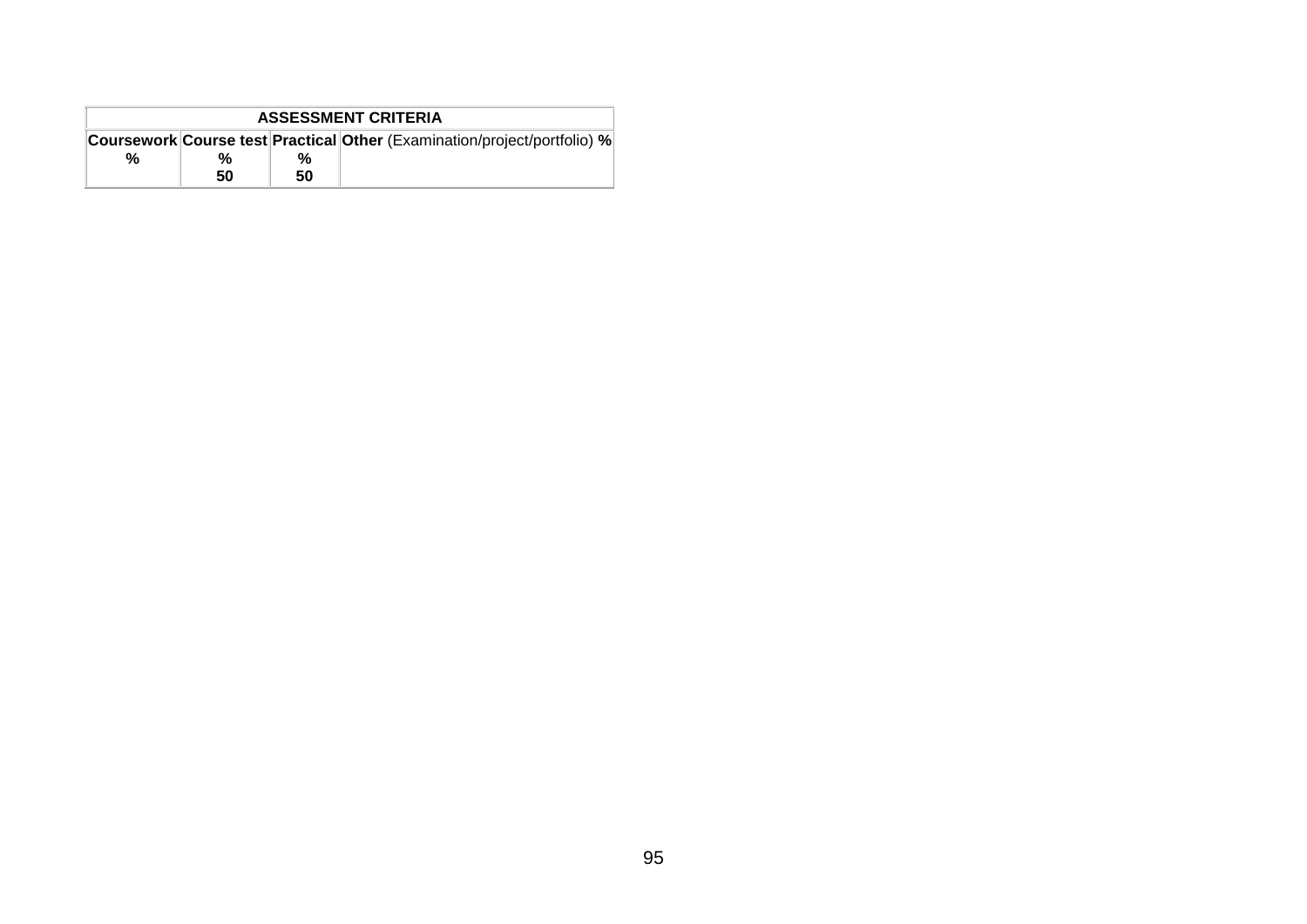| <b>ASSESSMENT CRITERIA</b> |    |    |                                                                          |  |  |  |  |
|----------------------------|----|----|--------------------------------------------------------------------------|--|--|--|--|
|                            |    |    | Coursework Course test Practical Other (Examination/project/portfolio) % |  |  |  |  |
| %                          | %  | %  |                                                                          |  |  |  |  |
|                            | 50 | 50 |                                                                          |  |  |  |  |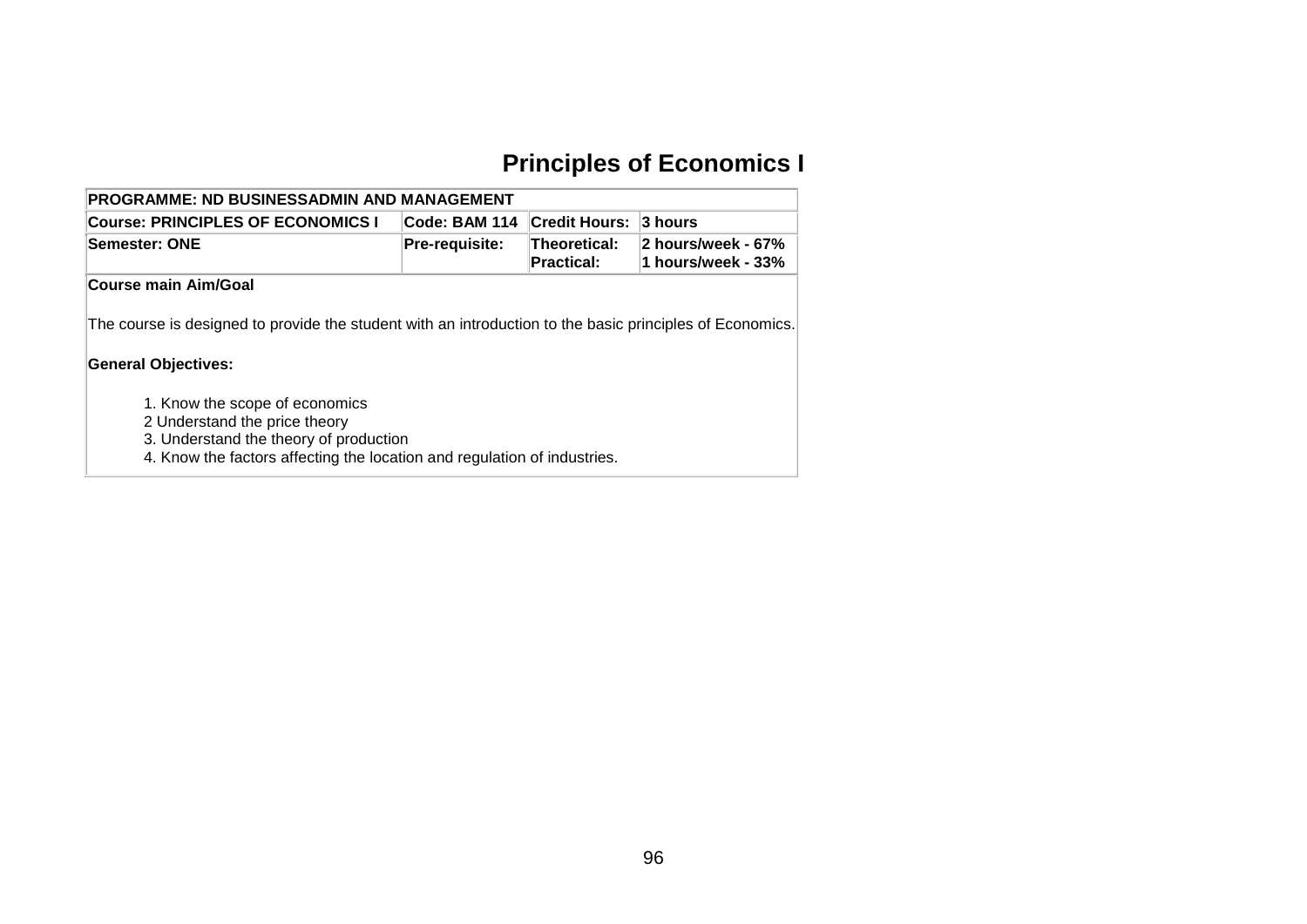# **Principles of Economics I**

| <b>PROGRAMME: ND BUSINESSADMIN AND MANAGEMENT</b>                                                                                      |                |                                   |                                          |  |  |  |  |  |  |
|----------------------------------------------------------------------------------------------------------------------------------------|----------------|-----------------------------------|------------------------------------------|--|--|--|--|--|--|
| <b>Credit Hours:</b><br>Code: BAM 114<br><b>Course: PRINCIPLES OF ECONOMICS I</b><br>3 hours                                           |                |                                   |                                          |  |  |  |  |  |  |
| Semester: ONE                                                                                                                          | Pre-requisite: | Theoretical:<br><b>Practical:</b> | 2 hours/week - 67%<br>1 hours/week - 33% |  |  |  |  |  |  |
| Course main Aim/Goal                                                                                                                   |                |                                   |                                          |  |  |  |  |  |  |
| The course is designed to provide the student with an introduction to the basic principles of Economics.<br><b>General Objectives:</b> |                |                                   |                                          |  |  |  |  |  |  |
| 1. Know the scope of economics<br>2 Understand the price theory                                                                        |                |                                   |                                          |  |  |  |  |  |  |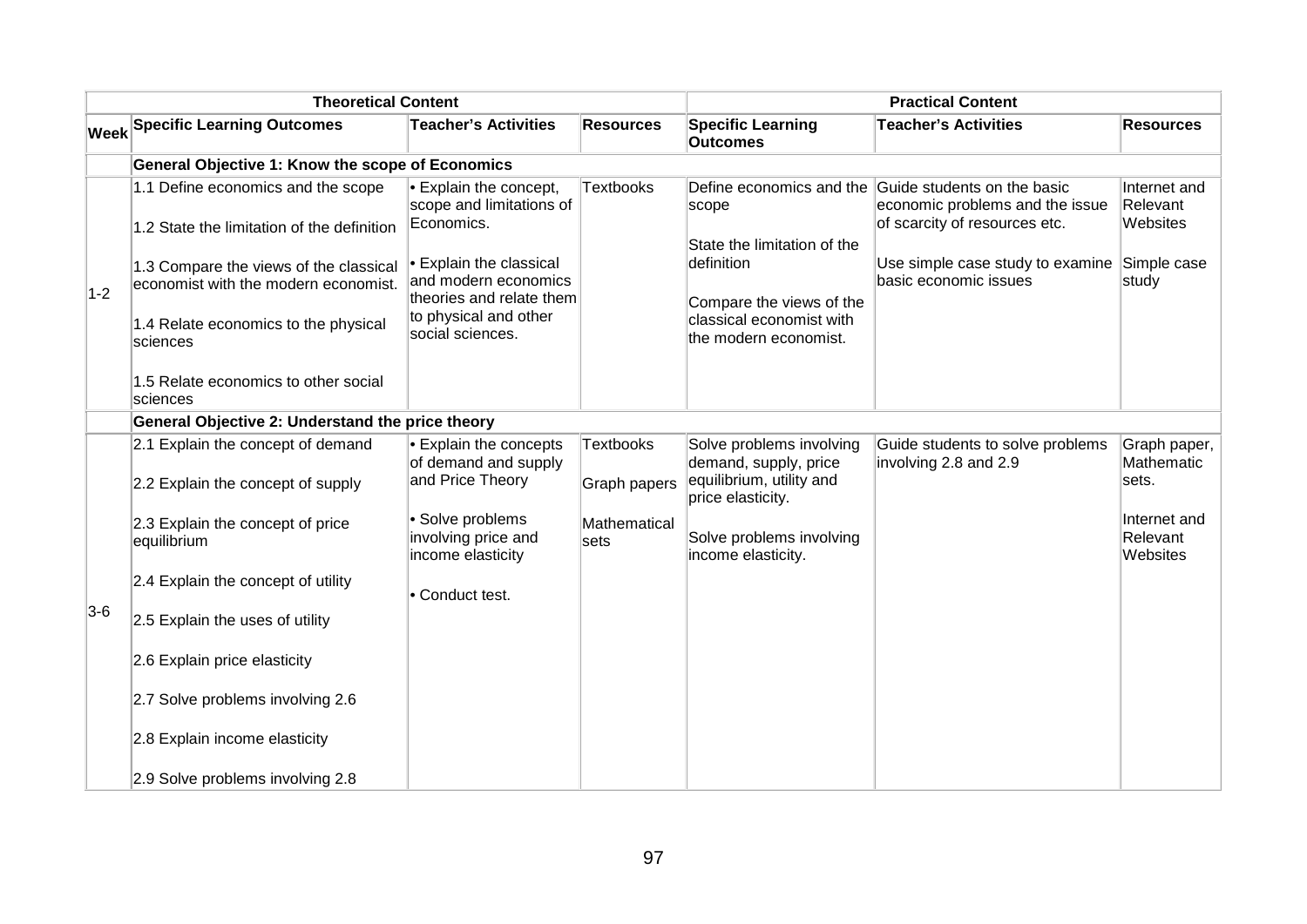| <b>Theoretical Content</b> |                                                                                                                                    |                                                                                                                        | <b>Practical Content</b>         |                                                                                                                            |                                                                                                                          |                                      |
|----------------------------|------------------------------------------------------------------------------------------------------------------------------------|------------------------------------------------------------------------------------------------------------------------|----------------------------------|----------------------------------------------------------------------------------------------------------------------------|--------------------------------------------------------------------------------------------------------------------------|--------------------------------------|
|                            | <b>Week Specific Learning Outcomes</b>                                                                                             | <b>Teacher's Activities</b>                                                                                            | <b>Resources</b>                 | <b>Specific Learning</b><br><b>Outcomes</b>                                                                                | <b>Teacher's Activities</b>                                                                                              | <b>Resources</b>                     |
|                            | General Objective 1: Know the scope of Economics                                                                                   |                                                                                                                        |                                  |                                                                                                                            |                                                                                                                          |                                      |
|                            | 1.1 Define economics and the scope<br>1.2 State the limitation of the definition                                                   | $\bullet$ Explain the concept,<br>scope and limitations of<br>Economics.                                               | <b>Textbooks</b>                 | scope                                                                                                                      | Define economics and the Guide students on the basic<br>economic problems and the issue<br>of scarcity of resources etc. | Internet and<br>Relevant<br>Websites |
| $1 - 2$                    | 1.3 Compare the views of the classical<br>economist with the modern economist.<br>1.4 Relate economics to the physical<br>sciences | Explain the classical<br>and modern economics<br>theories and relate them<br>to physical and other<br>social sciences. |                                  | State the limitation of the<br>definition<br>Compare the views of the<br>classical economist with<br>the modern economist. | Use simple case study to examine<br>basic economic issues                                                                | Simple case<br>study                 |
|                            | 1.5 Relate economics to other social<br>sciences                                                                                   |                                                                                                                        |                                  |                                                                                                                            |                                                                                                                          |                                      |
|                            | General Objective 2: Understand the price theory                                                                                   |                                                                                                                        |                                  |                                                                                                                            |                                                                                                                          |                                      |
|                            | 2.1 Explain the concept of demand<br>2.2 Explain the concept of supply                                                             | Explain the concepts<br>of demand and supply<br>and Price Theory                                                       | <b>Textbooks</b><br>Graph papers | Solve problems involving<br>demand, supply, price<br>equilibrium, utility and<br>price elasticity.                         | Guide students to solve problems<br>involving 2.8 and 2.9                                                                | Graph paper,<br>Mathematic<br>sets.  |
|                            | 2.3 Explain the concept of price<br>equilibrium                                                                                    | · Solve problems<br>involving price and<br>income elasticity                                                           | Mathematical<br>sets             | Solve problems involving<br>income elasticity.                                                                             |                                                                                                                          | Internet and<br>Relevant<br>Websites |
|                            | 2.4 Explain the concept of utility                                                                                                 | • Conduct test.                                                                                                        |                                  |                                                                                                                            |                                                                                                                          |                                      |
| $3-6$                      | 2.5 Explain the uses of utility                                                                                                    |                                                                                                                        |                                  |                                                                                                                            |                                                                                                                          |                                      |
|                            | 2.6 Explain price elasticity                                                                                                       |                                                                                                                        |                                  |                                                                                                                            |                                                                                                                          |                                      |
|                            | 2.7 Solve problems involving 2.6                                                                                                   |                                                                                                                        |                                  |                                                                                                                            |                                                                                                                          |                                      |
|                            | 2.8 Explain income elasticity                                                                                                      |                                                                                                                        |                                  |                                                                                                                            |                                                                                                                          |                                      |
|                            | 2.9 Solve problems involving 2.8                                                                                                   |                                                                                                                        |                                  |                                                                                                                            |                                                                                                                          |                                      |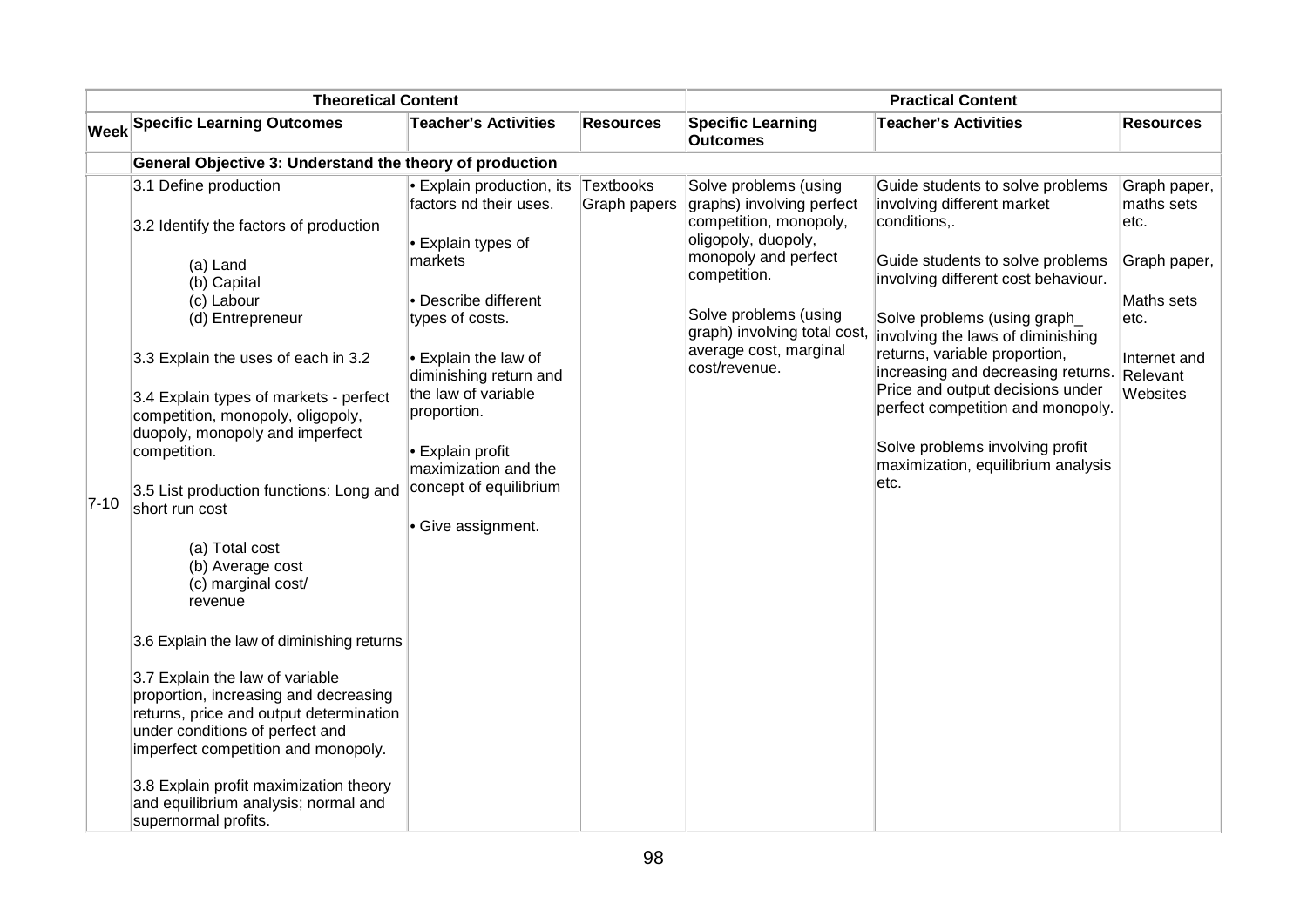| <b>Theoretical Content</b> |                                                                                                                                                                                               |                                                                                              |                           |                                                                                                                             |                                                                                                                                                       |                                    |
|----------------------------|-----------------------------------------------------------------------------------------------------------------------------------------------------------------------------------------------|----------------------------------------------------------------------------------------------|---------------------------|-----------------------------------------------------------------------------------------------------------------------------|-------------------------------------------------------------------------------------------------------------------------------------------------------|------------------------------------|
|                            | <b>Week Specific Learning Outcomes</b>                                                                                                                                                        | <b>Teacher's Activities</b>                                                                  | <b>Resources</b>          | <b>Specific Learning</b><br><b>Outcomes</b>                                                                                 | <b>Teacher's Activities</b>                                                                                                                           | <b>Resources</b>                   |
|                            | General Objective 3: Understand the theory of production                                                                                                                                      |                                                                                              |                           |                                                                                                                             |                                                                                                                                                       |                                    |
|                            | 3.1 Define production<br>3.2 Identify the factors of production                                                                                                                               | Explain production, its<br>factors nd their uses.<br>Explain types of                        | Textbooks<br>Graph papers | Solve problems (using<br>graphs) involving perfect<br>competition, monopoly,<br>oligopoly, duopoly,<br>monopoly and perfect | Guide students to solve problems<br>involving different market<br>conditions,.                                                                        | Graph paper,<br>maths sets<br>etc. |
|                            | (a) Land<br>(b) Capital                                                                                                                                                                       | markets                                                                                      |                           | competition.                                                                                                                | Guide students to solve problems<br>involving different cost behaviour.                                                                               | Graph paper,                       |
|                            | (c) Labour<br>(d) Entrepreneur                                                                                                                                                                | • Describe different<br>types of costs.                                                      |                           | Solve problems (using<br>graph) involving total cost,                                                                       | Solve problems (using graph_<br>involving the laws of diminishing                                                                                     | Maths sets<br>etc.                 |
|                            | 3.3 Explain the uses of each in 3.2<br>3.4 Explain types of markets - perfect<br>competition, monopoly, oligopoly,<br>duopoly, monopoly and imperfect                                         | $\bullet$ Explain the law of<br>diminishing return and<br>the law of variable<br>proportion. |                           | average cost, marginal<br>cost/revenue.                                                                                     | returns, variable proportion,<br>increasing and decreasing returns. Relevant<br>Price and output decisions under<br>perfect competition and monopoly. | Internet and<br>Websites           |
| $7-10$                     | competition.<br>3.5 List production functions: Long and<br>short run cost                                                                                                                     | • Explain profit<br>maximization and the<br>concept of equilibrium<br>Give assignment.       |                           |                                                                                                                             | Solve problems involving profit<br>maximization, equilibrium analysis<br>etc.                                                                         |                                    |
|                            | (a) Total cost<br>(b) Average cost<br>(c) marginal cost/<br>revenue                                                                                                                           |                                                                                              |                           |                                                                                                                             |                                                                                                                                                       |                                    |
|                            | 3.6 Explain the law of diminishing returns                                                                                                                                                    |                                                                                              |                           |                                                                                                                             |                                                                                                                                                       |                                    |
|                            | 3.7 Explain the law of variable<br>proportion, increasing and decreasing<br>returns, price and output determination<br>under conditions of perfect and<br>imperfect competition and monopoly. |                                                                                              |                           |                                                                                                                             |                                                                                                                                                       |                                    |
|                            | 3.8 Explain profit maximization theory<br>and equilibrium analysis; normal and<br>supernormal profits.                                                                                        |                                                                                              |                           |                                                                                                                             |                                                                                                                                                       |                                    |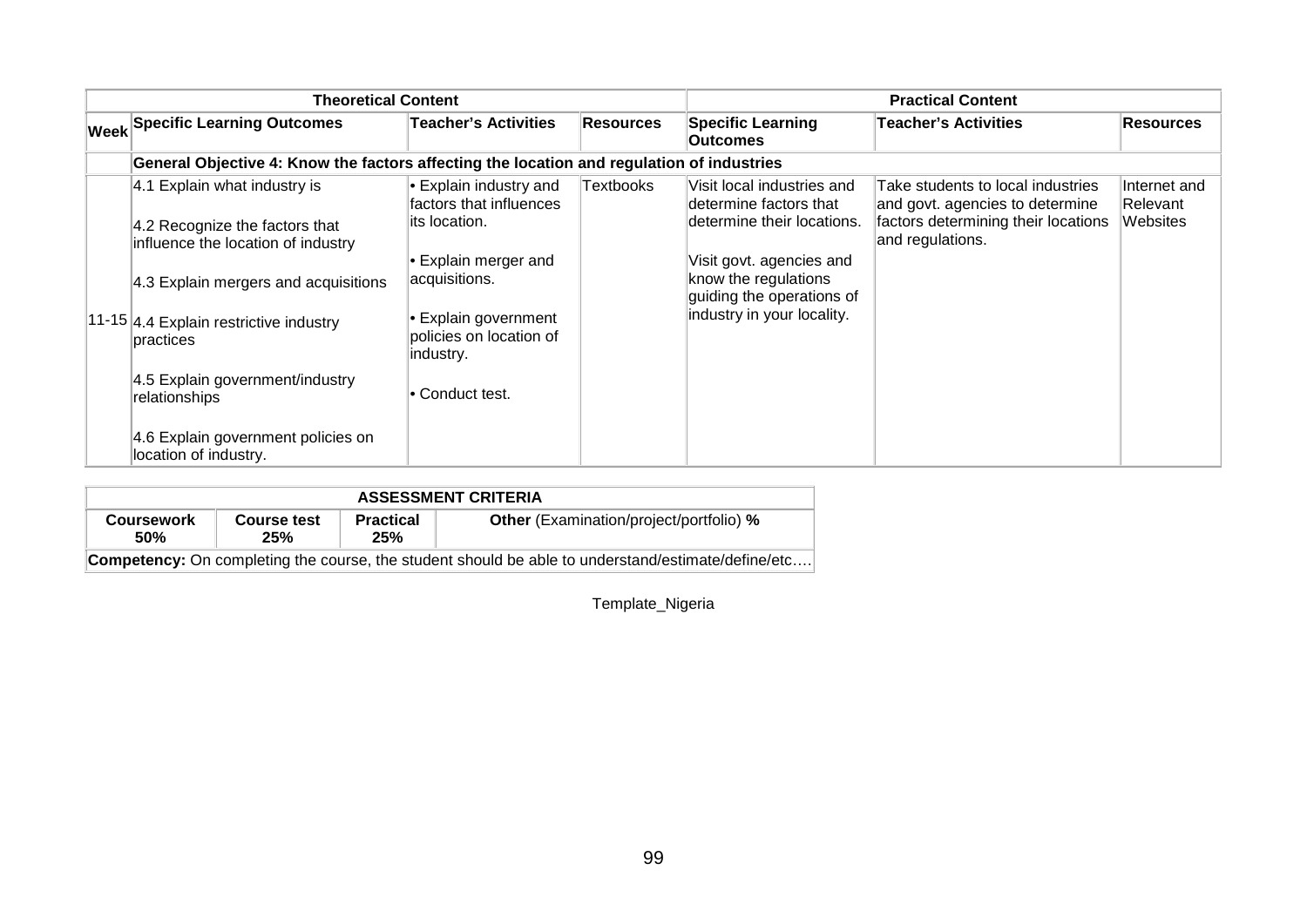| <b>Theoretical Content</b> |                                                                                                      |                                                                            |                  | <b>Practical Content</b>                                                           |                                                                                                                                 |                                      |
|----------------------------|------------------------------------------------------------------------------------------------------|----------------------------------------------------------------------------|------------------|------------------------------------------------------------------------------------|---------------------------------------------------------------------------------------------------------------------------------|--------------------------------------|
|                            | <b>Week Specific Learning Outcomes</b>                                                               | <b>Teacher's Activities</b>                                                | <b>Resources</b> | <b>Specific Learning</b><br><b>Outcomes</b>                                        | <b>Teacher's Activities</b>                                                                                                     | <b>Resources</b>                     |
|                            | General Objective 4: Know the factors affecting the location and regulation of industries            |                                                                            |                  |                                                                                    |                                                                                                                                 |                                      |
|                            | 4.1 Explain what industry is<br>4.2 Recognize the factors that<br>influence the location of industry | $\bullet$ Explain industry and<br>factors that influences<br>its location. | Textbooks        | Visit local industries and<br>determine factors that<br>determine their locations. | Take students to local industries<br>and govt. agencies to determine<br>factors determining their locations<br>and regulations. | Internet and<br>Relevant<br>Websites |
|                            | 4.3 Explain mergers and acquisitions                                                                 | $\blacktriangleright$ Explain merger and<br>acquisitions.                  |                  | Visit govt. agencies and<br>know the regulations<br>guiding the operations of      |                                                                                                                                 |                                      |
|                            | 11-15 4.4 Explain restrictive industry<br>practices                                                  | • Explain government<br>policies on location of<br>industry.               |                  | industry in your locality.                                                         |                                                                                                                                 |                                      |
|                            | 4.5 Explain government/industry<br>relationships                                                     | • Conduct test.                                                            |                  |                                                                                    |                                                                                                                                 |                                      |
|                            | 4.6 Explain government policies on<br>location of industry.                                          |                                                                            |                  |                                                                                    |                                                                                                                                 |                                      |

| <b>ASSESSMENT CRITERIA</b>                                                                                |                    |                         |                                                |  |  |  |  |  |
|-----------------------------------------------------------------------------------------------------------|--------------------|-------------------------|------------------------------------------------|--|--|--|--|--|
| <b>Coursework</b><br>50%                                                                                  | Course test<br>25% | <b>Practical</b><br>25% | <b>Other</b> (Examination/project/portfolio) % |  |  |  |  |  |
| <b>Competency:</b> On completing the course, the student should be able to understand/estimate/define/etc |                    |                         |                                                |  |  |  |  |  |

Template\_Nigeria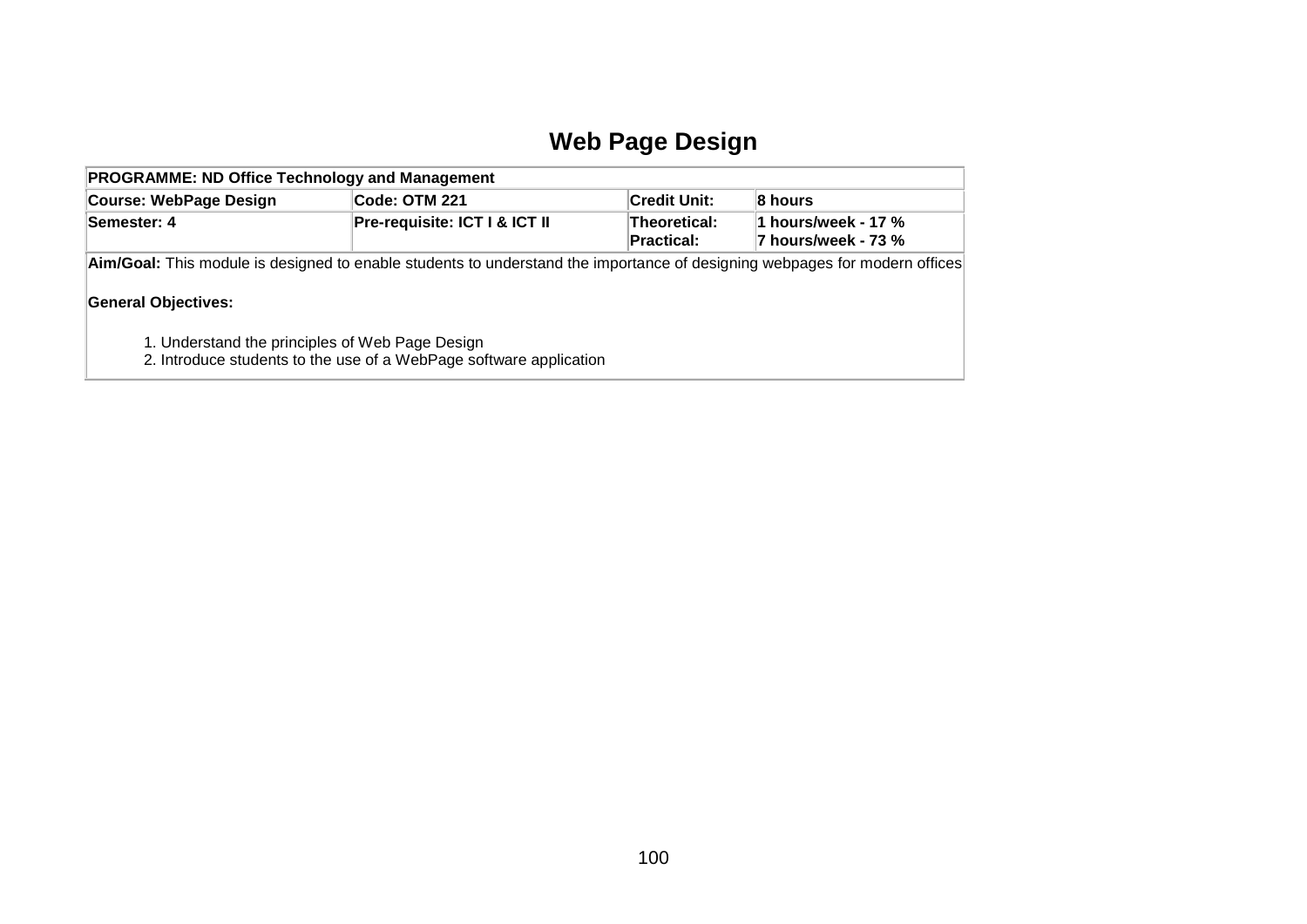### **Web Page Design**

| <b>PROGRAMME: ND Office Technology and Management</b>                                                                                                    |                                                                    |                     |         |  |  |  |  |  |
|----------------------------------------------------------------------------------------------------------------------------------------------------------|--------------------------------------------------------------------|---------------------|---------|--|--|--|--|--|
| <b>Course: WebPage Design</b>                                                                                                                            | Code: OTM 221                                                      | <b>Credit Unit:</b> | 8 hours |  |  |  |  |  |
| Pre-requisite: ICT I & ICT II<br>Theoretical:<br>1 hours/week - 17 %<br>Semester: 4<br>7 hours/week - 73 %<br><b>Practical:</b>                          |                                                                    |                     |         |  |  |  |  |  |
| Aim/Goal: This module is designed to enable students to understand the importance of designing webpages for modern offices<br><b>General Objectives:</b> |                                                                    |                     |         |  |  |  |  |  |
| 1. Understand the principles of Web Page Design                                                                                                          | 2. Introduce students to the use of a WebPage software application |                     |         |  |  |  |  |  |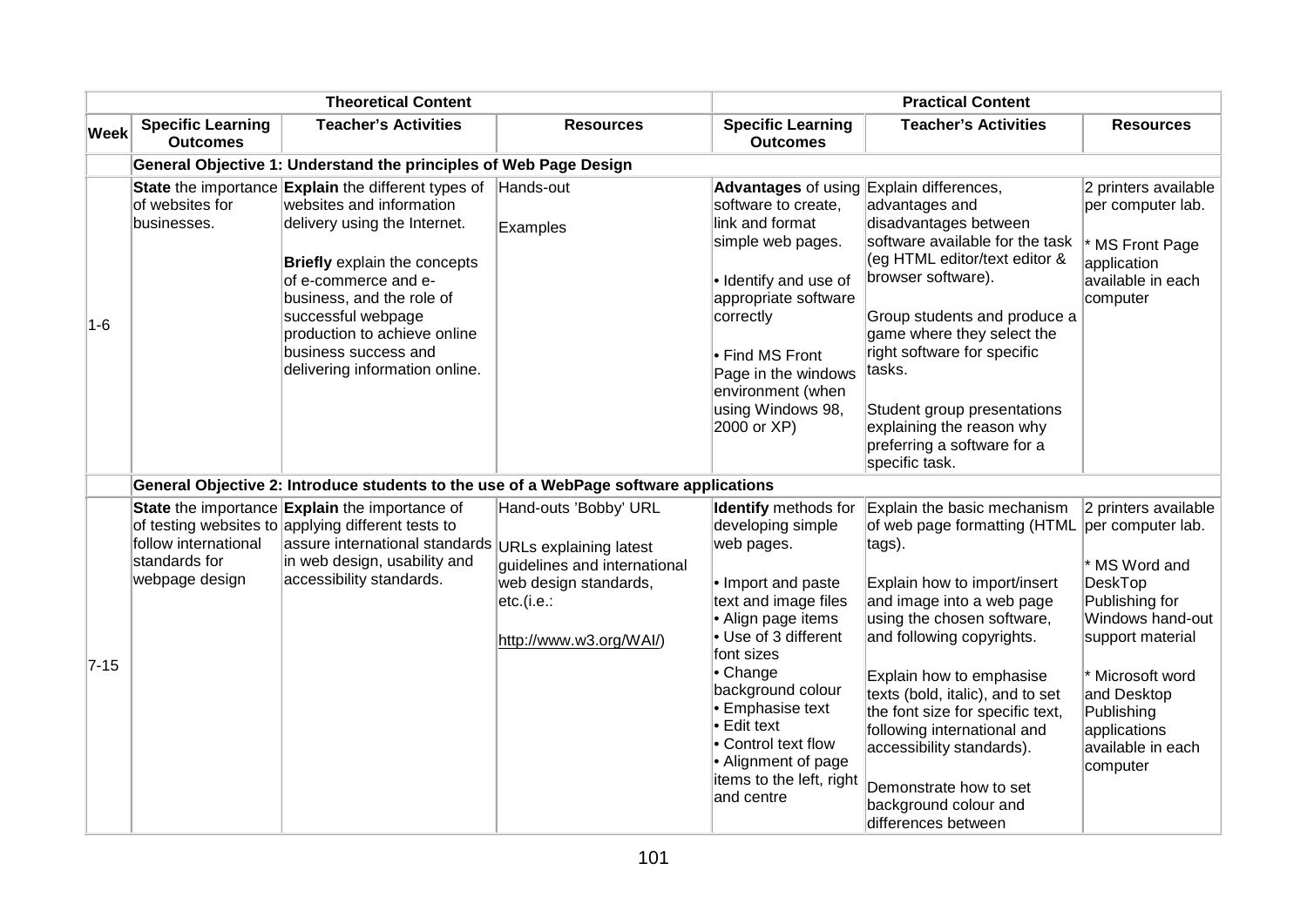| <b>Theoretical Content</b> |                                                         |                                                                                                                                                                                                                                                                                                                      |                                                                                                                         | <b>Practical Content</b>                                                                                                                                                                                                                                                                                                                   |                                                                                                                                                                                                                                                                                                                                                                                                                                         |                                                                                                                                                                                                                                          |
|----------------------------|---------------------------------------------------------|----------------------------------------------------------------------------------------------------------------------------------------------------------------------------------------------------------------------------------------------------------------------------------------------------------------------|-------------------------------------------------------------------------------------------------------------------------|--------------------------------------------------------------------------------------------------------------------------------------------------------------------------------------------------------------------------------------------------------------------------------------------------------------------------------------------|-----------------------------------------------------------------------------------------------------------------------------------------------------------------------------------------------------------------------------------------------------------------------------------------------------------------------------------------------------------------------------------------------------------------------------------------|------------------------------------------------------------------------------------------------------------------------------------------------------------------------------------------------------------------------------------------|
| Week                       | <b>Specific Learning</b><br><b>Outcomes</b>             | <b>Teacher's Activities</b>                                                                                                                                                                                                                                                                                          | <b>Resources</b>                                                                                                        | <b>Specific Learning</b><br><b>Outcomes</b>                                                                                                                                                                                                                                                                                                | <b>Teacher's Activities</b>                                                                                                                                                                                                                                                                                                                                                                                                             | <b>Resources</b>                                                                                                                                                                                                                         |
|                            |                                                         | General Objective 1: Understand the principles of Web Page Design                                                                                                                                                                                                                                                    |                                                                                                                         |                                                                                                                                                                                                                                                                                                                                            |                                                                                                                                                                                                                                                                                                                                                                                                                                         |                                                                                                                                                                                                                                          |
| $1-6$                      | of websites for<br>businesses.                          | State the importance Explain the different types of<br>websites and information<br>delivery using the Internet.<br>Briefly explain the concepts<br>of e-commerce and e-<br>business, and the role of<br>successful webpage<br>production to achieve online<br>business success and<br>delivering information online. | Hands-out<br>Examples                                                                                                   | Advantages of using Explain differences,<br>software to create,<br>link and format<br>simple web pages.<br>• Identify and use of<br>appropriate software<br>correctly<br>Find MS Front<br>Page in the windows<br>environment (when<br>using Windows 98,<br>2000 or XP)                                                                     | advantages and<br>disadvantages between<br>software available for the task<br>(eg HTML editor/text editor &<br>browser software).<br>Group students and produce a<br>game where they select the<br>right software for specific<br>tasks.<br>Student group presentations<br>explaining the reason why<br>preferring a software for a<br>specific task.                                                                                   | 2 printers available<br>per computer lab.<br>MS Front Page<br>application<br>available in each<br>computer                                                                                                                               |
|                            |                                                         | General Objective 2: Introduce students to the use of a WebPage software applications                                                                                                                                                                                                                                |                                                                                                                         |                                                                                                                                                                                                                                                                                                                                            |                                                                                                                                                                                                                                                                                                                                                                                                                                         |                                                                                                                                                                                                                                          |
| $7 - 15$                   | follow international<br>standards for<br>webpage design | State the importance Explain the importance of<br>of testing websites to applying different tests to<br>assure international standards URLs explaining latest<br>in web design, usability and<br>accessibility standards.                                                                                            | Hand-outs 'Bobby' URL<br>guidelines and international<br>web design standards,<br>etc.(i.e.:<br>http://www.w3.org/WAI/) | Identify methods for<br>developing simple<br>web pages.<br>• Import and paste<br>text and image files<br>• Align page items<br>Use of 3 different<br>font sizes<br>$\bullet$ Change<br>background colour<br>Emphasise text<br>$\bullet$ Edit text<br>• Control text flow<br>• Alignment of page<br>items to the left, right<br>land centre | Explain the basic mechanism<br>of web page formatting (HTML<br>tags).<br>Explain how to import/insert<br>and image into a web page<br>using the chosen software,<br>and following copyrights.<br>Explain how to emphasise<br>texts (bold, italic), and to set<br>the font size for specific text,<br>following international and<br>accessibility standards).<br>Demonstrate how to set<br>background colour and<br>differences between | 2 printers available<br>per computer lab.<br>* MS Word and<br><b>DeskTop</b><br>Publishing for<br>Windows hand-out<br>support material<br>* Microsoft word<br>and Desktop<br>Publishing<br>applications<br>available in each<br>computer |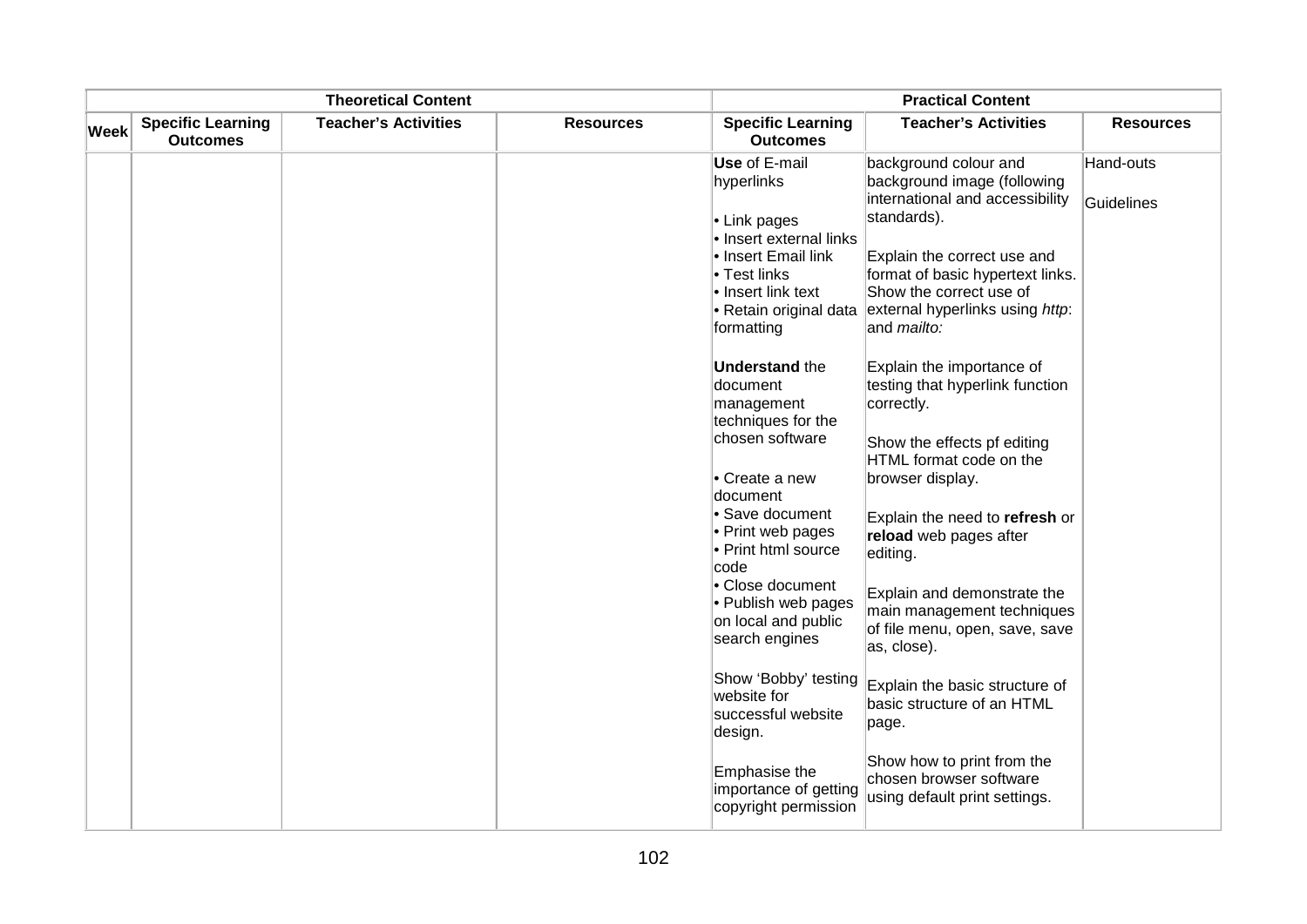| <b>Theoretical Content</b> |                                             |                             |                  | <b>Practical Content</b>                                                                                                                     |                                                                                                                                                                                                |                  |
|----------------------------|---------------------------------------------|-----------------------------|------------------|----------------------------------------------------------------------------------------------------------------------------------------------|------------------------------------------------------------------------------------------------------------------------------------------------------------------------------------------------|------------------|
| <b>Week</b>                | <b>Specific Learning</b><br><b>Outcomes</b> | <b>Teacher's Activities</b> | <b>Resources</b> | <b>Specific Learning</b><br><b>Outcomes</b>                                                                                                  | <b>Teacher's Activities</b>                                                                                                                                                                    | <b>Resources</b> |
|                            |                                             |                             |                  | Use of E-mail<br>hyperlinks                                                                                                                  | background colour and<br>background image (following                                                                                                                                           | Hand-outs        |
|                            |                                             |                             |                  | • Link pages<br>· Insert external links<br>• Insert Email link<br>• Test links<br>• Insert link text<br>• Retain original data<br>formatting | international and accessibility<br>standards).<br>Explain the correct use and<br>format of basic hypertext links.<br>Show the correct use of<br>external hyperlinks using http:<br>and mailto: | Guidelines       |
|                            |                                             |                             |                  | <b>Understand the</b><br>document<br>management<br>techniques for the<br>chosen software                                                     | Explain the importance of<br>testing that hyperlink function<br>correctly.<br>Show the effects pf editing                                                                                      |                  |
|                            |                                             |                             |                  | • Create a new<br>document                                                                                                                   | HTML format code on the<br>browser display.                                                                                                                                                    |                  |
|                            |                                             |                             |                  | • Save document<br>• Print web pages<br>• Print html source<br>code                                                                          | Explain the need to refresh or<br>reload web pages after<br>editing.                                                                                                                           |                  |
|                            |                                             |                             |                  | • Close document<br>• Publish web pages<br>on local and public<br>search engines                                                             | Explain and demonstrate the<br>main management techniques<br>of file menu, open, save, save<br>as, close).                                                                                     |                  |
|                            |                                             |                             |                  | Show 'Bobby' testing<br>website for<br>successful website<br>design.                                                                         | Explain the basic structure of<br>basic structure of an HTML<br>page.                                                                                                                          |                  |
|                            |                                             |                             |                  | Emphasise the<br>importance of getting<br>copyright permission                                                                               | Show how to print from the<br>chosen browser software<br>using default print settings.                                                                                                         |                  |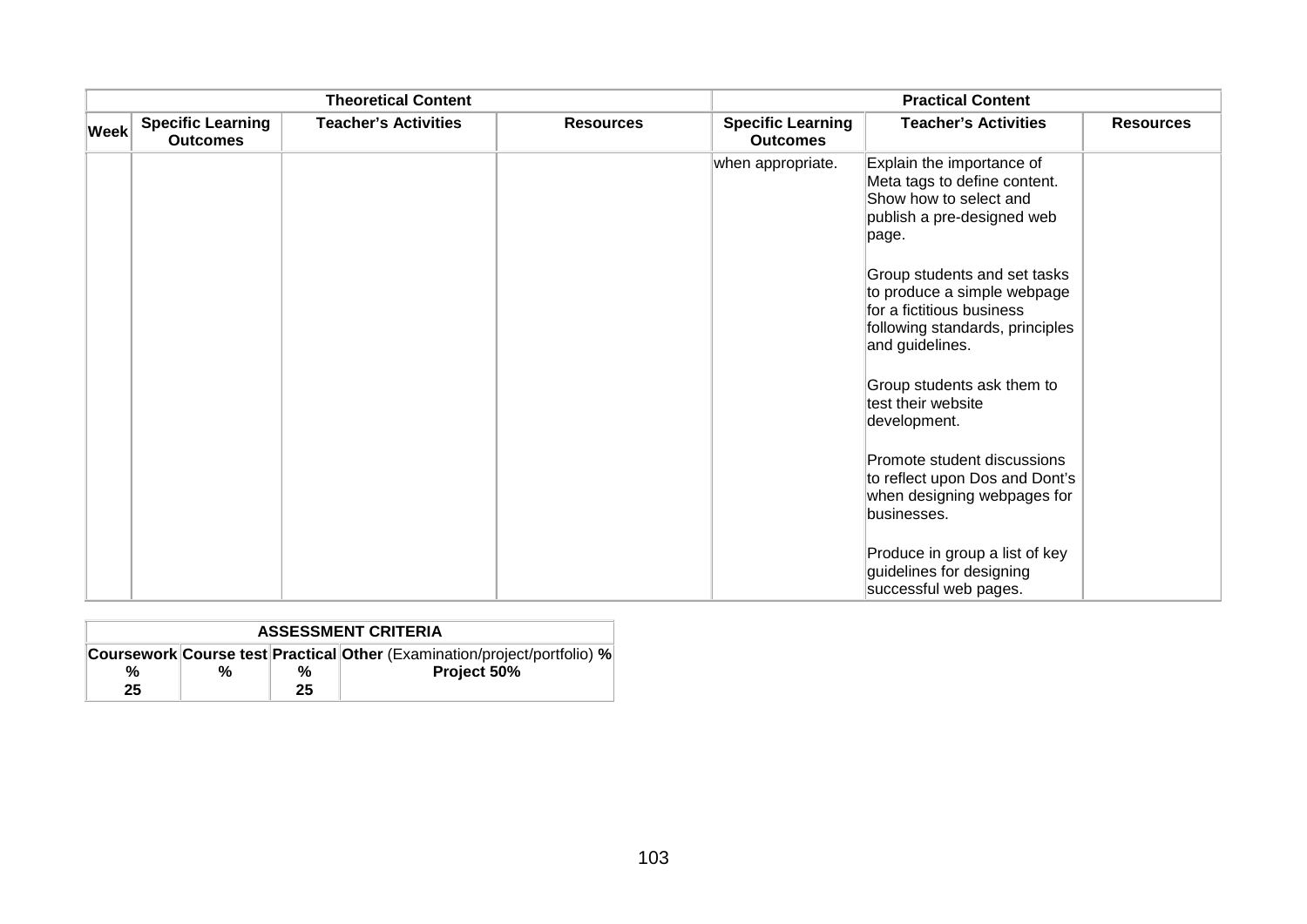|             |                                             | <b>Theoretical Content</b>  |                  | <b>Practical Content</b>                    |                                                                                                                                                |                  |
|-------------|---------------------------------------------|-----------------------------|------------------|---------------------------------------------|------------------------------------------------------------------------------------------------------------------------------------------------|------------------|
| <b>Week</b> | <b>Specific Learning</b><br><b>Outcomes</b> | <b>Teacher's Activities</b> | <b>Resources</b> | <b>Specific Learning</b><br><b>Outcomes</b> | <b>Teacher's Activities</b>                                                                                                                    | <b>Resources</b> |
|             |                                             |                             |                  | when appropriate.                           | Explain the importance of<br>Meta tags to define content.<br>Show how to select and<br>publish a pre-designed web<br>page.                     |                  |
|             |                                             |                             |                  |                                             | Group students and set tasks<br>to produce a simple webpage<br>for a fictitious business<br>following standards, principles<br>and guidelines. |                  |
|             |                                             |                             |                  |                                             | Group students ask them to<br>test their website<br>development.                                                                               |                  |
|             |                                             |                             |                  |                                             | Promote student discussions<br>to reflect upon Dos and Dont's<br>when designing webpages for<br>businesses.                                    |                  |
|             |                                             |                             |                  |                                             | Produce in group a list of key<br>guidelines for designing<br>successful web pages.                                                            |                  |

| <b>ASSESSMENT CRITERIA</b> |   |    |                                                                          |  |  |  |
|----------------------------|---|----|--------------------------------------------------------------------------|--|--|--|
| %                          | % | %  | Coursework Course test Practical Other (Examination/project/portfolio) % |  |  |  |
| 25                         |   | 25 | Project 50%                                                              |  |  |  |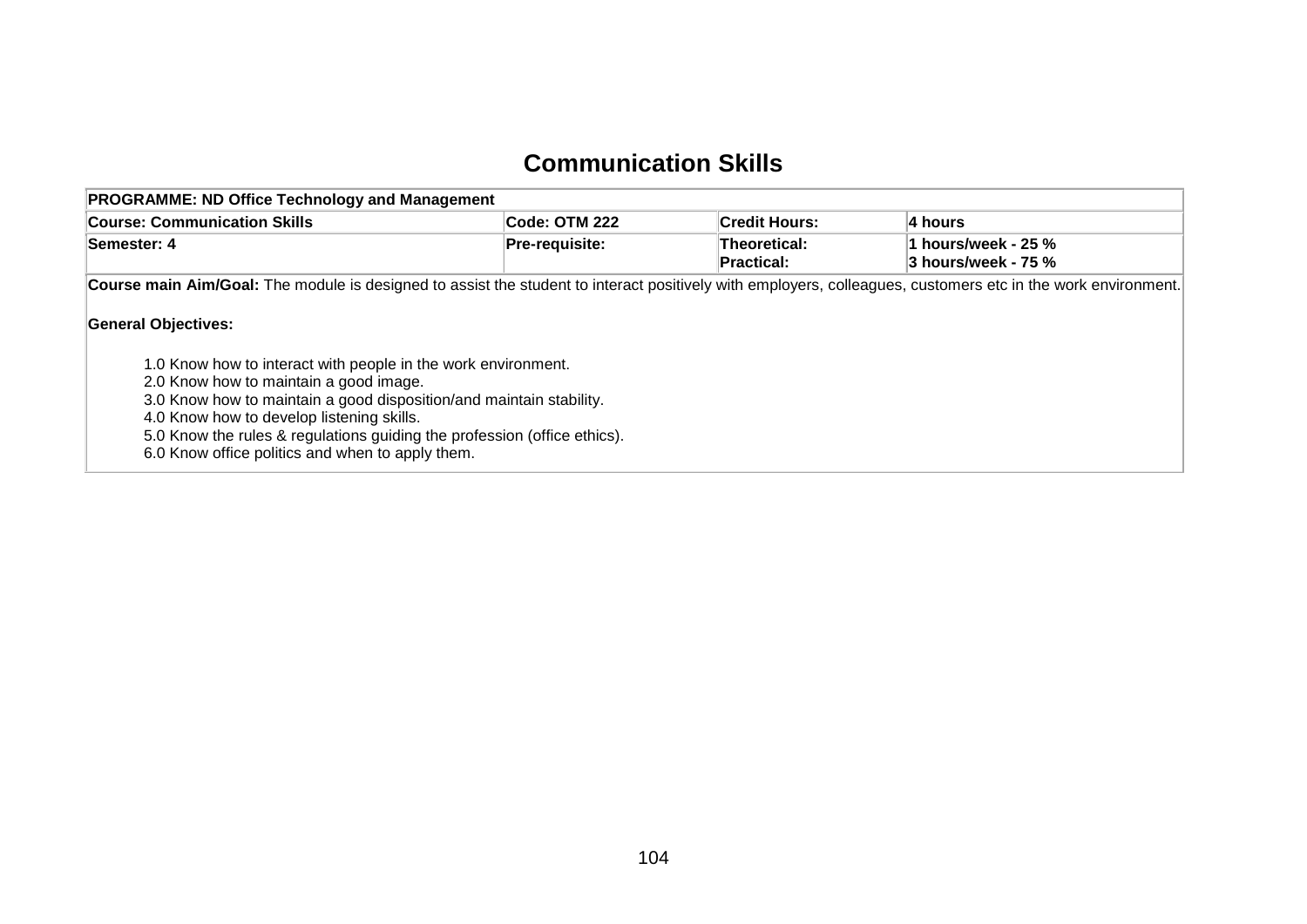#### **Communication Skills**

| <b>PROGRAMME: ND Office Technology and Management</b>                                                                                                                                                                       |                |                                   |                                            |  |  |  |  |
|-----------------------------------------------------------------------------------------------------------------------------------------------------------------------------------------------------------------------------|----------------|-----------------------------------|--------------------------------------------|--|--|--|--|
| <b>Course: Communication Skills</b>                                                                                                                                                                                         | Code: OTM 222  | <b>Credit Hours:</b>              | ∣4 hours                                   |  |  |  |  |
| Semester: 4                                                                                                                                                                                                                 | Pre-requisite: | Theoretical:<br><b>Practical:</b> | 1 hours/week - 25 %<br>3 hours/week - 75 % |  |  |  |  |
| Course main Aim/Goal: The module is designed to assist the student to interact positively with employers, colleagues, customers etc in the work environment.<br><b>General Objectives:</b>                                  |                |                                   |                                            |  |  |  |  |
| 1.0 Know how to interact with people in the work environment.<br>2.0 Know how to maintain a good image.<br>3.0 Know how to maintain a good disposition/and maintain stability.<br>4.0 Know how to develop listening skills. |                |                                   |                                            |  |  |  |  |

5.0 Know the rules & regulations guiding the profession (office ethics).

6.0 Know office politics and when to apply them.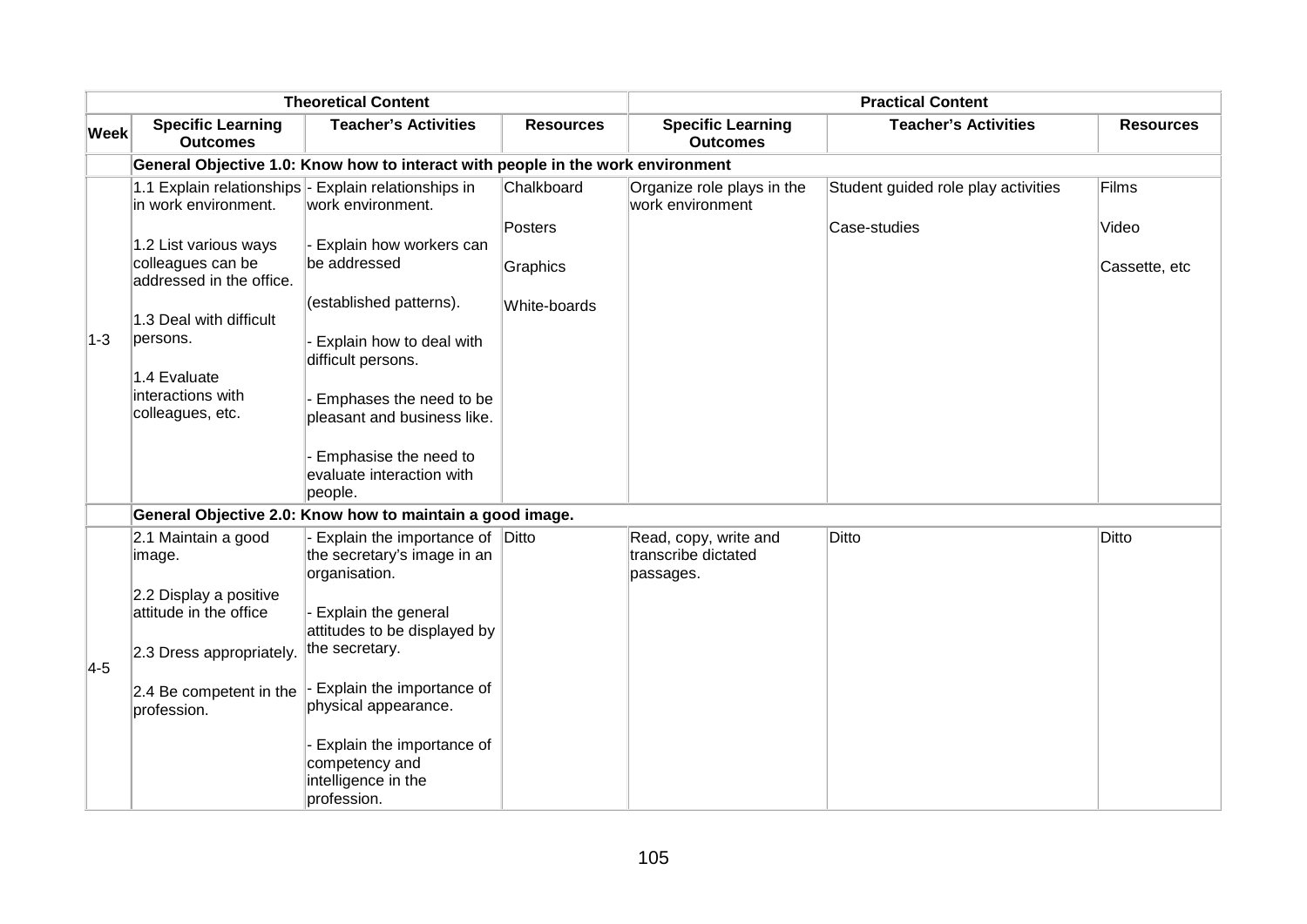| <b>Theoretical Content</b> |                                                                                                               |                                                                                                                                                                                                      | <b>Practical Content</b> |                                                           |                                     |                        |  |  |
|----------------------------|---------------------------------------------------------------------------------------------------------------|------------------------------------------------------------------------------------------------------------------------------------------------------------------------------------------------------|--------------------------|-----------------------------------------------------------|-------------------------------------|------------------------|--|--|
| <b>Week</b>                | <b>Specific Learning</b><br><b>Outcomes</b>                                                                   | <b>Teacher's Activities</b>                                                                                                                                                                          | <b>Resources</b>         | <b>Specific Learning</b><br><b>Outcomes</b>               | <b>Teacher's Activities</b>         | <b>Resources</b>       |  |  |
|                            | General Objective 1.0: Know how to interact with people in the work environment                               |                                                                                                                                                                                                      |                          |                                                           |                                     |                        |  |  |
| $ 1-3 $                    | in work environment.                                                                                          | 1.1 Explain relationships - Explain relationships in<br>work environment.                                                                                                                            | Chalkboard               | Organize role plays in the<br>work environment            | Student guided role play activities | Films                  |  |  |
|                            | 1.2 List various ways<br>colleagues can be<br>addressed in the office.                                        | Explain how workers can<br>be addressed                                                                                                                                                              | Posters<br>Graphics      |                                                           | Case-studies                        | Video<br>Cassette, etc |  |  |
|                            | 1.3 Deal with difficult<br>persons.<br>1.4 Evaluate<br>interactions with<br>colleagues, etc.                  | (established patterns).<br>Explain how to deal with<br>difficult persons.<br>Emphases the need to be<br>pleasant and business like.<br>Emphasise the need to<br>evaluate interaction with<br>people. | White-boards             |                                                           |                                     |                        |  |  |
|                            |                                                                                                               | General Objective 2.0: Know how to maintain a good image.                                                                                                                                            |                          |                                                           |                                     |                        |  |  |
| $4-5$                      | 2.1 Maintain a good<br>image.<br>2.2 Display a positive<br>attitude in the office<br>2.3 Dress appropriately. | Explain the importance of Ditto<br>the secretary's image in an<br>organisation.<br>Explain the general<br>attitudes to be displayed by<br>the secretary.                                             |                          | Read, copy, write and<br>transcribe dictated<br>passages. | Ditto                               | <b>Ditto</b>           |  |  |
|                            | 2.4 Be competent in the<br>profession.                                                                        | Explain the importance of<br>physical appearance.<br>Explain the importance of<br>competency and<br>intelligence in the<br>profession.                                                               |                          |                                                           |                                     |                        |  |  |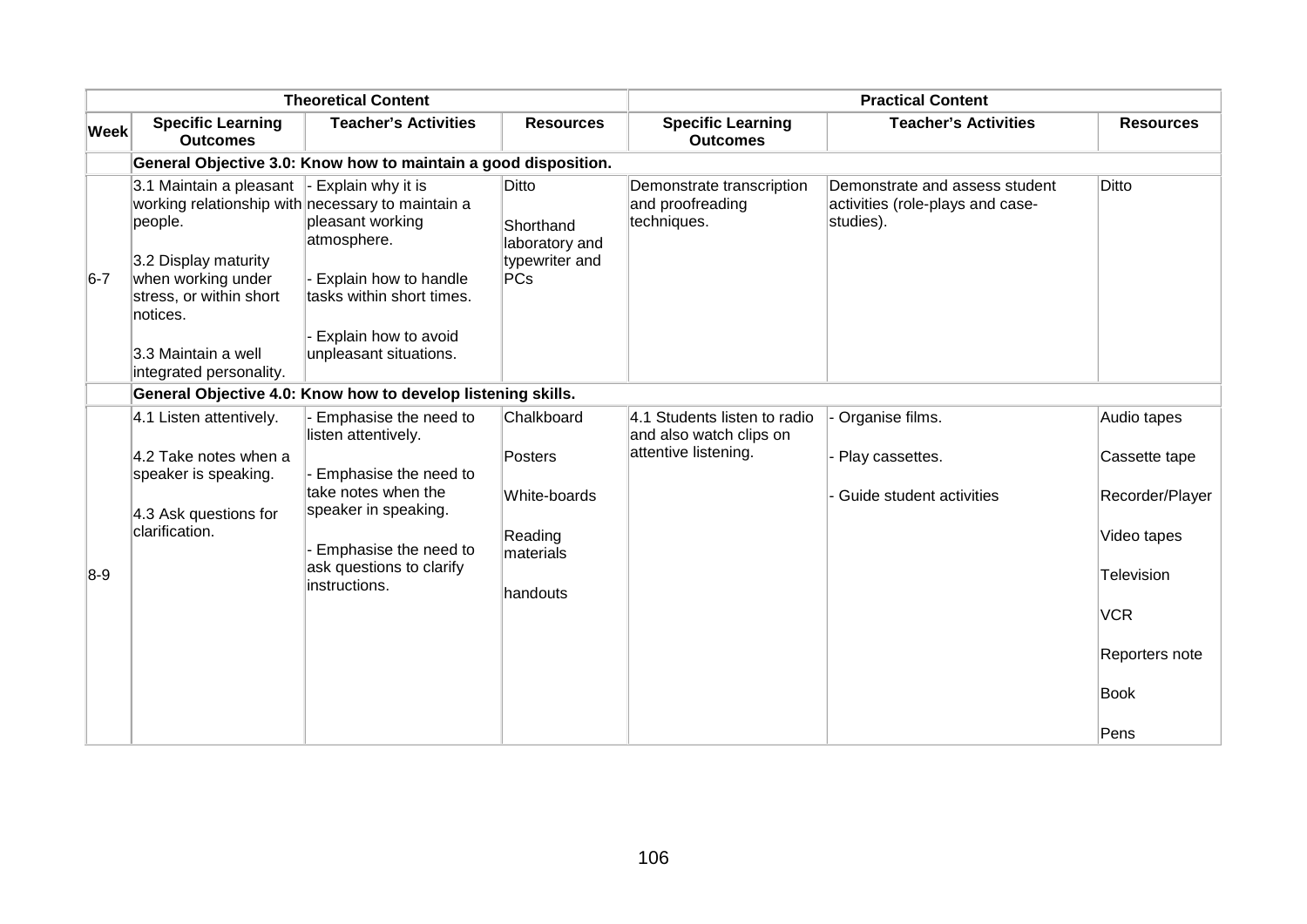| <b>Theoretical Content</b> |                                                                                                                                                   |                                                                                                                     | <b>Practical Content</b>                                                        |                                                              |                                                                                 |                                 |
|----------------------------|---------------------------------------------------------------------------------------------------------------------------------------------------|---------------------------------------------------------------------------------------------------------------------|---------------------------------------------------------------------------------|--------------------------------------------------------------|---------------------------------------------------------------------------------|---------------------------------|
| <b>Week</b>                | <b>Specific Learning</b><br><b>Outcomes</b>                                                                                                       | <b>Teacher's Activities</b>                                                                                         | <b>Resources</b>                                                                | <b>Specific Learning</b><br><b>Outcomes</b>                  | <b>Teacher's Activities</b>                                                     | <b>Resources</b>                |
|                            |                                                                                                                                                   | General Objective 3.0: Know how to maintain a good disposition.                                                     |                                                                                 |                                                              |                                                                                 |                                 |
| $6-7$                      | 3.1 Maintain a pleasant<br>people.                                                                                                                | $\vert$ - Explain why it is<br>working relationship with necessary to maintain a<br>pleasant working<br>atmosphere. | Ditto<br>Shorthand<br>laboratory and                                            | Demonstrate transcription<br>and proofreading<br>techniques. | Demonstrate and assess student<br>activities (role-plays and case-<br>studies). | Ditto                           |
|                            | 3.2 Display maturity<br>when working under<br>stress, or within short<br>notices.                                                                 | Explain how to handle<br>tasks within short times.                                                                  | typewriter and<br>PCs                                                           |                                                              |                                                                                 |                                 |
|                            | 3.3 Maintain a well<br>integrated personality.                                                                                                    | Explain how to avoid<br>unpleasant situations.                                                                      |                                                                                 |                                                              |                                                                                 |                                 |
|                            |                                                                                                                                                   | General Objective 4.0: Know how to develop listening skills.                                                        |                                                                                 |                                                              |                                                                                 |                                 |
| $8-9$                      | 4.1 Listen attentively.<br>Emphasise the need to<br>listen attentively.<br>4.2 Take notes when a<br>Emphasise the need to<br>speaker is speaking. | Chalkboard<br>Posters                                                                                               | 4.1 Students listen to radio<br>and also watch clips on<br>attentive listening. | Organise films.<br>Play cassettes.                           | Audio tapes<br>Cassette tape                                                    |                                 |
|                            | 4.3 Ask questions for                                                                                                                             | take notes when the<br>speaker in speaking.                                                                         | White-boards                                                                    |                                                              | - Guide student activities                                                      | Recorder/Player                 |
|                            | clarification.                                                                                                                                    | Emphasise the need to<br>ask questions to clarify<br>instructions.                                                  | Reading<br>materials                                                            |                                                              |                                                                                 | Video tapes                     |
|                            |                                                                                                                                                   |                                                                                                                     | handouts                                                                        |                                                              |                                                                                 | <b>Television</b><br><b>VCR</b> |
|                            |                                                                                                                                                   |                                                                                                                     |                                                                                 |                                                              |                                                                                 |                                 |
|                            |                                                                                                                                                   |                                                                                                                     |                                                                                 |                                                              |                                                                                 | Reporters note                  |
|                            |                                                                                                                                                   |                                                                                                                     |                                                                                 |                                                              |                                                                                 | <b>Book</b>                     |
|                            |                                                                                                                                                   |                                                                                                                     |                                                                                 |                                                              |                                                                                 | Pens                            |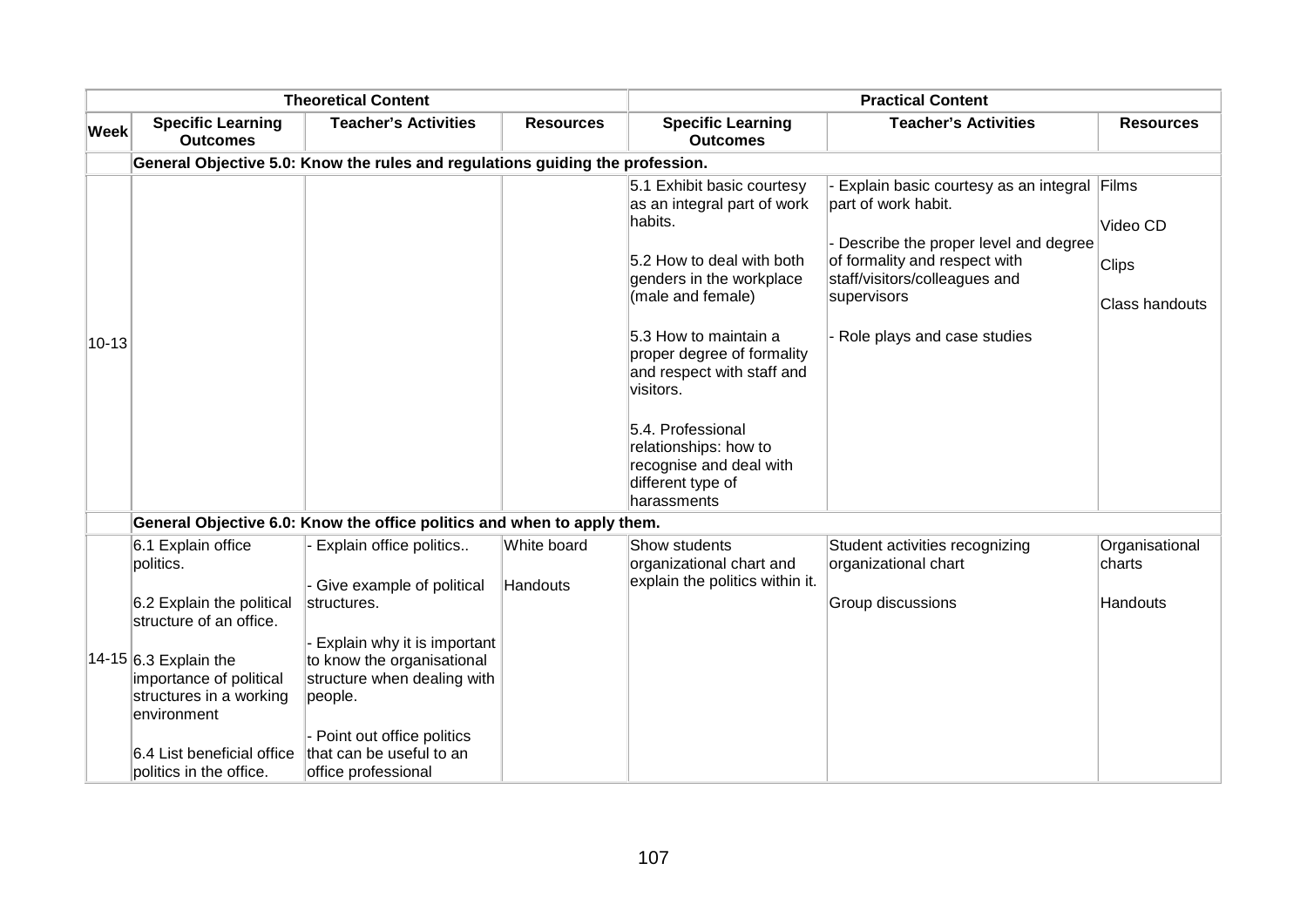|             |                                                                                               | <b>Theoretical Content</b>                                                                          |                         |                                                                                                           | <b>Practical Content</b>                                                                                              |                                |
|-------------|-----------------------------------------------------------------------------------------------|-----------------------------------------------------------------------------------------------------|-------------------------|-----------------------------------------------------------------------------------------------------------|-----------------------------------------------------------------------------------------------------------------------|--------------------------------|
| <b>Week</b> | <b>Specific Learning</b><br><b>Outcomes</b>                                                   | <b>Teacher's Activities</b>                                                                         | <b>Resources</b>        | <b>Specific Learning</b><br><b>Outcomes</b>                                                               | <b>Teacher's Activities</b>                                                                                           | <b>Resources</b>               |
|             |                                                                                               | General Objective 5.0: Know the rules and regulations guiding the profession.                       |                         |                                                                                                           |                                                                                                                       |                                |
|             |                                                                                               |                                                                                                     |                         | 5.1 Exhibit basic courtesy<br>as an integral part of work<br>habits.                                      | Explain basic courtesy as an integral Films<br>part of work habit.                                                    | Video CD                       |
|             |                                                                                               |                                                                                                     |                         | 5.2 How to deal with both<br>genders in the workplace<br>(male and female)                                | Describe the proper level and degree<br>of formality and respect with<br>staff/visitors/colleagues and<br>supervisors | <b>Clips</b><br>Class handouts |
| $10 - 13$   |                                                                                               |                                                                                                     |                         | 5.3 How to maintain a<br>proper degree of formality<br>and respect with staff and<br>visitors.            | Role plays and case studies                                                                                           |                                |
|             |                                                                                               |                                                                                                     |                         | 5.4. Professional<br>relationships: how to<br>recognise and deal with<br>different type of<br>harassments |                                                                                                                       |                                |
|             |                                                                                               | General Objective 6.0: Know the office politics and when to apply them.                             |                         |                                                                                                           |                                                                                                                       |                                |
|             | 6.1 Explain office<br>politics.                                                               | Explain office politics<br>Give example of political                                                | White board<br>Handouts | Show students<br>organizational chart and<br>explain the politics within it.                              | Student activities recognizing<br>organizational chart                                                                | Organisational<br>∣charts      |
|             | 6.2 Explain the political<br>structure of an office.                                          | structures.                                                                                         |                         |                                                                                                           | Group discussions                                                                                                     | Handouts                       |
|             | 14-15 $6.3$ Explain the<br>importance of political<br>structures in a working<br>lenvironment | Explain why it is important<br>to know the organisational<br>structure when dealing with<br>people. |                         |                                                                                                           |                                                                                                                       |                                |
|             | 6.4 List beneficial office<br>politics in the office.                                         | - Point out office politics<br>that can be useful to an<br>office professional                      |                         |                                                                                                           |                                                                                                                       |                                |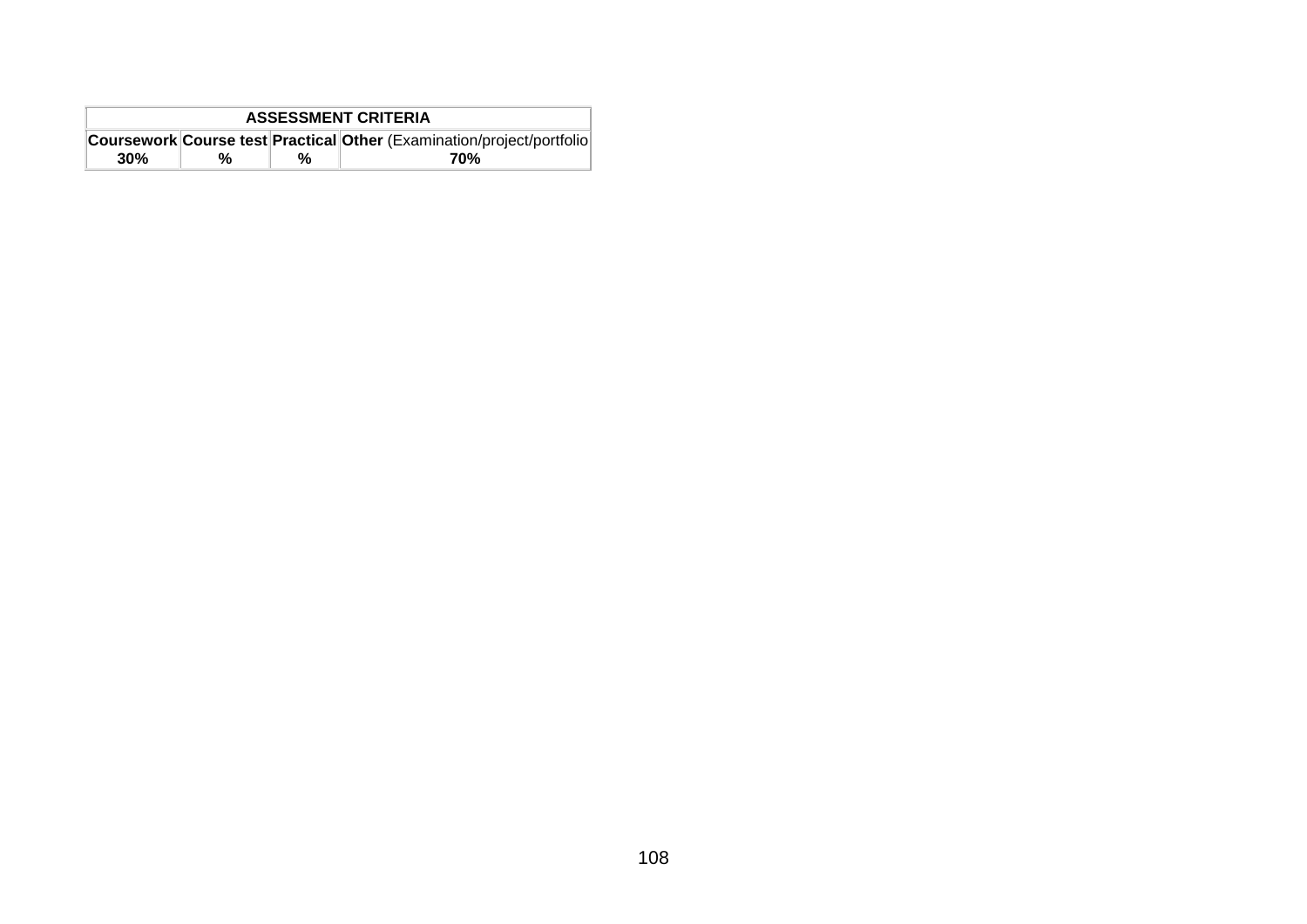| <b>ASSESSMENT CRITERIA</b> |   |   |                                                                        |  |  |  |
|----------------------------|---|---|------------------------------------------------------------------------|--|--|--|
|                            |   |   | Coursework Course test Practical Other (Examination/project/portfolio) |  |  |  |
| 30%                        | % | % | 70%                                                                    |  |  |  |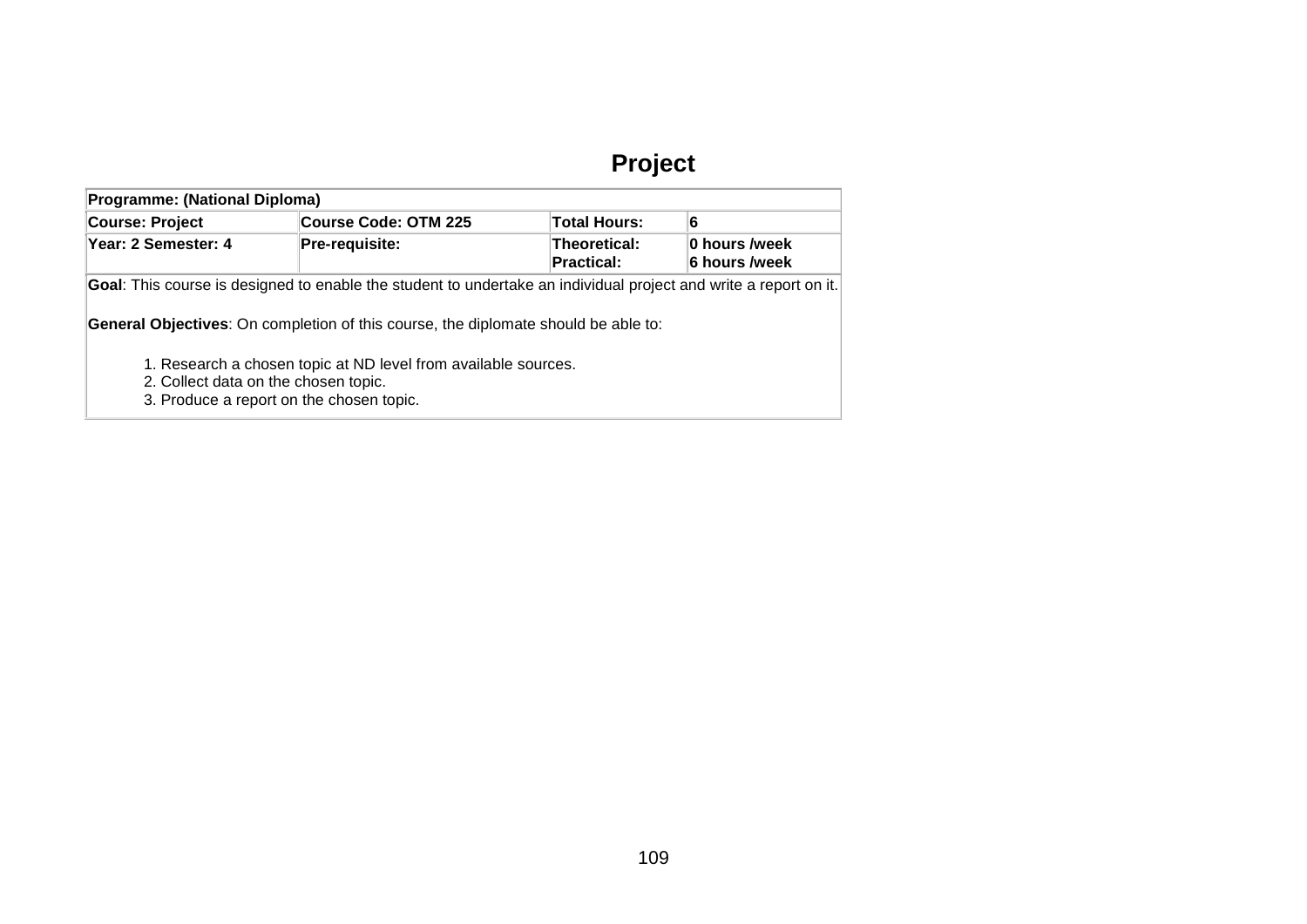# **Project**

| <b>Programme: (National Diploma)</b> |                                                                                                                                                    |                                   |                                |  |  |  |  |  |
|--------------------------------------|----------------------------------------------------------------------------------------------------------------------------------------------------|-----------------------------------|--------------------------------|--|--|--|--|--|
| Course: Project                      | <b>Course Code: OTM 225</b>                                                                                                                        | Total Hours:                      | 6                              |  |  |  |  |  |
| Year: 2 Semester: 4                  | Pre-requisite:                                                                                                                                     | Theoretical:<br><b>Practical:</b> | 0 hours /week<br>6 hours /week |  |  |  |  |  |
|                                      | Goal: This course is designed to enable the student to undertake an individual project and write a report on it.                                   |                                   |                                |  |  |  |  |  |
|                                      | <b>General Objectives:</b> On completion of this course, the diplomate should be able to:                                                          |                                   |                                |  |  |  |  |  |
|                                      | 1. Research a chosen topic at ND level from available sources.<br>2. Collect data on the chosen topic.<br>3. Produce a report on the chosen topic. |                                   |                                |  |  |  |  |  |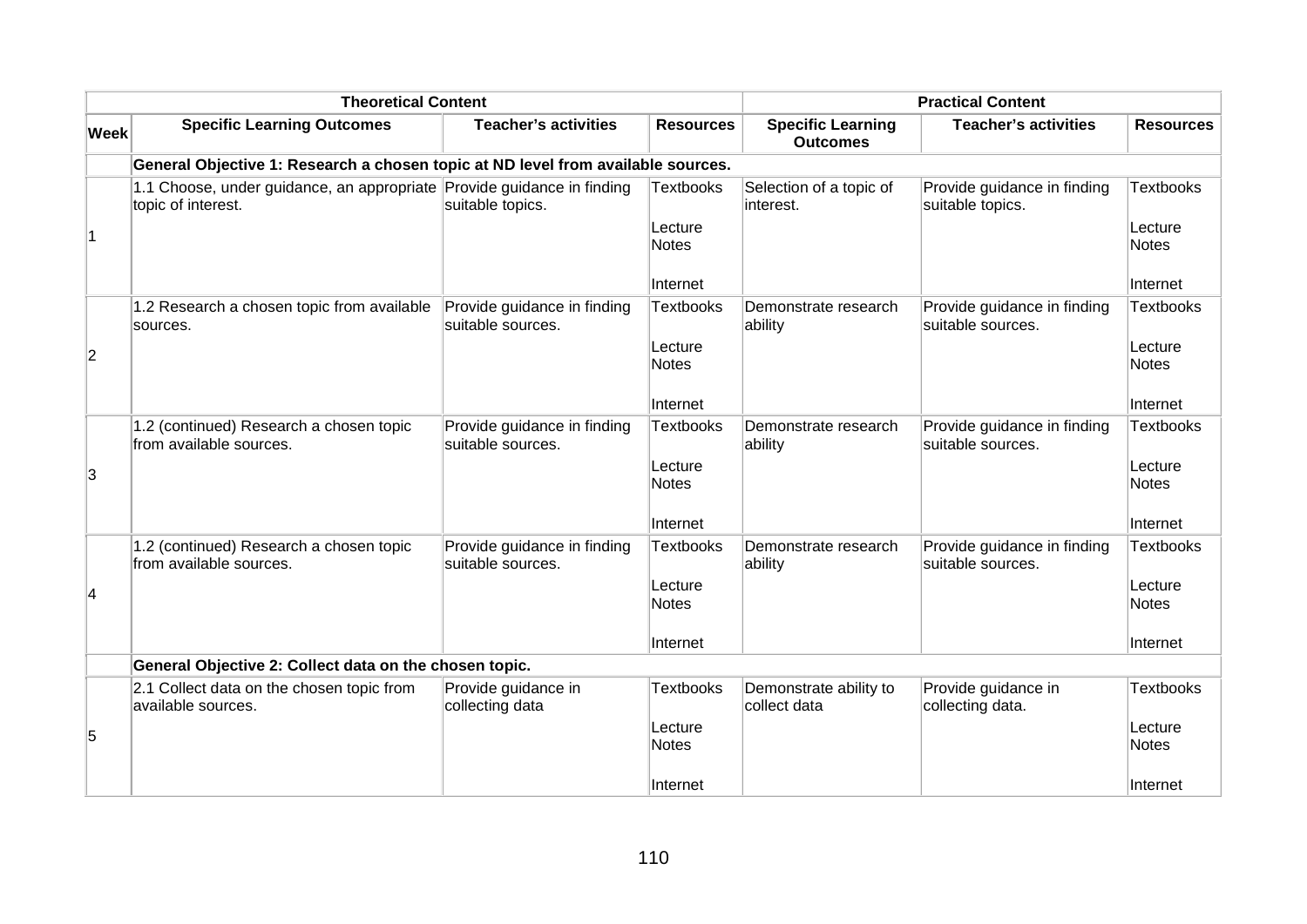|                | <b>Theoretical Content</b>                                                                   |                                                  |                         |                                             | <b>Practical Content</b>                         |                         |
|----------------|----------------------------------------------------------------------------------------------|--------------------------------------------------|-------------------------|---------------------------------------------|--------------------------------------------------|-------------------------|
| <b>Week</b>    | <b>Specific Learning Outcomes</b>                                                            | <b>Teacher's activities</b>                      | <b>Resources</b>        | <b>Specific Learning</b><br><b>Outcomes</b> | <b>Teacher's activities</b>                      | <b>Resources</b>        |
|                | General Objective 1: Research a chosen topic at ND level from available sources.             |                                                  |                         |                                             |                                                  |                         |
|                | 1.1 Choose, under guidance, an appropriate Provide guidance in finding<br>topic of interest. | suitable topics.                                 | <b>Textbooks</b>        | Selection of a topic of<br>interest.        | Provide guidance in finding<br>suitable topics.  | <b>Textbooks</b>        |
| $\overline{1}$ |                                                                                              |                                                  | Lecture<br><b>Notes</b> |                                             |                                                  | Lecture<br><b>Notes</b> |
|                |                                                                                              |                                                  | Internet                |                                             |                                                  | Internet                |
|                | 1.2 Research a chosen topic from available<br>sources.                                       | Provide guidance in finding<br>suitable sources. | <b>Textbooks</b>        | Demonstrate research<br>ability             | Provide guidance in finding<br>suitable sources. | <b>Textbooks</b>        |
| $\overline{c}$ |                                                                                              |                                                  | Lecture<br>Notes        |                                             |                                                  | Lecture<br>Notes        |
|                |                                                                                              |                                                  | Internet                |                                             |                                                  | Internet                |
|                | 1.2 (continued) Research a chosen topic<br>from available sources.                           | Provide guidance in finding<br>suitable sources. | <b>Textbooks</b>        | Demonstrate research<br>ability             | Provide guidance in finding<br>suitable sources. | Textbooks               |
| 3              |                                                                                              |                                                  | Lecture<br><b>Notes</b> |                                             |                                                  | Lecture<br>Notes        |
|                |                                                                                              |                                                  | Internet                |                                             |                                                  | Internet                |
|                | 1.2 (continued) Research a chosen topic<br>from available sources.                           | Provide guidance in finding<br>suitable sources. | <b>Textbooks</b>        | Demonstrate research<br>ability             | Provide guidance in finding<br>suitable sources. | <b>Textbooks</b>        |
| 4              |                                                                                              |                                                  | Lecture<br><b>Notes</b> |                                             |                                                  | Lecture<br>Notes        |
|                |                                                                                              |                                                  | Internet                |                                             |                                                  | ∣Internet               |
|                | General Objective 2: Collect data on the chosen topic.                                       |                                                  |                         |                                             |                                                  |                         |
|                | 2.1 Collect data on the chosen topic from<br>available sources.                              | Provide guidance in<br>collecting data           | <b>Textbooks</b>        | Demonstrate ability to<br>collect data      | Provide guidance in<br>collecting data.          | Textbooks               |
| 5              |                                                                                              |                                                  | Lecture<br><b>Notes</b> |                                             |                                                  | Lecture<br>Notes        |
|                |                                                                                              |                                                  | Internet                |                                             |                                                  | Internet                |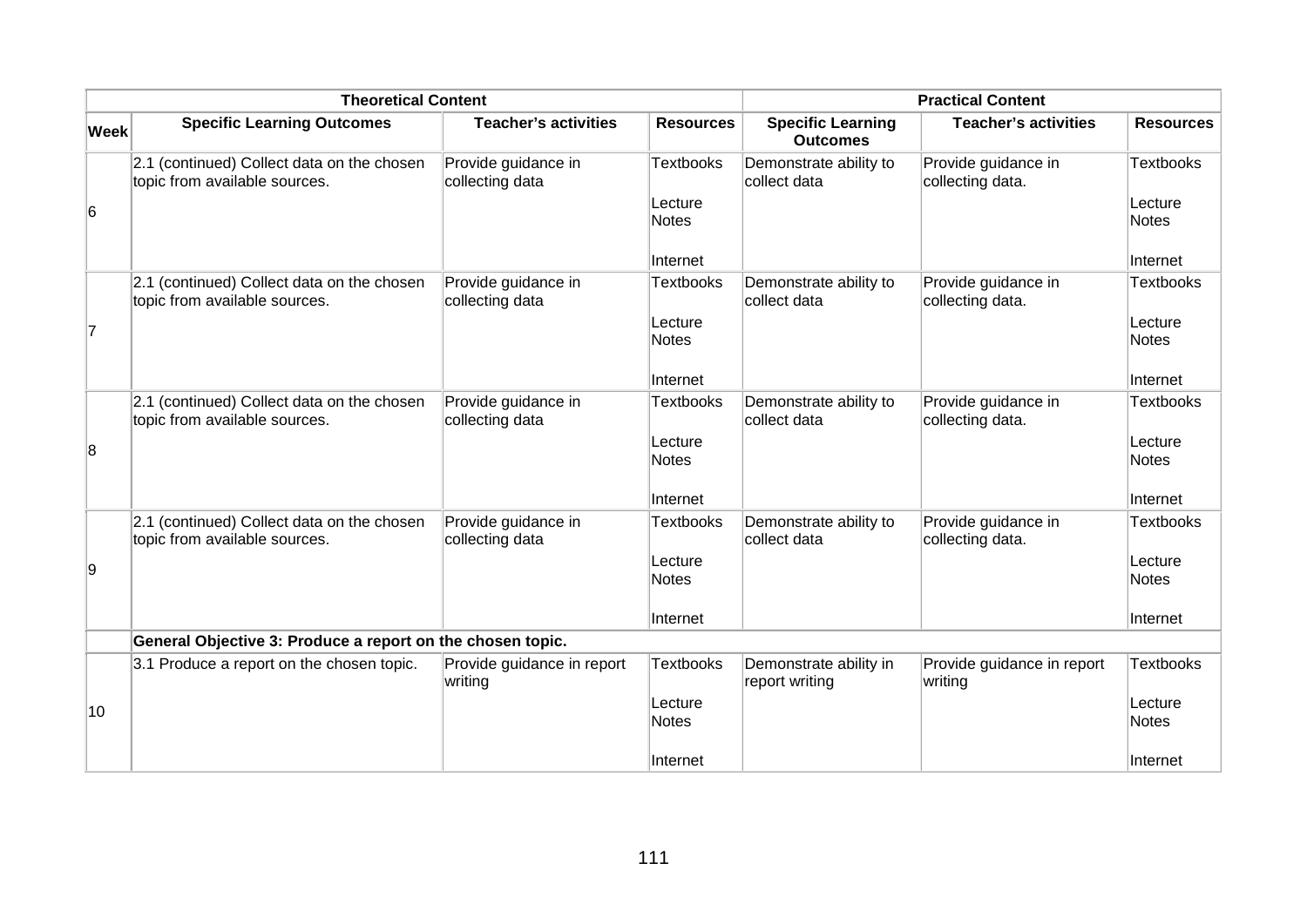|             | <b>Theoretical Content</b>                                                  |                                        |                         |                                             | <b>Practical Content</b>                |                         |
|-------------|-----------------------------------------------------------------------------|----------------------------------------|-------------------------|---------------------------------------------|-----------------------------------------|-------------------------|
| <b>Week</b> | <b>Specific Learning Outcomes</b>                                           | <b>Teacher's activities</b>            | <b>Resources</b>        | <b>Specific Learning</b><br><b>Outcomes</b> | <b>Teacher's activities</b>             | <b>Resources</b>        |
|             | 2.1 (continued) Collect data on the chosen<br>topic from available sources. | Provide guidance in<br>collecting data | <b>Textbooks</b>        | Demonstrate ability to<br>collect data      | Provide guidance in<br>collecting data. | <b>Textbooks</b>        |
| 6           |                                                                             |                                        | Lecture<br><b>Notes</b> |                                             |                                         | Lecture<br><b>Notes</b> |
|             |                                                                             |                                        | Internet                |                                             |                                         | Internet                |
|             | 2.1 (continued) Collect data on the chosen<br>topic from available sources. | Provide guidance in<br>collecting data | <b>Textbooks</b>        | Demonstrate ability to<br>collect data      | Provide guidance in<br>collecting data. | Textbooks               |
| 7           |                                                                             |                                        | Lecture<br><b>Notes</b> |                                             |                                         | Lecture<br><b>Notes</b> |
|             |                                                                             |                                        | Internet                |                                             |                                         | Internet                |
|             | 2.1 (continued) Collect data on the chosen<br>topic from available sources. | Provide guidance in<br>collecting data | <b>Textbooks</b>        | Demonstrate ability to<br>collect data      | Provide guidance in<br>collecting data. | Textbooks               |
| 8           |                                                                             |                                        | Lecture<br><b>Notes</b> |                                             |                                         | Lecture<br><b>Notes</b> |
|             |                                                                             |                                        | Internet                |                                             |                                         | Internet                |
|             | 2.1 (continued) Collect data on the chosen<br>topic from available sources. | Provide guidance in<br>collecting data | <b>Textbooks</b>        | Demonstrate ability to<br>collect data      | Provide guidance in<br>collecting data. | Textbooks               |
| 9           |                                                                             |                                        | Lecture<br><b>Notes</b> |                                             |                                         | Lecture<br>Notes        |
|             |                                                                             |                                        | Internet                |                                             |                                         | Internet                |
|             | General Objective 3: Produce a report on the chosen topic.                  |                                        |                         |                                             |                                         |                         |
|             | 3.1 Produce a report on the chosen topic.                                   | Provide guidance in report<br>writing  | <b>Textbooks</b>        | Demonstrate ability in<br>report writing    | Provide guidance in report<br>writing   | <b>Textbooks</b>        |
| 10          |                                                                             |                                        | Lecture<br><b>Notes</b> |                                             |                                         | Lecture<br>Notes        |
|             |                                                                             |                                        | Internet                |                                             |                                         | Internet                |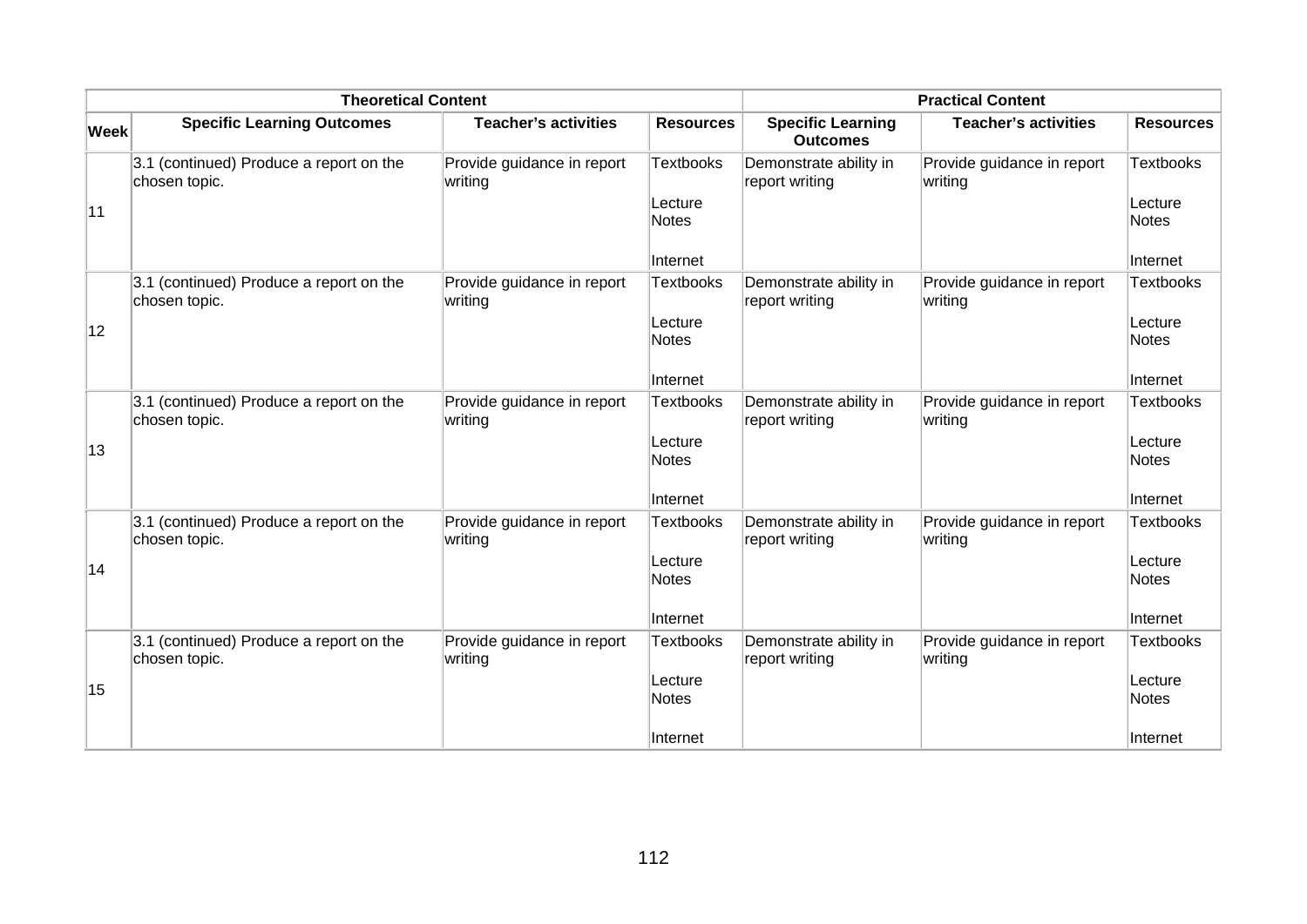|             | <b>Theoretical Content</b>                               |                                       |                                                         |                                             | <b>Practical Content</b>              |                                                         |
|-------------|----------------------------------------------------------|---------------------------------------|---------------------------------------------------------|---------------------------------------------|---------------------------------------|---------------------------------------------------------|
| <b>Week</b> | <b>Specific Learning Outcomes</b>                        | <b>Teacher's activities</b>           | <b>Resources</b>                                        | <b>Specific Learning</b><br><b>Outcomes</b> | <b>Teacher's activities</b>           | <b>Resources</b>                                        |
| 11          | 3.1 (continued) Produce a report on the<br>chosen topic. | Provide guidance in report<br>writing | <b>Textbooks</b><br>Lecture<br><b>Notes</b>             | Demonstrate ability in<br>report writing    | Provide guidance in report<br>writing | <b>Textbooks</b><br>Lecture<br><b>Notes</b>             |
|             |                                                          |                                       | Internet                                                |                                             |                                       | Internet                                                |
| 12          | 3.1 (continued) Produce a report on the<br>chosen topic. | Provide guidance in report<br>writing | <b>Textbooks</b><br>Lecture<br><b>Notes</b>             | Demonstrate ability in<br>report writing    | Provide guidance in report<br>writing | <b>Textbooks</b><br>Lecture<br><b>Notes</b>             |
|             |                                                          |                                       | Internet                                                |                                             |                                       | Internet                                                |
| 13          | 3.1 (continued) Produce a report on the<br>chosen topic. | Provide guidance in report<br>writing | <b>Textbooks</b><br>Lecture<br><b>Notes</b><br>Internet | Demonstrate ability in<br>report writing    | Provide guidance in report<br>writing | <b>Textbooks</b><br>Lecture<br><b>Notes</b><br>Internet |
|             | 3.1 (continued) Produce a report on the                  | Provide guidance in report            | <b>Textbooks</b>                                        | Demonstrate ability in                      | Provide guidance in report            | <b>Textbooks</b>                                        |
| 14          | chosen topic.                                            | writing                               | Lecture<br><b>Notes</b><br>Internet                     | report writing                              | writing                               | Lecture<br><b>Notes</b><br>Internet                     |
|             | 3.1 (continued) Produce a report on the                  | Provide guidance in report            | <b>Textbooks</b>                                        | Demonstrate ability in                      | Provide guidance in report            | Textbooks                                               |
| 15          | chosen topic.                                            | writing                               | Lecture<br><b>Notes</b><br>Internet                     | report writing                              | writing                               | Lecture<br><b>Notes</b><br>Internet                     |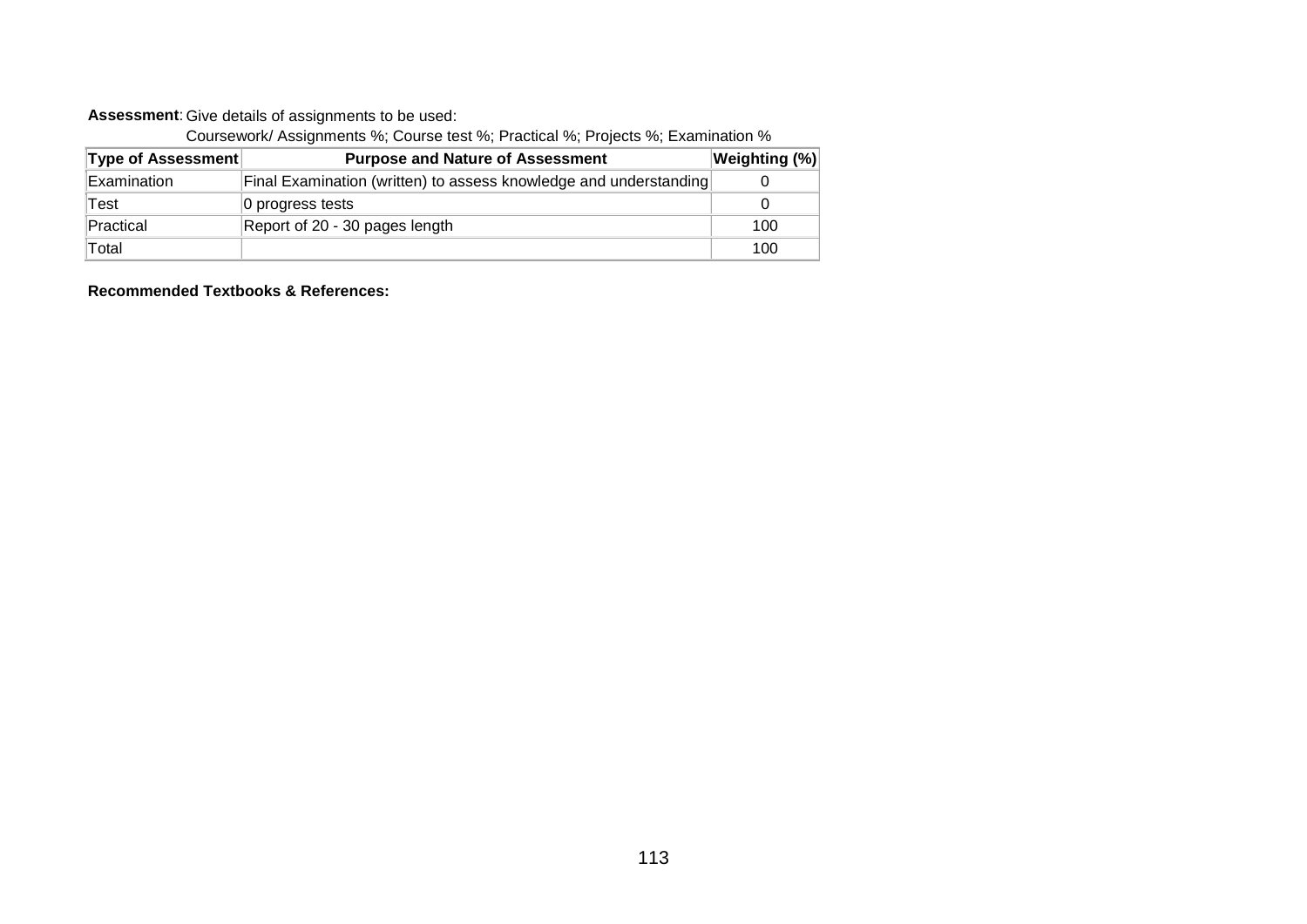#### **Assessment**: Give details of assignments to be used:

Coursework/ Assignments %; Course test %; Practical %; Projects %; Examination %

| <b>Type of Assessment</b> | <b>Purpose and Nature of Assessment</b>                           | $ \mathsf{Weighting}\;(\%) $ |
|---------------------------|-------------------------------------------------------------------|------------------------------|
| Examination               | Final Examination (written) to assess knowledge and understanding |                              |
| Test                      | 0 progress tests                                                  |                              |
| Practical                 | Report of 20 - 30 pages length                                    | 100                          |
| Total                     |                                                                   | 100                          |

**Recommended Textbooks & References:**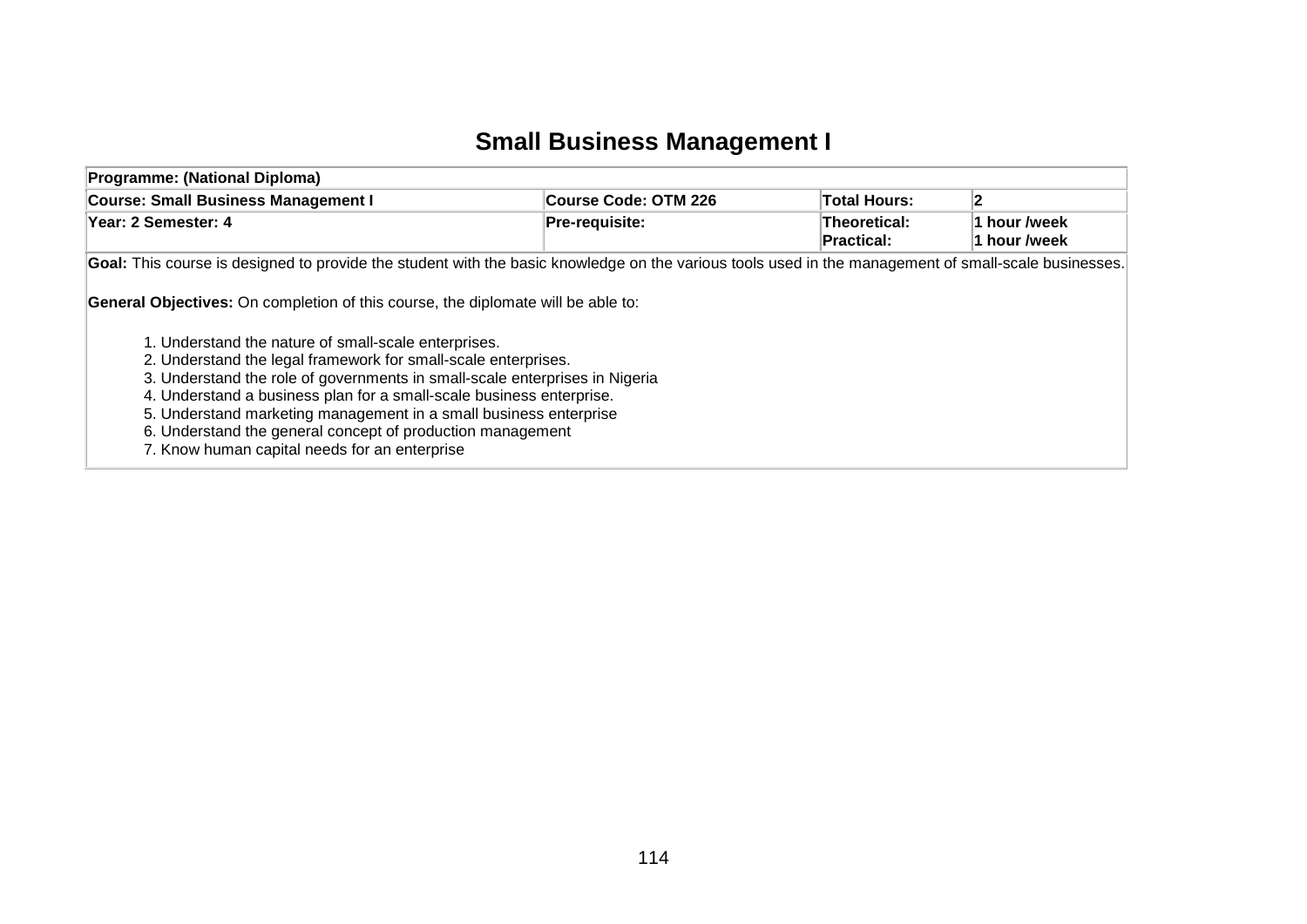## **Small Business Management I**

| Programme: (National Diploma)                                                                                                                                                                                                                                                                                                                                                                                                                                                                                                                                |                      |                                   |                              |  |  |  |  |
|--------------------------------------------------------------------------------------------------------------------------------------------------------------------------------------------------------------------------------------------------------------------------------------------------------------------------------------------------------------------------------------------------------------------------------------------------------------------------------------------------------------------------------------------------------------|----------------------|-----------------------------------|------------------------------|--|--|--|--|
| <b>Course: Small Business Management I</b>                                                                                                                                                                                                                                                                                                                                                                                                                                                                                                                   | Course Code: OTM 226 | <b>Total Hours:</b>               | 12                           |  |  |  |  |
| Year: 2 Semester: 4                                                                                                                                                                                                                                                                                                                                                                                                                                                                                                                                          | Pre-requisite:       | Theoretical:<br><b>Practical:</b> | 1 hour /week<br>1 hour /week |  |  |  |  |
| Goal: This course is designed to provide the student with the basic knowledge on the various tools used in the management of small-scale businesses.                                                                                                                                                                                                                                                                                                                                                                                                         |                      |                                   |                              |  |  |  |  |
| <b>General Objectives:</b> On completion of this course, the diplomate will be able to:<br>1. Understand the nature of small-scale enterprises.<br>2. Understand the legal framework for small-scale enterprises.<br>3. Understand the role of governments in small-scale enterprises in Nigeria<br>4. Understand a business plan for a small-scale business enterprise.<br>5. Understand marketing management in a small business enterprise<br>6. Understand the general concept of production management<br>7. Know human capital needs for an enterprise |                      |                                   |                              |  |  |  |  |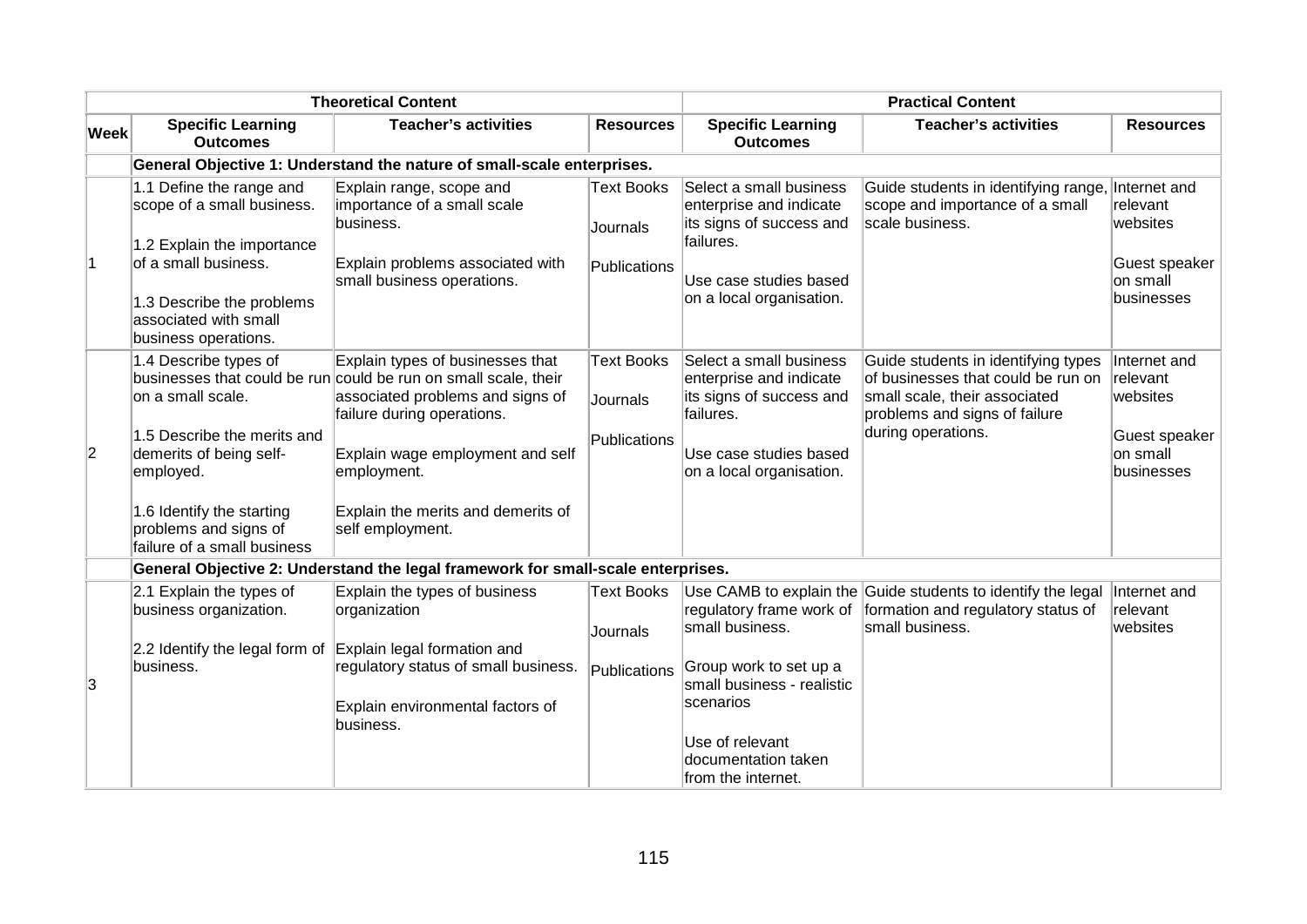|                |                                                                                                                                                                                                                                        | <b>Theoretical Content</b>                                                                                                                                                                                                                            |                                               |                                                                                                                                                   | <b>Practical Content</b>                                                                                                                                          |                                                                                 |
|----------------|----------------------------------------------------------------------------------------------------------------------------------------------------------------------------------------------------------------------------------------|-------------------------------------------------------------------------------------------------------------------------------------------------------------------------------------------------------------------------------------------------------|-----------------------------------------------|---------------------------------------------------------------------------------------------------------------------------------------------------|-------------------------------------------------------------------------------------------------------------------------------------------------------------------|---------------------------------------------------------------------------------|
| <b>Week</b>    | <b>Specific Learning</b><br><b>Outcomes</b>                                                                                                                                                                                            | <b>Teacher's activities</b>                                                                                                                                                                                                                           | <b>Resources</b>                              | <b>Specific Learning</b><br><b>Outcomes</b>                                                                                                       | <b>Teacher's activities</b>                                                                                                                                       | <b>Resources</b>                                                                |
|                |                                                                                                                                                                                                                                        | General Objective 1: Understand the nature of small-scale enterprises.                                                                                                                                                                                |                                               |                                                                                                                                                   |                                                                                                                                                                   |                                                                                 |
| $\overline{1}$ | 1.1 Define the range and<br>scope of a small business.<br>1.2 Explain the importance<br>of a small business.<br>1.3 Describe the problems<br>associated with small<br>business operations.                                             | Explain range, scope and<br>importance of a small scale<br>business.<br>Explain problems associated with<br>small business operations.                                                                                                                | <b>Text Books</b><br>Journals<br>Publications | Select a small business<br>enterprise and indicate<br>its signs of success and<br>failures.<br>Use case studies based<br>on a local organisation. | Guide students in identifying range,<br>scope and importance of a small<br>scale business.                                                                        | Internet and<br>relevant<br>websites<br>Guest speaker<br>on small<br>businesses |
| $ 2\rangle$    | 1.4 Describe types of<br>businesses that could be run<br>on a small scale.<br>1.5 Describe the merits and<br>demerits of being self-<br>employed.<br>1.6 Identify the starting<br>problems and signs of<br>failure of a small business | Explain types of businesses that<br>could be run on small scale, their<br>associated problems and signs of<br>failure during operations.<br>Explain wage employment and self<br>employment.<br>Explain the merits and demerits of<br>self employment. | <b>Text Books</b><br>Journals<br>Publications | Select a small business<br>enterprise and indicate<br>its signs of success and<br>failures.<br>Use case studies based<br>on a local organisation. | Guide students in identifying types<br>of businesses that could be run on<br>small scale, their associated<br>problems and signs of failure<br>during operations. | Internet and<br>relevant<br>websites<br>Guest speaker<br>on small<br>businesses |
|                |                                                                                                                                                                                                                                        | General Objective 2: Understand the legal framework for small-scale enterprises.                                                                                                                                                                      |                                               |                                                                                                                                                   |                                                                                                                                                                   |                                                                                 |
|                | 2.1 Explain the types of<br>business organization.<br>2.2 Identify the legal form of                                                                                                                                                   | Explain the types of business<br>organization<br>Explain legal formation and                                                                                                                                                                          | <b>Text Books</b><br>Journals                 | regulatory frame work of<br>small business.                                                                                                       | Use CAMB to explain the Guide students to identify the legal<br>formation and regulatory status of<br>small business.                                             | Internet and<br>relevant<br>websites                                            |
| 3              | business.                                                                                                                                                                                                                              | regulatory status of small business.<br>Explain environmental factors of<br>business.                                                                                                                                                                 | Publications                                  | Group work to set up a<br>small business - realistic<br>scenarios<br>Use of relevant<br>documentation taken<br>from the internet.                 |                                                                                                                                                                   |                                                                                 |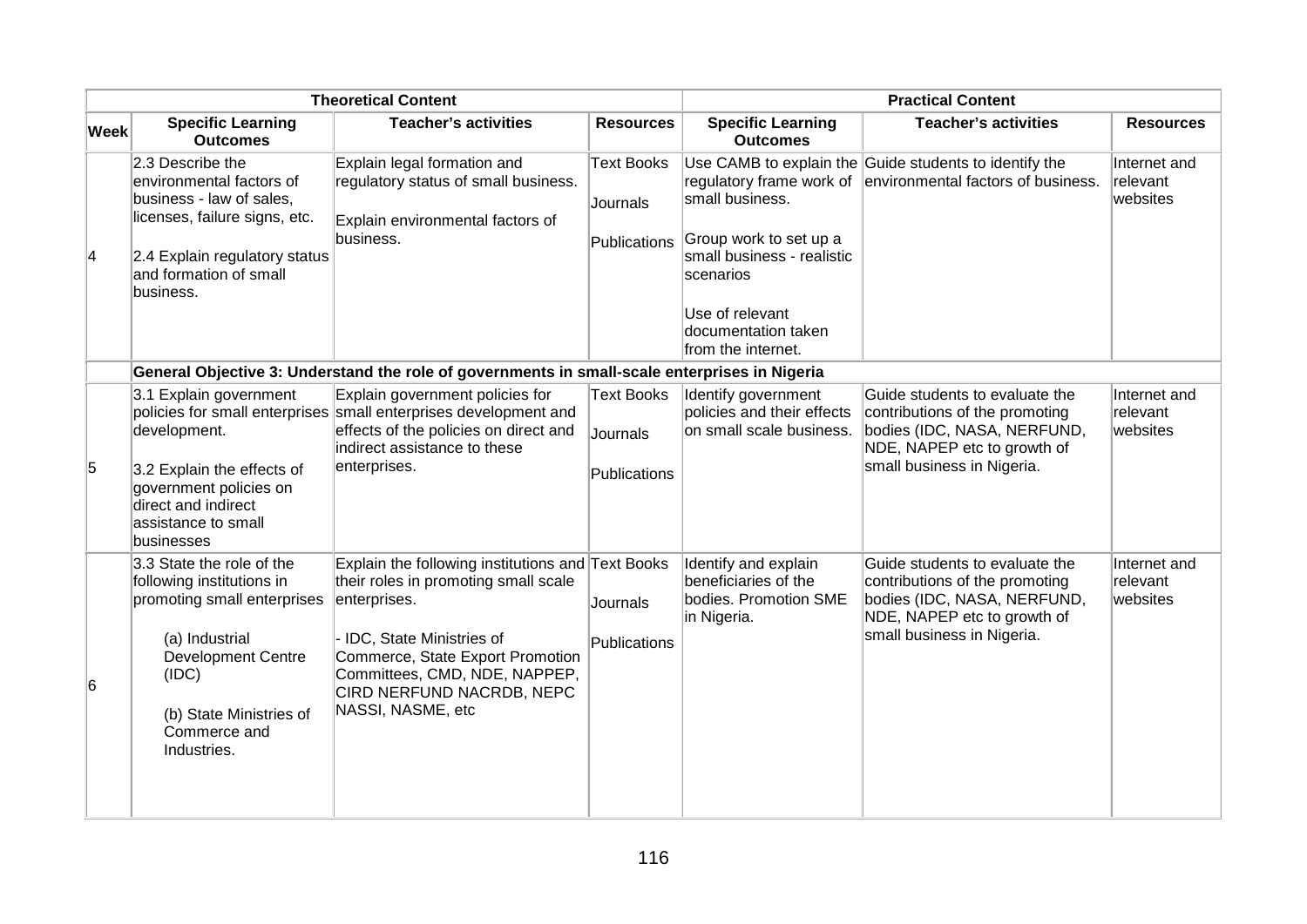|                 |                                                                                                                                                                                                         | <b>Theoretical Content</b>                                                                                                                                                                                                                                     |                                               |                                                                                                                                                      | <b>Practical Content</b>                                                                                                                                     |                                      |
|-----------------|---------------------------------------------------------------------------------------------------------------------------------------------------------------------------------------------------------|----------------------------------------------------------------------------------------------------------------------------------------------------------------------------------------------------------------------------------------------------------------|-----------------------------------------------|------------------------------------------------------------------------------------------------------------------------------------------------------|--------------------------------------------------------------------------------------------------------------------------------------------------------------|--------------------------------------|
| <b>Week</b>     | <b>Specific Learning</b><br><b>Outcomes</b>                                                                                                                                                             | <b>Teacher's activities</b>                                                                                                                                                                                                                                    | <b>Resources</b>                              | <b>Specific Learning</b><br><b>Outcomes</b>                                                                                                          | <b>Teacher's activities</b>                                                                                                                                  | <b>Resources</b>                     |
| $\vert 4 \vert$ | 2.3 Describe the<br>environmental factors of<br>business - law of sales,<br>licenses, failure signs, etc.<br>2.4 Explain regulatory status<br>and formation of small<br>business.                       | Explain legal formation and<br>regulatory status of small business.<br>Explain environmental factors of<br>business.                                                                                                                                           | <b>Text Books</b><br>Journals<br>Publications | small business.<br>Group work to set up a<br>small business - realistic<br>scenarios<br>Use of relevant<br>documentation taken<br>from the internet. | Use CAMB to explain the Guide students to identify the<br>regulatory frame work of environmental factors of business.                                        | Internet and<br>relevant<br>websites |
|                 |                                                                                                                                                                                                         | General Objective 3: Understand the role of governments in small-scale enterprises in Nigeria                                                                                                                                                                  |                                               |                                                                                                                                                      |                                                                                                                                                              |                                      |
| 5               | 3.1 Explain government<br>development.<br>3.2 Explain the effects of<br>government policies on<br>direct and indirect<br>assistance to small<br>businesses                                              | Explain government policies for<br>policies for small enterprises small enterprises development and<br>effects of the policies on direct and<br>indirect assistance to these<br>enterprises.                                                                   | <b>Text Books</b><br>Journals<br>Publications | Identify government<br>policies and their effects<br>on small scale business.                                                                        | Guide students to evaluate the<br>contributions of the promoting<br>bodies (IDC, NASA, NERFUND,<br>NDE, NAPEP etc to growth of<br>small business in Nigeria. | Internet and<br>relevant<br>websites |
| 6               | 3.3 State the role of the<br>following institutions in<br>promoting small enterprises<br>(a) Industrial<br><b>Development Centre</b><br>(IDC)<br>(b) State Ministries of<br>Commerce and<br>Industries. | Explain the following institutions and Text Books<br>their roles in promoting small scale<br>enterprises.<br>- IDC, State Ministries of<br>Commerce, State Export Promotion<br>Committees, CMD, NDE, NAPPEP,<br>CIRD NERFUND NACRDB, NEPC<br>NASSI, NASME, etc | Journals<br>Publications                      | Identify and explain<br>beneficiaries of the<br>bodies. Promotion SME<br>in Nigeria.                                                                 | Guide students to evaluate the<br>contributions of the promoting<br>bodies (IDC, NASA, NERFUND,<br>NDE, NAPEP etc to growth of<br>small business in Nigeria. | Internet and<br>relevant<br>websites |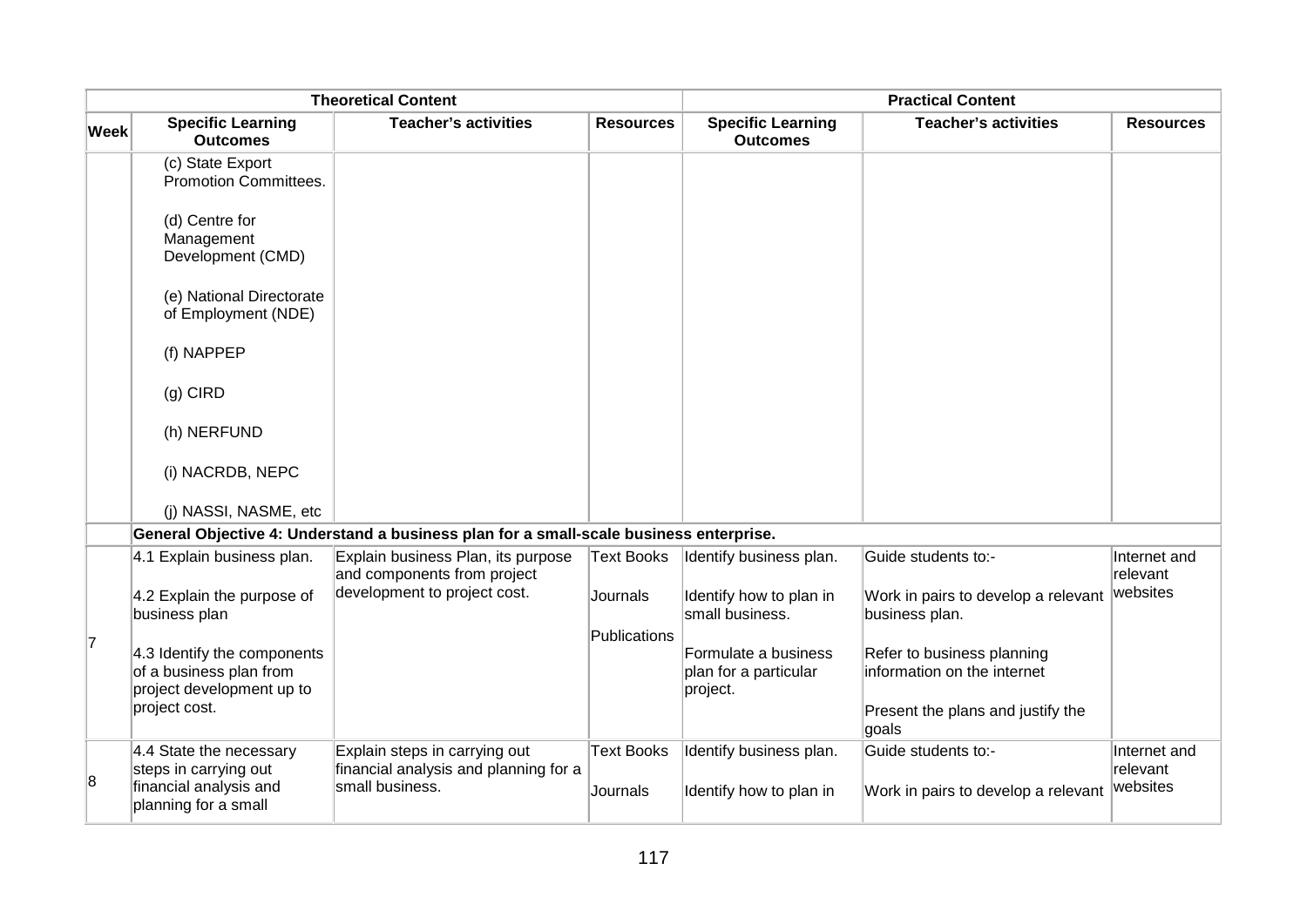|             |                                                                                                      | <b>Theoretical Content</b>                                                                |                               |                                                           | <b>Practical Content</b>                                                                                |                                      |
|-------------|------------------------------------------------------------------------------------------------------|-------------------------------------------------------------------------------------------|-------------------------------|-----------------------------------------------------------|---------------------------------------------------------------------------------------------------------|--------------------------------------|
| <b>Week</b> | <b>Specific Learning</b><br><b>Outcomes</b>                                                          | <b>Teacher's activities</b>                                                               | <b>Resources</b>              | <b>Specific Learning</b><br><b>Outcomes</b>               | <b>Teacher's activities</b>                                                                             | <b>Resources</b>                     |
|             | (c) State Export<br><b>Promotion Committees.</b>                                                     |                                                                                           |                               |                                                           |                                                                                                         |                                      |
|             | (d) Centre for<br>Management<br>Development (CMD)                                                    |                                                                                           |                               |                                                           |                                                                                                         |                                      |
|             | (e) National Directorate<br>of Employment (NDE)                                                      |                                                                                           |                               |                                                           |                                                                                                         |                                      |
|             | (f) NAPPEP                                                                                           |                                                                                           |                               |                                                           |                                                                                                         |                                      |
|             | $(g)$ CIRD                                                                                           |                                                                                           |                               |                                                           |                                                                                                         |                                      |
|             | (h) NERFUND                                                                                          |                                                                                           |                               |                                                           |                                                                                                         |                                      |
|             | (i) NACRDB, NEPC                                                                                     |                                                                                           |                               |                                                           |                                                                                                         |                                      |
|             | (i) NASSI, NASME, etc                                                                                |                                                                                           |                               |                                                           |                                                                                                         |                                      |
|             |                                                                                                      | General Objective 4: Understand a business plan for a small-scale business enterprise.    |                               |                                                           |                                                                                                         |                                      |
|             | 4.1 Explain business plan.                                                                           | Explain business Plan, its purpose<br>and components from project                         | <b>Text Books</b>             | Identify business plan.                                   | Guide students to:-                                                                                     | Internet and<br>relevant             |
|             | 4.2 Explain the purpose of<br>business plan                                                          | development to project cost.                                                              | Journals                      | Identify how to plan in<br>small business.                | Work in pairs to develop a relevant<br>business plan.                                                   | websites                             |
| 17          | 4.3 Identify the components<br>of a business plan from<br>project development up to<br>project cost. |                                                                                           | Publications                  | Formulate a business<br>plan for a particular<br>project. | Refer to business planning<br>information on the internet<br>Present the plans and justify the<br>goals |                                      |
| 8           | 4.4 State the necessary<br>steps in carrying out<br>financial analysis and<br>planning for a small   | Explain steps in carrying out<br>financial analysis and planning for a<br>small business. | <b>Text Books</b><br>Journals | Identify business plan.<br>Identify how to plan in        | Guide students to:-<br>Work in pairs to develop a relevant                                              | Internet and<br>relevant<br>websites |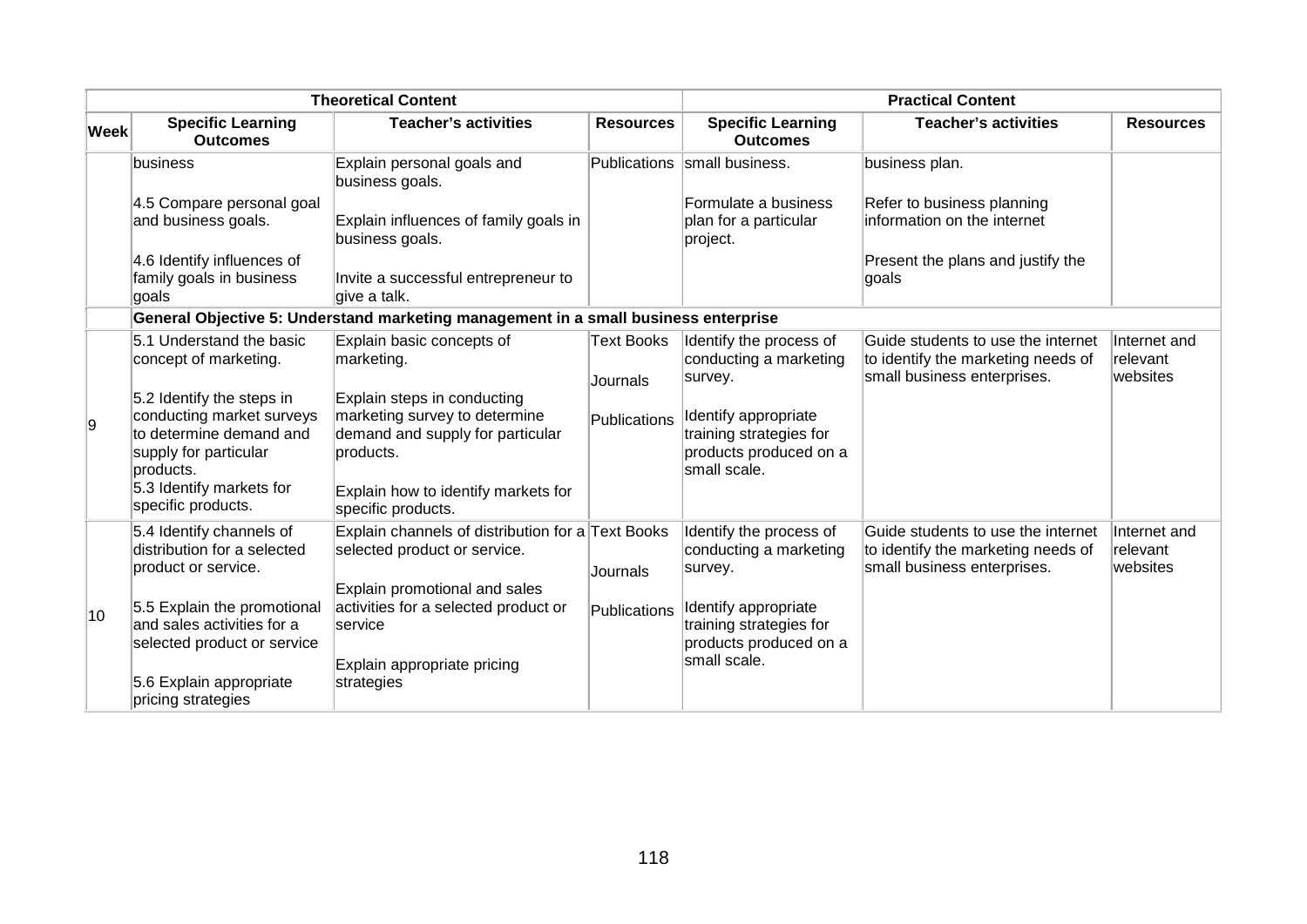|      |                                                                                                                                                                           | <b>Theoretical Content</b>                                                                                                                                                 |                               |                                                                                           | <b>Practical Content</b>                                                                                |                                      |
|------|---------------------------------------------------------------------------------------------------------------------------------------------------------------------------|----------------------------------------------------------------------------------------------------------------------------------------------------------------------------|-------------------------------|-------------------------------------------------------------------------------------------|---------------------------------------------------------------------------------------------------------|--------------------------------------|
| Week | <b>Specific Learning</b><br><b>Outcomes</b>                                                                                                                               | <b>Teacher's activities</b>                                                                                                                                                | <b>Resources</b>              | <b>Specific Learning</b><br><b>Outcomes</b>                                               | <b>Teacher's activities</b>                                                                             | <b>Resources</b>                     |
|      | business                                                                                                                                                                  | Explain personal goals and<br>business goals.                                                                                                                              | Publications                  | small business.                                                                           | business plan.                                                                                          |                                      |
|      | 4.5 Compare personal goal<br>and business goals.                                                                                                                          | Explain influences of family goals in<br>business goals.                                                                                                                   |                               | Formulate a business<br>plan for a particular<br>project.                                 | Refer to business planning<br>information on the internet                                               |                                      |
|      | 4.6 Identify influences of<br>family goals in business<br>goals                                                                                                           | Invite a successful entrepreneur to<br>give a talk.                                                                                                                        |                               |                                                                                           | Present the plans and justify the<br>∣goals                                                             |                                      |
|      |                                                                                                                                                                           | General Objective 5: Understand marketing management in a small business enterprise                                                                                        |                               |                                                                                           |                                                                                                         |                                      |
|      | 5.1 Understand the basic<br>concept of marketing.                                                                                                                         | Explain basic concepts of<br>marketing.                                                                                                                                    | <b>Text Books</b><br>Journals | Identify the process of<br>conducting a marketing<br>survey.                              | Guide students to use the internet<br>to identify the marketing needs of<br>small business enterprises. | Internet and<br>relevant<br>websites |
| 9    | 5.2 Identify the steps in<br>conducting market surveys<br>to determine demand and<br>supply for particular<br>products.<br>5.3 Identify markets for<br>specific products. | Explain steps in conducting<br>marketing survey to determine<br>demand and supply for particular<br>products.<br>Explain how to identify markets for<br>specific products. | Publications                  | Identify appropriate<br>training strategies for<br>products produced on a<br>small scale. |                                                                                                         |                                      |
|      | 5.4 Identify channels of<br>distribution for a selected<br>product or service.                                                                                            | Explain channels of distribution for a Text Books<br>selected product or service.<br>Explain promotional and sales                                                         | Journals                      | Identify the process of<br>conducting a marketing<br>survey.                              | Guide students to use the internet<br>to identify the marketing needs of<br>small business enterprises. | Internet and<br>relevant<br>websites |
| 10   | 5.5 Explain the promotional<br>and sales activities for a<br>selected product or service                                                                                  | activities for a selected product or<br>service<br>Explain appropriate pricing                                                                                             | Publications                  | Identify appropriate<br>training strategies for<br>products produced on a<br>small scale. |                                                                                                         |                                      |
|      | 5.6 Explain appropriate<br>pricing strategies                                                                                                                             | strategies                                                                                                                                                                 |                               |                                                                                           |                                                                                                         |                                      |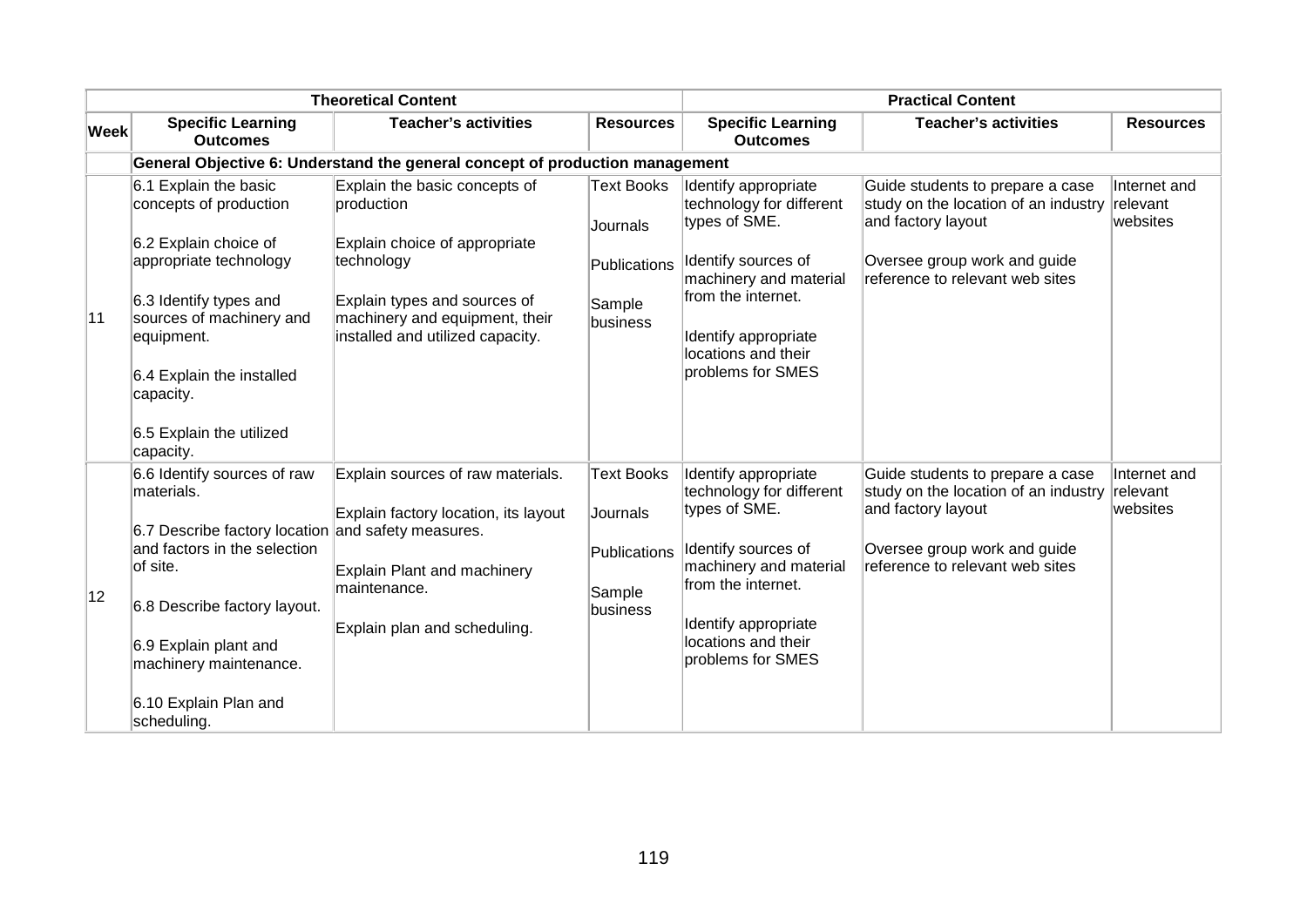| <b>Theoretical Content</b> |                                                                                                                                                                                                                                                                        |                                                                                                                                                          |                                                                     | <b>Practical Content</b>                                                                                                                                                                                     |                                                                                                                                                                   |                                      |  |  |
|----------------------------|------------------------------------------------------------------------------------------------------------------------------------------------------------------------------------------------------------------------------------------------------------------------|----------------------------------------------------------------------------------------------------------------------------------------------------------|---------------------------------------------------------------------|--------------------------------------------------------------------------------------------------------------------------------------------------------------------------------------------------------------|-------------------------------------------------------------------------------------------------------------------------------------------------------------------|--------------------------------------|--|--|
| <b>Week</b>                | <b>Specific Learning</b><br><b>Outcomes</b>                                                                                                                                                                                                                            | <b>Teacher's activities</b>                                                                                                                              | <b>Resources</b>                                                    | <b>Specific Learning</b><br><b>Outcomes</b>                                                                                                                                                                  | <b>Teacher's activities</b>                                                                                                                                       | <b>Resources</b>                     |  |  |
|                            | General Objective 6: Understand the general concept of production management                                                                                                                                                                                           |                                                                                                                                                          |                                                                     |                                                                                                                                                                                                              |                                                                                                                                                                   |                                      |  |  |
|                            | 6.1 Explain the basic<br>concepts of production<br>6.2 Explain choice of                                                                                                                                                                                               | Explain the basic concepts of<br>production<br>Explain choice of appropriate                                                                             | <b>Text Books</b><br>Journals                                       | Identify appropriate<br>technology for different<br>types of SME.<br>Identify sources of                                                                                                                     | Guide students to prepare a case<br>study on the location of an industry<br>and factory layout                                                                    | Internet and<br>relevant<br>websites |  |  |
| 11                         | appropriate technology<br>6.3 Identify types and<br>sources of machinery and<br>equipment.<br>6.4 Explain the installed<br>capacity.<br>6.5 Explain the utilized<br>capacity.                                                                                          | technology<br>Explain types and sources of<br>machinery and equipment, their<br>installed and utilized capacity.                                         | Publications<br>Sample<br>business                                  | machinery and material<br>from the internet.<br>Identify appropriate<br>locations and their<br>problems for SMES                                                                                             | Oversee group work and guide<br>reference to relevant web sites                                                                                                   |                                      |  |  |
| 12                         | 6.6 Identify sources of raw<br>materials.<br>6.7 Describe factory location and safety measures.<br>and factors in the selection<br>of site.<br>6.8 Describe factory layout.<br>6.9 Explain plant and<br>machinery maintenance.<br>6.10 Explain Plan and<br>scheduling. | Explain sources of raw materials.<br>Explain factory location, its layout<br>Explain Plant and machinery<br>maintenance.<br>Explain plan and scheduling. | <b>Text Books</b><br>Journals<br>Publications<br>Sample<br>business | Identify appropriate<br>technology for different<br>types of SME.<br>Identify sources of<br>machinery and material<br>from the internet.<br>Identify appropriate<br>locations and their<br>problems for SMES | Guide students to prepare a case<br>study on the location of an industry<br>and factory layout<br>Oversee group work and guide<br>reference to relevant web sites | Internet and<br>relevant<br>websites |  |  |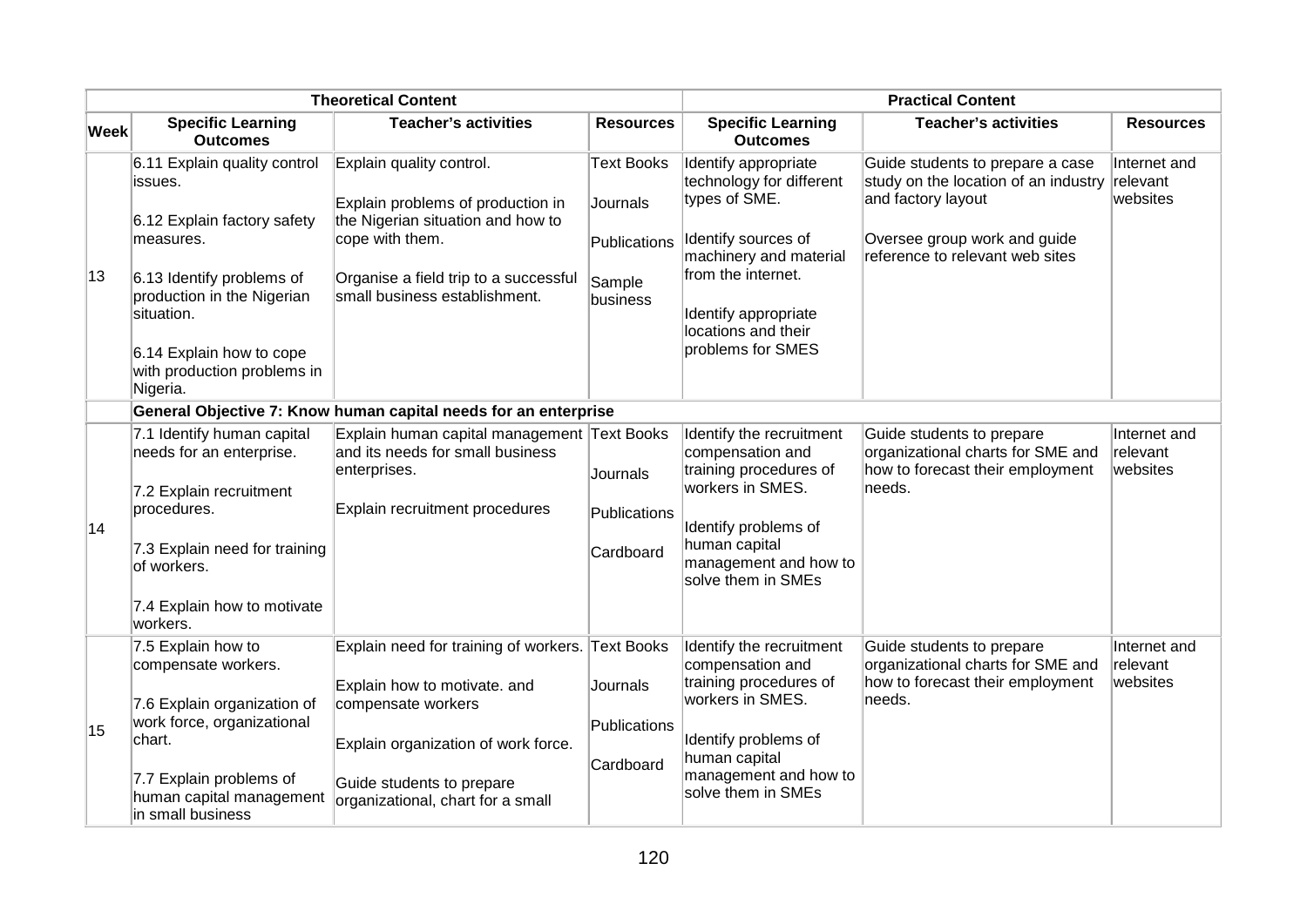|      |                                                                                                                                                                                                                                     | <b>Theoretical Content</b>                                                                                                                                                                      | <b>Practical Content</b>                                            |                                                                                                                                                                                                              |                                                                                                                                                                   |                                      |
|------|-------------------------------------------------------------------------------------------------------------------------------------------------------------------------------------------------------------------------------------|-------------------------------------------------------------------------------------------------------------------------------------------------------------------------------------------------|---------------------------------------------------------------------|--------------------------------------------------------------------------------------------------------------------------------------------------------------------------------------------------------------|-------------------------------------------------------------------------------------------------------------------------------------------------------------------|--------------------------------------|
| Week | <b>Specific Learning</b><br><b>Outcomes</b>                                                                                                                                                                                         | <b>Teacher's activities</b>                                                                                                                                                                     | <b>Resources</b>                                                    | <b>Specific Learning</b><br><b>Outcomes</b>                                                                                                                                                                  | <b>Teacher's activities</b>                                                                                                                                       | <b>Resources</b>                     |
| 13   | 6.11 Explain quality control<br>issues.<br>6.12 Explain factory safety<br>measures.<br>6.13 Identify problems of<br>production in the Nigerian<br>situation.<br>6.14 Explain how to cope<br>with production problems in<br>Nigeria. | Explain quality control.<br>Explain problems of production in<br>the Nigerian situation and how to<br>cope with them.<br>Organise a field trip to a successful<br>small business establishment. | <b>Text Books</b><br>Journals<br>Publications<br>Sample<br>business | Identify appropriate<br>technology for different<br>types of SME.<br>Identify sources of<br>machinery and material<br>from the internet.<br>Identify appropriate<br>locations and their<br>problems for SMES | Guide students to prepare a case<br>study on the location of an industry<br>and factory layout<br>Oversee group work and guide<br>reference to relevant web sites | Internet and<br>relevant<br>websites |
|      |                                                                                                                                                                                                                                     | General Objective 7: Know human capital needs for an enterprise                                                                                                                                 |                                                                     |                                                                                                                                                                                                              |                                                                                                                                                                   |                                      |
|      | 7.1 Identify human capital<br>needs for an enterprise.<br>7.2 Explain recruitment<br>procedures.                                                                                                                                    | Explain human capital management Text Books<br>and its needs for small business<br>enterprises.<br>Explain recruitment procedures                                                               | Journals<br>Publications                                            | Identify the recruitment<br>compensation and<br>training procedures of<br>workers in SMES.                                                                                                                   | Guide students to prepare<br>organizational charts for SME and<br>how to forecast their employment<br>needs.                                                      | Internet and<br>relevant<br>websites |
| 14   | 7.3 Explain need for training<br>of workers.                                                                                                                                                                                        |                                                                                                                                                                                                 | Cardboard                                                           | Identify problems of<br>human capital<br>management and how to<br>solve them in SMEs                                                                                                                         |                                                                                                                                                                   |                                      |
|      | 7.4 Explain how to motivate<br>workers.                                                                                                                                                                                             |                                                                                                                                                                                                 |                                                                     |                                                                                                                                                                                                              |                                                                                                                                                                   |                                      |
|      | 7.5 Explain how to<br>compensate workers.                                                                                                                                                                                           | Explain need for training of workers. Text Books<br>Explain how to motivate. and                                                                                                                | Journals                                                            | Identify the recruitment<br>compensation and<br>training procedures of                                                                                                                                       | Guide students to prepare<br>organizational charts for SME and<br>how to forecast their employment                                                                | Internet and<br>relevant<br>websites |
| 15   | 7.6 Explain organization of<br>work force, organizational<br>chart.                                                                                                                                                                 | compensate workers<br>Explain organization of work force.                                                                                                                                       | Publications                                                        | workers in SMES.<br>Identify problems of<br>human capital                                                                                                                                                    | needs.                                                                                                                                                            |                                      |
|      | 7.7 Explain problems of<br>human capital management<br>in small business                                                                                                                                                            | Guide students to prepare<br>organizational, chart for a small                                                                                                                                  | Cardboard                                                           | management and how to<br>solve them in SMEs                                                                                                                                                                  |                                                                                                                                                                   |                                      |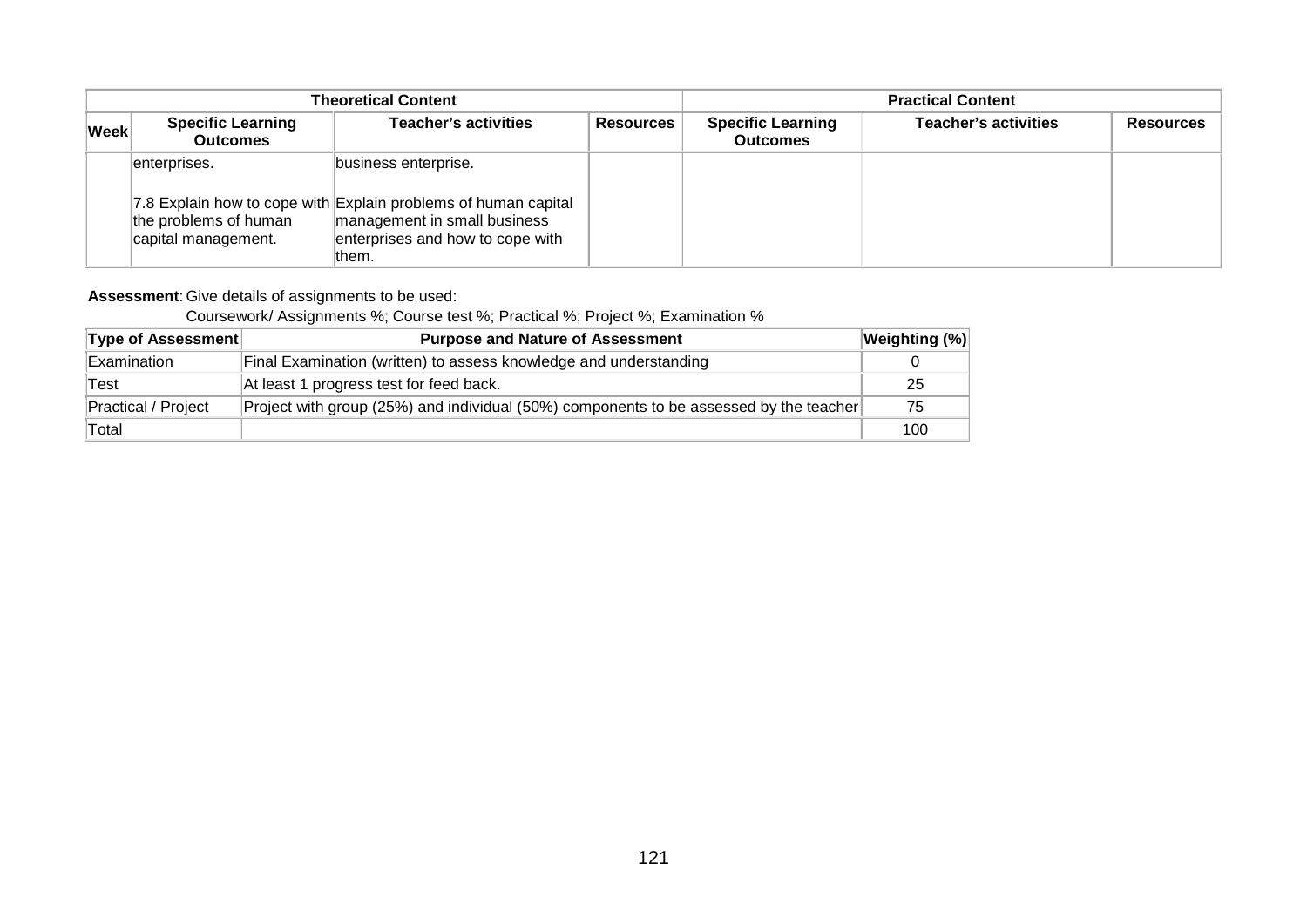|             |                                                              | <b>Theoretical Content</b>                                                                                                                                          | <b>Practical Content</b> |                                             |                             |                  |
|-------------|--------------------------------------------------------------|---------------------------------------------------------------------------------------------------------------------------------------------------------------------|--------------------------|---------------------------------------------|-----------------------------|------------------|
| <b>Week</b> | <b>Specific Learning</b><br><b>Outcomes</b>                  | <b>Teacher's activities</b>                                                                                                                                         | <b>Resources</b>         | <b>Specific Learning</b><br><b>Outcomes</b> | <b>Teacher's activities</b> | <b>Resources</b> |
|             | enterprises.<br>the problems of human<br>capital management. | business enterprise.<br>7.8 Explain how to cope with Explain problems of human capital<br>management in small business<br>enterprises and how to cope with<br>them. |                          |                                             |                             |                  |

### **Assessment**: Give details of assignments to be used:

### Coursework/ Assignments %; Course test %; Practical %; Project %; Examination %

| <b>Type of Assessment</b> | <b>Purpose and Nature of Assessment</b>                                                | Weighting (%) |
|---------------------------|----------------------------------------------------------------------------------------|---------------|
| Examination               | Final Examination (written) to assess knowledge and understanding                      |               |
| Test                      | At least 1 progress test for feed back.                                                | 25            |
| Practical / Project       | Project with group (25%) and individual (50%) components to be assessed by the teacher | 75            |
| Total                     |                                                                                        | 100           |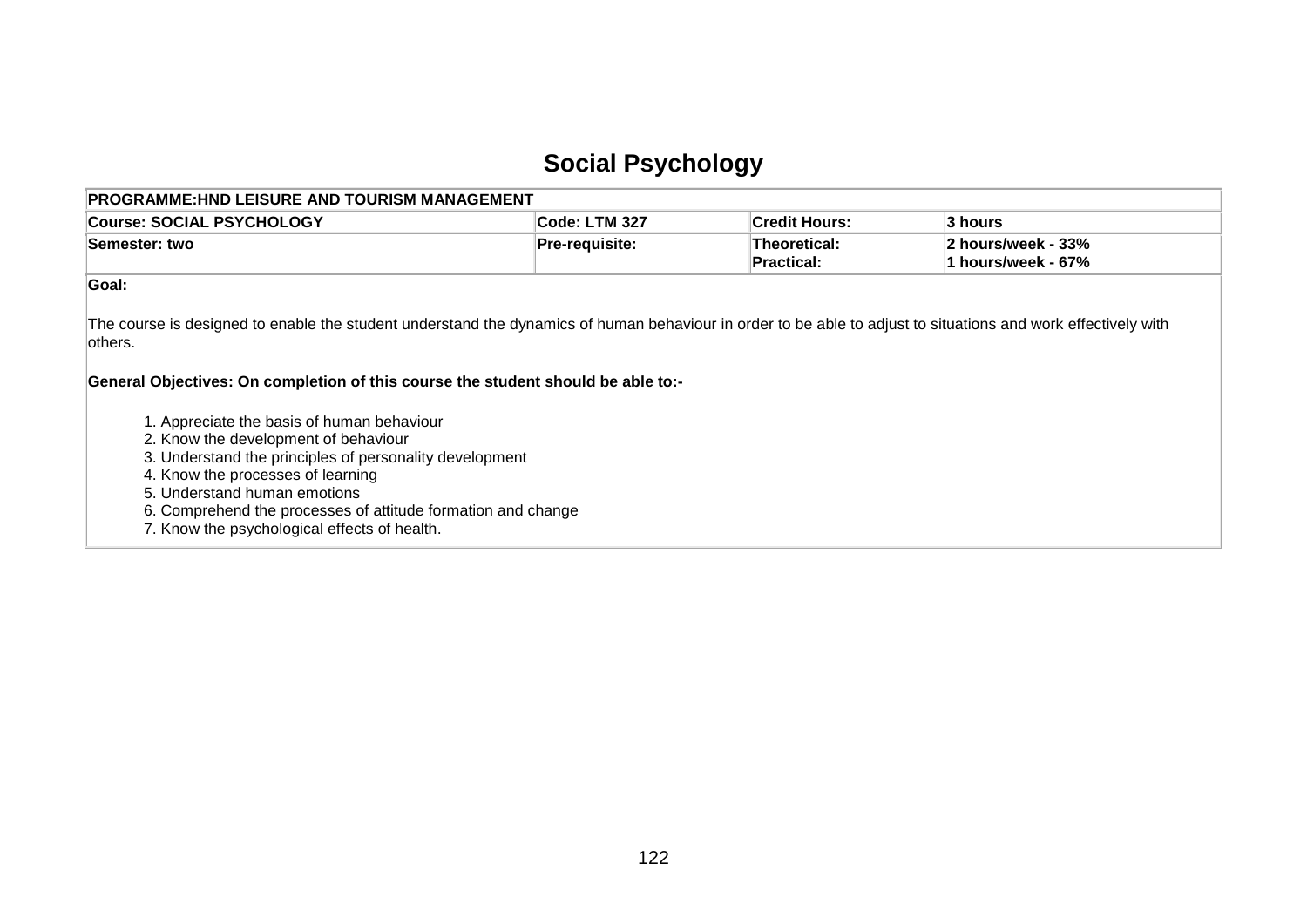## **Social Psychology**

| <b>PROGRAMME:HND LEISURE AND TOURISM MANAGEMENT</b>                                                                                                                                                                                                                                                                                |                |                            |                                          |
|------------------------------------------------------------------------------------------------------------------------------------------------------------------------------------------------------------------------------------------------------------------------------------------------------------------------------------|----------------|----------------------------|------------------------------------------|
| <b>Course: SOCIAL PSYCHOLOGY</b>                                                                                                                                                                                                                                                                                                   | Code: LTM 327  | <b>Credit Hours:</b>       | 3 hours                                  |
| Semester: two                                                                                                                                                                                                                                                                                                                      | Pre-requisite: | Theoretical:<br>Practical: | 2 hours/week - 33%<br>1 hours/week - 67% |
| Goal:                                                                                                                                                                                                                                                                                                                              |                |                            |                                          |
| The course is designed to enable the student understand the dynamics of human behaviour in order to be able to adjust to situations and work effectively with<br>lothers.<br>General Objectives: On completion of this course the student should be able to:-                                                                      |                |                            |                                          |
| 1. Appreciate the basis of human behaviour<br>2. Know the development of behaviour<br>3. Understand the principles of personality development<br>4. Know the processes of learning<br>5. Understand human emotions<br>6. Comprehend the processes of attitude formation and change<br>7. Know the psychological effects of health. |                |                            |                                          |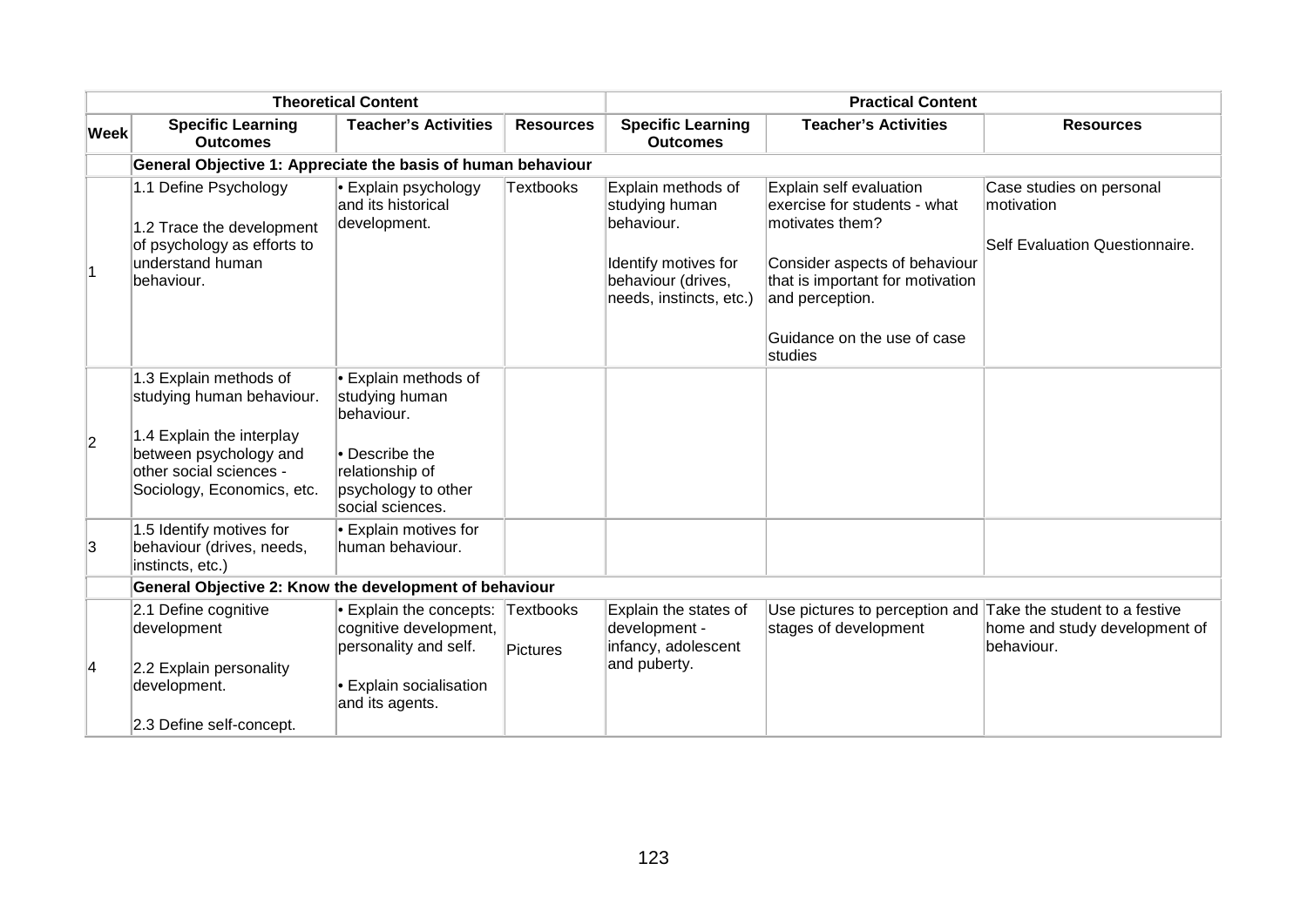|                |                                                                                                                     | <b>Theoretical Content</b>                                                      |                       | <b>Practical Content</b>                                                                                                    |                                                                                                                                                                                                   |                                                                          |  |
|----------------|---------------------------------------------------------------------------------------------------------------------|---------------------------------------------------------------------------------|-----------------------|-----------------------------------------------------------------------------------------------------------------------------|---------------------------------------------------------------------------------------------------------------------------------------------------------------------------------------------------|--------------------------------------------------------------------------|--|
| <b>Week</b>    | <b>Specific Learning</b><br><b>Outcomes</b>                                                                         | <b>Teacher's Activities</b>                                                     | <b>Resources</b>      | <b>Specific Learning</b><br><b>Outcomes</b>                                                                                 | <b>Teacher's Activities</b>                                                                                                                                                                       | <b>Resources</b>                                                         |  |
|                | General Objective 1: Appreciate the basis of human behaviour                                                        |                                                                                 |                       |                                                                                                                             |                                                                                                                                                                                                   |                                                                          |  |
| $\overline{1}$ | 1.1 Define Psychology<br>1.2 Trace the development<br>of psychology as efforts to<br>understand human<br>behaviour. | • Explain psychology<br>and its historical<br>development.                      | <b>Textbooks</b>      | Explain methods of<br>studying human<br>behaviour.<br>Identify motives for<br>behaviour (drives,<br>needs, instincts, etc.) | Explain self evaluation<br>exercise for students - what<br>motivates them?<br>Consider aspects of behaviour<br>that is important for motivation<br>and perception.<br>Guidance on the use of case | Case studies on personal<br>motivation<br>Self Evaluation Questionnaire. |  |
|                |                                                                                                                     |                                                                                 |                       |                                                                                                                             | studies                                                                                                                                                                                           |                                                                          |  |
| $ 2\rangle$    | 1.3 Explain methods of<br>studying human behaviour.<br>1.4 Explain the interplay                                    | • Explain methods of<br>studying human<br>behaviour.                            |                       |                                                                                                                             |                                                                                                                                                                                                   |                                                                          |  |
|                | between psychology and<br>other social sciences -<br>Sociology, Economics, etc.                                     | • Describe the<br>relationship of<br>psychology to other<br>social sciences.    |                       |                                                                                                                             |                                                                                                                                                                                                   |                                                                          |  |
| 3              | 1.5 Identify motives for<br>behaviour (drives, needs,<br>instincts, etc.)                                           | • Explain motives for<br>human behaviour.                                       |                       |                                                                                                                             |                                                                                                                                                                                                   |                                                                          |  |
|                | General Objective 2: Know the development of behaviour                                                              |                                                                                 |                       |                                                                                                                             |                                                                                                                                                                                                   |                                                                          |  |
|                | 2.1 Define cognitive<br>development                                                                                 | <b>Explain the concepts:</b><br>cognitive development,<br>personality and self. | Textbooks<br>Pictures | Explain the states of<br>development -<br>infancy, adolescent                                                               | Use pictures to perception and Take the student to a festive<br>stages of development                                                                                                             | home and study development of<br>behaviour.                              |  |
| 4              | 2.2 Explain personality<br>development.<br>2.3 Define self-concept.                                                 | • Explain socialisation<br>and its agents.                                      |                       | and puberty.                                                                                                                |                                                                                                                                                                                                   |                                                                          |  |
|                |                                                                                                                     |                                                                                 |                       |                                                                                                                             |                                                                                                                                                                                                   |                                                                          |  |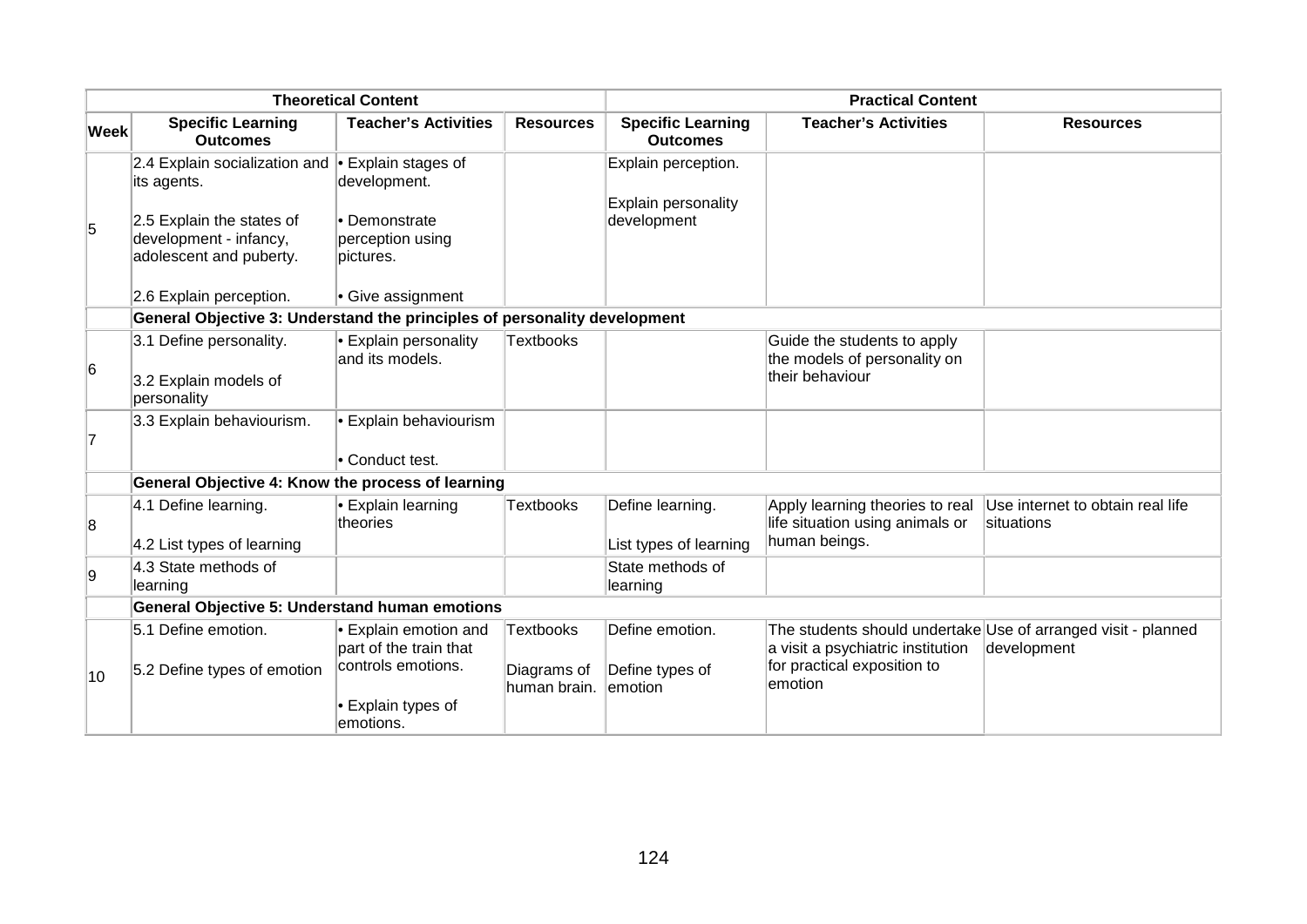| <b>Theoretical Content</b> |                                                                                |                                                       | <b>Practical Content</b>    |                                             |                                                                                |                                                                              |
|----------------------------|--------------------------------------------------------------------------------|-------------------------------------------------------|-----------------------------|---------------------------------------------|--------------------------------------------------------------------------------|------------------------------------------------------------------------------|
| <b>Week</b>                | <b>Specific Learning</b><br><b>Outcomes</b>                                    | <b>Teacher's Activities</b>                           | <b>Resources</b>            | <b>Specific Learning</b><br><b>Outcomes</b> | <b>Teacher's Activities</b>                                                    | <b>Resources</b>                                                             |
|                            | 2.4 Explain socialization and $\bullet$ Explain stages of<br>its agents.       | development.                                          |                             | Explain perception.<br>Explain personality  |                                                                                |                                                                              |
| 5                          | 2.5 Explain the states of<br>development - infancy,<br>adolescent and puberty. | • Demonstrate<br>perception using<br>pictures.        |                             | development                                 |                                                                                |                                                                              |
|                            | 2.6 Explain perception.                                                        | • Give assignment                                     |                             |                                             |                                                                                |                                                                              |
|                            | General Objective 3: Understand the principles of personality development      |                                                       |                             |                                             |                                                                                |                                                                              |
| 6                          | 3.1 Define personality.                                                        | • Explain personality<br>and its models.              | <b>Textbooks</b>            |                                             | Guide the students to apply<br>the models of personality on<br>their behaviour |                                                                              |
|                            | 3.2 Explain models of<br>personality                                           |                                                       |                             |                                             |                                                                                |                                                                              |
| 17                         | 3.3 Explain behaviourism.                                                      | · Explain behaviourism                                |                             |                                             |                                                                                |                                                                              |
|                            |                                                                                | • Conduct test.                                       |                             |                                             |                                                                                |                                                                              |
|                            | General Objective 4: Know the process of learning                              |                                                       |                             |                                             |                                                                                |                                                                              |
| 8                          | 4.1 Define learning.                                                           | • Explain learning<br>theories                        | <b>Textbooks</b>            | Define learning.                            | Apply learning theories to real<br>life situation using animals or             | Use internet to obtain real life<br>situations                               |
|                            | 4.2 List types of learning                                                     |                                                       |                             | List types of learning                      | human beings.                                                                  |                                                                              |
| 9                          | 4.3 State methods of<br>learning                                               |                                                       |                             | State methods of<br>learning                |                                                                                |                                                                              |
|                            | <b>General Objective 5: Understand human emotions</b>                          |                                                       |                             |                                             |                                                                                |                                                                              |
|                            | 5.1 Define emotion.                                                            | • Explain emotion and<br>part of the train that       | Textbooks                   | Define emotion.                             | a visit a psychiatric institution                                              | The students should undertake Use of arranged visit - planned<br>development |
| 10                         | 5.2 Define types of emotion                                                    | controls emotions.<br>• Explain types of<br>emotions. | Diagrams of<br>human brain. | Define types of<br>emotion                  | for practical exposition to<br>emotion                                         |                                                                              |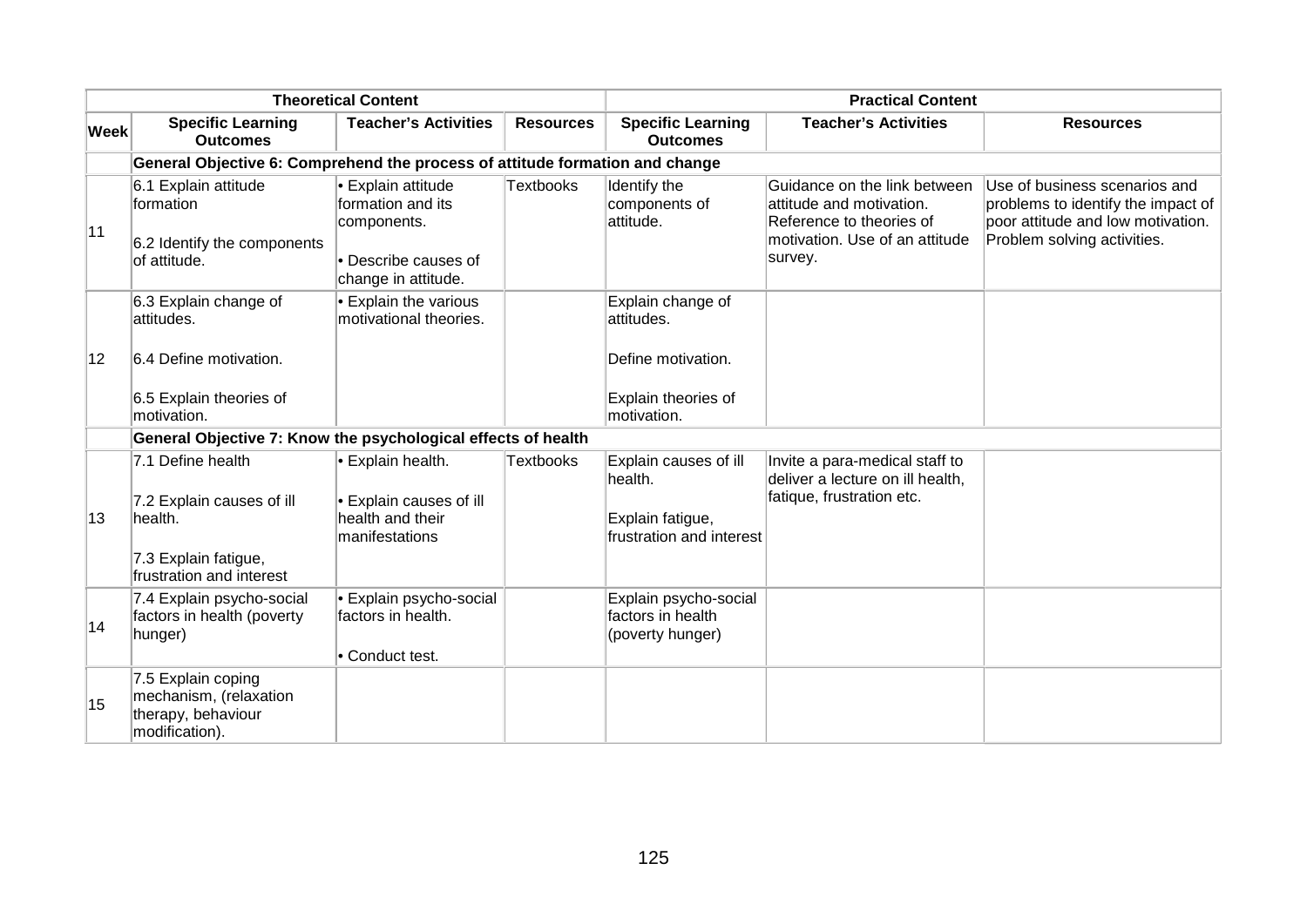|             | <b>Theoretical Content</b>                                                                                    |                                                                                                       |                  | <b>Practical Content</b>                                                                    |                                                                                                                                   |                                                                                                                                         |  |
|-------------|---------------------------------------------------------------------------------------------------------------|-------------------------------------------------------------------------------------------------------|------------------|---------------------------------------------------------------------------------------------|-----------------------------------------------------------------------------------------------------------------------------------|-----------------------------------------------------------------------------------------------------------------------------------------|--|
| <b>Week</b> | <b>Specific Learning</b><br><b>Outcomes</b>                                                                   | <b>Teacher's Activities</b>                                                                           | <b>Resources</b> | <b>Specific Learning</b><br><b>Outcomes</b>                                                 | <b>Teacher's Activities</b>                                                                                                       | <b>Resources</b>                                                                                                                        |  |
|             | General Objective 6: Comprehend the process of attitude formation and change                                  |                                                                                                       |                  |                                                                                             |                                                                                                                                   |                                                                                                                                         |  |
| 11          | 6.1 Explain attitude<br>formation<br>6.2 Identify the components<br>of attitude.                              | • Explain attitude<br>formation and its<br>components.<br>• Describe causes of<br>change in attitude. | <b>Textbooks</b> | Identify the<br>components of<br>attitude.                                                  | Guidance on the link between<br>attitude and motivation.<br>Reference to theories of<br>motivation. Use of an attitude<br>survey. | Use of business scenarios and<br>problems to identify the impact of<br>poor attitude and low motivation.<br>Problem solving activities. |  |
| 12          | 6.3 Explain change of<br>attitudes.<br>6.4 Define motivation.<br>6.5 Explain theories of<br>motivation.       | <b>Explain the various</b><br>motivational theories.                                                  |                  | Explain change of<br>attitudes.<br>Define motivation.<br>Explain theories of<br>motivation. |                                                                                                                                   |                                                                                                                                         |  |
|             | General Objective 7: Know the psychological effects of health                                                 |                                                                                                       |                  |                                                                                             |                                                                                                                                   |                                                                                                                                         |  |
| 13          | 7.1 Define health<br>7.2 Explain causes of ill<br>health.<br>7.3 Explain fatigue,<br>frustration and interest | • Explain health.<br>• Explain causes of ill<br>health and their<br>manifestations                    | <b>Textbooks</b> | Explain causes of ill<br>health.<br>Explain fatigue,<br>frustration and interest            | Invite a para-medical staff to<br>deliver a lecture on ill health,<br>fatique, frustration etc.                                   |                                                                                                                                         |  |
| 14          | 7.4 Explain psycho-social<br>factors in health (poverty<br>hunger)                                            | · Explain psycho-social<br>factors in health.<br>• Conduct test.                                      |                  | Explain psycho-social<br>factors in health<br>(poverty hunger)                              |                                                                                                                                   |                                                                                                                                         |  |
| 15          | 7.5 Explain coping<br>mechanism, (relaxation<br>therapy, behaviour<br>modification).                          |                                                                                                       |                  |                                                                                             |                                                                                                                                   |                                                                                                                                         |  |